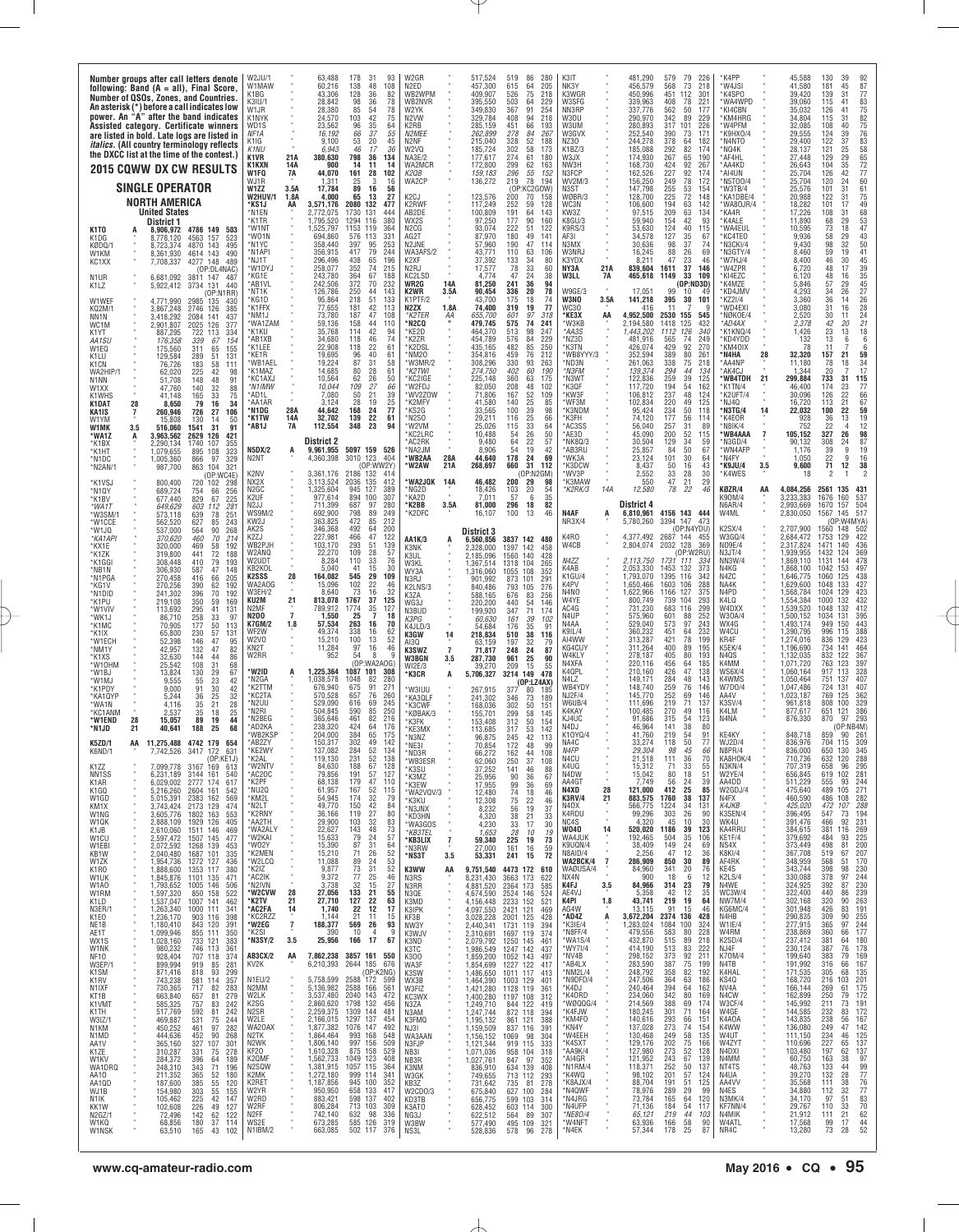|                                                                                                     |                |                                                                                                                      | Number groups after call letters denote<br>following: Band (A = all), Final Score,<br>Number of QSOs, Zones, and Countries.<br>An asterisk (*) before a call indicates low<br>power. An "A" after the band indicates<br>Assisted category. Certificate winners<br>are listed in bold. Late logs are listed in<br><i>italics.</i> (All country terminology reflects<br>the DXCC list at the time of the contest.)<br>2015 COWW DX CW RESULTS | W2JU/1<br>W1MAW<br>K1BG<br>K31U/1<br>W1JR<br>K1NYK<br>WD1S<br>NF <sub>1</sub> A<br>K1IG<br>K <sub>1</sub> NU<br>K <sub>1</sub> V <sub>R</sub><br>K1KXN | 21A<br>14A                                                    | 63,488<br>60.216<br>43,306<br>28.842<br>28,380<br>24.570<br>23,562<br>16,192<br>9,100<br>6,943<br>380,630<br>900 | 178<br>31<br>93<br>138<br>48<br>108<br>128<br>36<br>82<br>98<br>36<br>78<br>85<br>54<br>78<br>103<br>42<br>75<br>35<br>96<br>64<br>$\frac{37}{20}$<br>$\substack{66 \\ 53}$<br>55<br>45<br>46<br>17<br>36<br>798<br>36<br>134<br>14<br>11<br>14 | W2GR<br>N <sub>2</sub> FD<br>WB2WPM<br>WB2NVR<br>W2YK<br>N <sub>2</sub> VW<br>K2RB<br>N2MEE<br>N2NF<br>W2VQ<br>NA3E/2<br>WA2MCR |                             | 517,524<br>457,300<br>409,907<br>395,550<br>349,830<br>329.784<br>285,159<br>262,899<br>215,040<br>185,724<br>177,617<br>172,800 | 519<br>615<br>526<br>503<br>367<br>408<br>451<br>278<br>328<br>302<br>274<br>299 | 86<br>280<br>64<br>205<br>75<br>218<br>64<br>229<br>91<br>254<br>94<br>218<br>66<br>193<br>267<br>84<br>52<br>188<br>58<br>173<br>61<br>180<br>62<br>163 | K3IT<br>NK3Y<br>K3WGR<br>W3SFG<br>NN3RP<br>W3OU<br>W3UM<br>W3GVX<br>NZ30<br>K1BZ/3<br>W3JX<br>NW3H |                          | 481,290<br>456.579<br>450,996<br>339,963<br>337,776<br>290.970<br>280,893<br>252,540<br>244.278<br>185,088<br>174.930<br>168,730 | 579<br>79<br>568<br>73<br>451<br>112<br>408<br>78<br>562<br>50<br>342<br>89<br>317<br>101<br>390<br>73<br>378<br>64<br>82<br>292<br>267<br>65<br>424<br>92 | 226<br>218<br>301<br>221<br>177<br>229<br>226<br>171<br>182<br>174<br>190<br>267 | 'K4PP<br>'W4JSI<br>*K4SPO<br>*WA4WPD<br>*KI4CBN<br>*KM4HRG<br>'W4PFM<br>K9HX0/4<br>N4NTO*<br>*NQ4K<br>*AF4HL<br>AA4KD | 45.588<br>41.580<br>39,420<br>39.060<br>35,032<br>34.804<br>32,085<br>29.555<br>29.400<br>28,137<br>27.448<br>26,643 | 130<br>39<br>181<br>45<br>139<br>31<br>115<br>41<br>126<br>41<br>115<br>31<br>108<br>40<br>124<br>122<br>39<br>37<br>121<br>25<br>29<br>129<br>35<br>104 | 87<br>77<br>83<br>75<br>$\frac{82}{75}$<br>76<br>83<br>$\begin{array}{c} 58 \\ 65 \end{array}$<br>72 |
|-----------------------------------------------------------------------------------------------------|----------------|----------------------------------------------------------------------------------------------------------------------|---------------------------------------------------------------------------------------------------------------------------------------------------------------------------------------------------------------------------------------------------------------------------------------------------------------------------------------------------------------------------------------------------------------------------------------------|--------------------------------------------------------------------------------------------------------------------------------------------------------|---------------------------------------------------------------|------------------------------------------------------------------------------------------------------------------|-------------------------------------------------------------------------------------------------------------------------------------------------------------------------------------------------------------------------------------------------|---------------------------------------------------------------------------------------------------------------------------------|-----------------------------|----------------------------------------------------------------------------------------------------------------------------------|----------------------------------------------------------------------------------|----------------------------------------------------------------------------------------------------------------------------------------------------------|----------------------------------------------------------------------------------------------------|--------------------------|----------------------------------------------------------------------------------------------------------------------------------|------------------------------------------------------------------------------------------------------------------------------------------------------------|----------------------------------------------------------------------------------|-----------------------------------------------------------------------------------------------------------------------|----------------------------------------------------------------------------------------------------------------------|----------------------------------------------------------------------------------------------------------------------------------------------------------|------------------------------------------------------------------------------------------------------|
|                                                                                                     |                | <b>SINGLE OPERATOR</b>                                                                                               |                                                                                                                                                                                                                                                                                                                                                                                                                                             | W1FQ<br>WJ1R<br>W1ZZ<br><b>W2HUV/1</b>                                                                                                                 | 7A<br>3.5A<br>1.8A                                            | 44,070<br>1,311<br>17,784<br>4,000                                                                               | 161<br>28<br>102<br>25<br>$\mathcal{S}$<br>16<br>89<br>16<br>56<br>65<br>13<br>27                                                                                                                                                               | K2QB<br>WA2CP<br>K2CJ                                                                                                           |                             | 159,183<br>136,272<br>123,576                                                                                                    | 296<br>219<br>(OP<br>200                                                         | 55<br>152<br>78<br>194<br>KC2GOW)<br>70<br>158                                                                                                           | N3FCP<br>WV2M/3<br>N3ST<br>WØBR/3                                                                  |                          | 162.526<br>156,250<br>147,798<br>128,700                                                                                         | 227<br>92<br>249<br>78<br>255<br>53<br>72                                                                                                                  | 174<br>172<br>154<br>148                                                         | *AI4UN<br>N5T00/4<br>W3TB/4<br>*KA1DBE/4                                                                              | 25,704<br>25,704<br>25,576<br>20,988                                                                                 | 42<br>126<br>120<br>24<br>101<br>31<br>122<br>31                                                                                                         | 77<br>60<br>61                                                                                       |
| K <sub>1</sub> T <sub>0</sub><br>K1DG<br>KØDQ/1<br>W1KM<br>KC1XX                                    |                | NORTH AMERICA<br><b>United States</b><br>District 1<br>8.906.972<br>8,778,120<br>8.723.374<br>8,361,930<br>7,708,337 | 4786 149 503<br>4563 157<br>523<br>4870 143<br>495<br>4614 143<br>490<br>4277 148<br>489<br>(OP:DL4NAC)                                                                                                                                                                                                                                                                                                                                     | *KS1J<br>*N1EN<br>*K1TR<br>*W1NT<br>*W01N<br>*N1YC<br>M1API*<br>'NJ1T<br>'W1DYJ                                                                        | AA                                                            | 3,571,176<br>2,772,075<br>1.795.520<br>1,525,797<br>694.860<br>358,440<br>356,915<br>296.496<br>258,077          | 2080<br>132<br>477<br>1730<br>131<br>444<br>1294 116<br>380<br>1153<br>119<br>364<br>576 113<br>33 <sup>2</sup><br>397<br>95<br>253<br>417<br>79<br>244<br>196<br>65<br>438<br>352<br>74<br>215                                                 | K2RWF<br>AB2DE<br>WX2S<br>N <sub>2</sub> CG<br>AG2T<br>N2JNE<br>WA3AFS/2<br>K2XF<br>N <sub>2</sub> RJ                           |                             | 117,249<br>100,809<br>97,250<br>93,074<br>87.970<br>57,960<br>43,771<br>37,392<br>17,577                                         | 252<br>191<br>177<br>222<br>180<br>190<br>110<br>133<br>78                       | 59<br>128<br>64<br>143<br>90<br>160<br>51<br>122<br>49<br>141<br>47<br>114<br>$\frac{63}{34}$<br>106<br>80<br>33<br>60                                   | WC3N<br>KW3Z<br>K8GU/3<br>K9RS/3<br>AF3I<br>N3MX<br>W3NRJ<br>K3YDX<br>NY3A                         | 21A                      | 106,600<br>97,515<br>59.940<br>53,630<br>34,578<br>30,636<br>16,245<br>8.211<br>839,604                                          | 225<br>194<br>63<br>209<br>63<br>154<br>42<br>124<br>40<br>127<br>35<br>98<br>37<br>88<br>$^{26}_{23}$<br>47<br>37<br>1611                                 | 142<br>134<br>93<br>115<br>-67<br>74<br>69<br>46<br>146                          | *WA80JR/4<br>*KA4R<br>*K4ALE<br>'WA4EUL<br>KC4TEO<br>N3CKI/4*<br>N3GTY/4<br>'W7HJ/4<br>*W4ZPR                         | 18,282<br>17,226<br>11.890<br>10,595<br>9.936<br>9,430<br>8.460<br>8.400<br>6,720                                    | 101<br>17<br>108<br>31<br>68<br>29<br>73<br>18<br>58<br>29<br>98<br>32<br>59<br>46<br>$\frac{19}{30}$<br>48<br>17                                        | 75<br>49<br>68<br>53<br>47<br>43<br>50<br>$\frac{41}{45}$<br>39                                      |
| N <sub>1</sub> UR<br>K1LZ<br>W1WEF<br>KQ2M/1<br>NN1N<br>WC1M                                        |                | 6.681.092<br>5,922,412<br>4,771,990<br>3,867,248<br>3,418,292<br>2,901,807                                           | 3811 147<br>487<br>3734<br>131<br>440<br>'OP:N1RR)<br>2985<br>135<br>430<br>385<br>2746<br>126<br>437<br>2084<br>141<br>377<br>2025<br>126                                                                                                                                                                                                                                                                                                  | *KG1E<br>*AB1VL<br>'NT1K<br>'KG1D<br>'K1FFX<br>NM1J<br>'WA1ZAM<br>*K1KU                                                                                |                                                               | 243.780<br>242,506<br>126.786<br>95,864<br>77,655<br>73,780<br>59.136<br>35,768                                  | 364<br>67<br>188<br>372<br>70<br>232<br>250<br>44<br>143<br>218<br>51<br>133<br>42<br>181<br>113<br>187<br>47<br>108<br>158<br>44<br>110<br>114<br>42<br>94                                                                                     | KC2LSD<br>WR2G<br>K2WR<br>K1PTF/2<br>N2ZX<br>*K2TER<br>*N2CQ<br>*KE2D                                                           | 14A<br>3.5A<br>1.8A<br>ΑА   | 4.774<br>81,250<br>90,454<br>43,700<br>74,400<br>655,700<br>479,745<br>464,370                                                   | 47<br>241<br>336<br>175<br>319<br>601<br>575<br>513                              | 24<br>38<br>36<br>94<br>20<br>78<br>18<br>74<br>77<br>19<br>97<br>318<br>74<br>241<br>98<br>247                                                          | W3LL<br>W9GE/3<br>W3NO<br>WC30<br>*КЕЗХ<br>*W3KB<br>*AA3S                                          | 7A<br>3.5A<br>AA         | 465,618<br>17,051<br>141,218<br>416<br>4,952,500<br>2,194,580<br>1,443,202                                                       | 1149<br>33<br>(OP:ND3D)<br>99<br>10<br>395<br>30<br>2530<br>155<br>1418<br>125<br>1112<br>126                                                              | 109<br>4 <sup>c</sup><br>101<br>545<br>432<br>340                                | *KI4EZC<br>K4MZE<br>KD4JMV<br>KZ21/4<br>WD4EXI<br>NØKOE/4<br>*AD4AX<br>*K1KNQ/4                                       | 6,120<br>5,846<br>4,293<br>3,360<br>3,080<br>2,520<br>2.378<br>1,426                                                 | 48<br>16<br>57<br>29<br>34<br>26<br>36<br>14<br>31<br>16<br>30<br>11<br>42<br>20<br>23<br>13                                                             | 35<br>45<br>27<br>26<br>$\frac{28}{24}$<br>21<br>18                                                  |
| K1YT<br>AA1SU<br>W1EQ<br>K1LU<br>K <sub>1</sub> C <sub>N</sub><br>WA2HIP/1<br>N1NN<br>W1XX<br>K1WHS |                | 887,295<br>176,358<br>175,560<br>129,584<br>76,726<br>62,020<br>51.708<br>47,760<br>41.148                           | 334<br>722<br>113<br>339<br>67<br>154<br>65<br>155<br>311<br>289<br>51<br>131<br>183<br>58<br>111<br>225<br>42<br>98<br>148<br>48<br>91<br>140<br>32<br>88<br>165<br>33<br>75                                                                                                                                                                                                                                                               | AB1XB<br>'K1LEE<br>'KF1R<br>'WB1AEL<br>'K1MA7<br>'KC1AX.<br>*N1IMW<br>*AD1L                                                                            |                                                               | 34.680<br>22,908<br>19,695<br>19,224<br>14,685<br>10,564<br>10,044<br>7,080                                      | 118<br>46<br>74<br>22<br>118<br>61<br>96<br>40<br>61<br>87<br>31<br>58<br>$\begin{array}{c} 80 \\ 62 \end{array}$<br>$^{28}_{26}$<br>61<br>50<br>109<br>27<br>66<br>50<br>21<br>39                                                              | *K2ZR<br>K2DSL<br>NM <sub>20</sub><br>*W3MR/2<br>K2TWI<br>*KC2IGE<br>*W2FDJ<br>WV2Z0W                                           |                             | 454,789<br>435,165<br>354.816<br>308,296<br>274,750<br>225,148<br>82,050<br>71,806                                               | 576<br>482<br>459<br>330<br>$\frac{402}{360}$<br>208<br>167                      | 84<br>229<br>250<br>85<br>76<br>212<br>93<br>263<br>190<br>60<br>63<br>175<br>48<br>102<br>52<br>109                                                     | NZ3D<br>۲K3TN<br>WB8YYY/3<br>MD3N'<br>*N3FM<br>M3WT*<br>*K3QF<br><b>KW3F</b>                       |                          | 481,916<br>426,074<br>352.594<br>261,063<br>139.374<br>122,836<br>117,720<br>106,812                                             | 74<br>565<br>429<br>92<br>389<br>80<br>338<br>75<br>294<br>44<br>259<br>39<br>194<br>54<br>237<br>48                                                       | 249<br>270<br>261<br>218<br>134<br>125<br>162<br>124                             | KD4YDD<br>*KM40IX<br>'N4HA<br>28<br>*AA4NP<br>'AK4CJ<br>'WB4TDH<br>21<br>*K1TN/4<br>*K2UFT/4                          | 132<br>78<br>32.320<br>11,180<br>1.344<br>299,884<br>46,400<br>30,096                                                | 13<br>6<br>11<br>157<br>21<br>78<br>18<br>20<br>733<br>31<br>174<br>23<br>22<br>126                                                                      | 6<br>6<br>59<br>34<br>17<br>115<br>77<br>66                                                          |
| K1DAT<br>KA1IS<br>W1YM<br>W1MK<br>*WA1Z<br>*K1BX<br>*K1HT<br>*N1DC                                  | 28<br>3.5<br>A | 8,650<br>260,946<br>15,808<br>516,060<br>3,963,562<br>,290,134<br>.079,655<br>,005,360                               | 79<br>16<br>34<br>726<br>27<br>106<br>130<br>50<br>14<br>91<br>1541<br>31<br>2629<br>421<br>126<br>1740<br>107<br>355<br>323<br>895 108<br>97<br>329<br>866                                                                                                                                                                                                                                                                                 | `AA1AR<br>'N1DG<br>*K1TW<br>*AB1J<br><b>N5DX/2</b><br>N2NT                                                                                             | 28A<br>14A<br><b>7A</b>                                       | 3,124<br>44,642<br>32,702<br>112,554<br>District 2<br>9,961,955<br>4,360,398                                     | 28<br>19<br>25<br>168<br>24<br>77<br>139<br>22<br>61<br>348<br>23<br>94<br>5097 159 526<br>3010 123<br>404                                                                                                                                      | K2MFY<br>KS2G<br>N <sub>2</sub> SO<br>W2VM<br>*KC2LRC<br>*AC2RK<br>*NA2JM<br><b>WB2AA</b>                                       | 28A                         | 41,580<br>33,565<br>29,211<br>25,026<br>10,488<br>9.480<br>8,906<br>44.640                                                       | 140<br>100<br>116<br>115<br>54<br>64<br>54<br>178                                | 25<br>85<br>39<br>98<br>25<br>66<br>$\frac{33}{26}$<br>64<br>50<br>22<br>57<br>19<br>42<br>24<br>69                                                      | 'WF3M<br>K3NDM<br>'K3FH<br>AC3SS*<br>AE3D<br>NK80/3<br>*AB3RU<br>'WK3A                             |                          | 102,834<br>95,424<br>74,120<br>56,040<br>45,090<br>30.504<br>25,857<br>23,124                                                    | 220<br>49<br>234<br>50<br>177<br>56<br>257<br>$\begin{array}{c} 31 \\ 52 \end{array}$<br>200<br>129<br>34<br>84<br>50<br>101<br>30                         | 125<br>118<br>114<br>89<br>115<br>59<br>67<br>64                                 | NJ40°<br>N3TG/4<br>14<br>K4E0R<br>N8IK/4<br>'WB4AAA<br>7<br>*N3GD/4<br>*WN4AFF<br>*N4FY                               | 16,720<br>22,032<br>928<br>752<br>105,152<br>90.132<br>1.176<br>1.050                                                | 113<br>21<br>22<br>100<br>36<br>13<br>22<br>4<br>26<br>327<br>308<br>24<br>39<br>9<br>$\frac{22}{71}$<br>9                                               | 67<br>59<br>19<br>$\frac{12}{98}$<br>87<br>19<br>16                                                  |
| *N2AN/1<br>*K1VSJ<br>*N1QY<br>*K1BV<br>*WA1T<br>*W3SM/1<br>*W1CCE                                   |                | 987,700<br>800.400<br>689,724<br>677.440<br>649,629<br>573,118<br>562,520                                            | 321<br>863 104<br>(OP:WC4E)<br>720 102<br>298<br>754<br>256<br>66<br>829<br>67<br>225<br>281<br>603<br>112<br>78<br>251<br>639<br>627<br>85<br>243                                                                                                                                                                                                                                                                                          | K2NV<br>NX2X<br>N <sub>2GC</sub><br>K2UF<br>N2JJ<br><b>WS9M/2</b><br>KW2J                                                                              |                                                               | 3,361,176<br>3,113,524<br>1.325.604<br>977.614<br>711,399<br>692.900<br>363,825<br>346,368                       | (OP:WW2Y<br>2186 132<br>414<br>2036<br>135<br>412<br>945<br>127<br>389<br>307<br>100<br>894<br>687<br>97<br>280<br>798<br>89<br>249<br>472<br>212<br>85<br>492<br>200<br>64                                                                     | *W2AW<br>*WA2JQK<br>NG2D<br>*KA2D<br>*K2BB<br>*K2DFC                                                                            | 21A<br>14A<br>3.5A          | 268,697<br>46,482<br>18,426<br>7.011<br>81,000<br>16,107                                                                         | 660<br>200<br>103<br>57<br>296<br>100                                            | 31<br>112<br>(OP:N2GM)<br>29<br>98<br>20<br>54<br>35<br>6<br>82<br>18<br>46<br>13                                                                        | K3DCW<br>WV3P<br>K3MAW<br>*K2RK/3<br>N4AF<br>NR3X/4                                                | 14A                      | 8,437<br>2.552<br>550<br>12,580<br>District 4<br>6,810,961<br>5,780,260                                                          | 50<br>16<br>33<br>28<br>47<br>21<br>78<br>-22<br>4156 143 444<br>3394 147<br>(OP:N4YDU                                                                     | 43<br>30<br>29<br>46<br>473                                                      | *K9JU/4<br>3.5<br>*K4WES<br>KØZR/4<br>AA<br>K90M/4<br>N6AR/4<br>W4ML<br><b>K2SX/4</b>                                 | 9,600<br>18<br>4,084,256<br>3,233,383<br>2,993,669<br>2,830,050<br>2,707,900                                         | 12<br>$\overline{2}$<br>2561<br>135<br>1676<br>160<br>1670<br>157<br>1567 145<br>(OP:W4MYA)<br>1560 148                                                  | 38<br>$\mathfrak{p}$<br>431<br>537<br>504<br>-517<br>502                                             |
| 'W1JQ<br>*KA1API<br>*KX1E<br>*K1ZK<br>*K1GGI<br>*NB1N<br>*N1PGA<br>*KG1V<br>*N1DID                  |                | 537,000<br>370,620<br>320,000<br>319,800<br>308,448<br>306,930<br>270,458<br>270,256<br>241,302                      | 90<br>268<br>564<br>70<br>460<br>214<br>469<br>58<br>192<br>72<br>441<br>188<br>410<br>79<br>193<br>587<br>47<br>148<br>416<br>66<br>205<br>62<br>192<br>390<br>396<br>70<br>192                                                                                                                                                                                                                                                            | AK2S<br>K2ZJ<br>WB2PJH<br>W2ANQ<br>W2UDT<br>KB2KOL<br><b>K2SSS</b><br>WA2AOG<br>W3EH/2                                                                 | 28                                                            | 227,981<br>103,170<br>22,270<br>8.284<br>5,040<br>164,082<br>15,096<br>8.640                                     | 466<br>47<br>122<br>293<br>51<br>139<br>109<br>28<br>57<br>110<br>33<br>76<br>41<br>15<br>30<br>545<br>29<br>109<br>102<br>22<br>46<br>73<br>16<br>32                                                                                           | AA1K/3<br>K3NK<br>K3UL<br>W3KL<br>WY3A<br>N3RJ<br>K2LNS/3                                                                       | A                           | District 3<br>.560.856<br>328,000<br>2,185,096<br>,367,514<br>1,316,060<br>901,992<br>840,486                                    | 3837 142<br>1397<br>1560<br>1318<br>1055<br>873<br>793                           | 480<br>142<br>458<br>140<br>428<br>104<br>265<br>108<br>352<br>291<br>101<br>105<br>276<br>256                                                           | K4RO<br>W4CB<br>N4ZZ<br>K4AB<br>K1GU/4<br>K4PV<br>N4NO                                             |                          | 4,377,492<br>2,804,074<br>2.113.750<br>2,053,330<br>1.793.070<br>1,650,466<br>1.622.966                                          | 2687 144<br>128<br>2032<br>OP:W2RU<br>1731 111<br>1453<br>132<br>1395<br>116<br>1603<br>106<br>127<br>1166                                                 | 455<br>369<br>334<br>373<br>342<br>288<br>375                                    | W3GQ/4<br>NO9E/4<br>N3JT/4<br>NN3W/4<br>N4KG<br>N4ZC<br>NA4K<br>N4PD                                                  | 2,684,472<br>2.317.824<br>1,939,955<br>1,869,110<br>1,868,100<br>1.646.775<br>1,629,600<br>1,568,784                 | 1753<br>129<br>1471<br>140<br>1432<br>124<br>1131<br>144<br>1042<br>153<br>1060<br>125<br>1048<br>133<br>1024<br>129                                     | 422<br>436<br>369<br>478<br>497<br>438<br>427<br>423                                                 |
| *K1PU<br>*W1VIV<br>*WK1.J<br>*K1MC<br>*K1IX<br>*W1ECH<br>*NM1Y<br>*K1XS                             |                | 219.108<br>113,692<br>86,710<br>70,905<br>65,800<br>52,398<br>42,957<br>32,630                                       | 350<br>59<br>169<br>295<br>41<br>131<br>258<br>33<br>97<br>177<br>50<br>113<br>230<br>57<br>131<br>146<br>47<br>95<br>132<br>47<br>82<br>144<br>86<br>44                                                                                                                                                                                                                                                                                    | KU2M<br>N <sub>2</sub> MF<br><b>N200</b><br><b>K7GM/2</b><br>WF2W<br>W2V0<br>KN2T<br>W2RR                                                              | 21<br>$\overline{7}$<br>1.8                                   | 813,078<br>789,912<br>1,550<br>57,534<br>49.374<br>15,210<br>11,284<br>952                                       | 1767<br>37<br>125<br>$\frac{35}{7}$<br>1774<br>127<br>25<br>18<br>263<br>16<br>70<br>16<br>338<br>62<br>100<br>13<br>52<br>97<br>16<br>46<br>54<br>8                                                                                            | K3ZA<br>WG3J<br>N3BUD<br>K3PG<br>K4JLD/3<br>K3GW<br>AI30<br>K3SWZ<br>W3BGN                                                      | 14<br>$\overline{7}$<br>3.5 | 588,165<br>220,200<br>199.920<br>60,630<br>54.684<br>218,834<br>63,159<br>71,817<br>287,730                                      | 676<br>440<br>347<br>161<br>176<br>510<br>197<br>248<br>961                      | 83<br>54<br>146<br>71<br>174<br>39<br>102<br>35<br>91<br>38<br>116<br>32<br>79<br>24<br>87<br>25<br>90                                                   | W4YE<br>AC4G<br>N4UP<br>N4AA<br>K9IL/4<br>AI4WW<br>KG4CUY<br>W4KLY                                 |                          | 800,749<br>731.230<br>575.960<br>529,040<br>360,232<br>313,287<br>311.264<br>278,187                                             | 739<br>104<br>683<br>116<br>601<br>88<br>97<br>573<br>64<br>451<br>421<br>78<br>400<br>89<br>405<br>80                                                     | 293<br>299<br>252<br>243<br>232<br>199<br>195<br>193                             | K4LQ<br>W4DXX<br>W30A/4<br>WX4G<br>W4CU<br>KR4F<br>K5EK/4<br>N4QS                                                     | 1,554,384<br>1.539.520<br>1,500,152<br>1,493,174<br>1,390,795<br>1,274,016<br>1,196,690<br>1,132,035                 | 1000<br>132<br>1048<br>132<br>1034<br>131<br>949<br>150<br>996<br>115<br>836<br>129<br>734<br>141<br>832<br>122                                          | 432<br>412<br>395<br>443<br>388<br>423<br>464<br>367                                                 |
| *W10HM<br>*W1BJ<br>*W1MJ<br>*K1PDY<br>*KA1QYP<br>*WA1N<br>*KC1ANM<br>*W1END                         | 28             | 25,542<br>13,824<br>9,555<br>9,000<br>5,244<br>4.116<br>2,537<br>15,057                                              | 108<br>31<br>68<br>130<br>29<br>67<br>55<br>23<br>42<br>91<br>30<br>42<br>$\begin{array}{c} 36 \\ 35 \end{array}$<br>$^{25}_{21}$<br>32<br>28<br>35<br>18<br>25<br>89<br>19<br>44<br>68                                                                                                                                                                                                                                                     | 'W2ID<br>M2GA<br>'K2TTM<br><b>KC2TA</b><br>M2UU*<br>N2RI <sup>*</sup><br>M2BEG*<br><b>AD2KA</b>                                                        | A                                                             | 1,225,364<br>1,038,578<br>676,940<br>570.528<br>529,090<br>504.845<br>365.646<br>238.320                         | (OP:WA2A0G)<br>1087 101<br>308<br>1048<br>280<br>82<br>675<br>91<br>271<br>76<br>260<br>657<br>616<br>69<br>245<br>250<br>590<br>85<br>461<br>82<br>216<br>424<br>176                                                                           | WI2E/3<br>*K3CR<br>W3IUU<br>*KA3QLF<br>*K3CWF<br>KØBAK/3<br>K3FK                                                                | A                           | 39,270<br>5,706,327<br>267,915<br>241,302<br>168,036<br>155,701<br>153,408                                                       | 209<br>3214<br>377<br>346<br>302<br>299<br>312                                   | 15<br>55<br>149<br>478<br>(OP: LZ4AX)<br>80<br>185<br>73<br>189<br>50<br>151<br>58<br>145<br>50<br>154                                                   | N4XFA<br>K4QPL<br>N4LZ<br>WB4YDY<br>N.I2F/4<br>W6UB/4<br>K4KAY<br>KJ4UC<br>N4DJ                    |                          | 220,116<br>210,160<br>149.171<br>148,740<br>145,770<br>111,696<br>100.485<br>91,686<br>46.964                                    | 456<br>64<br>426<br>47<br>284<br>48<br>259<br>76<br>252<br>69<br>219<br>71<br>270<br>49<br>315<br>54<br>141                                                | 185<br>138<br>143<br>146<br>146<br>137<br>116<br>123<br>80                       | K4MM<br><b>WS6X/4</b><br>K4WMS<br>W7D0/4<br>AA4V<br>K3SV/4<br>K4LM<br>N4NA                                            | 1,071,720<br>1,060,164<br>1,050,464<br>1,047,486<br>1,023,187<br>961,818<br>877,617<br>876,330                       | 763<br>123<br>917<br>113<br>751<br>137<br>724<br>131<br>769<br>125<br>808<br>100<br>651 121<br>870<br>97                                                 | 397<br>328<br>407<br>407<br>362<br>329<br>386<br>293<br>(OP:NB4M)                                    |
| *N1JD<br>K5ZD/1<br>K6ND/1                                                                           | 21<br>AA       | 40,641<br>11,275,488 4742 179                                                                                        | 188<br>25<br>654<br>3417<br>(OP:KE1J)                                                                                                                                                                                                                                                                                                                                                                                                       | WB2KSF<br>*AB2ZY<br>'KE2WY<br>K2AL                                                                                                                     |                                                               | 204.000<br>150,317<br>137,082<br>119,130                                                                         | 64<br>65<br>384<br>175<br>302<br>49<br>142<br>52<br>284<br>134<br>231<br>52<br>138                                                                                                                                                              | KE3MX<br>*N3NZ<br>*NF3L<br>ND3R<br>*WB3ESR                                                                                      |                             | 113,685<br>96.875<br>70,854<br>66.272<br>62,060                                                                                  | 317<br>245<br>172<br>162<br>250                                                  | 53<br>142<br>42<br>113<br>48<br>99<br>108<br>37<br>108                                                                                                   | K10YQ/4<br>NA4C<br>N4FP<br>N4CU                                                                    |                          | 41.760<br>33,274<br>29,304<br>21,518                                                                                             | $\frac{38}{54}$<br>219<br>50<br>118<br>98<br>45<br>111<br>36                                                                                               | 91<br>77<br>66<br>70                                                             | KE4KY<br>WJ2D/4<br>N8PR/4<br>KA8HOK/4                                                                                 | 848,718<br>836,976<br>836,000<br>710,736                                                                             | 859<br>90<br>704 115<br>650<br>130<br>632<br>120                                                                                                         | 261<br>309<br>345<br>288                                                                             |
| K1ZZ<br>NN <sub>1</sub> SS<br>K1AR<br>K1GQ<br>W1GD<br>KM1X<br>W1NG                                  |                | 7,099,778<br>6,231,189<br>6,029,002<br>5,216,260<br>5,015,391<br>3,743,424<br>3,605,776                              | 3167<br>169<br>613<br>3144 161<br>540<br>2777<br>617<br>174<br>161<br>542<br>2604<br>2383 162<br>569<br>2173 129<br>474<br>553<br>1802 163                                                                                                                                                                                                                                                                                                  | 'W2NTV<br>AC20C<br>'K2PF<br>*NU2Q<br>*KM2L<br>*N2LT<br>*K2RNY                                                                                          |                                                               | 84,630<br>79,856<br>68,138<br>61,957<br>54,945<br>49,770<br>36,166                                               | 67<br>188<br>128<br>191<br>57<br>127<br>$\frac{47}{52}$<br>179<br>110<br>167<br>115<br>174<br>32<br>79<br>150<br>42<br>84<br>27<br>119<br>80                                                                                                    | *K3SU<br>*K3MZ<br>*K3EW<br>*WA2VQV/3<br>*K3KU<br>*N3JNX<br>*KD3HN                                                               |                             | 37,252<br>25,956<br>17,955<br>12,480<br>12,308<br>8,232<br>4,320                                                                 | 141<br>$\substack{90\\99}$<br>74<br>75<br>56<br>38                               | 46<br>88<br>$\frac{36}{36}$<br>67<br>69<br>18<br>46<br>46<br>22<br>19<br>37<br>21<br>33                                                                  | K4UQ<br>N4DW<br>AA4G1<br>N4XD<br><b>K3RV/4</b><br>N4OX<br>K4RDU                                    | 28<br>21                 | 15,312<br>15,042<br>7.749<br>121,000<br>883,575<br>566,775<br>99,296                                                             | 33<br>71<br>80<br>18<br>$^{24}_{25}$<br>56<br>412<br>1760<br>38<br>1224<br>34<br>26<br>303                                                                 | 55<br>51<br>39<br>85<br>137<br>131<br>90                                         | N3KN/4<br>W2YE/4<br>AA4DD<br>W2GDJ/4<br>N4FX<br><b>K4JKB</b><br>K3SEN/4                                               | 707,319<br>656,845<br>511,229<br>475,640<br>460,590<br>425,020<br>396,495                                            | 658<br>96<br>619<br>102<br>555<br>93<br>489<br>105<br>486 108<br>472<br>107<br>547<br>73<br>92                                                           | 295<br>281<br>$^{244}_{271}$<br>282<br>288<br>$\frac{194}{231}$                                      |
| W1QK<br>K1JB<br>W <sub>1</sub> CU<br>W1EBI<br>KB1W<br>W1ZK<br>K1RO<br>W1UK                          |                | 2,888,109<br>2,610,060<br>2,597,472<br>2,072,592<br>2,040,480<br>1,954,736<br>,888,600<br>,845,876                   | 1929<br>126<br>405<br>1511<br>146<br>469<br>1507<br>145<br>477<br>1268 139<br>453<br>1687<br>101<br>335<br>1272 127<br>436<br>1353 117<br>380<br>1101 135<br>471                                                                                                                                                                                                                                                                            | *AA2TH<br>'WA2ALY<br>*W2KAI<br>*W02Y<br>*K2MEN<br>*W2LCQ<br>*K2IZ<br>*AC2IK                                                                            |                                                               | 29,900<br>22,627<br>15,633<br>15,390<br>15,210<br>11,088<br>9,877<br>9,372                                       | 32<br>103<br>83<br>48<br>143<br>73<br>79<br>24<br>57<br>$\frac{87}{71}$<br>$\begin{array}{c} 31 \\ 26 \end{array}$<br>64<br>52<br>89<br>73<br>77<br>$\frac{24}{31}$<br>53<br>52<br>$\begin{array}{c} 25 \\ 15 \end{array}$<br>46                | *WA3GOS<br>*KB3TEL<br>*KB3LIX<br>*N3RW<br>*NS3T<br>K3WW<br>N3RS                                                                 | $\overline{7}$<br>3.5<br>AA | 4,230<br>1,653<br>59,340<br>27,000<br>53,331<br>9,751,540<br>8,231,430                                                           | 33<br>28<br>225<br>161<br>241<br>4473 172<br>3663                                | 17<br>30<br>10<br>19<br>73<br>19<br>$\frac{59}{72}$<br>16<br>15<br>610<br>622<br>173                                                                     | NC4S<br><b>W040</b><br>WA4JUK<br>K9UQN/4<br>N8AID/4<br>WA2BCK/4<br>WAØUSA/4<br>NX4N                | 14<br>×<br>$\frac{7}{4}$ | 4,320<br>520,020<br>192,465<br>38,409<br>2.256<br>286,909<br>84,960<br>900                                                       | 45<br>10<br>1186<br>39<br>504<br>35<br>$\frac{24}{12}$<br>149<br>47<br>850<br>30<br>20<br>341<br>18<br>6                                                   | 30<br>123<br>106<br>69<br>36<br>89<br>76<br>12                                   | WK4U<br>KA4RRU<br>KE1F/4<br>NS4X<br>K8KI/4<br>AF4RK<br>KE4S<br>K2LS/4                                                 | 391,476<br>384,615<br>379,692<br>373,449<br>367,708<br>348,959<br>343,744<br>330,088                                 | 466<br>381<br>116<br>484<br>93<br>498<br>81<br>519<br>67<br>568<br>51<br>398<br>98<br>378<br>97                                                          | 269<br>225<br>$\frac{200}{207}$<br>170<br>230<br>244                                                 |
| W1A0<br>W1RM<br>K1LD<br>N3ER/1<br>K1E0<br>NE1B<br>AE1T<br>WX1S                                      |                | ,793,652<br>,597,320<br>,537,047<br>263,340<br>,236,170<br>1,180,410<br>,099,946<br>.028,160                         | 1005<br>146<br>506<br>850 158<br>522<br>1007<br>141<br>462<br>1000 111<br>341<br>398<br>903 116<br>843 120<br>391<br>855 111<br>350<br>733 121<br>383                                                                                                                                                                                                                                                                                       | *N2IVN<br>*W2CVW<br>*K2TV<br>*AC2FA<br>*KC2RZZ<br>*W2EG<br>*K2SI<br>*N3SY/2                                                                            | 28<br>21<br>$\frac{14}{1}$<br>$\overline{\mathcal{I}}$<br>3.5 | 3,738<br>27,056<br>27,710<br>1,740<br>1.144<br>188,377<br>390<br>25,956                                          | 32<br>27<br>133<br>21<br>55<br>$\frac{22}{12}$<br>$\frac{127}{22}$<br>63<br>17<br>21<br>11<br>15<br>569 26<br>93<br>10<br>9<br>$\overline{4}$<br>166<br>17<br>67                                                                                | N3RR<br>N3QE<br>K3MD<br>K3IPK<br>KF3B<br>NW3Y<br>K3WJV<br>K3ND                                                                  | ×<br>×                      | 4,881,520<br>4,674,590<br>4,156,448<br>4,097,550<br>3,028,228<br>2,440,341<br>2,310,691<br>2,079,792<br>1,986,549                | 2364<br>2524<br>2233<br>2421<br>2001<br>1731 119<br>1697 119<br>1250             | 173<br>585<br>524<br>146<br>152<br>521<br>469<br>121<br>125<br>428<br>394<br>374<br>461<br>145                                                           | K4FJ<br>AE4VJ<br>K4PI<br>AG4W<br>*AD4Z<br>*K3IE/4<br>N8FF/4<br>*WA1S/4                             | 3.5<br>1.8<br>Ą          | 84,966<br>5,358<br>43,741<br>13,115<br>3,672,204<br>1,283,024<br>479,556<br>432,870                                              | 314<br>23<br>12<br>42<br>219<br>19<br>91<br>15<br>2374 136<br>1084<br>100<br>583<br>80<br>515<br>89                                                        | 79<br>35<br>64<br>46<br>428<br>324<br>228<br>218                                 | N4WE<br>WC3W/4<br><b>NW7M/4</b><br>KG6MC/4<br>N4HB<br>W1IE/4<br>W4RM<br>K <sub>2</sub> SD/4                           | 324,925<br>322,400<br>302,168<br>301,948<br>290,835<br>277,915<br>238,869<br>237,412                                 | 392<br>87<br>440<br>86<br>320<br>90<br>426<br>83<br>309<br>90<br>365<br>97<br>360<br>66<br>381<br>64                                                     | 230<br>239<br>263<br>191<br>255<br>244<br>177<br>180                                                 |
| W1NK<br>NF <sub>10</sub><br>W3EP/1<br>K1SM<br>K1RV<br>N <sub>1</sub> IXF<br>KT1B<br>K1VMT           |                | 980,232<br>928,404<br>899,994<br>871,416<br>743,238<br>730,365<br>663,840<br>585,325                                 | 746 113<br>361<br>707 118<br>374<br>281<br>85<br>919<br>93<br>299<br>818<br>581<br>114<br>357<br>717<br>82<br>283<br>81<br>279<br>657<br>757<br>83<br>242                                                                                                                                                                                                                                                                                   | AB3CX/2<br>KV2K<br>N1EU/2<br>N2MM<br>W2LK<br>K2SG                                                                                                      | AA                                                            | 7,862,238<br>6,210,393<br>5,758,599<br>5,136,982<br>3,537,480<br>2,860,620                                       | 3857 161 550<br>2644 185<br>676<br>(OP:K2NG)<br>2588 172<br>599<br>2588 166<br>561<br>2040 143<br>472<br>1798 132<br>456                                                                                                                        | кзтс<br>K300<br>WA3F<br>K3SW<br>WX3B<br>W3FIZ<br>KC3WX<br>N3ZA                                                                  |                             | 1,859,200<br>1,854,699<br>1,486,650<br>1,464,390<br>1,421,280<br>1,400,280<br>1,249,710                                          | 1247<br>1052<br>1227 122<br>1011 117<br>1003<br>1128 119<br>1197<br>844          | 142<br>437<br>143<br>497<br>417<br>413<br>129<br>401<br>361<br>108<br>312<br>122<br>419                                                                  | *WY7I/4<br>*NV4B<br>*AB4LX<br>NM2L/4<br>N9DFD/4<br>*K4DJ<br>*K40RD<br>*WØQQG/4                     |                          | 414,190<br>298,152<br>283,590<br>248,792<br>247,506<br>240,464<br>234,060<br>214,569                                             | 83<br>513<br>373<br>92<br>387<br>$\frac{75}{82}$<br>358<br>63<br>364<br>394<br>64<br>342<br>80<br>388<br>69                                                | 222<br>211<br>199<br>192<br>186<br>162<br>169<br>174                             | NJ4F<br>K70M/4<br>N4TB<br>K4HAL<br>KS4Q<br>NV4A<br>N4CW<br>W3CF/4                                                     | 230,124<br>199,640<br>191,992<br>171,535<br>168,720<br>166,144<br>162,899<br>145,992                                 | 387<br>76<br>383<br>79<br>316<br>305<br>66<br>68<br>216<br>103<br>269<br>61<br>250<br>79<br>73<br>211                                                    | 178<br>169<br>$\frac{167}{135}$<br>201<br>175<br>172<br>191                                          |
| K1TH<br>W3IZ/1<br>N1KM<br>N1MD<br>AA1V<br>K1ZE<br>W1KV<br>WA1DRQ                                    |                | 517,769<br>469,887<br>450,252<br>444,636<br>365,160<br>310,287<br>284,372<br>248,310                                 | 242<br>592<br>81<br>531<br>75<br>97<br>244<br>282<br>461<br>452<br>90<br>268<br>327<br>107<br>301<br>331<br>278<br>75<br>396<br>64<br>189<br>343<br>71<br>196                                                                                                                                                                                                                                                                               | N <sub>2</sub> SR<br>W2LE<br>WA20AX<br>N2TK<br>N2WK<br>KF20<br>K2QMF<br>N2SQW                                                                          |                                                               | 2,259,375<br>2,166,015<br>1,877,382<br>1,864,464<br>1,806,140<br>1,610,328<br>1,562,733<br>1,381,915             | 1309 144<br>481<br>1297 137<br>454<br>1076 147<br>492<br>993 168<br>548<br>997 156<br>509<br>875 158<br>529<br>1049 123<br>408<br>1057 115<br>364                                                                                               | N3AM<br>K3FMQ<br>NJ3I<br>WA3AAN<br>N3FJP<br>NB3I<br>NB3R<br>K3NM                                                                |                             | 1,247,744<br>1,195,132<br>1,159,509<br>1,156,152<br>1,121,344<br>1,071,036<br>1,027,761<br>836,910                               | 872 118<br>861 121<br>837 116<br>1069<br>919<br>958<br>847<br>634                | 394<br>388<br>391<br>98<br>304<br>115<br>333<br>104<br>318<br>$\frac{97}{139}$<br>352<br>408                                                             | *K4FJW<br>*KM4F0<br>'KN4Y<br>*W4EEH<br>*K4SXT<br>*AA9K/4<br>*AI4GR<br>N1RM/4                       |                          | 180,245<br>140,616<br>137,028<br>130,468<br>129,176<br>127,980<br>121,952<br>118,371                                             | 301<br>71<br>293<br>66<br>273<br>74<br>58<br>249<br>202<br>75<br>52<br>273<br>67<br>243<br>252<br>50                                                       | 164<br>151<br>154<br>135<br>166<br>128<br>139<br>137                             | W4GE<br>K4A0A<br>K4WW<br>W4UT<br>W4ZY1<br>N4DXI<br>N4MM<br>NT4TS                                                      | 144,585<br>143,835<br>136,080<br>111,150<br>110,696<br>103,480<br>60,750<br>48,763                                   | 232<br>83<br>238<br>56<br>249<br>47<br>234<br>46<br>227<br>65<br>197<br>62<br>163<br>38<br>133<br>44                                                     | 172<br>167<br>142<br>125<br>137<br>$\frac{137}{97}$                                                  |
| AA10<br>AA1QD<br>WJ1B<br>N1IK<br>KK1W<br>N2GZ/1<br>W1KQ<br>W1NSK                                    |                | 211,352<br>187,600<br>154,980<br>105,462<br>102,608<br>72,496<br>68,856<br>63,510                                    | 365<br>52<br>180<br>55<br>385<br>120<br>303<br>55<br>155<br>225<br>42<br>147<br>226<br>49<br>127<br>142<br>122<br>62<br>180<br>37<br>114<br>165<br>43<br>102                                                                                                                                                                                                                                                                                | K2MK<br>K2RET<br>W2YR<br>W2RD<br>W2RF<br>N <sub>2</sub> FF<br>WS2E<br>N1IBM/2                                                                          |                                                               | 1,272,180<br>1,187,856<br>950,950<br>883,421<br>806,284<br>742,140<br>673,285<br>663,085                         | 999 114<br>341<br>945 100<br>$\frac{352}{417}$<br>658<br>133<br>598 137<br>402<br>713 103<br>309<br>632<br>98<br>336<br>585 126<br>319<br>376<br>502 117                                                                                        | W3GK<br>KB3Z<br>W2CD0/3<br>KD3TB<br>K3AT0<br>NG3J<br>W3BW<br>NS3L                                                               |                             | 749,655<br>731,642<br>675,840<br>656,775<br>628,452<br>622,512<br>577,490<br>528,836                                             | 713<br>735<br>627<br>599<br>603<br>564<br>495<br>578                             | 112<br>293<br>278<br>81<br>100<br>284<br>103<br>314<br>114<br>300<br>89<br>307<br>109<br>321<br>278<br>96                                                | *K4WQ<br>K8AJX/4<br>M4QWF*<br>*N4JRG<br>*N4UFP<br>*NE80/4<br>*W4NFT<br>*N4EK                       |                          | 98,102<br>88,704<br>78,976<br>73,784<br>71,136<br>65,121<br>63,936<br>57,344                                                     | 201<br>57<br>191<br>289<br>$\frac{51}{29}$<br>165<br>64<br>54<br>184<br>219<br>44<br>58<br>166<br>178<br>25                                                | 124<br>125<br>99<br>120<br>117<br>103<br>90<br>87                                | N4UA<br>AA4VV<br>N4ES<br>N3MK/4<br>KF7NN/4<br>N4MIK<br>W4ATL<br>NR4C                                                  | 39,270<br>35.568<br>34,880<br>34,170<br>29,767<br>21,912<br>17,568<br>13,280                                         | 132<br>28<br>111<br>$\substack{38 \\ 32}$<br>112<br>97<br>51<br>110<br>33<br>111<br>21<br>99<br>17<br>73<br>28                                           | 99<br>77<br>76<br>77<br>83<br>70<br>$62$<br>$44$<br>52                                               |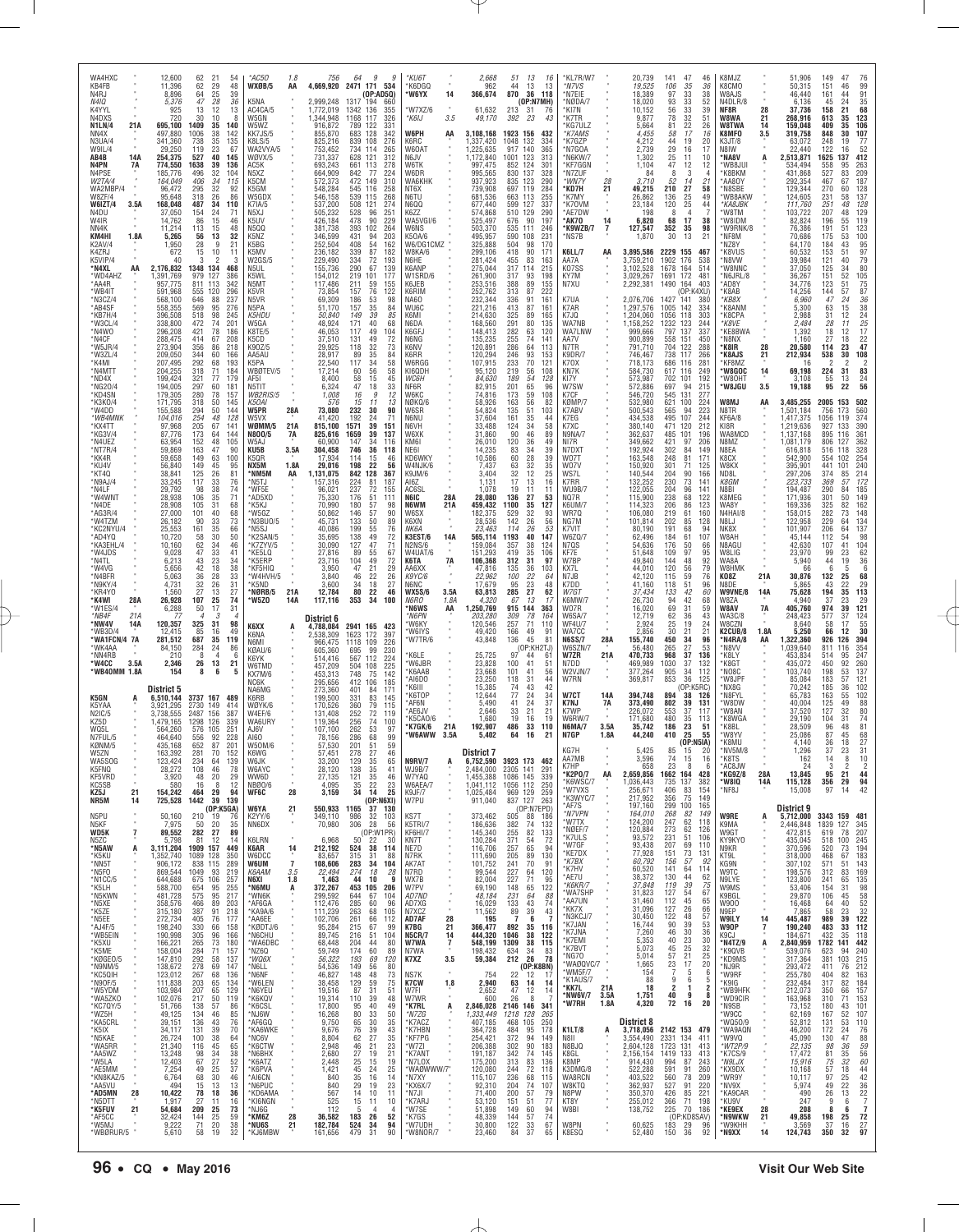| WA4HXC<br>KB4FB<br>N4RJ<br>N4IQ                                  | 12,600<br>11,396<br>8,896<br>5,376                             | 62<br>21<br>62<br>29<br>64<br>25<br>47                                                       | 54<br>48<br>39<br>28<br>36                                         | $*$ AC50<br>WXØB/5<br>K5NA                                                    | 1.8<br>AA                                  | 756<br>2,999,248                                    | 9<br>64<br>g<br>4,669,920 2471 171 534<br>(OP:AD5Q)<br>194<br>1317<br>660                                  | *KU6T<br>*K6DGQ<br>*W6YX                           | 14                          | 2,668<br>962<br>366,674                             | 51<br>44<br>870                                                    | 13<br>-16<br>13<br>13<br>118<br>36<br>(OP:NTMH)             | *KL7R/W7<br>*N7VS<br>*N7EIE<br>NØDA/7              |                      | 20,739<br>19,525<br>18,389<br>18,020                      | 141<br>106<br>97<br>93                          | 47<br>46<br>35<br>36<br>33<br>38<br>33<br>52                                            | K8MJZ<br>K8CMO<br>W8AJS<br>N4DLR/8                           |                       | 51,906<br>50,315<br>46,440<br>6,136                 | 149<br>151<br>161<br>45                       | 47<br>76<br>$\frac{99}{91}$<br>46<br>44<br>24                                                                   |
|------------------------------------------------------------------|----------------------------------------------------------------|----------------------------------------------------------------------------------------------|--------------------------------------------------------------------|-------------------------------------------------------------------------------|--------------------------------------------|-----------------------------------------------------|------------------------------------------------------------------------------------------------------------|----------------------------------------------------|-----------------------------|-----------------------------------------------------|--------------------------------------------------------------------|-------------------------------------------------------------|----------------------------------------------------|----------------------|-----------------------------------------------------------|-------------------------------------------------|-----------------------------------------------------------------------------------------|--------------------------------------------------------------|-----------------------|-----------------------------------------------------|-----------------------------------------------|-----------------------------------------------------------------------------------------------------------------|
| K4YYL<br>N4DXS<br><b>N1LN/4</b><br>21A<br>NN4X                   | 925<br>720<br>695,100<br>497,880                               | 13<br>30<br>10<br>1409<br>35<br>1006<br>38                                                   | 12<br>13<br>140<br>142                                             | AC4CA/5<br>W5GN<br>W5WZ<br>KK7JS/5                                            |                                            | 1,772,019<br>1,344,948<br>916,872<br>855,870        | 1342 136<br>355<br>1168<br>117<br>326<br>789<br>122<br>331<br>683<br>128<br>342                            | *W7XZ/6<br>*K6IJ<br>W6PH                           | 3.5<br>AA                   | 61,632<br>49,170<br>3,108,168                       | 213<br>31<br>392<br>1923<br>156                                    | -76<br>23<br>43<br>432                                      | *KI7N<br>*K7TR<br>'KG7ULZ<br>*K7AMS                |                      | 10,152<br>9,877<br>5,664<br>4,455                         | 56<br>78<br>81<br>58                            | 33<br>39<br>32<br>51<br>22<br>26<br>17<br>16                                            | NF8R<br>W8WA<br>W8TWA<br>K8MFO                               | 28<br>21<br>14<br>3.5 | 37,736<br>268,916<br>159,048<br>319,758             | 158<br>613<br>409<br>848                      | $\begin{array}{c} 35 \\ 68 \end{array}$<br>21<br>123<br>35<br>106<br>35<br>107<br>30                            |
| N3UA/4<br>W9IL/4<br>AB4B<br>14A<br>N4PN<br>7A                    | 341,360<br>29,250<br>254,375<br>774,550                        | 738<br>35<br>119<br>23<br>527<br>1638<br>39                                                  | 135<br>67<br>40<br>145<br>136                                      | K8I S/5<br>WA2VYA/5<br>WØVX/5<br>AC5K                                         |                                            | 825,216<br>753,452<br>731,337<br>693,243            | 839<br>108<br>276<br>734 114<br>265<br>628<br>121<br>312<br>661<br>113<br>278                              | K6RC<br>W60AT<br>N6JV<br>W6TK                      |                             | 1,337,420<br>1,225,635<br>1,172,840<br>997,475      | 1048<br>132<br>917<br>140<br>1001<br>123<br>852<br>124             | 334<br>365<br>313<br>301                                    | K7GZP<br>M7GOA*<br>N6KW/7<br>*KF7GGN               |                      | 4,212<br>2,739<br>1,302<br>1,104                          | 44<br>29<br>25<br>47                            | 19<br>20<br>16<br>17<br>11<br>10<br>12<br>12                                            | K3JT/8<br>N8IW<br>*NA8V<br>'WB8JUI                           | A                     | 63,072<br>22,440<br>2,513,871<br>534,494            | 248<br>122<br>1625<br>558                     | 77<br>19<br>52<br>16<br>412<br>137<br>263<br>95                                                                 |
| N4PSE<br>W2TA/4<br>WA2MBP/4<br>W8ZF/4<br>W6IZT/4<br>3.5A         | 185,776<br>164,049<br>96,472<br>95,648<br>168,048              | 496<br>32<br>406<br>295<br>318<br>32<br>26<br>487<br>34                                      | 104<br>34<br>115<br>$\begin{array}{c} 92 \\ 86 \end{array}$<br>110 | N <sub>5</sub> X <sub>Z</sub><br>K <sub>5</sub> CM<br>K5GM<br>W5GDX<br>K7IA/5 |                                            | 664,909<br>572,373<br>548,284<br>546,158<br>537,200 | 77<br>842<br>224<br>472<br>149<br>310<br>545<br>539<br>116<br>258<br>268<br>115<br>508<br>121<br>274       | W6DR<br>WA6KHK<br>NT6X<br>N6TU<br>N6QQ             |                             | 995,565<br>937,923<br>739.908<br>681,536<br>677,440 | 830<br>137<br>835<br>123<br>697<br>119<br>663<br>113<br>599<br>127 | 328<br>290<br>284<br>255<br>337                             | *N7ZUF<br>*WN7Y<br>'KD7H<br>'K7MY<br>*K70VM        | 21                   | 84<br>3,710<br>49,215<br>26,862<br>23,184                 | -8<br>52<br>210<br>136<br>120                   | 3<br>14<br>21<br>$\frac{27}{25}$<br>58<br>49<br>25<br>44                                | *K8BKM<br>*AA8OY<br>N8SBE <sup>*</sup><br>'WB8AKW<br>*KA8JBK |                       | 431,868<br>292,354<br>129.344<br>124,605<br>111,760 | 527<br>467<br>270<br>231<br>251               | 83<br>209<br>187<br>67<br>128<br>137<br>60<br>58<br>128<br>48                                                   |
| N4DU<br>W4IR<br>NN4K<br>KM4HI<br>1.8A                            | 37,050<br>14,762<br>11,214<br>5,265                            | 154<br>24<br>86<br>113<br>15<br>56<br>13                                                     | 71<br>15<br>46<br>48<br>32                                         | N5XJ<br>K <sub>5</sub> UV<br>N5QQ<br>K5NZ                                     |                                            | 505,232<br>426,184<br>381,738<br>346,599            | 528<br>96<br>251<br>478<br>90<br>229<br>393<br>102<br>264<br>431<br>94<br>203                              | K6ZZ<br>WA5VGI/6<br><b>W6NS</b><br>K50A/6          |                             | 574,868<br>525,497<br>503,370<br>495,957            | 510 129<br>676<br>535<br>111<br>590<br>108                         | 290<br>90<br>197<br>246<br>231                              | *AE7DW<br>'AK70<br>*K9WZB/7<br>*NS7B               | 14<br>$\overline{7}$ | 198<br>6,820<br>127,547<br>1,870                          | 8<br>68<br>352<br>30                            | 4<br>17<br>38<br>35<br>98<br>13<br>21                                                   | W8TM<br>'W8IDM<br>W9RNK/8`<br>*NF8M                          |                       | 103,722<br>82,824<br>76,386<br>70,686               | 207<br>196<br>191<br>175                      | 129<br>48<br>119<br>55<br>123<br>51<br>100<br>53                                                                |
| K2AV/4<br>K4ZRJ<br>K5VIP/4<br>*N4XL<br>AA                        | 1,950<br>672<br>40<br>2,176,832                                | 28<br>15<br>3<br>1348 134                                                                    | 9<br>21<br>10<br>11<br>2<br>з<br>468                               | K5BG<br>K5MV<br>W2GS/5<br>N5UL                                                |                                            | 252,504<br>236,182<br>229,490<br>155,736            | 408<br>54<br>162<br>339<br>334<br>87<br>182<br>72<br>193<br>290<br>67<br>139                               | W6/DG1CMZ<br>W8KA/6<br>N6HF<br>K6ANP               |                             | 325,888<br>299,106<br>281,424<br>275,044            | 504<br>418<br>455<br>317<br>114                                    | 170<br>98<br>171<br>90<br>83<br>163<br>215                  | K6LL/7<br>AA7A<br>K07SS                            | AA                   | 3,895,586<br>3,759,210<br>3,102,528                       | 2229<br>1902 176<br>1678                        | 155<br>467<br>538<br>164<br>514                                                         | MZ8Y*<br><b>K8VUS</b><br>'N8VW<br>W8NNC'                     |                       | 64,170<br>60,532<br>39,984<br>37,050                | 184<br>153<br>121<br>125                      | 95<br>43<br>$\frac{97}{79}$<br>51<br>40<br>80<br>34                                                             |
| *WD4AH7<br>*AA4R<br>*WB4IT<br>*N3CZ/4                            | 1,391,769<br>957,775<br>591,968<br>568,100                     | 979<br>127<br>811<br>113<br>555<br>120<br>646<br>88                                          | 386<br>342<br>296<br>237<br>276                                    | K5WL<br>N <sub>5</sub> MT<br>K5VR<br>N5VR<br>N <sub>5</sub> PA                |                                            | 154,012<br>117,486<br>73,854<br>69,309              | 219<br>101<br>177<br>211<br>59<br>155<br>157<br>76<br>122<br>186<br>53<br>98                               | W1SRD/6<br>K6JEB<br>K6RIM<br><b>NA60</b><br>WU6C   |                             | 261,900<br>253,516<br>252,762<br>232,344            | 317<br>93<br>388<br>313<br>87<br>336<br>91<br>87                   | 198<br>89<br>155<br>222<br>161                              | KY7M<br>N7XU<br>K7UA                               |                      | 3,029,267<br>2,292,381<br>2,076,706                       | 1691 172<br>1490<br>1427 141                    | 481<br>164<br>403<br>(OP:K4XU)<br>380                                                   | N6JRL/8<br>*AD8Y<br>*K8AB<br>*KB8X<br><b>K8ANM</b>           |                       | 36,267<br>34,776<br>14,256<br>6,960                 | $\frac{151}{123}$<br>144<br>47                | 52<br>$\frac{105}{75}$<br>87<br>51<br>57<br>24                                                                  |
| *AB4SF<br>*KB7H/4<br>*W3CL/4<br>*N4WO<br>*N4CF                   | 558,355<br>396,508<br>338,800<br>296,208<br>288,475            | 569<br>518<br>95<br>98<br>472<br>421<br>78<br>414<br>67                                      | 245<br>74<br>201<br>186<br>208                                     | K5HDU<br>W5GA<br>K8TE/5<br>K5CD                                               |                                            | 51,170<br>50,840<br>48,924<br>46,053<br>37,510      | $\frac{157}{149}$<br>$\frac{35}{39}$<br>84<br>85<br>171<br>40<br>68<br>49<br>117<br>104<br>131<br>49<br>72 | K6MI<br>N6DA<br>K6GFJ<br>N6NG                      |                             | 221,216<br>214,630<br>168,560<br>148,413<br>135,235 | 413<br>325<br>291<br>282<br>255                                    | 161<br>89<br>165<br>80<br>135<br>63<br>120<br>74<br>141     | K7AR<br>K7JQ<br>WA7NB<br>WA7LNW<br>AA7V            |                      | 1,297,576<br>1,204,060<br>1,158,252<br>999,666<br>900,899 | 1005<br>1056<br>1232<br>797<br>558              | 142<br>334<br>118<br>303<br>123<br>244<br>137<br>337<br>151<br>450                      | ۲K8CPA<br>*K8VE<br>KE8BWA*<br>N8NX'                          |                       | 5,300<br>2,988<br>2,484<br>1,392<br>1,160           | $\frac{63}{31}$<br>28<br>18<br>27             | 36<br>38<br>24<br>25<br>17<br>$^{15}_{12}$<br>11<br>12<br>18                                                    |
| *W5JR/4<br>*W3ZL/4<br>*K4MI<br>*N4MTT                            | 273,904<br>209,050<br>207,495<br>204,255                       | 356<br>86<br>344<br>292<br>68<br>$\frac{318}{321}$<br>71                                     | 218<br>60<br>166<br>193<br>184                                     | K90Z/5<br>AA5AU<br>K5PA<br>WBØTEV/5                                           |                                            | 29,925<br>28,917<br>22,540<br>17,214                | 32<br>118<br>73<br>89<br>35<br>84<br>34<br>117<br>58<br>56<br>60<br>58                                     | K6NV<br>K6RR<br>W6RGG<br>KI6QDH                    |                             | 120,891<br>120,294<br>107,915<br>95,120             | 286<br>64<br>246<br>233<br>219                                     | 113<br>93<br>153<br>70<br>121<br>56<br>108                  | N7TR<br>K9DR/7<br>K70X<br>KN7K                     |                      | 791,710<br>746,467<br>718,173<br>584,730                  | 704<br>738<br>686 116<br>617                    | 122<br>288<br>117<br>266<br>281<br>116<br>249                                           | *K8IR<br>*K8AJS<br>*KF8MZ<br>*W8GOC                          | 28<br>21<br>14        | 20,580<br>212,934<br>16<br>69,198                   | 114<br>538<br>$\overline{\phantom{a}}$<br>224 | $\frac{22}{47}$<br>23<br>108<br>30<br>$\overline{c}$<br>$\mathcal{P}$<br>31                                     |
| *ND4X<br>*NG20/4<br>*KD4SN<br>*K3KO/4<br>*W4DD                   | 199,424<br>194,005<br>179,305<br>171,795<br>155,588            | 77<br>297<br>60<br>280<br>78<br>318<br>50<br>50                                              | 179<br>181<br>157<br>145<br>144                                    | AF51<br>N5TIT<br>WB2RIS/5<br>K50AI<br>W5PR                                    |                                            | 8,400<br>6,324<br>1,008<br>576<br>73,080            | 15<br>58<br>45<br>47<br>18<br>33<br>16<br>9<br>12<br>15<br>11<br>13<br>30<br>90                            | WC6H<br>NF6R<br>W6KC<br>NØKQ/6                     |                             | 84,630<br>82,915<br>74.816<br>58,926                | 189<br>201<br>173<br>163<br>51                                     | 54<br>128<br>65<br>96<br>59<br>108<br>56<br>82              | KI7Y<br>W7SW<br>K7CF<br>KØMP/7<br>K7ABV            |                      | 573,987<br>572,886<br>546,720<br>532,980<br>500,543       | 702<br>697<br>545<br>621<br>565                 | 101<br>192<br>94<br>215<br>131<br>277<br>100<br>224<br>94<br>223                        | 'W80HT<br>*W8JGU<br>W8MJ<br>N8TR                             | 3.5<br>AA             | 3,108<br>19,188<br>3,485,255<br>1,501,184           | 55<br>95<br>2005                              | 83<br>24<br>56<br>13<br>22<br>502<br>153<br>173<br>560                                                          |
| *WB4MNK<br>*KX4TT<br>*KG3V/4<br>*N4UEZ                           | 104,016<br>97,968<br>87,776<br>63,954                          | 294<br>254<br>$\frac{205}{173}$<br>67<br>64<br>152                                           | 48<br>128<br>141<br>144<br>48<br>105                               | W5VX<br>WØMM/5<br>N800/5<br>W5AJ                                              | 28A<br>21A<br>7A                           | 41,420<br>815,100<br>825,616<br>60,900              | 232<br>192<br>24<br>71<br>39<br>1571<br>151<br>39<br>1659<br>137<br>147<br>34<br>116                       | W6SR<br>N6NU<br>N6VH<br>W6XK<br>KM6I               |                             | 54,824<br>37,604<br>33,488<br>31,860<br>26,010      | 135<br>161<br>$\frac{124}{90}$<br>120                              | 103<br>35<br>44<br>$\frac{34}{46}$<br>58<br>89<br>36<br>49  | K7EG<br>K7XC<br>N9NA/7<br>NI7R                     |                      | 434,538<br>380,140<br>362,637<br>349,662                  | 495<br>471<br>485<br>421                        | 107<br>244<br>$\frac{120}{101}$<br>212<br>196<br>97<br>206                              | KF6A/8<br>KI8R<br>WA8MCD<br>N8MZ                             |                       | 1,417,375<br>1,219,636<br>1,137,168<br>,081,179     | 756<br>1056<br>927<br>895<br>806              | 119<br>374<br>390<br>361<br>133<br>116<br>362<br>127                                                            |
| *NT7R/4<br>*KK4R<br>*KU4V<br>*KT40                               | 59,869<br>59,658<br>56,840<br>38,841                           | 163<br>47<br>149<br>63<br>149<br>125<br>26                                                   | 90<br>100<br>45<br>95<br>81                                        | KU5B<br>K5QR<br>NX5M<br>*NM5M                                                 | 3.5A<br>1.8A<br>AA                         | 304,458<br>17,934<br>29,016<br>1,131,075            | 746<br>36<br>118<br>114<br>15<br>46<br>22<br>198<br>56<br>842<br>128<br>367                                | NE61<br>KD6WKY<br>W4NJK/6<br>K9JM/6                |                             | 14,235<br>10,586<br>7,437<br>3,404                  | 83<br>60<br>63<br>32                                               | 34<br>39<br>28<br>39<br>32<br>35<br>12<br>25                | N7DXT<br>W07T<br>W07V<br>WS7L                      |                      | 192,924<br>163,548<br>150,920<br>140,544                  | 302<br>248<br>301<br>204                        | 84<br>149<br>81<br>171<br>71<br>125<br>90<br>166                                        | N8EA<br>K8CX<br>W8KX<br>ND8L                                 |                       | 616,818<br>542,900<br>395,901<br>297,206            | 516<br>554<br>441<br>374                      | 328<br>118<br>254<br>102<br>240<br>101<br>214<br>85                                                             |
| *N9AJ/4<br>*N4LF<br>*W4WNT<br>*N4DE<br>*AG3R/4                   | 33,245<br>29,792<br>28,938<br>28,908<br>27,000                 | 117<br>98<br>$\begin{array}{c} 38 \\ 35 \end{array}$<br>106<br>105<br>31<br>101              | 33<br>76<br>74<br>71<br>68<br>40<br>68                             | *N5TJ<br>'WF5E<br>*AD5XD<br>'K5KJ<br>W5G7                                     |                                            | 157,316<br>96,021<br>75,330<br>70,990<br>50,862     | 224<br>81<br>187<br>237<br>176<br>72<br>155<br>51<br>111<br>57<br>180<br>98<br>146<br>57<br>90             | AI6Z<br>AC6SL<br>N6IC<br>N6WM<br>W6SX              | 28A<br>21A                  | 1,131<br>1,078<br>28,080<br>459,432<br>182,375      | 17<br>19<br>136<br>27<br>1100<br>529                               | 16<br>13<br>11<br>11<br>53<br>35<br>127<br>32<br>93         | K7RR<br><b>WU9B/7</b><br>NO7R<br>K6UM/7<br>WR70    |                      | 132,252<br>122,055<br>115,900<br>114,323<br>106,080       | 230<br>204<br>238<br>206<br>219                 | 73<br>141<br>96<br>141<br>68<br>122<br>86<br>123<br>61<br>160                           | K8GM<br>N8BI<br>K8MEG<br>WA8Y<br>N4HAI/8                     |                       | 223,733<br>194,487<br>171,936<br>169,336<br>158,015 | 369<br>290<br>301<br>325<br>282               | 172<br>57<br>185<br>149<br>50<br>82<br>162<br>148<br>73                                                         |
| *W4TZM<br>*KC2NYU/4<br>*AD4YQ<br>*KA3EHL/4                       | 26,182<br>25,553<br>10,720<br>10,160                           | 90<br>33<br>161<br>35<br>58<br>30<br>$62$<br>$47$<br>$\begin{array}{c} 34 \\ 33 \end{array}$ | 73<br>66<br>50<br>46                                               | N3BUO/5*<br>*N5SJ<br>*K2SAN/5<br>*K7ZYV/5                                     |                                            | 45,731<br>40,086<br>35,695<br>30,090                | 133<br>50<br>89<br>199<br>55<br>76<br>49<br>138<br>72<br>$\frac{127}{89}$<br>47<br>$^{71}_{67}$            | K6XN<br>NK6A<br>K3EST/6<br><b>N2NS/6</b>           | 14A                         | 28,536<br>23,463<br>565,114<br>159,084              | 142<br>114<br>1193<br>357<br>419                                   | 26<br>56<br>26<br>53<br>40<br>147<br>38<br>124              | NG7M<br>K7VIT<br>W6ZQ/7<br>N7QS                    |                      | 101,814<br>80,190<br>62,496<br>54.636                     | 202<br>191<br>184<br>176                        | 85<br>128<br>68<br>94<br>61<br>107<br>$\frac{50}{97}$<br>66                             | N8LJ<br>NK8X<br>W8AH<br>N8AGU                                |                       | 122,958<br>101,907<br>45,144<br>42,630              | 229<br>206<br>112<br>107                      | 134<br>64<br>137<br>64<br>98<br>54<br>104<br>62<br>41                                                           |
| *W4JDS<br>*N4TL<br>*W4VG<br>*N4BFR                               | 9,028<br>6,213<br>5,656<br>5,063                               | 43<br>23<br>42<br>18<br>36<br>28                                                             | 41<br>34<br>38<br>33                                               | *KE5LQ<br>'K5FRP<br>'KF5HIQ<br>'W4HVH/5                                       |                                            | 27,816<br>23,716<br>3,950<br>3,840                  | 55<br>49<br>72<br>104<br>21<br>47<br>29<br>46<br>22<br>26                                                  | W4UAT/6<br>K6TA<br>AA6XX<br>K9YC/6                 | 7A                          | 151.293<br>106,368<br>47,816<br>22,962              | 312<br>31<br>135<br>100<br>95                                      | $\overline{35}$<br>106<br>97<br>36<br>103<br>22<br>64       | KF7E<br>W7BP<br>KX7L<br>N7JB                       |                      | 51,648<br>49,840<br>44,010<br>42,120                      | 109<br>144<br>120<br>115                        | 95<br>48<br>92<br>56<br>79<br>59<br>76                                                  | W8LIG<br>WA8A<br>W8HMK<br>K08Z                               | 21A                   | 23,970<br>5,940<br>66<br>30,876                     | 99<br>44<br>6<br>132                          | 23<br>19<br>$\substack{36 \\ 6}$<br>5<br>68<br>25                                                               |
| *N9KY/4<br>*KR4Y0<br>*K4WI<br>28A<br>*W1ES/4<br>*NB4F<br>21A     | 4,731<br>1,560<br>26,928<br>6,288<br>-77                       | 32<br>26<br>27<br>107<br>25<br>50                                                            | 31<br>13<br>27<br>74<br>31<br>17<br>$\mathcal{R}$                  | *K5ND<br>*NØRB/5<br>*W5ZO                                                     | 21A<br>14A                                 | 3,600<br>12,784<br>117,116<br>District 6            | 18<br>27<br>34<br>80<br>22<br>46<br>353<br>34<br>100                                                       | N6NC<br><b>WX5S/6</b><br>N6RO<br>'N6WS<br>*N6PN    | 3.5A<br>1.8A<br>AA          | 17,679<br>63,813<br>4,320<br>1,250,769<br>203.280   | 285<br>67<br>915<br>144<br>309                                     | 23<br>48<br>27<br>62<br>13<br>-17<br>363<br>78<br>164       | K7DD<br>W7GT<br>K6MW/7<br>W07R<br>W6SA/7           |                      | 41,160<br>37,434<br>26,730<br>16,020<br>12,719            | 118<br>133<br>94<br>69<br>62                    | 51<br>96<br>42<br>60<br>42<br>68<br>$\begin{array}{c} 31 \\ 36 \end{array}$<br>59<br>43 | N8DE<br>W9VNE/8<br>W8ZA<br>W8AV<br><b>WA3C/8</b>             | 14A<br>7A             | 5,865<br>75,628<br>4,940<br>405,760<br>248,423      | 43<br>194<br>37<br>974<br>577                 | 22<br>29<br>35<br>113<br>$\frac{29}{121}$<br>23<br>39<br>37                                                     |
| *NW4V<br>14A<br>*WB3D/4<br>*WA1FCN/4 7A<br>*WK4AA                | 120,357<br>12,415<br>281,512<br>84,150                         | 325<br>31<br>85<br>16<br>687<br>35<br>284<br>24                                              | 98<br>49<br>119<br>86                                              | K6XX<br>K6NA<br>N6MI<br>KØAU/6                                                | A                                          | 4,788,084<br>2,538,309<br>966,475<br>605,360        | 2941 165<br>423<br>1623<br>172<br>397<br>109<br>1118<br>226<br>99<br>230<br>695                            | 'W6KY<br>'W6IYS<br>W7TR/6                          |                             | 120,546<br>49,420<br>43,848                         | 257<br>166<br>136                                                  | 71<br>110<br>49<br>91<br>45<br>81<br>(OP:KH2TJ)             | <b>WF4U/7</b><br>WA7CC<br><b>N6SS/7</b><br>W6SZN/7 | 28A                  | 2,924<br>2,856<br>155,740<br>56,480                       | 25<br>30<br>450<br>265                          | 19<br>24<br>21<br>21<br>34<br>96<br>27<br>-53                                           | W8CZN<br>K2CUB/8<br>*N4RA/8<br>*N8VV                         | 1.8A<br>AA            | 8,640<br>5,250<br>1,322,360<br>,039,640             | 58<br>66<br>926<br>811                        | 55<br>17<br>30<br>12<br>394<br>126<br>116<br>354<br>247                                                         |
| *NN4RB<br>*W4CC<br>3.5A<br>*WB40MM 1.8A                          | 210<br>2,346<br>154                                            | 8<br>26<br>13<br>8                                                                           | 4<br>6<br>21<br>6<br>5                                             | K6YK<br>W6TMD<br>KX7M/6<br>NC6K                                               |                                            | 514,416<br>457,209<br>453,313<br>295,656            | 567<br>112<br>224<br>504<br>225<br>108<br>748<br>75<br>142<br>412<br>185<br>106                            | 'K6LE<br>'W6JBR<br>K6AAB<br>AI6DO                  |                             | 25,725<br>23,828<br>23,668<br>23,250                | 97<br>$\frac{100}{101}$<br>41<br>41<br>118<br>31                   | 44<br>61<br>$\frac{51}{56}$<br>44<br>42<br>43               | W7ZR<br>N7DD<br>W2VJN/7<br>W7RN                    | 21A                  | 470,733<br>469,989<br>377,264<br>369,817                  | 968<br>1030<br>905<br>853                       | 37<br>136<br>$\frac{37}{34}$<br>132<br>112<br>36<br>125<br>(OP:K5RC)                    | *K8LY<br>K8GT<br>MO8C '<br>'W8JPF<br>MX8G                    |                       | 453,834<br>435,072<br>103,740<br>85,084<br>70,242   | 514<br>450<br>198<br>183<br>185               | 95<br>$\substack{92\\53}$<br>260<br>137<br>121<br>57<br>102<br>36                                               |
| K5GN<br>K5YAA<br>N2IC/5<br>KZ5D                                  | District 5<br>6,510,144<br>3,921,295<br>3.738.555<br>1,479,165 | 3737 167 489<br>2730<br>149<br>2487<br>156<br>126<br>1298                                    | 414<br>387<br>339                                                  | NA6MG<br><b>K6RB</b><br>WØYK/6<br>W4EF/6<br>WA6URY                            |                                            | 273,360<br>199,500<br>170,526<br>131.408<br>119,364 | 401<br>84<br>171<br>331<br>83<br>145<br>360<br>79<br>115<br>252<br>256<br>$^{72}_{74}$<br>119<br>100       | K6III<br>K6TOP<br>AF6N<br>AE6JV<br>K5CAO/6         |                             | 15,385<br>12,644<br>5,490<br>2,646<br>1,680         | 74<br>77<br>41<br>24<br>33<br>21<br>19                             | 34<br>24<br>37<br>21<br>19<br>16                            | W7CT<br>K7NJ<br>K7WP<br>W6RW/7                     | 14A<br>7Α            | 394,748<br>373,490<br>226,072<br>171,680                  | 894<br>802<br>553<br>480                        | 38<br>126<br>39<br>131<br>37<br>117<br>35<br>113                                        | N8FYL*<br>'W8DW<br>'W8AN<br><b>K8WGA</b>                     |                       | 65,783<br>40,004<br>37,520<br>29,190                | 163<br>125<br>127<br>104                      | 55<br>102<br>88<br>49<br>80<br>32<br>74<br>31                                                                   |
| WQ5L<br>N7FUL/5<br>KØNM/5<br>W5ZN                                | 564,260<br>464,640<br>435,168<br>163,392                       | 576<br>105<br>92<br>556<br>652<br>87<br>281                                                  | 251<br>228<br>201<br>70<br>152                                     | AJ6V<br>A160<br>W50M/6<br>K6WG                                                |                                            | 107,100<br>78,156<br>57,530<br>57,451               | 262<br>53<br>97<br>99<br>286<br>68<br>201<br>59<br>51<br>27<br>278<br>46                                   | 'K7GK/6<br>'W6AWW                                  | 21A<br>3.5A                 | 192,907<br>5.402<br>District /                      | 486<br>64                                                          | 33<br>110<br>16<br>21                                       | <b>N6MA/7</b><br>N7GP<br>KG/H                      | 3.5A<br>1.8A         | 35,742<br>44,240<br>5.425                                 | 186<br>410<br>85                                | 23<br>51<br>25<br>55<br>(OP: N5IA)<br>15<br>2U                                          | 'K8BL<br>*W8YV<br>*K8MU<br>: MAPIN\!                         |                       | 28,509<br>25,086<br>4.140<br>l .296                 | 96<br>87<br>36<br>37                          | $\begin{array}{c} 81 \\ 68 \end{array}$<br>48<br>45<br>27<br>18<br>23<br>-31                                    |
| WA5SOG<br>K5FNQ<br>KF5VRD<br>n.<br>KC5SB                         | 123,424<br>28,272<br>3,920<br>580                              | 234<br>64<br>46<br>108<br>48<br>20<br>16                                                     | 139<br>78<br>29<br>12<br>8                                         | W6JK<br>W6AYC<br>WW6D<br>NBØ0/6                                               | $\alpha$                                   | 33,200<br>28,120<br>27,135<br>4,095                 | 129<br>35<br>65<br>138<br>35<br>41<br>121<br>$\frac{35}{22}$<br>46<br>35<br>23                             | <b>N9RV/7</b><br><b>WJ9B/7</b><br>W7YAQ<br>W6AEA/7 | A                           | 6,752,590<br>2,484,000<br>1,455,388<br>1,041,112    | 3923 173 462<br>2305 141<br>1086<br>145<br>1056 112                | 291<br>339<br>250                                           | AA7MB<br>K7HP<br>*K2PO/7<br>*K6WSC/7<br>'W7VXS     | AA                   | 3,596<br>658<br>2,659,856<br>1,036,443<br>256,671         | 74<br>23<br>1662 164<br>$\substack{735 \\ 406}$ | 15<br>16<br>8<br>-6<br>428<br>$\frac{137}{83}$<br>382<br>154                            | *K8TS<br>*AC8JW<br>*KG9Z/8<br>w810°<br>*NF8J                 | 28A<br>14A            | 162<br>24<br>13,845<br>115,128<br>15,008            | 14<br>3<br>95<br>356<br>97                    | 8<br>10<br>$\overline{2}$<br>$\overline{2}$<br>44<br>21<br>$\begin{array}{c} 94 \\ 42 \end{array}$<br>29<br>-14 |
| 21<br>KZ5J<br>NR5M<br>14<br>$\alpha$<br>N5PU<br>$\alpha$<br>N5KF | 154,242<br>725,528<br>50,160<br>7,975                          | 464<br>29<br>1442<br>210<br>19<br>50<br>20                                                   | 94<br>39 139<br>(OP:K5GA)<br>76<br>35                              | <b>WF6C</b><br><b>W6YA</b><br><b>K2YY/6</b><br>NN6DX                          | 28<br>21<br>$\epsilon$                     | 3,159<br>550,933<br>349,110<br>70,980               | 34<br>14<br>25<br>(OP:NGXI)<br>1165<br>37 130<br>986<br>32<br>103<br>306<br>28<br>56                       | K9JF/7<br>W7PU<br>KS7T<br>K5TRI/7                  |                             | 1,025,484<br>911,040<br>373,462<br>186,636          | 969 129<br>837 127<br>505<br>382                                   | 259<br>263<br>(OP: N7EPD)<br>88 186<br>74<br>132            | *K3WYC/7<br>*AF7S<br>*N7VPN<br>'W7TX               |                      | 217,952<br>197,160<br>164,010<br>124,200                  | 356<br>299<br>268<br>247                        | 75<br>149<br>100<br>165<br>82<br>149<br>62<br>118                                       | <b>W9RE</b><br>K9MA                                          | A                     | District 9<br>5,712,000<br>2,446,848                | 1839 127                                      | 3343 159 481<br>345                                                                                             |
| WD5K<br>$\overline{1}$<br>N5ZC<br>*N5AW<br>$\ddot{A}$<br>*K5KU   | 89,552<br>5,798<br>3,111,204<br>1,352,740                      | 282<br>27<br>-81<br>1909 157<br>1089 128                                                     | 89<br>12<br>14<br>449<br>350                                       | K6LRN<br>K6AR<br>W6DCC                                                        | $\,$<br>14                                 | 6,968<br>212,192<br>83,657                          | (OP:W1PR)<br>50 <sup>°</sup><br>22<br>30<br>524<br>38<br>114<br>315<br>31<br>-88                           | KF6HI/7<br>KN7T<br>NE7D<br>N7RK                    |                             | 145,340<br>130,284<br>116,706<br>111,690            | $\frac{255}{371}$<br>257<br>205                                    | 133<br>72<br>$^{82}_{54}$<br>94<br>65<br>89<br>130          | *NØEF/7<br>*K7ULS<br>*W7GF<br>*KE7DX<br>*K7BX      |                      | 120,884<br>93,572<br>93,438<br>77,928<br>60,792           | 273<br>231<br>207<br>151<br>156                 | 62<br>126<br>51<br>106<br>69<br>110<br>73<br>131<br>57<br>92                            | W9GT<br>KY9KY0<br>N9KR<br>KT9L                               |                       | 472,815<br>435,045<br>370,596<br>318,000            | 619<br>518<br>520<br>468                      | 78<br>207<br>245<br>100<br>73<br>194<br>183<br>67                                                               |
| *NN5T<br>*N5FO<br>*N1CC/5<br>*K5LH<br>*N5KWN                     | 906,172<br>869,544<br>644,688<br>588,700<br>481,728            | 838<br>115<br>1049<br>93<br>675<br>106<br>654<br>95<br>575<br>95                             | 289<br>219<br>257<br>255<br>217                                    | <b>W6UM</b><br>К6ААМ<br>N6XI<br>*N6MU<br>*WN6K                                | $\overline{7}$<br>3.5<br>1.8<br>$\ddot{A}$ | 108,606<br>22,494<br>1,463<br>372,267<br>299,592    | 283<br>34<br>104<br>274<br>18<br>28<br>10<br>44<br>9<br>453 105<br>206<br>644<br>67<br>104                 | AK7AT<br>N7RD<br>WX7B<br>W7PV<br>AD7ND             | ×<br>×                      | 101,752<br>99,544<br>82,004<br>69,190<br>48,184     | 241<br>227<br>227<br>148<br>231                                    | 70<br>91<br>64<br>120<br>71<br>95<br>122<br>65<br>64        | *K7HV<br>*AE7U<br>*K6KR/7<br>*WA7SHP               |                      | 60,520<br>38,372<br>37,848<br>31,823                      | 141<br>130<br>119<br>127                        | 64<br>114<br>44<br>62<br>39<br>75<br>54<br>67                                           | KG9N<br><b>W9TC</b><br>N9LYE<br>W9MS<br>K9BGL                |                       | 307,102<br>198,576<br>123,800<br>53,406<br>29,870   | 571<br>312<br>241<br>154<br>106               | 143<br>51<br>169<br>83<br>135<br>65<br>98<br>31<br>45                                                           |
| *N5XE<br>*K5ZE<br>*N5EE<br>*AJ4F/5                               | 358,576<br>315,180<br>272,734<br>198,240                       | 466<br>89<br>387<br>91<br>405<br>76<br>330<br>66                                             | 203<br>218<br>177<br>158                                           | *AF6GA<br>*KA9A/6<br>*AA6EE<br>*KØDTJ/6                                       |                                            | 112,476<br>111,239<br>102,706<br>95,284             | 285<br>60<br>96<br>263<br>68<br>105<br>261<br>66<br>112<br>215<br>67<br>99                                 | AD7XG<br>N7XCZ<br>AD7AF<br>K7BG                    | $\epsilon$<br>×<br>28<br>21 | 16,029<br>11,562<br>195<br>366,477                  | 133<br>89<br>$\overline{7}$<br>892                                 | $\frac{88}{74}$<br>43<br>43<br>39<br>- 6<br>7<br>35<br>116  | *AA7UN<br>'KK7X<br>*N3KCJ/7<br>*K7JAN              |                      | 31,460<br>31,096<br>30,450<br>16,744                      | $\frac{112}{127}$<br>122<br>90                  | $\substack{45 \\ 26}$<br>65<br>66<br>48<br>57<br>39<br>53                               | W900<br>N9EP<br><b>W9ILY</b><br>W90P                         | $\epsilon$<br>14<br>7 | 16,468<br>7,865<br>445,487<br>190,240               | 64<br>58<br>989<br>483                        | $\frac{58}{52}$<br>$32$<br>40<br>23<br>122<br>39<br>33<br>112                                                   |
| *WB5EIN<br>*K5XU<br>*K5ME<br>*KØGE0/5                            | 190,998<br>166,221<br>158,004<br>147,810                       | 305<br>96<br>265<br>73<br>284<br>292<br>$^{71}_{58}$                                         | 166<br>180<br>157<br>137                                           | *N6CHU<br>*WA6DBC<br>NZ60*<br>*WQ6X                                           |                                            | 89,745<br>68,448<br>59,749<br>56,322                | 216<br>51<br>104<br>204<br>44<br>80<br>$\frac{174}{193}$<br>$^{60}_{69}$<br>89<br>120                      | <b>N5CR/7</b><br>W7WA<br>N7WA<br>K7XZ              | 14<br>7<br>3.5              | 444,320<br>548,199<br>198.432<br>59,384             | 1046<br>1309<br>634<br>26<br>212                                   | 38<br>122<br>38<br>115<br>34<br>$\frac{83}{78}$             | *K7JNA<br>*K7EMI<br>*K7BVT<br>*NG70<br>*WAØQVC/7   |                      | 7,260<br>5,353<br>5,073<br>5,014<br>1,665                 | 46<br>40<br>45<br>57<br>23                      | 30<br>36<br>23<br>30<br>25<br>32<br>21<br>25<br>17<br>20                                | K9CJ<br>*N4TZ/9<br>*K9QVB<br>*KD9MS                          | A                     | 184,671<br>2,840,959<br>539,076<br>317,364          | 432<br>1782 141<br>623<br>381                 | 35<br>118<br>442<br>$\frac{240}{215}$<br>94<br>103                                                              |
| *N9NM/5<br>*KC5QIH<br>*N90F/5<br>*W5YDM<br>*WA5ZKO               | 138,672<br>123,012<br>111,838<br>103,984<br>102,076            | 278<br>69<br>267<br>68<br>203<br>65<br>207<br>65<br>217<br>50                                | 147<br>136<br>134<br>129<br>119                                    | *N6LL<br>*N6NF<br>*W6LEN<br>*N6YEU<br>*K6KQV                                  |                                            | 54,536<br>46,827<br>38,458<br>19,516<br>19,314      | 149<br>56<br>80<br>148<br>48<br>73<br>129<br>59<br>75<br>31<br>87<br>51<br>110<br>39<br>48                 | NS7K<br><b>K7CW</b><br>W7FI<br>W7WR                | $\sim$<br>1.8<br>×,         | 754<br>2,940<br>2,652<br>600                        | 22<br>12<br>63<br>47<br>26                                         | (OP:K8BN)<br>17<br>14<br>14<br>12<br>14<br>8                | *WM5F/7<br>*K1AUS/7<br>*KK7L<br>*NW6V/7            | 21A<br>3.5A          | 154<br>88<br>18<br>1,751                                  | 9<br>$\overline{2}$<br>40                       | 5<br>-6<br>6<br>5<br>$\overline{2}$<br>-1<br>9<br>8                                     | *NJ9R<br>*W9RF<br>*K9IG<br>*WB9HFK<br>*WD9CIR                |                       | 293,472<br>255,780<br>232,484<br>212,073<br>163,968 | 411<br>404<br>317<br>350<br>310               | 76<br>212<br>163<br>82<br>82<br>184<br>157<br>66<br>71<br>153                                                   |
| *KC7QY/5<br>*WZ5H<br>*KA5CRL<br>*K5IX                            | 51,766<br>49,125<br>39,151<br>34,117                           | 138<br>57<br>134<br>46<br>136<br>43<br>131<br>39                                             | 86<br>85<br>76<br>70                                               | *K6CSL<br>*NJ6W<br>*AF6GQ<br>*KA6WKE                                          |                                            | 17,800<br>16,268<br>9,750<br>9,676                  | 40<br>95<br>49<br>80<br>$\frac{33}{30}$<br>50<br>65<br>35<br>39<br>76<br>43                                | *K7RL<br>*N7ZG<br>*K7ACZ<br>*K7HBN                 | A                           | 2,846,028<br>1,333,449<br>407,185<br>364,728        | 2146 146 341<br>1218<br>128<br>105<br>468<br>484                   | 265<br>250<br>95<br>178                                     | *W7RH<br><b>K1LT/8</b>                             | 1.8A                 | 4,320<br><b>District 8</b><br>3,718,056                   | 72                                              | 16<br>20<br>2142 153 479                                                                | *N9SB<br>*W9CC<br>*WQ50/9<br>*WA9AQN                         |                       | 73,152<br>62,169<br>52,812<br>46,200                | 180<br>167<br>131<br>172                      | 101<br>43<br>107<br>$\frac{52}{53}$<br>110<br>76<br>24                                                          |
| *N5KAE<br>*WA5RR<br>*AA5WZ<br>*W5LA                              | 26,724<br>21,340<br>13,248<br>12,403                           | 100<br>38<br>116<br>45<br>98<br>34<br>67<br>27                                               | 64<br>65<br>38<br>52                                               | *NC6V<br>*K6CTW<br>*N6BHX<br>*K6ATZ                                           |                                            | 8,804<br>2,948<br>2,680<br>2,448                    | $\frac{27}{21}$<br>35<br>62<br>23<br>46<br>27<br>19<br>21<br>25<br>15<br>19                                | *KF7PG<br>*W7ZI<br>*K7ANT<br>*N7LOX                |                             | 254,421<br>206,388<br>191,187<br>175,200            | 372<br>302<br>342<br>313                                           | 94<br>149<br>90<br>183<br>74<br>145<br>83<br>136            | N811<br>N8BJQ<br>K8GL<br>K8MP                      |                      | 3,554,490<br>2,604,128<br>2,156,154<br>914,430            | 2331 134<br>1723 131<br>1419<br>994             | 411<br>413<br>133<br>413<br>87<br>243                                                   | w9VQ*<br>*WT2P/9<br>*K7CS/9<br>*N9LJX                        |                       | 45,090<br>22,135<br>17,472<br>15,916                | 130<br>98<br>81<br>75                         | $\begin{array}{c} 88 \\ 59 \end{array}$<br>47<br>36<br>$\frac{56}{60}$<br>35<br>32                              |
| *AE5MM<br>*KN8KAZ/5<br>*AA5VU<br>*AD5MN<br>28<br>*N5DTT          | 7,254<br>6,764<br>494<br>10,422<br>1,917                       | 49<br>$\substack{25 \\ 30}$<br>68<br>15<br>13<br>78<br>18<br>27<br>11                        | $\frac{37}{46}$<br>13<br>36<br>16                                  | *K6PVA<br>*AI6CN<br>*N6PUC<br>*KD6AMA<br>'KI6NGN                              |                                            | 1,421<br>840<br>840<br>567<br>525                   | $\frac{45}{35}$<br>24<br>$^{25}_{14}$<br>16<br>29<br>19<br>23<br>14<br>10<br>11<br>15<br>11<br>10          | *WAØWWW/7"<br>*N7XY<br>*KX6X/7<br>*N7JI<br>*K7ARJ  |                             | 120,080<br>115,107<br>92,310<br>71,400<br>53,120    | 244<br>236<br>204<br>200<br>151                                    | 72<br>118<br>68<br>115<br>74<br>107<br>79<br>57<br>77<br>51 | K3DMG/8<br>WA8RCN<br>W8KTQ<br>N8PW<br>KT8Y         |                      | 522,288<br>403,522<br>362,937<br>350,370<br>255,012       | 591<br>560<br>527<br>426<br>366                 | $\frac{91}{78}$<br>260<br>209<br>91<br>220<br>85<br>221<br>71<br>198                    | *KX9DX<br>*WR9Y<br>*NV9X<br>*KA9CAR<br>*KU9V                 |                       | 10,168<br>10,117<br>5,974<br>490<br>247             | $\frac{57}{97}$<br>49<br>26<br>9              | $^{44}_{42}$<br>18<br>25<br>$\begin{array}{c} 36 \\ 22 \\ 7 \end{array}$<br>22<br>13<br>6                       |
| 21<br>*K5FUV<br>*AF5CC<br>*W5MJ<br>*WBØRUR/5                     | 54,684<br>32,424<br>9,222<br>5,610                             | 209<br>25<br>144<br>25<br>71<br>20<br>58<br>19                                               | 73<br>59<br>38<br>32                                               | *NJ6G<br>*KM6Z<br>*NU6S<br>*KJ6MBW                                            | 28<br>21                                   | 112<br>36,582<br>182,784<br>161,656                 | 5<br>4<br>26<br>183<br>52<br>524<br>34<br>94<br>479<br>31<br>90                                            | *W7SE<br>*K7GS<br>*W7UDH<br>*W8NOR/7               |                             | 51,898<br>48,339<br>30,800<br>23,460                | 149<br>144<br>122<br>37<br>84                                      | 60<br>94<br>74<br>57<br>67<br>33<br>65                      | W8BI<br>W8PN<br>K8ESQ                              |                      | 138,752<br>60,625<br>52,480                               | 225<br>183<br>150                               | 70 186<br>(OP:KD8SAV)<br>29<br>-96<br>36<br>92                                          | *KE9EX<br>*N9WKW<br>*W9KHH<br>*N9XX                          | 28<br>21<br>14        | 208<br>49,858<br>3,569<br>124,743                   | -8<br>198<br>37<br>350                        | 6<br>72<br>25<br>27<br>16<br>32<br>97                                                                           |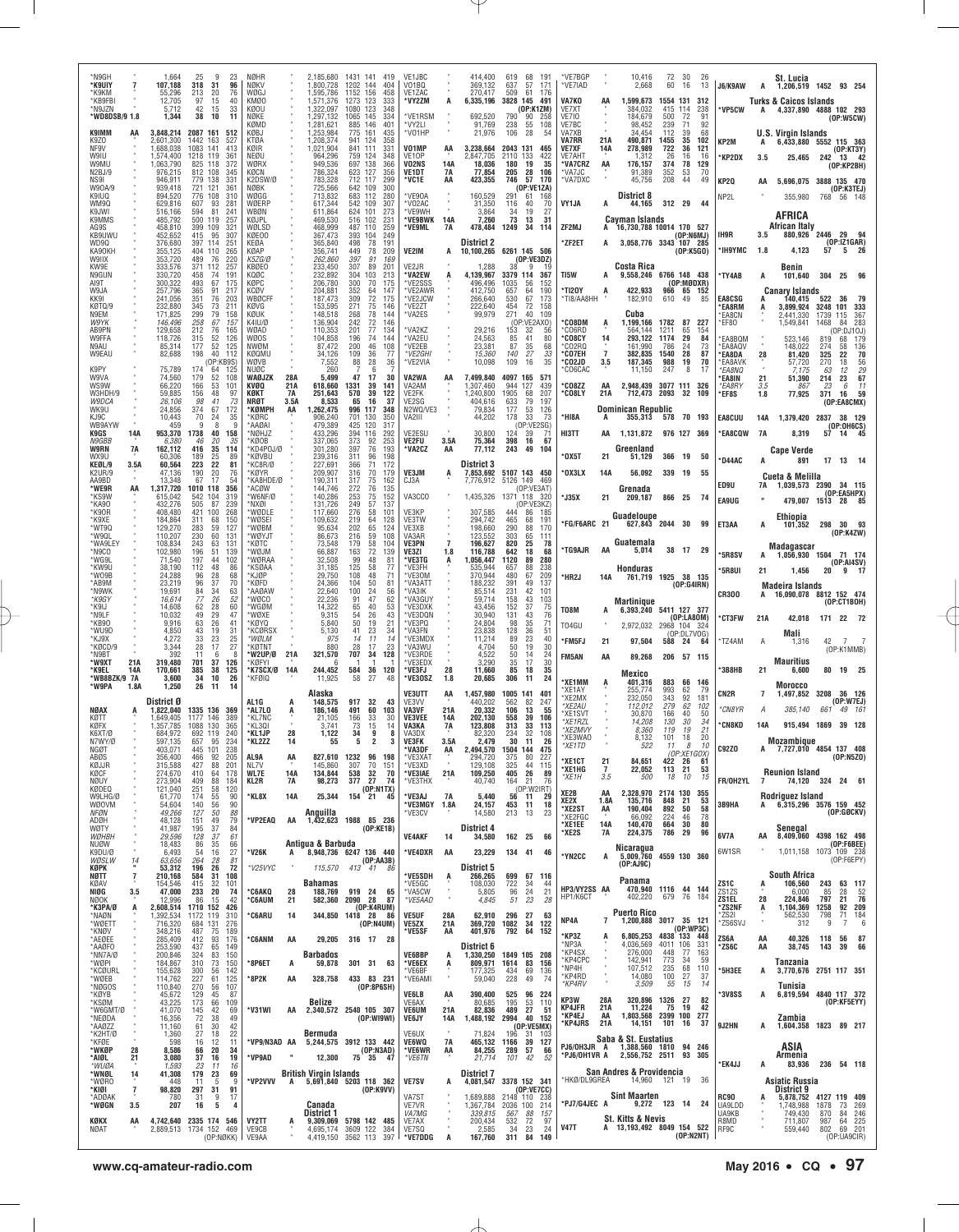| *N9GH<br>*K9UIY<br>*K9KM<br>*KB9FBI<br>*N9JZN<br>*WD8DSB/9 1.8 |                                           | 1,664<br>107,188<br>55.296<br>12,705<br>5,712<br>1,344         | 25<br>-9<br>23<br>96<br>318<br>31<br>213<br>20<br>76<br>97<br>15<br>40<br>42<br>33<br>15<br>38<br>10<br>11         | NØHR<br>NØKV<br>WØG.<br>KMØ0<br>KØOU<br>NØKE                      |                  | 2,185,680<br>,800,728<br>1,595,786<br>.571,376<br>.322.097<br>1,297,132 | 1431 141<br>419<br>1202<br>144<br>404<br>1152 156<br>458<br>1273<br>123<br>333<br>1080 123<br>348<br>1065<br>145<br>334 | VE1JBC<br>V01BQ<br>VE1ZAC<br>*VY2ZM<br>*VE1RSM |                         | 414,400<br>369,132<br>270,417<br>6,335,196<br>692,520 | 619<br>637<br>509<br>3828 145<br>790      | 68<br>191<br>57<br>171<br>61<br>176<br>491<br>(OP:K1ZM)<br>90<br>258      | *VE7BGP<br>*VE7IAD<br>VA7KO<br>VE7XT<br>VE7IO                       | AA                          | 10,416<br>2,668<br>1,599,673<br>384.032<br>184,679                   | 72<br>60<br>1554 131<br>415<br>500     | - 30<br>-26<br>16<br>13<br>312<br>114<br>238<br>72<br>91                       | J6/K9AW<br>*VP5CW                     | А                      | St. Lucia<br>1,206,519 1452 93 254<br><b>Turks &amp; Caicos Islands</b><br>4,337,890 4888 102 293 |                     | (0P:W5CW)                                      |  |
|----------------------------------------------------------------|-------------------------------------------|----------------------------------------------------------------|--------------------------------------------------------------------------------------------------------------------|-------------------------------------------------------------------|------------------|-------------------------------------------------------------------------|-------------------------------------------------------------------------------------------------------------------------|------------------------------------------------|-------------------------|-------------------------------------------------------|-------------------------------------------|---------------------------------------------------------------------------|---------------------------------------------------------------------|-----------------------------|----------------------------------------------------------------------|----------------------------------------|--------------------------------------------------------------------------------|---------------------------------------|------------------------|---------------------------------------------------------------------------------------------------|---------------------|------------------------------------------------|--|
| K9IMM<br>K970<br>NF9V<br>W9IU<br>W9MU                          |                                           | 3,848,214<br>2,601,300<br>1,688,038<br>1,574,400<br>,063,790   | 2087 161<br>-512<br>1442<br>163<br>527<br>141<br>1083<br>413<br>1218 119<br>361<br>825 118<br>-372                 | KØMD<br>KØBJ<br>KTØA<br>KØIR<br>NEØU<br>WØRX                      |                  | 1,281,621<br>,253,984<br>208,374<br>.021.904<br>964.296<br>949,536      | 885 146<br>401<br>775<br>161<br>435<br>124<br>941<br>358<br>841<br>331<br>111<br>759 124<br>348<br>697 138<br>366       | *VY2LI<br>*VO1HP<br>V01MP<br>VE10P<br>VO2NS    | AA<br>14A               | 91,769<br>21,976<br>3,238,664<br>2,847,705<br>18,036  | 238<br>106<br>2043 131<br>2110 133<br>180 | 55<br>108<br>28<br>54<br>-465<br>422<br>19<br>35                          | VE7BC<br>VA7XB<br><b>VA7RR</b><br><b>VE7XF</b><br>VE7AHT<br>*VA7CRZ | 21A<br>14A<br>AA            | 98,452<br>34,454<br>490,871<br>278,989<br>1,312<br>176,157           | 239<br>112<br>1455<br>722<br>26<br>374 | 71<br>92<br>39<br>68<br>$\frac{35}{36}$<br>102<br>121<br>16<br>16<br>78<br>129 | KP2M<br>*KP2DX                        | 3.5                    | U.S. Virain Islands<br>6,433,880<br>25,465                                                        | 5552<br>242         | 115 363<br>$(0P:KT3Y)$<br>13 42<br>(OP:KP2BH)  |  |
| N2BJ/9<br>NS91<br>W90A/9<br>K9IUQ<br>WM9Q<br>K9JWI             |                                           | 976,215<br>946.911<br>939.418<br>894,520<br>629,816<br>516,166 | 812 108<br>345<br>779 138<br>331<br>721<br>121<br>361<br>108<br>776<br>310<br>607<br>93<br>281<br>81<br>594<br>241 | KØCN<br>K2DSW/Ø<br><b>NØBK</b><br>WØGG<br>WØERP                   |                  | 786,324<br>783,328<br>725,566<br>713,832<br>617,344<br>611,864          | 623 127<br>356<br>712 117<br>299<br>642 109<br>300<br>683 112<br>280<br>542<br>109<br>307<br>624 101<br>273             | VE1DT<br>*VC1E<br>*VE90A<br>*V02AC<br>*VE9WH   | 7A<br>AA                | 77,854<br>423,355<br>160,529<br>31,350<br>3,864       | 205<br>746<br>291<br>116<br>34            | 28<br>106<br>57<br>170<br>(OP:VE1ZA)<br>61<br>168<br>40<br>70<br>27<br>19 | *VA7JC<br>*VA7DXC<br>VY1JA                                          | A                           | 91,389<br>45,756<br>District 8<br>44,165                             | 352<br>208<br>312 29                   | 53<br>70<br>44<br>49<br>44                                                     | KP2Q<br>NP2L                          | AA                     | 5,696,075 3888 135 470<br>355.980                                                                 |                     | (OP:K3TEJ)<br>768 56 148                       |  |
| K9MMS<br>AG9S<br>KB9UWU<br>WD9Q<br>КА9ОКН<br>W9IIX             |                                           | 485,792<br>458,810<br>452,652<br>376,680<br>355,125<br>353,720 | 500 119<br>257<br>399<br>109<br>321<br>415<br>95<br>307<br>397 114<br>251<br>404 110<br>265<br>489<br>76<br>220    | WBØN<br>KØJPL<br>WØI SD<br>KØE00<br>KFØA<br>KØAP<br><b>K57G/0</b> |                  | 469,530<br>468.999<br>367,473<br>365,840<br>356,741<br>262.860          | 516 102<br>231<br>487 110<br>259<br>393<br>104<br>249<br>498<br>78<br>191<br>449<br>78<br>209<br>397<br>91<br>169       | *VE9BWK<br>*VE9ML<br>VE2IM                     | 14A<br><b>7A</b><br>A   | 7,260<br>478,484<br>District 2<br>10,100,265          | 73<br>1249                                | 13<br>31<br>34<br>114<br>6261 145 506<br>(0P:VE3DZ)                       | ZF2MJ<br><b>ZF2ET</b>                                               | A<br>A                      | Cayman Islands<br>16,730,788 10014 170 527<br>3,058,776 3343 107 285 |                                        | (DP:NGMJ)<br>(0P:K5G0)                                                         | IH9R<br>*IH9YMC                       | 3.5<br>1.8             | AFRICA<br>African Italy<br>880,926 2446 29 94<br>4,123                                            | 57                  | (OP:IZ1GAR)<br>$5 \t26$                        |  |
| KW9E<br>N9GUN<br>AI9T                                          |                                           | 333,576<br>330,720<br>300,322                                  | 257<br>371<br>112<br>74<br>458<br>191<br>493<br>67<br>175                                                          | KBØEO<br>KOØC<br>KØPC                                             |                  | 233,450<br>232,892<br>206,780                                           | 89<br>307<br>201<br>304<br>103<br>213<br>300<br>70<br>175                                                               | VE2JR<br>*VA2EW<br>*VE2SSS                     |                         | 1,288<br>4,139,967<br>496,496                         | 3379 114<br>1035                          | 367<br>56<br>152                                                          | TI5W                                                                |                             | Costa Rica<br>9,558,246 6766 148 438                                 |                                        | (OP:MØDXR)                                                                     | *TY4AB                                | А                      | Benin<br>101,640                                                                                  |                     | 304 25 96                                      |  |
| W9JA<br>KK9I<br>KØTQ/9                                         |                                           | 257,796<br>241,056<br>232,880                                  | 91<br>365<br>217<br>351<br>76<br>203<br>345<br>73<br>211                                                           | <b>KCØV</b><br><b>WBØCFF</b><br>KØVG                              |                  | 204,881<br>187,473<br>153,595                                           | 352<br>64<br>147<br>72<br>309<br>175<br>271<br>75<br>146                                                                | *VE2AWR<br>'VE2JCW<br>*VE2ZT                   |                         | 412,750<br>266,640<br>222,640                         | 657<br>530<br>454                         | 64<br>190<br>67<br>173<br>72<br>158                                       | 'TI2OY<br>TI8/AA8HH                                                 | А                           | 422,933<br>182,910                                                   | 610                                    | 966 65 152<br>-49<br>85                                                        | <b>EA8CSG</b><br><b>EA8RM</b>         | A                      | <b>Canary Islands</b><br>140,415<br>3,899,924                                                     | 522<br>3248 101     | - 36<br>333                                    |  |
| N9EM<br>W9YK<br>AB9PN<br>W9FFA                                 |                                           | 171,825<br>146,496<br>129,658<br>118,726                       | 299<br>79<br>158<br>258<br>67<br>157<br>212<br>76<br>165<br>315<br>52<br>126                                       | KØUK<br>K4IU/Ø<br>WØAD<br><b>WØOS</b>                             |                  | 148,518<br>136,904<br>110,353<br>104,858                                | 78<br>268<br>144<br>242<br>72<br>146<br>77<br>201<br>134<br>196<br>74<br>144                                            | *VA2ES<br>'VA2KZ<br>*VA2EU                     |                         | 99,979<br>29.216<br>24,563                            | 271<br>153<br>85                          | 40<br>109<br>(OP:VE2AXO)<br>32<br>-56<br>41<br>80                         | <b>'CO8DM</b><br>°CO6RD<br>*CO8CY                                   | Ą                           | Cuba<br>1,199,166<br>564,144<br>293,122                              | 1782<br>1211<br>1174                   | 87<br>227<br>65<br>154<br>29<br>84                                             | `EA8CN<br>EF80                        |                        | 2,441,330<br>1,549,841<br>523.146                                                                 | 1739<br>1468<br>819 | 115<br>367<br>283<br>84<br>(OP:DJ10J)          |  |
| N9AU<br>W9EAU                                                  |                                           | 85,314<br>82,688                                               | 177<br>52<br>125<br>198<br>40<br>112<br>(OP:KB9S)                                                                  | <b>NWØM</b><br>KØQMU<br>WØVB                                      |                  | 87,472<br>34,126<br>7,552                                               | 200<br>46<br>108<br>109<br>36<br>77<br>88<br>28<br>36                                                                   | 'VE2EB<br>*VE2GHI<br>*VE2VIA                   |                         | 23.381<br>15,360<br>10,098                            | 87<br>140<br>109                          | 35<br>68<br>27<br>33<br>35<br>16                                          | CO2RQ<br>°CO7EH<br><b>CO2JD</b>                                     | 14<br>$\overline{7}$<br>3.5 | 161.990<br>382,835<br>187,345                                        | 786<br>1540<br>988                     | 24<br>73<br>28<br>87<br>19<br>70                                               | EA8BQM<br>EA8AQV<br>'EA8DA<br>`EA8AVK | 28                     | 148,022<br>81,420<br>57.720                                                                       | 274<br>325<br>270   | 68<br>179<br>136<br>58<br>22<br>70<br>56<br>18 |  |
| K9PY<br>W9VA<br>WS9W                                           |                                           | 75,789<br>74.560<br>66.220                                     | 174<br>64<br>125<br>179<br>$\frac{52}{53}$<br>108<br>166<br>101                                                    | NUØC<br><b>WAØJZK</b><br>KVØQ                                     | 28A<br>21 A      | 260<br>5.499<br>618,660                                                 | 6<br>47<br>30<br>17<br>1331<br>39<br>141                                                                                | VA2WA<br>VA2AM                                 | AA                      | 7,499,840<br>,307,460                                 | 4097<br>944                               | 165<br>571<br>127<br>439                                                  | CO6CAC<br><b>CO8ZZ</b>                                              | AA                          | 11,150<br>2,948,439                                                  | 247                                    | 8<br>17<br>3077 111 326                                                        | <b>EA8NO</b><br>EA8IN<br>*EA8RY       | 21<br>3.5              | 7.175<br>51,390<br>86,                                                                            | 63<br>214           | 29<br>12<br>67<br>23<br>6<br>11                |  |
| W3HDH/9<br>W9DCA<br>WK9U                                       |                                           | 59,885<br><i>26.106</i><br>24,856                              | 156<br>48<br>97<br>41<br>98<br>73<br>67<br>172<br>374                                                              | KØKT<br>NRØT<br>*КØМРН                                            | 7A<br>3.5A<br>AA | 251,643<br>8,533<br>.262,475                                            | 570<br>39<br>122<br>65<br>16<br>37<br>996<br>117<br>348                                                                 | VE2FK<br>VE2SG<br>N2WQ/VE3                     |                         | 1,240,800<br>404,616<br>79,834                        | 1905<br>633<br>177                        | 68<br>207<br>79<br>197<br>53<br>126                                       | <b>CO8LY</b>                                                        | 21A                         | 712,473<br>Dominican Republic                                        | 2093                                   | 32<br>109                                                                      | *EF8S                                 | 1.8                    | 77,925                                                                                            | 371                 | 59<br>16<br>(OP:EA8CMX)                        |  |
| KJ9C<br>WB9AYW<br>K9GS                                         | 14A                                       | 10.443<br>459<br>953,370                                       | 70<br>24<br>35<br>9<br>8<br>1738<br>40<br>158                                                                      | *KØRC<br>'AAØA<br>NØHJZ                                           |                  | 906.240<br>479,389<br>433,296                                           | 701<br>130<br>350<br>425<br>120<br>317<br>394<br>292<br>116                                                             | VA2III<br>VE2ESU                               |                         | 44,202<br>30,800                                      | 178<br>124                                | 33<br>73<br>(OP:VE2SG)<br>39<br>71                                        | <b>HI8A</b><br>HI3TT                                                | A<br>AA                     | 1,131,872                                                            |                                        | 355,313 578 70 193<br>976 127 369                                              | <b>EA8CUU</b><br>*EA8CQW              | 14A<br><b>7A</b>       | 1,379,420<br>8,319                                                                                | 2837<br>57          | 38 129<br>(OP:0H6CS)<br>14                     |  |
| <i>N9GBB</i><br>W9RN<br>WX9U                                   | 7A                                        | 6,380<br>162,112<br>60,306                                     | 20<br>46<br>.35<br>35<br>114<br>416<br>189<br>25<br>89                                                             | KØOB<br>KD4POJ/Ø<br>'KØVBU                                        |                  | 337,065<br>301.280<br>239,316                                           | 373<br>92<br>253<br>76<br>397<br>193<br>311<br>96<br>198                                                                | VE2FU<br><b>VA2CZ</b>                          | 3.5A<br>AA              | 75,364<br>77,112                                      | 398<br>243                                | 16<br>67<br>49<br>104                                                     | <b>'0X5T</b>                                                        | 21                          | Greenland<br>51,129                                                  | 366 19                                 | 50                                                                             | D44AC                                 | A                      | <b>Cape Verde</b><br>891                                                                          |                     | 17 13 14                                       |  |
| KEØL/9<br><b>K2UR/9</b><br>AA9BD                               | 3.5A                                      | 60,564<br>47,136<br>13,348                                     | 223<br>22<br>81<br>190<br>20<br>76<br>67<br>17<br>54                                                               | KC8R/Ø<br>'KØYR<br>KA8HDE/Ø                                       |                  | 227.691<br>209,907<br>190,311                                           | 366<br>71<br>172<br>316<br>70<br>179<br>317<br>75<br>162                                                                | VE3JM<br>CJ3A                                  | A                       | <b>District 3</b><br>7,853,692<br>7,776,912           | 5126 149                                  | 5107 143 450<br>469<br>(OP:VE3AT)                                         | 'OX3LX                                                              | 14A                         | 56,092                                                               | 339 19                                 | 55                                                                             | ED9U                                  | 7A                     | Cueta & Melilla<br>1,039,573 2390 34 115                                                          |                     |                                                |  |
| *WE9R<br>*KS9W<br>*KA90<br>*K90R                               | AA                                        | ,317,720<br>615,042<br>432.276<br>408,480                      | 1010 118<br>356<br>542<br>104<br>319<br>87<br>505<br>239<br>421<br>100<br>268                                      | 'ACØW<br>W6NF/Ø<br>'NXØI<br>'WØDLE                                |                  | 144,746<br>140.286<br>131,726<br>117,660                                | 272<br>76<br>135<br>253<br>249<br>$^{75}_{57}$<br>152<br>137<br>276<br>58<br>101                                        | VA3CCO<br>VE3KP                                |                         | 1,435,326<br>307,585                                  | 1371 118<br>444                           | - 320<br>(OP:VE3KZ)<br>86<br>185                                          | *J35X                                                               | 21                          | Grenada<br>209,187                                                   | 866 25                                 | 74                                                                             | EA9UG                                 |                        | 479,007 1513 28 85                                                                                |                     | (OP:EASHPX)                                    |  |
| *K9XE<br>*WT9Q<br>*W9QL                                        |                                           | 184,864<br>129,270<br>110,207                                  | 150<br>311<br>68<br>283<br>59<br>127<br>230<br>60<br>131                                                           | 'WØSEI<br>WØBM<br>'WØYJT                                          |                  | 109,632<br>95,634<br>86,673                                             | 64<br>219<br>128<br>202<br>65<br>124<br>59<br>216<br>108                                                                | VE3TW<br>VE3XB<br>VA3AR                        |                         | 294,742<br>198,660<br>123,552                         | 465<br>290<br>303                         | 68<br>191<br>88<br>170<br>65<br>111                                       | FG/F6ARC 21                                                         |                             | Guadeloupe<br>627,843 2044 30                                        |                                        | 99                                                                             | ET3AA                                 | A                      | Ethiopia<br>101,352                                                                               | 298                 | - 30<br>93<br>(OP:K4ZW)                        |  |
| *WA9LEY<br>*N9CO<br>'WG9L                                      |                                           | 108,834<br>102,980<br>71,540                                   | 243<br>63<br>131<br>196<br>51<br>139<br>197<br>44<br>102                                                           | 'KØTC<br>WØJM<br>'WØRAA                                           |                  | 73,548<br>66,887<br>32,508                                              | 179<br>58<br>104<br>163<br>72<br>139<br>99<br>48<br>81                                                                  | <b>VE3PN</b><br>VE3ZI<br>*VE3TG                | 1.8<br>A                | 196,627<br>116,788<br>1,056,447                       | 820<br>642<br>1120                        | 25<br>78<br>68<br>18<br>89<br>280                                         | <b>TG9AJR</b>                                                       | AA                          | Guatemala<br>5,014                                                   |                                        | 38 17 29                                                                       | *5R8SV                                |                        | Madagascar<br>1,056,930 1504 71 174                                                               |                     |                                                |  |
| *KW9U<br>*WO9B<br>*AB9M                                        |                                           | 38,190<br>24,288<br>23,219                                     | 112<br>48<br>86<br>96<br>28<br>68<br>96<br>37<br>70                                                                | 'KSØAA<br>'KJØP<br>'KØFD                                          |                  | 31.185<br>29,750<br>24,366                                              | 125<br>58<br>77<br>108<br>48<br>71<br>104<br>50<br>81                                                                   | *VF3FH<br>*VE3OM<br>*VA3ATT                    |                         | 535.944<br>370,944<br>188,232                         | 657<br>480<br>391                         | 88<br>238<br>67<br>209<br>49<br>137                                       | *HR2J                                                               | 14A                         | Honduras<br>761,719 1925 38 135                                      |                                        | (OP:G4IRN)                                                                     | *5R8UI                                | 21                     | 1,456                                                                                             | 20                  | (0P:AI4SV)<br>9 17                             |  |
| *N9WK<br>*K9GY<br>*K9IJ                                        |                                           | 19,691<br>16,614<br>14,608                                     | 84<br>34<br>63<br>77<br>26<br>52<br>62<br>28<br>60                                                                 | `AAØAW<br>waco<br>™GØM                                            |                  | 22,640<br>22.236<br>14.322                                              | 100<br>24<br>56<br>91<br>47<br>62<br>65<br>40<br>53                                                                     | *VA3IK<br>'VA3GUY<br>*VE3DXK                   |                         | 85,514<br>59,714<br>43,456                            | 231<br>158<br>152                         | 42<br>101<br>43<br>103<br>37<br>75                                        | T08M                                                                |                             | Martinique<br>6,393,240 5411 127 377                                 |                                        |                                                                                | <b>CR300</b>                          |                        | Madeira Islands<br>16,090,078                                                                     |                     | 8812 152 474<br>(OP:CT1BOH)                    |  |
| *N9LF<br>*KB90<br>*WU9D                                        |                                           | 10.032<br>9,916<br>4,850                                       | 49<br>29<br>47<br>$\frac{2}{26}$<br>63<br>-41<br>43<br>19<br>31                                                    | 'WØXE<br>*KØYQ<br><b>KCØRSX</b>                                   |                  | 9,315<br>5,840<br>5,130                                                 | $\substack{54 \\ 50}$<br>$^{26}_{19}$<br>43<br>21<br>41<br>23<br>34                                                     | *VE3DQN<br>*VE3PQ<br>*VA3FN                    |                         | 30.940<br>24,804<br>23,838                            | 131<br>98<br>128                          | 43<br>$\frac{76}{71}$<br>35<br>36<br>51                                   | T04GU                                                               | А                           | 2,972,032                                                            | 2968 104                               | (0P:LA80M)<br>-324<br>(OP:DL7VOG)                                              | <b>*CT3FW</b>                         | 21A                    | 42,018<br>Mali                                                                                    |                     | 171 22 72                                      |  |
| *KJ9X<br>*KØCD/9<br>*N9BT                                      |                                           | 4,272<br>3,344<br>392                                          | 23<br>25<br>33<br>28<br>27<br>17<br>11<br>6                                                                        | *WØLM<br>'KØTNT<br>'W2UP/Ø                                        | 21A              | 975<br>880<br>321,570                                                   | 14<br>14<br>-11<br>17<br>23<br>28<br>707<br>128<br>34                                                                   | *VE3MDX<br>*VA3WU<br>*VE3RDE                   |                         | 11,214<br>4,704<br>4,522                              | 89<br>50<br>50                            | 23<br>40<br>19<br>30<br>14<br>24                                          | *FM5FJ<br><b>FM5AN</b>                                              | 21<br>AA                    | 97,504<br>89,268                                                     | 588 24                                 | -64<br>206 57 115                                                              | *TZ4AM                                | Α                      | 1,316                                                                                             | 42                  | 7<br>(OP:K1MMB)                                |  |
| *W9XT<br>*K9EL<br>*WB8BZK/9 7A                                 | 21A<br>14A                                | 319,480<br>170,661<br>3,600                                    | 701<br>37<br>126<br>385<br>38<br>125<br>34<br>10<br>26                                                             | *KØFYI<br>*K7SCX/Ø<br>'KFØIQ                                      | 14A              | h<br>244,452<br>11,925                                                  | 584<br>36<br>120<br>58<br>27<br>48                                                                                      | *VE3EDX<br>*VE3FJ<br>'VE3OSZ                   | 28<br>1.8               | 3,290<br>11,660<br>20,685                             | 35<br>85<br>306                           | 30<br>17<br>35<br>18<br>24<br>11                                          | 'XE1MM                                                              |                             | Mexico                                                               | 883                                    | 66<br>- 146                                                                    | '3B8HB                                | 21                     | Mauritius<br>6,600                                                                                |                     | 80 19 25                                       |  |
| *W9PA                                                          | 1.8A                                      | 1,250<br>District Ø                                            | 26<br>14<br>11                                                                                                     | AL 1G                                                             | A                | Alaska<br>148,575                                                       | 917<br>-32<br>43                                                                                                        | VE3UTT<br>VF3W                                 | AA                      | 1,457,980<br>440.202                                  | 1005 141<br>562                           | 401<br>82<br>247                                                          | XE1AY<br>XE2MX<br><i><b>XE2AU</b></i>                               | A                           | 401,316<br>255,774<br>232,050<br>112,012                             | 993<br>343<br>279                      | 62<br>79<br>92<br>181<br>62<br>102                                             | CN2R                                  | 7                      | Morocco<br>1,497,852                                                                              | 3208                | 36 126<br>(0P:W7EJ)                            |  |
| NØAX<br>KØTT<br>KØFX                                           |                                           | ,822,040<br>1.649.405<br>.357,785                              | 1335 136<br>-369<br>1177 146<br>389<br>1088 130<br>365                                                             | *AL7LO<br>KL7NC<br>*KL3QI                                         | A                | 186,146<br>21.105<br>3,741                                              | 491<br>60<br>103<br>166<br>33<br>30<br>73<br>15<br>14                                                                   | VA3VF<br><b>VE3VEE</b><br>VA3KA                | 21A<br><b>14A</b><br>7A | 20,332<br>202.130<br>123,808                          | 106<br>558<br>313                         | 13<br>55<br>39<br>106<br>33<br>113                                        | XE1SVT<br>XE1RZL<br>*XE2MVY                                         |                             | 30,870<br>14,208<br>8,360                                            | 166<br>130<br>119                      | 40<br>50<br>30<br>34<br>21<br>19                                               | *CN8YR<br><b>"CN8KD</b>               | А<br>14A               | 385,140<br>915.494 1869 39 128                                                                    | 661                 | 49 161                                         |  |
| K6XT/Ø<br>N7WY/Ø<br>NGØT                                       |                                           | 684,972<br>597.135<br>403.071                                  | 692 119<br>240<br>234<br>657<br>95<br>445 101<br>238                                                               | *KL1JP<br>*KL2ZZ                                                  | 28<br>14         | 1,122<br>55                                                             | 34<br>9<br>-8<br>$\overline{2}$<br>5<br>3                                                                               | VA3DX<br><b>VE3FK</b><br>*VA3DF                | 3.5A<br>AA              | 82.320<br>2,479<br>2.494.570                          | 234<br>30                                 | 32<br>108<br>11<br>26<br>1504 144 475                                     | *XE3WAO<br>*XF1TD                                                   |                             | 8,132<br>522                                                         | 101<br>11                              | 18<br>20<br>10<br>8<br>(OP:XF1GOX)                                             | <b>C92ZO</b>                          |                        | Mozambique<br>7,727,010 4854 137 408                                                              |                     |                                                |  |
| ABØS<br>KØJJR<br>KØCF                                          |                                           | 356,400<br>315,588<br>274,670                                  | 92<br>205<br>466<br>427<br>88<br>201<br>410<br>64<br>178                                                           | AL9A<br>NL7V<br><b>WL7E</b>                                       | AA<br>14A        | 827,610<br>145,860<br>134,844                                           | 1232<br>96<br>198<br>307<br>70<br>151<br>538<br>32<br>70                                                                | *VE3XAT<br>*VE3XD<br>*VE3IAE                   | 21A                     | 294,720<br>129,108<br>109,250                         | 375<br>325<br>405                         | 227<br>80<br>44<br>115<br>26<br>89                                        | <b>*XE1CT</b><br>*XE1HG<br>*XE1H                                    | 21<br>7<br>3.5              | 84,651<br>22,052<br>500                                              | 422 26<br>113<br>18                    | -61<br>21<br>53<br>10<br>15                                                    |                                       |                        | <b>Reunion Island</b>                                                                             |                     | (0P: N5Z0)                                     |  |
| NØUY<br>KØDEQ<br>W9LHG/Ø<br><b>WØOVM</b>                       |                                           | 273,904<br>121,040<br>61,770<br>54,604                         | 409<br>88<br>184<br>251<br>58<br>120<br>$\frac{55}{56}$<br>174<br>90<br>140<br>90                                  | KL2R<br>*KL8X                                                     | 7A<br>14A        | 98,273<br>25,344                                                        | 377 27<br>74<br>(OP: N1TX)<br>154 21 45                                                                                 | *VE3THX<br>'VE3AJ<br>*VE3MGY                   | 7A<br>1.8A              | 40,740<br>5,440<br>24,157                             | 164<br>56<br>453                          | 21<br>76<br>(OP:W2IRT)<br>11<br>29<br>11<br>18                            | XE2B<br>XE2X                                                        | AA<br>1.8A                  | 2,328,970<br>135,716                                                 | 2174 130<br>848 21                     | 355<br>53                                                                      | FR/OH2YL<br>3B9HA                     | 7                      | Rodriguez Island<br>A 6,315,296 3576 159 452                                                      |                     | 74,120 324 24 61                               |  |
| NFØN<br>ADØH<br>WØTY                                           |                                           | 49,266<br>48,128<br>41,987                                     | 127<br>50<br>88<br>151<br>49<br>79<br>37<br>195<br>84                                                              | *VP2EAQ                                                           | AA               | Anguilla<br>1,432,623                                                   | 1988 85 236<br>(OP:KE1B)                                                                                                | *VE3CV                                         |                         | 14,580<br>District 4                                  | 213                                       | 13<br>23                                                                  | *XE2ST<br>*XE2FGC<br>*XE1EE                                         | AA<br>14A                   | 190,404<br>66,092<br>140,470                                         | 892<br>224<br>664                      | 58<br>50<br>78<br>46<br>30<br>80                                               |                                       |                        | Senegal                                                                                           |                     | (OP:GGCKV)                                     |  |
| WØHBH<br>NUØW                                                  |                                           | 29,596<br>18,483<br>6,493                                      | 128<br>37<br>61<br>86<br>35<br>66                                                                                  | *V26K                                                             | A                | Antigua & Barbuda                                                       | 8,948,736 6247 136 440                                                                                                  | <b>VE4AKF</b><br>*VE4DXR                       | 14<br>AA                | 34,580<br>23,229                                      | 134 41                                    | 162 25 66<br>- 46                                                         | *XE2S                                                               | 7A                          | 224,375<br>Nicaragua                                                 | 786                                    | 29<br>96                                                                       | 6V7A<br>6W1SR                         | AA                     | 8,409,060<br>1,011,158 1073 109 238                                                               |                     | 4398 162 498<br>(OP:FBBEE)                     |  |
| K9DU/Ø<br>WØSLW<br>KØPK<br>NØTT                                | $\frac{14}{1}$<br>$\overline{\mathbf{r}}$ | 63,656<br>53,312<br>210,168                                    | $\frac{54}{264}$<br>$^{16}_{\ 28}$<br>$\frac{27}{81}$<br>196<br>26<br>72<br>584<br>31<br>108                       | *V25VYC                                                           | $\alpha$         | 115,570                                                                 | (OP:AA3B)<br>413 41 86                                                                                                  | *VE5SDH                                        | A                       | <b>District 5</b><br>266,265                          | 699                                       | 67 116                                                                    | *YN2CC                                                              | A                           | 5,009,760<br>(OP: AJ9C)                                              |                                        | 4559 130 360                                                                   |                                       |                        | South Africa                                                                                      |                     | (OP:FEEPY)                                     |  |
| KØAV<br>NIØG<br>NØOK                                           | 3.5                                       | 154,546<br>47,000<br>12,996                                    | 415<br>32<br>101<br>233<br>20<br>74<br>42<br>86<br>15                                                              | <b>'C6AKQ</b><br>*C6AUM                                           | 28<br>21         | Bahamas<br>188,769<br>582,360                                           | 919 24<br>65<br>2090 28<br>87                                                                                           | *VE5GC<br>*VA5CW<br>*VE5AAD                    | $\alpha$                | 108,030<br>5,805<br>4,845                             | 722<br>96<br>51                           | 34<br>44<br>24<br>21<br>23<br>28                                          | HP3/VY2SS AA<br>HP1/K6CT                                            |                             | Panama<br>402,220                                                    |                                        | 470,940 1116 44 144<br>679 76 184                                              | ZS1C<br>ZS1ZS<br>ZS1EL                | Ŗ<br>28                | 106,560<br>6.000<br>224,846                                                                       | 243<br>85<br>797    | 63 117<br>$\frac{52}{76}$<br>28<br>21          |  |
| *K3PA/Ø<br>*NAØN<br>*WØETT                                     | A                                         | 2,608,514<br>1,392,534<br>716,320                              | 1710 152<br>426<br>1172 119<br>310<br>684 131<br>276                                                               | *C6ARU                                                            | 14               | 344,850                                                                 | (0P:K4RUM)<br>1418 28 86<br>(OP: N4UM)                                                                                  | <b>VE5UF</b><br><b>VE5ZX</b>                   | 28A<br>21A              | 62,910<br>369,720 1082                                | 296                                       | 27<br>63<br>$34$ 122                                                      | NP4A                                                                | 7                           | <b>Puerto Rico</b><br>1,200,888 3017 35 121                          |                                        |                                                                                | *ZS2NF<br>*ZS2I<br>*ZS6SVJ            | $\ddot{A}$<br>$\alpha$ | 1,104,369<br>562,530<br>312                                                                       | 1258<br>798<br>9    | 92 209<br>71<br>184<br>6<br>-7                 |  |
| *KNØV<br>*AEØEE<br>*AAØFO                                      |                                           | 348,216<br>285,409<br>253,590                                  | 487<br>75<br>189<br>93<br>412<br>176<br>437<br>65<br>149                                                           | *C6ANM                                                            | AA               | 29,205                                                                  | 316 17 28                                                                                                               | *VE5SF                                         | AA                      | 401,976<br>District 6                                 | 792                                       | 64 152                                                                    | <b>KP3Z</b><br>*NP3A                                                | Ą                           | 6,805,253<br>4,036,569                                               | 4011 106                               | (0P:WP3C)<br>4838 133 448<br>331                                               | ZS6A<br>*ZS6C                         | AA<br>AA               | 40,326<br>38,745                                                                                  | 118<br>143          | 56<br>87<br>39<br>66                           |  |
| *NN7A/Ø<br>*WØPI<br>*KCØURL                                    |                                           | 200,846<br>184,867<br>155,628<br>114,762                       | 324<br>83<br>150<br>310<br>73<br>150<br>$\frac{300}{227}$<br>$\begin{array}{c} 56 \\ 61 \end{array}$<br>142        | *8P6ET                                                            | A                | <b>Barbados</b><br>59,878                                               | 301 31 63                                                                                                               | <b>VE6BBP</b><br>*VE6EX<br>*VF6BF              | A<br>Ą                  | 1,330,250<br>809,971<br>177,325                       | 1614<br>434                               | 1849 105 208<br>83<br>156<br>69<br>136<br>74                              | *KP4SX<br>*KP4CPC<br>*NP4H                                          |                             | 276,000<br>142,941<br>107,512                                        | 448<br>773<br>235                      | 77<br>163<br>34<br>59<br>68<br>110                                             | *5H3EE                                | А                      | Tanzania<br>3,770,676 2751 117 351                                                                |                     |                                                |  |
| *WØEB<br>*NØGOS<br>*KØYB                                       |                                           | 110,840<br>45,672                                              | 125<br>270<br>56<br>107<br>129<br>45<br>87                                                                         | '8P2K                                                             | AA               | 328,758                                                                 | 433 83 231<br>(OP:8P6SH)                                                                                                | *VE6AMI<br><b>VE6LB</b>                        | $\sim$<br>AA            | 59,040<br>390,400                                     | 228<br>525                                | 49<br>96<br>224                                                           | *KP4RD<br>*KP4RV                                                    |                             | 14,080<br>3,509                                                      | 100<br>55                              | 27<br>37<br>15<br>14                                                           | '3V8SS                                | A                      | Tunisia<br>6,819,594 4840 117 372                                                                 |                     |                                                |  |
| *KSØM<br>*W6GMT/Ø<br>*NEØDA                                    |                                           | 43,225<br>41,070<br>16,356                                     | 173<br>66<br>109<br>145<br>42<br>69<br>72<br>38<br>49                                                              | 'V31WI                                                            | AA               | Belize                                                                  | 2,340,572 2540 105 307<br>(OP: W19W1)                                                                                   | VE6AX<br><b>VE6UM</b><br><b>VE6JY</b>          | 21A<br>14A              | 80,685<br>82,836<br>1,488,192                         | 195<br>489                                | 53<br>110<br>27<br>51<br>2994 40 152                                      | KP3W<br><b>KP4JFR</b><br>*KP4EJ<br><b>KP4JRS</b>                    | 28A<br>21A<br>AA<br>21A     | 320,896<br>11,224<br>1,803,568<br>14,151                             | 1326<br>75<br>2399 100                 | 27<br>82<br>19<br>42<br>277<br>-37                                             |                                       |                        | Zambia                                                                                            |                     | (OP:KF5EYY)                                    |  |
| *AAØZZ<br>*K2HT/Ø<br>*KFØE                                     |                                           | 11,160<br>1,360<br>598                                         | 61<br>30<br>42<br>$^{27}_{16}$<br>18<br>22<br>12<br>11                                                             | *VP9/N3AD AA                                                      |                  | Bermuda<br>5,244,575                                                    | 3912 133 442                                                                                                            | VE6UX<br>VE6WQ                                 | <b>7A</b>               | 71,824<br>465,132 1166                                | 196                                       | (OP:VE5MX)<br>31<br>103<br>39 127                                         | PJ6/OH3JR A                                                         |                             | Saba & St. Eustatius<br>1,388,560 1810                               | 101                                    | 16<br>94 246                                                                   | 9J2HN                                 | Α                      | 1,604,358 1823 89 217<br>ASIA                                                                     |                     |                                                |  |
| *WKØP<br>*AIØL<br>*WUØA                                        | 28<br>21                                  | 8,586<br>3,080<br>1,593                                        | 66<br>20<br>34<br>37<br>16<br>19<br>23<br>11<br>16                                                                 | *VP9AD                                                            |                  | 12,300                                                                  | (OP: N3AD)<br>$75^{\circ}35^{\circ}47$                                                                                  | *VE6WR<br>*VE6TN                               | AA                      | 84,255<br>21,714                                      | 289 57<br>101 42                          | 66<br>52                                                                  |                                                                     |                             | PJ6/OH1VR A 2,556,752 2511 93 305<br>San Andres & Providencia        |                                        |                                                                                | *EK4JJ                                | A                      | Armenia<br>83,936                                                                                 |                     | 236 54 118                                     |  |
| *WNØL<br>*WØRO<br>*KIØI                                        | 14<br>$\overline{1}$                      | 41,308<br>448<br>98,820                                        | 179<br>23<br>69<br>11<br>-5<br>9<br>297<br>31<br>$\frac{91}{17}$                                                   | *VP2VVV                                                           | A                | <b>British Virgin Islands</b>                                           | 5,691,840 5203 118 362<br>(0P:K9VV)                                                                                     | <b>VE7SV</b>                                   | А                       | District 7<br>4,081,547                               |                                           | 3378 152 341<br>(OP:VE7CC)                                                | *HKØ/DL9GREA                                                        |                             | 14,960 121 19<br><b>Sint Maarten</b>                                 |                                        | - 36                                                                           |                                       |                        | Asiatic Russia<br>District 9                                                                      |                     |                                                |  |
| *ADØAK<br>*WØGN                                                | 3.5                                       | 780<br>207                                                     | 9<br>31<br>5<br>16<br>4                                                                                            |                                                                   |                  | Canada<br><b>District 1</b>                                             |                                                                                                                         | VA7ST<br>VE7VR<br>VA7MG                        |                         | 1,689,888<br>1,367,784<br>339,815                     | 567                                       | 2148 110 238<br>2036 100 214<br>88<br>- 157                               | *PJ7/G4JEC A                                                        |                             | St. Kitts & Nevis                                                    |                                        | 9,272 123 14 24                                                                | RC90<br>UA9LDD<br>UA9KB               |                        | 5,878,752 4127 119 409<br>1,748,988<br>749,430                                                    | 1878<br>870         | 73 269<br>84 246                               |  |
| KØKX                                                           | AA                                        | 2,889,513                                                      | 4,742,640 2335 174 546<br>1734 152 469                                                                             | VY2TT<br>VE9CB                                                    | Ą                | 9,309,069<br>4,695,174                                                  | 5798 142 485<br>3609 122 384                                                                                            | VE7AX<br>VE7SQ                                 |                         | 200,434<br>2,585                                      | 532<br>34                                 | 72<br>97<br>23<br>24                                                      | <b>V47T</b>                                                         |                             | A 13,193,492 8049 154 522                                            |                                        | (OP: N2NT)                                                                     | R8MD<br>RF9C                          |                        | 711,807<br>559,440                                                                                | 987                 | 64 225<br>802 69 201                           |  |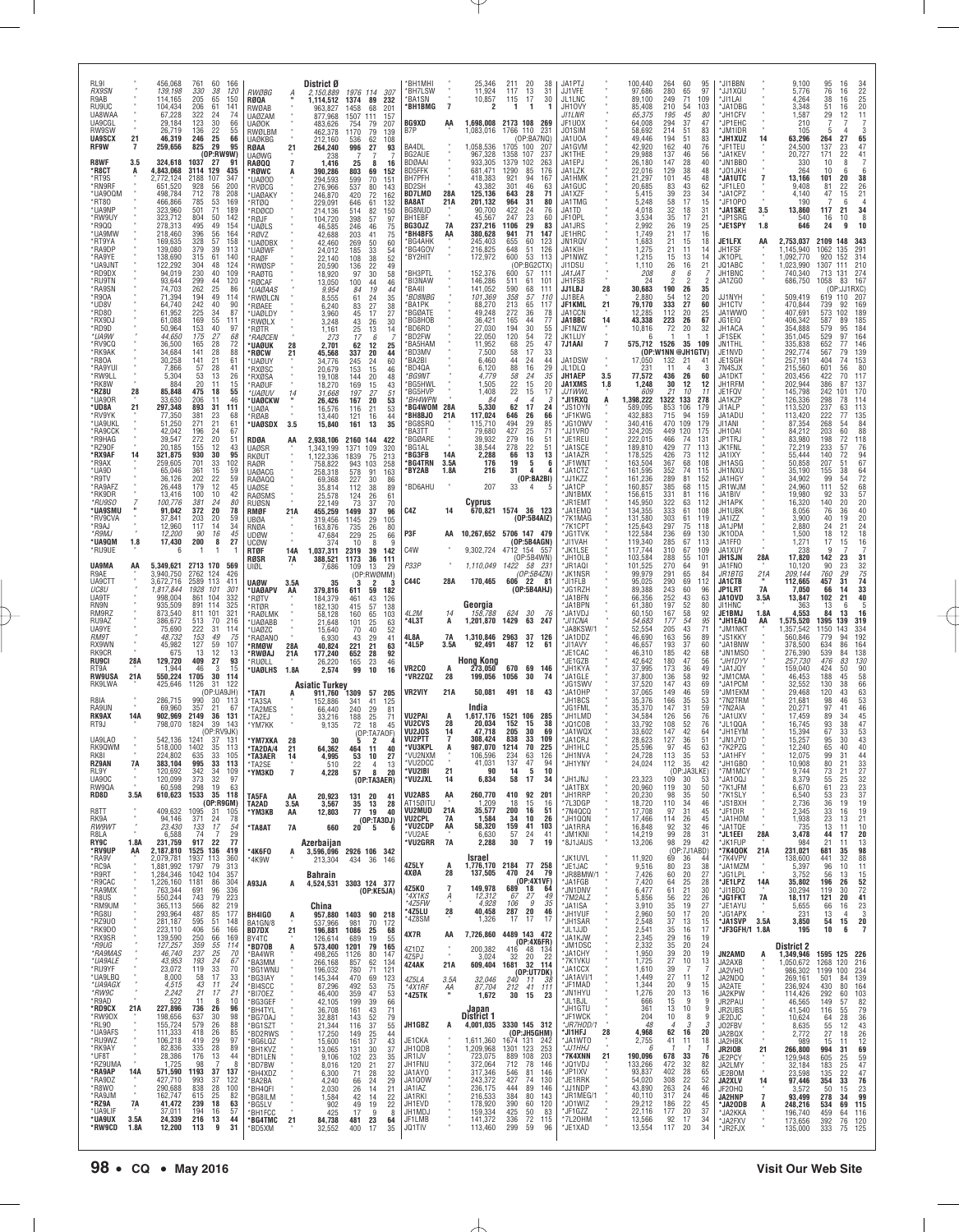| 409,632<br><b>VU2MUD</b><br>21A<br>R8TT<br>1095<br>31<br>40<br>35,577<br>200<br>16<br>51<br>*7N4QCQ<br>17,708<br>97<br>31<br>45<br>*JF1DIR<br>2,345<br>105<br>*ҮМЗКВ<br>AA<br>12,803<br>77 19<br>$\epsilon$<br>371<br>7A<br>10<br>26<br>RK9A<br>94.146<br>24<br>78<br>VU2CPL<br>1,584<br>34<br>*JH1QQN<br>17,466<br>114<br>26<br>45<br>*JA1HOM<br>1,938<br>(OP:TA3DJ)<br>58,320<br>159<br>*VU2CDP<br>AA<br>41<br>103<br>RW9WT<br>23,430<br>133<br>17<br>54<br>*JA1RRA<br>16,848<br>92<br>32<br>46<br>*JA1TQE<br>735<br>*TA8AT<br>7A<br>660<br>$20 \t 5$<br>6<br>*VU2AE<br>6,630<br>99<br>28<br>6,588<br>74<br>$\overline{7}$<br>29<br>57<br>24<br>41<br>*JM1KNI<br>14,219<br>31<br>*JL1EEI<br>28A<br>3,478<br><b>R8I A</b><br>*VU2GRR<br>30<br>7A<br>2,288<br>$\overline{7}$<br>29<br>1.8A<br>22<br>19<br>RY9C<br>231,759<br>917<br>77<br>*8J1JAUS<br>13,206<br>98<br>42<br>*JK1FUP<br>984<br>Azerbaijan<br>*RV9UP<br>AA<br>2,187,810<br>1525 136<br>(OP:7J1ABD)<br>*7K4QOK<br>21A<br>231,021<br>419<br>*4K6F0<br>2926 106 342<br>3,596,096<br>A<br>11,920<br>*JK1UVL<br>*7K4VPV<br>*RA9V<br>69<br>36<br>138,600<br>2,079,781<br>1937<br>113<br>360<br>*4K9W<br>Israel<br>-44<br>213,304<br>434 36<br>146<br>4Z5LY<br>*RC9A<br>1,881,992<br>79<br>1,776,170<br>2184 77 258<br>*JE1JAC<br>9,516<br>80<br>23<br>38<br>*JA1MZM<br>1797<br>313<br>A<br>5,397<br>$\alpha$<br>4XØA<br>28<br>137,505<br>24<br>79<br>470<br>*JR8BMW/1<br>7,426<br>60<br>20<br>27<br>*R9RT<br>1,284,346<br>1042<br>104<br>357<br>*JG1LPL<br>3,752<br><b>Bahrain</b><br>(OP:4X1VF)<br>*R9CAC<br>1,226,160<br>1181<br>7,420<br>25<br>*JE1LPZ<br>14A<br>35,802<br>86<br>304<br>A93JA<br>*JA1FGB<br>64<br>28<br>3303 124 377<br>A<br>4,524,531<br>4Z5KO<br>$\overline{\phantom{a}}$<br>149,978<br>689<br>18<br>64<br>21<br>*RA9MX<br>61<br>763,344<br>691<br>96<br>336<br>*JN1DNV<br>6,477<br>30<br>*JI1BDQ<br>30,294<br>(OP:KE5JA)<br>*4X1KS<br>27<br>$\frac{A}{a}$<br>12,312<br>67<br>49<br>*R8US<br>550,244<br>743<br>79<br>223<br>*7M2ALZ<br>$\frac{56}{35}$<br>$^{22}_{19}$<br>26<br>*JG1FKT<br>18,117<br>5,856<br>7A<br>*4Z5FW<br>4,928<br>106<br>9<br>35<br>566<br>82<br>219<br>3,910<br>27<br>*RM9UM<br>365,113<br>*JA1ISA<br>*JE1AYU<br>China<br>5,655<br>28<br>46<br>*4Z5LU<br>40,458<br>287<br>20<br>487<br>50<br>*RG8U<br>293,964<br>85<br>177<br>*JH1VUF<br>2,960<br>17<br>20<br>*JG1APX<br>231<br>BH4IGO<br>957,880<br>1403 90 218<br>$\ddot{A}$<br>*4Z8SM<br>1,326<br>17<br>17<br>17<br>37<br>*RZ9U0<br>281,187<br>595<br>51<br>148<br>*JH1SAR<br>2,548<br>13<br>15<br>*JA1SVP<br>3.5A<br>3,850<br>BA1GN/8<br>537,966<br>981<br>70<br>172<br>*RK9DO<br>223,110<br>406<br>56<br>166<br>"JL1JJD<br>2,541<br>35<br>16<br>17<br>*JF3GFH/1 1.8A<br>195<br><b>BD7DX</b><br>21<br>196,881<br>1086<br>25<br>68<br>4X7R<br>4489 143 472<br>AA<br>7,726,860<br>*RX9SR<br>139,590<br>250<br>169<br>*JA1KJW<br>2,345<br>29<br>19<br>66<br>16<br>BY4TC<br>126,614<br>689<br>19<br>55<br>(OP:4X6FR) | RL9I<br><b>RX9SN</b><br>R9AB<br>RU9UC<br>UA8WAA<br>UA9CGL<br>RW9SW<br><b>UA9SCX</b><br><b>RF9W</b><br>R8WF<br>*R8CT<br>*RT9S<br>*RN9RF<br>*UA90QM<br>*RT80<br>*UA9NP<br>*RW9UY<br>*R9QQ<br>*UA9MW<br>*RT9YA<br>*RA9DP<br>*RA9YE<br>*UA9JNT<br>*RD9DX<br>*RU9TN<br>*RA9SN<br>*R90A<br>*UD8V<br>*RD80<br>*RX9DJ<br>*RD9D<br>*UA9W<br>*RV9CQ<br>*RK9AK<br>*R80A<br>*RA9YUI<br>*RW9LL<br>*RK8W<br>*RZ8U<br>*UA90R<br>*UD8A<br>*RV9YK<br>*UA9UKL<br>*RA9CCK<br>*R9HAG<br>*RZ90F<br>*RX9AF<br>*R9AX<br>*UA9D<br>*R9TV<br>*RA9AFZ<br>*RK9DR<br>*RU9SO<br>*UA9SMU<br>*RV9CVA<br>*R9AJ<br>*R9MJ<br>*UA9QM<br>*RU9UE<br><b>UA9MA</b><br>R9AE<br>UA9CTT<br>UC8U<br>UA9TF<br>RN9N<br>RM9RZ<br>RU9AZ<br>UA9YE<br><i>RM9T</i><br>RX9WN<br>RK9CR<br><b>RU9CI</b><br>RT9A<br><b>RW9USA</b><br>RK9LWA<br>R8IA<br>RA9UN<br><b>RK9AX</b><br>RT9J<br>UA9LA0<br>RK90WM<br>RK81<br><b>RZ9AN</b><br>RL9Y<br>UA90C<br>RW90A<br>RD8D | 21<br>3.5<br>A<br>28<br>21<br>14<br>1.8<br>AA<br>28A<br>21A<br>14A<br>7A<br>$\alpha$<br>3.5A | 456,068<br>139,198<br>114,165<br>104.434<br>67,228<br>29,184<br>26,719<br>46,319<br>259,656<br>324,618<br>4,843,068<br>2,772,124<br>651,520<br>498,784<br>466,866<br>323,960<br>323,712<br>278,313<br>218,460<br>169,635<br>139,080<br>138,690<br>122,292<br>94,019<br>93,644<br>74,703<br>71,394<br>64,740<br>61,952<br>61,088<br>50,964<br>44,650<br>36,500<br>34,684<br>30,258<br>7,866<br>5,304<br>884<br>85,848<br>33,630<br>297,348<br>77,350<br>51,250<br>42.042<br>39,547<br>20.185<br>321,875<br>259,605<br>65,046<br>36,126<br>26,448<br>13,416<br>100,776<br>91,042<br>37,841<br>12,960<br>12,200<br>17,430<br>5,349,621<br>3,940,750<br>3,672,716<br>1,817,844<br>998,004<br>935,509<br>873,540<br>386,672<br>75,690<br>48,732<br>45,982<br>675<br>129,720<br>1,944<br>550,224<br>425,646<br>286,715<br>69,960<br>902.969<br>798,070<br>542,136<br>518,000<br>224,802<br>383,104<br>120,692<br>120,099<br>60,598<br>610,623 | 761<br>60<br>166<br>330<br>38<br>120<br>205<br>65<br>150<br>206<br>61<br>141<br>322<br>24<br>74<br>123<br>30<br>66<br>22<br>136<br>55<br>66<br>246<br>25<br>825<br>-29<br>95<br>(0P:RW9W)<br>1037<br>-27<br>-91<br>435<br>3114 129<br>2188<br>107<br>347<br>200<br>928<br>56<br>712<br>78<br>208<br>785<br>53<br>169<br>501<br>71<br>189<br>804<br>50<br>142<br>495<br>49<br>154<br>396<br>56<br>164<br>328<br>57<br>158<br>379<br>39<br>113<br>315<br>61<br>140<br>48<br>304<br>124<br>230<br>40<br>109<br>299<br>44<br>120<br>262<br>25<br>86<br>49<br>194<br>114<br>242<br>225<br>40<br>90<br>34<br>87<br>169<br>55<br>111<br>153<br>40<br>97<br>68<br>175<br>27<br>165<br>28<br>72<br>141<br>28<br>88<br>141<br>21<br>61<br>57<br>28<br>41<br>53<br>13<br>26<br>20<br>15<br>11<br>475<br>18<br>55<br>46<br>206<br>11<br>893<br>31<br>111<br>381<br>23<br>68<br>271<br>196<br>$^{21}_{24}$<br>61<br>67<br>272<br>20<br>51<br>155<br>12<br>43<br>930<br>30<br>95<br>701<br>33<br>102<br>361<br>15<br>59<br>202<br>$^{22}_{12}$<br>59<br>$^{45}_{42}$<br>179<br>100<br>10<br>381<br>24<br>80<br>372<br>20<br>78<br>203<br>20<br>59<br>117<br>14<br>34<br>90<br>16<br>45<br>200<br>27<br>8<br>2713 170<br>569<br>2762<br>124<br>426<br>2589<br>113<br>411<br>1928<br>101<br>301<br>861<br>104<br>332<br>891<br>114<br>325<br>811<br>101<br>321<br>70<br>216<br>513<br>222<br>31<br>114<br>153<br>49<br>75<br>127<br>59<br>107<br>12<br>13<br>13<br>409<br>27<br>93<br>46<br>3<br>15<br>1705<br>30<br>114<br>1126<br>-31<br>122<br>(OP:UA9JH)<br>990<br>-30<br>113<br>357<br>21<br>67<br>2149<br>36<br>131<br>1824<br>39<br>143<br>(OP:RV9JK)<br>1241<br>37<br>-131<br>1402<br>35<br>113<br>33<br>635<br>105<br>995<br>33<br>113<br>342<br>34<br>109<br>373<br>32<br>97<br>298<br>19<br>63<br>1533<br>35 118 | <b>RWØBG</b><br><b>RØQA</b><br>RWØAB<br><b>UAØZAM</b><br><b>UAØOK</b><br>RWØLBM<br>UAØKBG<br>RØAA<br><b>UAØWG</b><br><b>RAØQQ</b><br>*RØWC<br>*UAØOD<br>*RVØCG<br>*UAØAKY<br>*RTØQ<br>*RDØCD<br>*RØJF<br>*UAØLS<br>*RØV7<br>*UAØDBX<br>*UAØWF<br>*RAØF<br><b>RWØSP</b><br>*RAØTG<br><b>RØCAF</b><br>*UAØAAS<br><b>RWØLCN</b><br>*RØAEE<br>*UAØLDY<br>*RWØLX<br>*RØTR<br>*RAØCEN<br>*UAØUK<br>*RØCW<br>*UAØUY<br>*RXØSC<br>*RXØSA<br>*RAØUF<br>*UAØUV<br>*UAØCKW<br>*UAØA<br>*RØAB<br>*UAØSDX 3.5<br>RDØA<br>UAØSR<br>RKØUT<br>RAØR<br><b>UAØACG</b><br>RAØAQQ<br><b>UAØSE</b><br>RAØSMS<br><b>RUØSN</b><br>RMØF<br><b>UBØA</b><br>RNØA<br>UDØW<br><b>UCØW</b><br>RTØF<br><b>RØSR</b><br>UIØL<br><b>UAØW</b><br>*UAØAPV<br>*RØTV<br><b>RTØR</b><br>*RAØLMK<br>*UAØABB<br>*UAØZC<br>*RAØANO<br>'RMØW<br>'RWØAJ<br>*RUØLL<br>*UAØLHS<br>*TA7I<br>*TA3SA<br>*TA2MES<br>*TA2EJ<br>*YM7KK<br>*YM7XKA<br>*TA2DA/4<br>*TA3AER<br>*TA2SE<br>*ҮМЗКD<br>TA5FA | 21<br>$\overline{7}$<br>28<br>21<br>14<br>AA<br>21A<br>14A<br>7A<br>3.5A<br>AA<br>28A<br>21A<br>1.8A<br>A<br>28<br>21<br>14<br>$\overline{7}$<br>AA | District Ø<br>2,150,889<br>1,114,512<br>963.827<br>877.968<br>483,626<br>462,378<br>212.160<br>264,240<br>238<br>1,416<br>390,286<br>294,593<br>276,966<br>246,870<br>229,091<br>214,136<br>104,720<br>46,585<br>42.688<br>42,460<br>24,012<br>22,140<br>20,590<br>18,920<br>13,050<br>9,954<br>8,555<br>6,240<br>3,960<br>3,248<br>1,161<br>273<br>2,701<br>45,568<br>34,776<br>20,679<br>19,108<br>18,270<br>31,668<br>26,426<br>16,576<br>13,440<br>15,840<br>2,938,106<br>1,343,199<br>1.122.336<br>758,822<br>258,318<br>69,368<br>35,814<br>25,578<br>22,149<br>455,259<br>319,456<br>163,876<br>47,684<br>374<br>1,037,311<br>388,521<br>7,686<br>35<br>379,816<br>184,379<br>182,130<br>58,128<br>21,648<br>15,640<br>6,930<br>40,824<br>177,240<br>26,220<br>2,574<br>Asiatic Turkey<br>911,760<br>152.886<br>66.440<br>33,216<br>9,135<br>30<br>64,362<br>4,995<br>510<br>4,228<br>20,923 | 1976 114<br>307<br>1374<br>89<br>232<br>1458<br>68<br>201<br>1507<br>111<br>157<br>754<br>79<br>207<br>1170<br>$^{79}_{62}$<br>139<br>108<br>536<br>996<br>27<br>93<br>7<br>25<br>8<br>16<br>803<br>69<br>152<br>599<br>70<br>151<br>537<br>80<br>143<br>420<br>72<br>162<br>646<br>61<br>132<br>514<br>82<br>150<br>398<br>57<br>97<br>46<br>246<br>75<br>203<br>41<br>75<br>269<br>50<br>60<br>185<br>108<br>$\frac{33}{38}$<br>$\frac{54}{52}$<br>136<br>22<br>49<br>97<br>30<br>58<br>46<br>100<br>44<br>19<br>44<br>84<br>35<br>61<br>24<br>$\frac{27}{17}$<br>83<br>$\frac{38}{27}$<br>45<br>43<br>26<br>30<br>25<br>13<br>14<br>17<br>6<br>62<br>12<br>25<br>337<br>20<br>44<br>245<br>24<br>60<br>$\frac{153}{144}$<br>$^{15}_{20}$<br>46<br>48<br>169<br>15<br>43<br>197<br>27<br>51<br>167<br>20<br>53<br>21<br>53<br>116<br>121<br>16<br>44<br>35<br>161<br>13<br>2160 144<br>422<br>1371<br>109<br>320<br>1839<br>75<br>213<br>943<br>103<br>258<br>578<br>91<br>163<br>227<br>30<br>86<br>112<br>$^{89}_{61}$<br>$\substack{38 \\ 26}$<br>124<br>73<br>37<br>70<br>1499<br>96<br>37<br>1145<br>29<br>105<br>26<br>80<br>735<br>229<br>25<br>66<br>8<br>10<br><b>q</b><br>2319<br>39<br>142<br>1173<br>36<br>111<br>109<br>13<br>29<br>(OP:RWØMM)<br>3<br>2<br>3<br>611<br>59<br>182<br>461<br>43<br>126<br>415<br>$\frac{57}{65}$<br>138<br>160<br>103<br>101<br>25<br>63<br>70<br>40<br>52<br>43<br>29<br>41<br>21<br>221<br>63<br>652<br>92<br>28<br>165<br>23<br>46<br>99<br>10<br>16<br>1309<br>57<br>205<br>341<br>41<br>125<br>240<br>29<br>81<br>188<br>25<br>71<br>72 18 45<br>(OP:TA7AOF)<br>45<br>$\overline{2}$<br>5<br>40<br>464 11<br>53<br>10<br>27<br>13<br>22<br>$\overline{4}$<br>57<br>8<br>20<br>(DP:TA3AER)<br>131 20<br>41 | 'BH1MHI<br><b>BH7LSW</b><br>*BA1SN<br>*BH1BMG<br><b>BG9XD</b><br>B7P<br>BA4DL<br>BG2AUE<br><b>BDØAAI</b><br><b>BD5FFK</b><br>BH7PFH<br>BD2SH<br><b>BD7LMD</b><br>BA8AT<br>BG8NUD<br>BH1EBF<br>BG30JZ<br>*BH4BFS<br><b>BG4AHK</b><br>*BG4GOV<br>*BY2HIT<br>*BH3PTL<br>*BI3NAW<br>'BA4II<br>*BD8NBG<br>*BA1PK<br><b>BGØATE</b><br>*BG8HOB<br><b>BD6RD</b><br>*BD2FW<br><b>BA5HAM</b><br>*BD3MV<br><b>BA2BI</b><br>*BD4QA<br>*BG9NT<br>*BG5HWL<br>*BG5HVP<br>*BH4WPN<br>*BG4WOM 28A<br>*BH8BJ0<br>*BG8SRQ<br><b>BA3TT</b><br>*BGØARE<br>BG1AL*<br>'BG3FB<br><b>BG4TRN</b><br>'BY2AB<br>*BD6AHU<br>C4Z<br>P3F<br>C4W<br>P33P<br><b>C44C</b><br>4L2M<br>*4L3T<br>4L8A<br>*4L5P<br>VR <sub>2</sub> C <sub>0</sub><br>*VR2ZQZ<br><b>VR2VIY</b><br>VU2PAI<br><b>VU2CVS</b><br>VU2JOS<br>VU2PTT<br>*VU3KPL<br>VU2NXM<br>*VU2DCC<br>*VU2IBI<br>*VU2JXL<br>VU2ABS | $\overline{7}$<br>AA<br>28A<br>21 A<br><b>7A</b><br>AA<br>21A<br>14A<br>3.5A<br>1.8A<br>14<br>AA<br>28A<br>14<br>A<br><b>7A</b><br>3.5A<br>А<br>28<br>21A<br>A<br>28<br>14<br>7<br>21<br>14<br>AA | 25,346<br>11.924<br>10,857<br>2<br>1.698.008<br>1,083,016<br>1,058,536<br>967,328<br>933,305<br>681,471<br>418,383<br>43,382<br>125,136<br>201,132<br>90,700<br>45,567<br>237.216<br>380,628<br>245,403<br>216,825<br>172,972<br>152,376<br>146,286<br>141,052<br>101,369<br>88,270<br>49,248<br>36,421<br>27,030<br>22,050<br>11.952<br>7,500<br>6,460<br>6,120<br>4,779<br>1,505<br>1,408<br>84<br>5,330<br>117,024<br>115,710<br>79,680<br>39,932<br>38,544<br>2,288<br>176<br>216<br>207<br>Cyprus<br>9,302,724<br>1,110,049<br>170,465<br>Georgia<br>158,788<br>1,201,870<br>92,491<br>Hong Kong<br>273,050<br>199,056<br>50,081<br>India<br>1,617,176<br>20.034<br>47,718<br>308,424<br>987,070<br>106,596<br>41,031<br>90<br>6,834<br>260,770 | 211<br>20<br>13<br>117<br>115<br>17<br>-1<br>-1<br>2173 108 269<br>1766<br>110<br>(OP:BA7NQ)<br>1705 100<br>1358<br>107<br>1379<br>102<br>1290<br>85<br>94<br>921<br>301<br>46<br>643<br>28<br>964<br>31<br>422<br>24<br>23<br>247<br>1106<br>29<br>941<br>71<br>655<br>60<br>$\frac{51}{53}$<br>648<br>600<br>(OP:BG2CTX)<br>600<br>57<br>511<br>61<br>590<br>68<br>358<br>57<br>213<br>65<br>272<br>36<br>165<br>44<br>194<br>30<br>120<br>54<br>68<br>25<br>58<br>17<br>44<br>24<br>88<br>16<br>58<br>24<br>22<br>15<br>22<br>15<br>$\overline{4}$<br>$\boldsymbol{\varDelta}$<br>62<br>17<br>646<br>26<br>494<br>29<br>427<br>25<br>279<br>16<br>22<br>278<br>13<br>66<br>19<br>5<br>31<br>4<br>(OP:BAZBI)<br>33<br>4<br>670,821 1574 36 123<br>(0P:5B4AIZ)<br>10,267,652 5706 147 479<br>(OP:5B4AGN)<br>4712 154 557<br>(OP:5B4WN)<br>1422 58 231<br>(OP:5B4ZN)<br>606 22 81<br>(0P:5B4AHJ)<br>30<br>624<br>1429<br>63 247<br>1,310,846 2963 37 126<br>487<br>12<br>670 69 146<br>1056<br>30<br>491 18<br>1521 106<br>152<br>15<br>205<br>30<br>838<br>33<br>1214<br>70<br>234<br>137<br>63<br>47<br>5<br>14<br>58<br>17<br>410<br>92 | 38<br>31<br>30<br>-1<br>231<br>-207<br>237<br>263<br>176<br>167<br>63<br>71<br>80<br>76<br>60<br>83<br>147<br>123<br>126<br>113<br>111<br>101<br>111<br>110<br>117<br>78<br>77<br>$\frac{55}{72}$<br>47<br>33<br>44<br>$\frac{29}{35}$<br>20<br>17<br>24<br>66<br>$\frac{85}{71}$<br>51<br>51<br>13<br>6<br>4<br>76<br>61<br>74<br>43<br>285<br>38<br>69<br>109<br>225<br>126<br>94<br>10<br>34<br>201 | JA1PTJ<br>JJ1VFE<br>JL1LNC<br>JH10VY<br>JI1LNR<br>JF1UOX<br>J01SIM<br>JA1UOA<br>JA1GVM<br>JK1THE<br>JA1EPJ<br>JA1LZK<br>JA1HMK<br>JA1GUC<br>JA1XZF<br>JA1TMG<br>JA1TD<br>JF10PL<br>JA1JRS<br>JE1HRC<br>JN1RQV<br>JA1KIH<br>JP1NWZ<br>JI1DSU<br>JA1JAT<br>JH1FSB<br>JJ1LBJ<br>JJ1BEA<br>JF1KML<br>JA1CCN<br>JA1BBC<br>JF1NZW<br>JK1LUY<br>7J1AAI<br>JA1DSW<br>JL1DLQ<br><b>JH1AEP</b><br><b>JA1XMS</b><br>JJ1WWL<br>*JI1RXQ<br>*JS10YN<br>*JF1KWG<br>JG10W<br>*JJ1VR0<br>*JE1REU<br>*JA1SCE<br>*JA1AZR<br>*JF1WNT<br>*JA1CTZ<br>*.I.I1K77<br>*JA1CP<br>*JN1BMX<br>*JR1EMT<br>*JA1EMQ<br>*7K1MAG<br>*7K1CPT<br>*JG1TVK<br>'JI1VAH<br>*JK1LSE<br>*JH10LB<br>*JR1AQI<br>*JK1NSR<br>*JI1FLB<br>*JG1RZH<br>*JA1BFN<br>*JA1BPN<br>*JA1VDJ<br>*JI1CNA<br>JA8KSW/1<br>"JA1DDZ<br>*JI1AVY<br>*JE1CAC<br><b>JE1GZB</b><br>*JH1KYA<br>*JA1GLE<br>*JG1SWV<br>*JA10HP<br><b>JH1BCS</b><br>'JG1FML<br>'JH1LMD<br>*JQ1COB<br>*JA1WQX<br>*JA1CRJ<br>*JH1HLC<br>*JH1NVA<br>*JH1YNY<br>*JH1JNJ<br>*JA1TBX<br>*JH1RRP | 28<br>21<br>14<br>$\overline{7}$<br>3.5<br>1.8<br>A | 100,440<br>97,686<br>89,100<br>85,408<br>65,375<br>64.008<br>58,692<br>49,446<br>42,920<br>29,988<br>26,180<br>22,016<br>21,297<br>20,685<br>5,415<br>5,248<br>4,018<br>3,534<br>2,992<br>1,749<br>1,683<br>1,275<br>1,215<br>1,110<br>208<br>24<br>30,683<br>2,880<br>79,170<br>12,285<br>43,338<br>10,816<br>575,712<br>17,050<br>231<br>77,572<br>1,248<br>609<br>1,398,222<br>589,095<br>432,883<br>340,416<br>324,205<br>222,015<br>189,810<br>178,525<br>163,504<br>161,595<br>161,236<br>160,857<br>156,615<br>145,950<br>134,355<br>131,580<br>125,643<br>122,584<br>119,340<br>117,744<br>103,584<br>101,525<br>99,979<br>95,025<br>89,388<br>66,356<br>61,380<br>60,150<br>54,683<br>52,554<br>46,690<br>46,657<br>46,310<br>42,642<br>37,995<br>37,800<br>37,520<br>37,065<br>35,376<br>35,370<br>34,584<br>33,792<br>33,602<br>28,623<br>25,596<br>24,728<br>24,024<br>23,323<br>20,960<br>20,230 | 264<br>280<br>249<br>210<br>195<br>294<br>214<br>194<br>162<br>137<br>147<br>129<br>101<br>$\begin{array}{c} 83 \\ 39 \end{array}$<br>58<br>32<br>35<br>26<br>21<br>$\frac{21}{21}$<br>15<br>26<br>8<br>2<br>190<br>54<br>333<br>112<br>223<br>72<br>1526<br>(OP:W1NN @JH1GTV)<br>132<br>436<br>30<br>21<br>1322 133<br>853<br>106<br>715<br>470<br>449 120<br>466<br>429<br>426<br>367<br>352<br>289<br>385<br>331<br>322<br>333<br>303<br>297<br>236<br>285<br>310<br>288<br>270<br>291<br>290<br>243<br>$\frac{252}{197}$<br>167<br>177<br>205<br>163<br>193<br>185<br>180<br>173<br>136<br>147<br>149<br>166<br>147<br>126<br>108<br>147<br>127<br>97<br>113<br>112<br>109<br>119<br>98 | 60<br>95<br>97<br>65<br>71<br>109<br>54<br>103<br>45<br>-80<br>37<br>47<br>51<br>83<br>51<br>83<br>40<br>76<br>46<br>56<br>28<br>40<br>38<br>48<br>45<br>48<br>$^{43}_{23}$<br>62<br>34<br>17<br>15<br>18<br>31<br>17<br>21<br>19<br>25<br>17<br>16<br>18<br>15<br>11<br>14<br>13<br>14<br>21<br>16<br>6<br>$\overline{2}$<br>26<br>35<br>20<br>12<br>27<br>60<br>20<br>25<br>26<br>67<br>20<br>32<br>35<br>109<br>21<br>41<br>26<br>60<br>12<br>-12<br>10<br>11<br>278<br>179<br>94<br>159<br>109<br>179<br>175<br>74<br>131<br>77<br>113<br>73<br>112<br>68<br>108<br>74<br>115<br>81<br>152<br>68<br>115<br>81<br>116<br>63<br>112<br>61<br>108<br>61<br>119<br>75<br>118<br>69<br>130<br>67<br>113<br>67<br>109<br>55<br>101<br>64<br>91<br>65<br>84<br>69<br>112<br>60<br>96<br>43<br>63<br>$\frac{52}{58}$<br>80<br>92<br>54<br>95<br>43<br>71<br>56<br>89<br>37<br>60<br>42<br>68<br>47<br>56<br>36<br>49<br>58<br>92<br>43<br>69<br>46<br>59<br>35<br>53<br>31<br>59<br>76<br>56<br>$\frac{52}{42}$<br>76<br>64<br>36<br>51<br>45<br>63<br>53<br>35<br>35<br>42<br>(OP:JA3LKE)<br>30<br>53<br>30<br>50<br>35<br>50 | *JI1BBN<br>*JJ1XQU<br>*JI1LAI<br>*JA1DBG<br>*JH1CFV<br>*JP1EHC<br>*JM1IDR<br>*JH1XUZ<br>*JF1TEU<br>*JA1KEV<br>*JN1BBC<br>*JO1JKH<br>*JA1UTC<br>'JF1LEO<br>*JA1CPZ<br>*JF10P0<br>*JA1SKE<br>*JP1SRG<br>*JE1SPY<br>JE1LFX<br>JH1FSF<br>JK10PL<br>JQ1ABC<br>JH1BNC<br>JA1ZGO<br>JJ1NYH<br>JH1CTV<br>JA1WW0<br>JG1EIQ<br>JH1ACA<br>JF1SEK<br>JN1THL<br>JE1NVD<br>JE1SGH<br>7N4SJX<br>JA1DKT<br>JH1RFM<br>JE1FQV<br>JA1KZP<br>JI1ALP<br>JA1ADU<br>JI1ANI<br>JH10AI<br>JP1TRJ<br>JK1FNL<br>JA1IXY<br>JH1ASG<br>JH1NXU<br>JA1HGY<br>JR1WJM<br>JA1BIV<br>JH1APK<br>JH1UBK<br>JA1IZZ<br>JA1JPM<br>JK10DA<br>JA1FFO<br>JA1XUY<br><b>JH1SJN</b><br>JA1FNO<br>JR 1 BTG<br>JA1CTB<br><b>JP1LRT</b><br>JA10VD<br>JI1HNC<br>JE1BMJ<br>*JH1EAQ<br>'JM1NKT<br>*JS1KKY<br>*JA1BNW<br>*JN1MSO<br>*JH1DYV<br>*JA1JQY<br>*JM1CMA<br>*JA1PCM<br>*JM1EKM<br>7N2TRM<br>*7N2AIA<br><b>JA1UXV</b><br>'JL1QQA<br>*JH1EYM<br>*JN1JYD<br>*7K2PZG<br>*JA1HFY<br>*JH1GB0<br>*7M1MCY<br>*JA10QJ<br>*7K1JFM<br>*7K1SLY | 14<br>7<br>3.5<br>1.8<br>AA<br>28A<br>21A<br>7A<br>3.5A<br>1.8A<br>AA | 9,100<br>5.776<br>4,264<br>3.348<br>1,587<br>210<br>105<br>63,296<br>24,500<br>20,727<br>330<br>264<br>13,166<br>9.408<br>4.140<br>190<br>13,860<br>540<br>646<br>2,753,037<br>,145,940<br>1,092,770<br>,023,990<br>740,340<br>686,750<br>509,419<br>470,844<br>407,691<br>406,342<br>354,888<br>351,045<br>335,838<br>292,774<br>257,191<br>215,560<br>203,456<br>202,944<br>145,798<br>126,336<br>113,520<br>113,420<br>87,354<br>84,212<br>83,980<br>72,219<br>55,444<br>50,858<br>35,190<br>34.902<br>24,960<br>19,980<br>16,320<br>8,056<br>3,900<br>2,880<br>1,500<br>1,271<br>238<br>17,820<br>10.120<br>209,144<br>112,665<br>7,050<br>13,847<br>363<br>4,553<br>1,575,520<br>,357,542<br>560,846<br>378,500<br>276,390<br>257,730<br>159,040<br>46,453<br>32,552<br>29,468<br>21,681<br>20,271<br>17,459<br>16,745<br>15,394<br>15,257<br>12,240<br>12,075<br>10,908<br>9,744<br>8,379<br>6.670<br>6,540 | 117<br>2109<br>1062<br>1307<br>713<br>1058<br>601<br>1395<br>1150                                                                                                               | 95<br>76<br>38<br>51<br>29<br>264<br>137<br>171<br>10<br>10<br>101<br>81<br>47<br>16<br>24<br>920<br>739<br>573<br>587<br>579<br>529<br>652<br>567<br>404<br>422<br>386<br>242<br>298<br>237<br>222<br>268<br>203<br>198<br>233<br>140<br>207<br>155<br>99<br>111<br>92<br>140<br>76<br>40<br>24<br>18<br>17<br>142<br>90<br>760<br>457<br>66<br>102<br>13<br>84<br>779<br>634<br>539<br>476<br>424<br>188<br>130<br>120<br>98 | 41<br>-31 | 16<br>16<br>16<br>16<br>12<br>27<br>$\begin{array}{c} 23 \\ 22 \end{array}$<br>8<br>6<br>20<br>$^{26}_{21}$<br>22<br>15<br>6<br>$\begin{array}{c} 34 \\ 8 \end{array}$<br>21<br>10<br>9<br>148<br>343<br>$\frac{291}{314}$<br>135<br>152<br>210<br>111<br>274<br>131<br>167<br>83<br>(OP:JJ1RXC)<br>207<br>619 110<br>169<br>92<br>189<br>102<br>89<br>185<br>$\frac{184}{164}$<br>95<br>97<br>146<br>77<br>139<br>79<br>$\frac{153}{80}$<br>117<br>74<br>56<br>70<br>137<br>87<br>170<br>101<br>114<br>78<br>113<br>63<br>135<br>77<br>$84 \over 88$<br>54<br>60<br>72<br>118<br>57<br>72<br>51<br>38<br>54<br>$\frac{52}{33}$<br>20<br>36<br>19<br>21<br>12<br>$\frac{15}{7}$<br>23<br>31<br>$\frac{23}{29}$<br>31<br>14<br>21<br>16<br>13<br>319<br>139<br>334<br>143<br>192<br>94<br>164<br>86<br>138<br>84<br>83<br>$^{130}_{90}$<br>50<br>45<br>38<br>43<br>46<br>$45$<br>$47$<br>$53$<br>$43$<br>34<br>$\begin{array}{c} 38 \\ 33 \end{array}$<br>30<br>40<br>21<br>27<br>21<br>$\frac{32}{23}$<br>$\frac{23}{37}$<br>25<br>23<br>23 |
|-------------------------------------------------------------------------------------------------------------------------------------------------------------------------------------------------------------------------------------------------------------------------------------------------------------------------------------------------------------------------------------------------------------------------------------------------------------------------------------------------------------------------------------------------------------------------------------------------------------------------------------------------------------------------------------------------------------------------------------------------------------------------------------------------------------------------------------------------------------------------------------------------------------------------------------------------------------------------------------------------------------------------------------------------------------------------------------------------------------------------------------------------------------------------------------------------------------------------------------------------------------------------------------------------------------------------------------------------------------------------------------------------------------------------------------------------------------------------------------------------------------------------------------------------------------------------------------------------------------------------------------------------------------------------------------------------------------------------------------------------------------------------------------------------------------------------------------------------------------------------------------------------------------------------------------------------------------------------------------------------------------------------------------------------------------------------------------------------------------------------------------------------------------------------------------------------------------------------------------------------------------------------------------------------------------------------------------------------------------------------------------------------------------------------------------------------------------------------------------------------------------------------------------------------------------------------------------------------------------------------------------------------------------------------------------------------------------------------------------------------------------------------------------------------------------------------------------------------------------------------------------------------------------------------------------------------------------------------|-------------------------------------------------------------------------------------------------------------------------------------------------------------------------------------------------------------------------------------------------------------------------------------------------------------------------------------------------------------------------------------------------------------------------------------------------------------------------------------------------------------------------------------------------------------------------------------------------------------------------------------------------------------------------------------------------------------------------------------------------------------------------------------------------------------------------------------------------------------------------------------------------------------|----------------------------------------------------------------------------------------------|-----------------------------------------------------------------------------------------------------------------------------------------------------------------------------------------------------------------------------------------------------------------------------------------------------------------------------------------------------------------------------------------------------------------------------------------------------------------------------------------------------------------------------------------------------------------------------------------------------------------------------------------------------------------------------------------------------------------------------------------------------------------------------------------------------------------------------------------------------------------------------------------------------------------------------------------|-------------------------------------------------------------------------------------------------------------------------------------------------------------------------------------------------------------------------------------------------------------------------------------------------------------------------------------------------------------------------------------------------------------------------------------------------------------------------------------------------------------------------------------------------------------------------------------------------------------------------------------------------------------------------------------------------------------------------------------------------------------------------------------------------------------------------------------------------------------------------------------------------------------------------------------------------------------------------------------------------------------------------------------------------------------------------------------------------------------------------------------------------------------------------------------------------------------------------------------------------------------------------------------------------------------------------------------------------------------------------------------------------------------------------------------------------------------------------------------------------------------------------------------------------------------------------------------------------------------------------------------------------------------------------------------------------------------------------------------------------------------------------------------------------------------|----------------------------------------------------------------------------------------------------------------------------------------------------------------------------------------------------------------------------------------------------------------------------------------------------------------------------------------------------------------------------------------------------------------------------------------------------------------------------------------------------------------------------------------------------------------------------------------------------------------------------------------------------------------------------------------------------------------------------------------------------------------------------------------------------------------------------------------------------------------------------------------------------------------------------------------------------|-----------------------------------------------------------------------------------------------------------------------------------------------------|-----------------------------------------------------------------------------------------------------------------------------------------------------------------------------------------------------------------------------------------------------------------------------------------------------------------------------------------------------------------------------------------------------------------------------------------------------------------------------------------------------------------------------------------------------------------------------------------------------------------------------------------------------------------------------------------------------------------------------------------------------------------------------------------------------------------------------------------------------------------------------------------------------|--------------------------------------------------------------------------------------------------------------------------------------------------------------------------------------------------------------------------------------------------------------------------------------------------------------------------------------------------------------------------------------------------------------------------------------------------------------------------------------------------------------------------------------------------------------------------------------------------------------------------------------------------------------------------------------------------------------------------------------------------------------------------------------------------------------------------------------------------------------------------------------------------------------------------------------------------------------------------------------------------------------------------------------------------------------------------------------------------------------------------------------------------------------------------------------------------------------------------------------------------------------------------------------------------------------------------------------------------------------------------------------------------------------------------------------------------------------------------------------------------------------------------------------------------------------------------------------------------------------------------------------------------------------------------------------------------------------------------------------------------------------|--------------------------------------------------------------------------------------------------------------------------------------------------------------------------------------------------------------------------------------------------------------------------------------------------------------------------------------------------------------------------------------------------------------------------------------------------------------------------------------------------------------------------------------------------------------------------------------------------------------------------------------------------------------------------------------------------------------------------------------------------------------------------------------------------------------------------------------------------------|---------------------------------------------------------------------------------------------------------------------------------------------------------------------------------------------------|------------------------------------------------------------------------------------------------------------------------------------------------------------------------------------------------------------------------------------------------------------------------------------------------------------------------------------------------------------------------------------------------------------------------------------------------------------------------------------------------------------------------------------------------------------------------------------------------------------------------------------------------------------------------------------------------------------------------------------------------------|--------------------------------------------------------------------------------------------------------------------------------------------------------------------------------------------------------------------------------------------------------------------------------------------------------------------------------------------------------------------------------------------------------------------------------------------------------------------------------------------------------------------------------------------------------------------------------------------------------------------------------------------------------------------------------------------------------------------------------------------------------------------------------------------------------------------------------------------------------------------------------------------------------------------------------------------------------------------------------------------------------------------------------------------------------------------------------------------------------------------------------------------|--------------------------------------------------------------------------------------------------------------------------------------------------------------------------------------------------------------------------------------------------------------------------------------------------------------------------------------------------------------------------------------------------------|---------------------------------------------------------------------------------------------------------------------------------------------------------------------------------------------------------------------------------------------------------------------------------------------------------------------------------------------------------------------------------------------------------------------------------------------------------------------------------------------------------------------------------------------------------------------------------------------------------------------------------------------------------------------------------------------------------------------------------------------------------------------------------------------------------------------------------------------------------------------------------------------------------------------------------------------------------------------------------------------------|-----------------------------------------------------|---------------------------------------------------------------------------------------------------------------------------------------------------------------------------------------------------------------------------------------------------------------------------------------------------------------------------------------------------------------------------------------------------------------------------------------------------------------------------------------------------------------------------------------------------------------------------------------------------------------------------------------------------------------------------------------------------------------------------------------------------------------------------------------------------------------------------------------------------------------------------------------------------------------|---------------------------------------------------------------------------------------------------------------------------------------------------------------------------------------------------------------------------------------------------------------------------------------------------------------------------------------------------------------------------------------------------------------------------------------------------------------------------------------------------------------------------------------------------------------------------------------------------------------------------------------------------------------------------------------------|----------------------------------------------------------------------------------------------------------------------------------------------------------------------------------------------------------------------------------------------------------------------------------------------------------------------------------------------------------------------------------------------------------------------------------------------------------------------------------------------------------------------------------------------------------------------------------------------------------------------------------------------------------------------------------------------------------------------------------------------------------------------------------------------------------------------------------------------------------------------------------------------------------------------------------------------------------------------------------------------------------------------------------------------------------------------------------------------------------------------------|---------------------------------------------------------------------------------------------------------------------------------------------------------------------------------------------------------------------------------------------------------------------------------------------------------------------------------------------------------------------------------------------------------------------------------------------------------------------------------------------------------------------------------------------------------------------------------------------------------------------------------------------------------------------------------------------------------------------------------------------------------------------------------------------------------------------------------------------------------------------------------------------------------------------------------------------------------------------------------------|-----------------------------------------------------------------------|-------------------------------------------------------------------------------------------------------------------------------------------------------------------------------------------------------------------------------------------------------------------------------------------------------------------------------------------------------------------------------------------------------------------------------------------------------------------------------------------------------------------------------------------------------------------------------------------------------------------------------------------------------------------------------------------------------------------------------------------------------------------------------------------------------------------------------------------------------------------------------------------------------------------|---------------------------------------------------------------------------------------------------------------------------------------------------------------------------------|--------------------------------------------------------------------------------------------------------------------------------------------------------------------------------------------------------------------------------------------------------------------------------------------------------------------------------------------------------------------------------------------------------------------------------|-----------|---------------------------------------------------------------------------------------------------------------------------------------------------------------------------------------------------------------------------------------------------------------------------------------------------------------------------------------------------------------------------------------------------------------------------------------------------------------------------------------------------------------------------------------------------------------------------------------------------------------------------------------------------------------------------------------------------------------------------------------------------------------------------------------------------------------------------------------------------------------------------------------------------------------------------------------------------------------------------------------------------------------------------------------------|
|                                                                                                                                                                                                                                                                                                                                                                                                                                                                                                                                                                                                                                                                                                                                                                                                                                                                                                                                                                                                                                                                                                                                                                                                                                                                                                                                                                                                                                                                                                                                                                                                                                                                                                                                                                                                                                                                                                                                                                                                                                                                                                                                                                                                                                                                                                                                                                                                                                                                                                                                                                                                                                                                                                                                                                                                                                                                                                                                                                         |                                                                                                                                                                                                                                                                                                                                                                                                                                                                                                                                                                                                                                                                                                                                                                                                                                                                                                             |                                                                                              |                                                                                                                                                                                                                                                                                                                                                                                                                                                                                                                                                                                                                                                                                                                                                                                                                                                                                                                                         | (OP:R9GM)                                                                                                                                                                                                                                                                                                                                                                                                                                                                                                                                                                                                                                                                                                                                                                                                                                                                                                                                                                                                                                                                                                                                                                                                                                                                                                                                                                                                                                                                                                                                                                                                                                                                                                                                                                                                   | TA2AD                                                                                                                                                                                                                                                                                                                                                                                                                                                                                                                                                                                                                                                                                                                                                                                                                                                                                                                                              | 3.5A                                                                                                                                                | 3,567                                                                                                                                                                                                                                                                                                                                                                                                                                                                                                                                                                                                                                                                                                                                                                                                                                                                                               | 35<br>13<br>28                                                                                                                                                                                                                                                                                                                                                                                                                                                                                                                                                                                                                                                                                                                                                                                                                                                                                                                                                                                                                                                                                                                                                                                                                                                                                                                                                                                                                                                                                                                                                                                                                                                                                                                                               | AT15ØITU                                                                                                                                                                                                                                                                                                                                                                                                                                                                                                                                                                                                                                                                                                                                                                                                                                               |                                                                                                                                                                                                   | 1.209                                                                                                                                                                                                                                                                                                                                                                                                                                                                                                                                                                                                                                                                                                                                                | 18<br>15                                                                                                                                                                                                                                                                                                                                                                                                                                                                                                                                                                                                                                                                                                                                                                                                                                                                                                                                                                                                                                                                                                                                   | 16                                                                                                                                                                                                                                                                                                                                                                                                     | *7L3DGP                                                                                                                                                                                                                                                                                                                                                                                                                                                                                                                                                                                                                                                                                                                                                                                                                                                                                                                                                                                           |                                                     | 18,720                                                                                                                                                                                                                                                                                                                                                                                                                                                                                                                                                                                                                                                                                                                                                                                                                                                                                                        | 110                                                                                                                                                                                                                                                                                                                                                                                                                                                                                                                                                                                                                                                                                         | 34<br>46                                                                                                                                                                                                                                                                                                                                                                                                                                                                                                                                                                                                                                                                                                                                                                                                                                                                                                                                                                                                                                                                                                                   | *JS1BXH                                                                                                                                                                                                                                                                                                                                                                                                                                                                                                                                                                                                                                                                                                                                                                                                                                                                                                                                                                               |                                                                       | 2,736                                                                                                                                                                                                                                                                                                                                                                                                                                                                                                                                                                                                                                                                                                                                                                                                                                                                                                             | 97<br>89<br>93<br>67<br>95<br>65<br>99<br>80<br>73<br>55<br>61<br>53<br>36<br>33<br>23<br>13<br>44<br>21<br>681<br>441<br>96<br>56<br>196<br>119<br>121<br>66<br>13<br>54<br>10 |                                                                                                                                                                                                                                                                                                                                                                                                                                |           | 19<br>16<br>13<br>11<br>20<br>17<br>11<br>35<br>32<br>10<br>$\begin{array}{c} 15 \\ 52 \\ 72 \\ 41 \\ 23 \\ 3 \end{array}$<br>13<br>26<br>30<br>20<br>16<br>4<br>$\frac{20}{7}$<br>15<br>6                                                                                                                                                                                                                                                                                                                                                                                                                                                                                                                                                                                                                                                                                                                                                                                                                                                  |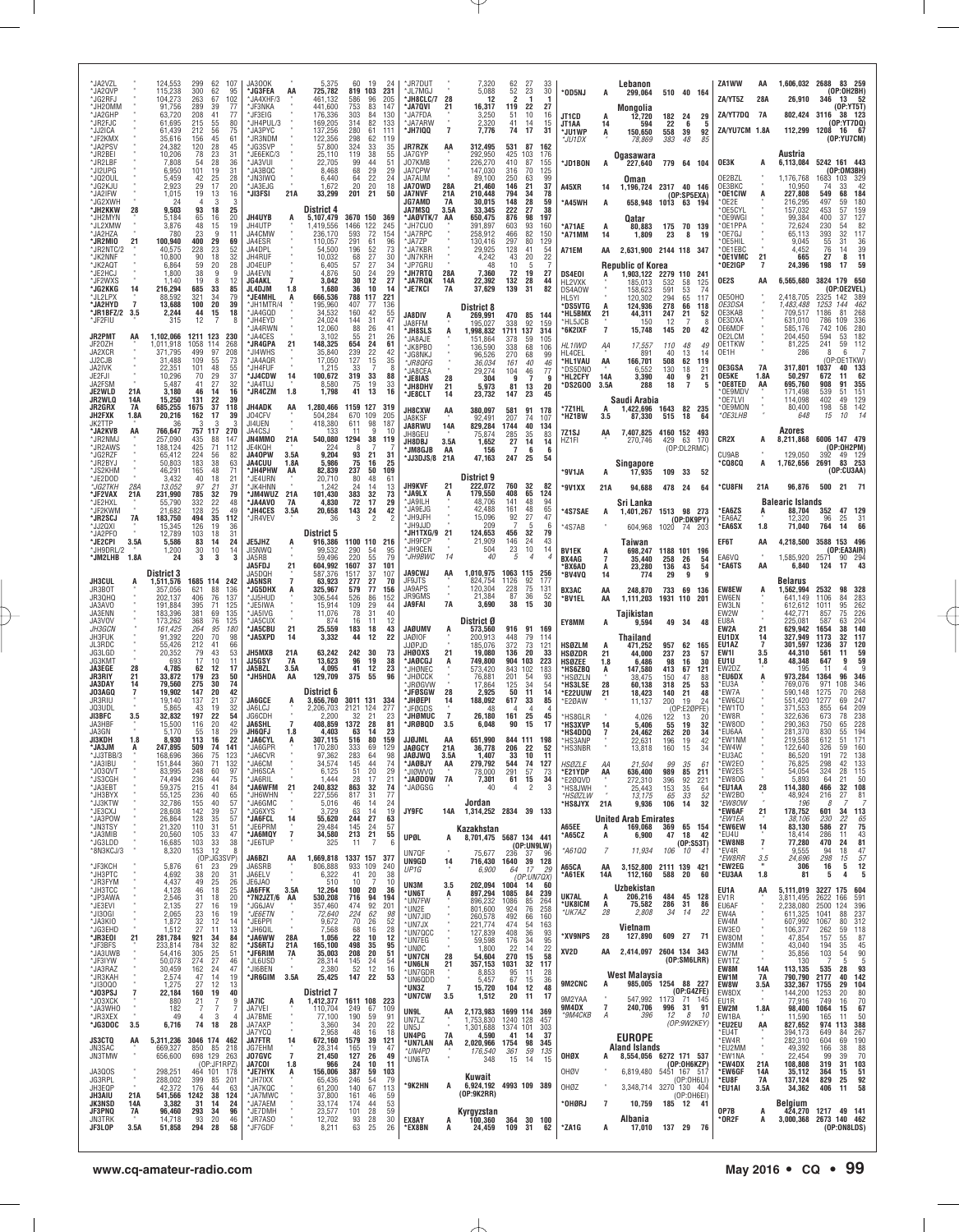| *JA2VZL<br>*JA2QVP<br><b>JG2RFJ</b><br>*JH2OMM<br>*.IA2GHP<br>™JR2FJC<br>JJ2ICA<br>*JF2KMX                           |                          | 124,553<br>115,238<br>104.273<br>91,756<br>63.720<br>61,695<br>61.439<br>35,616                | 299<br>300<br>263<br>289<br>208<br>215<br>212<br>156                         | 62<br>62<br>67<br>39<br>41<br>55<br>56<br>45                    | 107<br>95<br>102<br>77<br>77<br>80<br>75<br>61                | JA300K<br>*JG3FEA<br>JA4XHF/3<br>*JF3NKA<br>'JF3FIG∶<br>*JH4PUL/3<br>JA3PYC<br>*JR3NDM                       | AA                                           | 5,375<br>725,782<br>461.132<br>441,600<br>176.336<br>169,205<br>137.256<br>122.356                      | 60<br>819<br>586<br>753<br>303<br>314<br>280<br>298           | 19<br>24<br>103<br>231<br>96<br>205<br>83<br>147<br>84<br>130<br>82<br>133<br>61<br>111<br>-62<br>119 | *JR7DUT<br>*JL7MGJ<br>*JH8CLC/7<br>*JA7QVI<br>*JA7FDA<br>*JA7ARW<br>*JH7IQQ                                                               | 28<br>21<br>$\overline{7}$                       | 7,320<br>5,088<br>12<br>16,317<br>3,250<br>2,320<br>7,776                                                         | 62<br>52<br>2<br>119<br>.51<br>41<br>74                                              | 27<br>23<br>-1<br>22<br>10<br>14<br>17                          | 33<br>30<br>1<br>27<br>16<br>15<br>31                                | *OD5NJ<br>JT1CD<br>JT1AA<br>*JU1WP<br>*JU1DX                                                     | A<br>14<br>A                    | Lebanon<br>299.064<br>Monaolia<br>12,720<br>594<br>150,650<br>78,869                | 182 24<br>22<br>558<br>383                   | 510 40 164<br>29<br>- 6<br>-5<br>39<br>92<br>48<br>85                                             | ZA1WW<br>ZA/YT5Z<br>ZA/YT7DQ 7A<br>ZA/YU7CM 1.8A                                  | AA<br>28A                          | 1,606,032 2688 83 259<br>26,910<br>802,424 3116<br>112.299                                       | 346<br>1208                                              | (OP:0H2BH)<br>13.<br>- 52<br>[0P:YT5T]<br>38 123<br>(OP:YTTDDQ)<br>16 67<br>(OP:YU7CM)                               |
|----------------------------------------------------------------------------------------------------------------------|--------------------------|------------------------------------------------------------------------------------------------|------------------------------------------------------------------------------|-----------------------------------------------------------------|---------------------------------------------------------------|--------------------------------------------------------------------------------------------------------------|----------------------------------------------|---------------------------------------------------------------------------------------------------------|---------------------------------------------------------------|-------------------------------------------------------------------------------------------------------|-------------------------------------------------------------------------------------------------------------------------------------------|--------------------------------------------------|-------------------------------------------------------------------------------------------------------------------|--------------------------------------------------------------------------------------|-----------------------------------------------------------------|----------------------------------------------------------------------|--------------------------------------------------------------------------------------------------|---------------------------------|-------------------------------------------------------------------------------------|----------------------------------------------|---------------------------------------------------------------------------------------------------|-----------------------------------------------------------------------------------|------------------------------------|--------------------------------------------------------------------------------------------------|----------------------------------------------------------|----------------------------------------------------------------------------------------------------------------------|
| 'JA2PSV<br>*JR2BEI<br>*JR2LBF<br>*JI2UPG<br>'JQ20UL<br>JG2KJU<br>*JA2IFW<br>*JG2XWH<br>*JH2KKW<br>*JH2MYN<br>*JL2XMW | 28                       | 24,382<br>10.206<br>7,808<br>6.950<br>5,459<br>2,923<br>1,015<br>24<br>9,503<br>5,184<br>3.876 | 120<br>78<br>54<br>101<br>42<br>29<br>19<br>$\overline{4}$<br>93<br>65<br>48 | 28<br>23<br>28<br>19<br>25<br>17<br>13<br>3<br>18<br>16<br>15   | 45<br>31<br>36<br>31<br>28<br>20<br>16<br>3<br>25<br>20<br>19 | 'JG3SVP<br>*JE6EKC/3<br>'JA3VUI<br>MJA3BQC<br>'JN3IWQ<br><b>MA3FJG</b><br>*JI3FSI<br><b>JH4UYB</b><br>JH4UTP | 21A<br>А                                     | 57,800<br>25,110<br>22,705<br>8,468<br>6,440<br>1,672<br>33,299<br>District 4<br>5,107,479<br>1,419,556 | 324<br>119<br>99<br>68<br>64<br>20<br>201<br>3670 150<br>1466 | 33<br>35<br>38<br>55<br>44<br>51<br>29<br>29<br>22<br>24<br>20<br>18<br>21<br>50<br>369<br>122<br>245 | <b>JR7RZK</b><br>JA7GYP<br>J07KMB<br>JA7CPW<br>JA7AUM<br>JA70WD<br>JA7NVF<br><b>JG7AMD</b><br>JA7MSQ<br><b>JAØVTK/7</b><br><b>'JH7CUO</b> | AA<br>28A<br>21 A<br><b>7A</b><br>3.5A<br>AA     | 312,495<br>292,950<br>226,270<br>147,030<br>89,100<br>21.460<br>210,448<br>30.015<br>33,345<br>650,475<br>391,897 | 531<br>425<br>410<br>316<br>250<br>146<br>794<br>148<br>222<br>876<br>603            | 87<br>103<br>87<br>70<br>63<br>21<br>34<br>28<br>27<br>98<br>93 | 162<br>176<br>155<br>125<br>99<br>37<br>78<br>59<br>38<br>197<br>160 | <b>JD1BON</b><br>A45XR<br>*A45WH<br>*A71AE                                                       | A<br>14<br>A                    | Oqasawara<br>227,640<br>Oman<br>1,196,724<br>658,948<br>Qatar<br>80,883             |                                              | 779 64 104<br>2317 40 146<br>(OP:SP5EXA)<br>1013 63 194<br>175 70 139                             | OE3K<br>OE2BZL<br>OE3BKC<br>*OE1CIW<br>*OF2F<br>OE5CYI<br>OE9WGI<br>*OE1PPA       | А                                  | Austria<br>6,113,084<br>1,176,768<br>10,950<br>227,808<br>216,295<br>157,032<br>99.384<br>72,624 | 1683<br>-74<br>549<br>497<br>453<br>400<br>230           | 5242 161 443<br>(OP:0M3BH)<br>103<br>329<br>42<br>33<br>68<br>184<br>180<br>59<br>57<br>159<br>37<br>127<br>54<br>82 |
| *JA2HZA<br>*JR2MIO<br>*JR2NTC/2<br>*JK2NNF<br>'JK2AQT<br>*JE2HCJ<br>*JF2WXS                                          | 21                       | 780<br>100,940<br>40.575<br>10,800<br>6,864<br>1.800<br>1,140                                  | 23<br>400<br>228<br>90<br>59<br>38<br>19                                     | 9<br>29<br>23<br>18<br>20<br>9<br>8                             | 11<br>69<br>$\frac{52}{32}$<br>28<br>q<br>12                  | JA4CMW<br>JA4ESR<br>JA4DPL<br>JH4RUF<br>JO4EUP<br>JA4EVN<br>JG4AKL                                           | $\overline{7}$                               | 236,170<br>110,057<br>54.500<br>10.032<br>6,405<br>4.876<br>3,042                                       | 593<br>291<br>196<br>68<br>57<br>50<br>30                     | 72<br>154<br>61<br>96<br>$\frac{52}{27}$<br>73<br>30<br>27<br>34<br>29<br>24<br>12<br>27              | <b>JA7RPC</b><br>'JA7ZP<br>*JA7KBR<br>*JN7KRH<br>JP7GRL<br>*JH7RTQ<br><b>'JA7RQK</b>                                                      | 28A<br>14A                                       | 258,912<br>130,416<br>29.925<br>4.242<br>48<br>7,360<br>22,392                                                    | 466<br>297<br>128<br>43<br>10<br>72<br>132                                           | 82<br>80<br>41<br>20<br>5<br>19<br>28                           | 150<br>129<br>54<br>22<br>27<br>44                                   | *A71MM<br>A71EM<br>DS4E01<br>HL2VXK                                                              | 14<br>AA                        | 1,809<br>2,631,900 2144 118 347<br><b>Republic of Korea</b><br>1,903,122<br>185.013 | 23<br>2279 110<br>532                        | 8<br>19<br>241<br>58<br>125                                                                       | *በF7GJ<br>*OE5HIL<br>OE1EBC<br>*OE1VMC<br>* OE2IGP<br>OE2S                        | 21<br>AA                           | 65,113<br>9.045<br>4.452<br>665<br>24,396<br>6,565,680                                           | 393<br>55<br>76<br>27<br>198                             | 117<br>32<br>31<br>36<br>$\frac{39}{11}$<br>14<br>8<br>59<br>17<br>3824 179 650                                      |
| *JG2KKG<br>'JL2LPX<br>*JA2HYD<br>*JR1BFZ/2<br>*JF2FIU<br><b>JR2PMT</b><br>JF20ZH                                     | 14<br>3.5<br>AA          | 216,294<br>88,592<br>13,688<br>2,244<br>315<br>1,102,066<br>1,011,918                          | 685<br>321<br>100<br>44<br>12<br>1211 123<br>1058                            | 33<br>34<br>20<br>15<br>114                                     | 85<br>79<br>39<br>18<br>8<br>230<br>268                       | JL4DJM<br>'JE4MHL<br>"JH1MTR/4<br>*JA4GQD<br>*JH4EYD<br>'JA4RWN<br><b>MAGES</b><br><b>'JR4GPA</b>            | 1.8<br>А<br>21                               | 1,680<br>666,536<br>195,960<br>34,532<br>24.024<br>12,060<br>3.102<br>148,325                           | 36<br>788<br>407<br>160<br>144<br>88<br>55<br>654             | 10<br>-14<br>117<br>221<br>77<br>136<br>42<br>55<br>31<br>47<br>26<br>41<br>21<br>26<br>24<br>61      | 'JE7KCI<br><b>JA8DIV</b><br>JA8FFM<br><b>JH8SLS</b><br>'JA8AJE                                                                            | 7A<br>A<br>A                                     | 37,629<br>District 8<br>269,991<br>195,027<br>1,998,832<br>151.864                                                | 139<br>470<br>338<br>1711<br>378                                                     | 31<br>85<br>92<br>137<br>59                                     | 82<br>144<br>159<br>314<br>105                                       | DS4A0W<br>HL5YI<br><b>DS5VTG</b><br>*HL5BMX<br>*HL5JCB<br>*6K2IXF<br>HL1IWD                      | A<br>21<br>$\overline{7}$<br>ΑA | 158.623<br>120.302<br>124,936<br>44,311<br>150<br>15,748<br>17,557                  | 591<br>294<br>278<br>247<br>12<br>145<br>110 | 53<br>74<br>65<br>117<br>66<br>118<br>21<br>52<br>20<br>42<br>48<br>49                            | OE5OHO<br><i>OE3DSA</i><br>OE3KAB<br>OE3DXA<br>OE6MDF<br>OE2LCM<br>OE1TKW         |                                    | 2,418,705<br>1,483,488<br>709,517<br>631.010<br>585,176<br>204.450<br>81,225                     | 2325<br>1253<br>1186<br>786<br>742<br>594<br>241         | (OP:OE2VEL)<br>142<br>389<br>462<br>144<br>81<br>268<br>109<br>336<br>106<br>280<br>182<br>53<br>59<br>112           |
| JA2XCR<br>JJ2CJB<br>JA2IVK<br>JE2FJI<br>JA2FSM<br>JE2WLD<br>JR2WLQ                                                   | 21A<br>14A               | 371.795<br>31,488<br>22.351<br>10.296<br>5,487<br>3,180<br>15,250                              | 499<br>109<br>101<br>70<br>41<br>46<br>131                                   | 97<br>55<br>48<br>29<br>27<br>14<br>22                          | 208<br>73<br>$\frac{55}{37}$<br>32<br>16<br>39                | MJI4WHS.'<br>™JA4AQR<br><b>JH4FUF</b><br>*JJ4CDW<br>'JA4TUJ<br>*JR4CZM                                       | 14<br>1.8                                    | 35,840<br>17,050<br>1.215<br>100,672<br>8,580<br>1,798                                                  | 239<br>127<br>33<br>319<br>75<br>41                           | 22<br>42<br>15<br>35<br>х<br>33<br>88<br>19<br>33<br>16<br>13                                         | 'JK8PB0<br>JG8NKJ<br>*JR8QFG<br>JA8CEA<br>*JE8IAS<br>*JH8DHV<br>*JE8CLT                                                                   | 28<br>21<br>14                                   | 136,590<br>96,526<br>36.034<br>29,274<br>304<br>5,973<br>23,732                                                   | 338<br>270<br>161<br>104<br>9<br>81<br>147                                           | 68<br>68<br>40<br>46<br>7<br>13<br>23                           | 106<br>.99<br>46<br>77<br>g<br>20<br>45                              | HL4CEL<br><b>HL1VAU</b><br>'DS5DNO<br>*HL2CFY<br>®DS2GOO                                         | AA<br>14A<br>3.5A               | 891<br>166.701<br>6.552<br>3,390<br>288<br>Saudi Arabia                             | 40<br>508<br>130<br>40<br>18                 | 13<br>14<br>62<br>119<br>18<br>21<br>9<br>21<br>7<br>5                                            | OE1H<br>OE3GSA<br><b>OE5KE</b><br>* OE8TED<br>*OE9MDV<br>*OE7LVI                  | <b>7A</b><br>1.8A<br>AA            | 286<br>317.801<br>50,297<br>695,760<br>171.498<br>114,098                                        | 8<br>1037<br>672<br>908<br>539<br>402                    | 6<br>(OP:OE1TKW)<br>40<br>133<br>62<br>11<br>91<br>355<br>151<br>-51<br>49<br>129                                    |
| JR2GRX<br>JH2FXK<br>JK2TTP<br>*JA2KVB<br>*JR2NMJ<br>*JR2AWS<br>*JG2RZF<br>*JR2BYJ                                    | 7A<br>1.8A<br>AA         | 685,255<br>20,216<br>766,647<br>257.090<br>188,124<br>65.412<br>50,803                         | 1675<br>162<br>757 117<br>435<br>425<br>224<br>183                           | 37<br>17<br>88<br>71<br>56<br>38                                | 118<br>39<br>270<br>147<br>112<br>82<br>63                    | JH4ADK<br>J04CFV<br>JI4UEN<br>JA4CSJ<br>JN4MMO<br>JE4KQH<br><b>JA40PW</b><br>JA4CUU                          | AA<br>21A<br>3.5A<br>1.8A                    | 1,280,466<br>504,284<br>418,380<br>133<br>540,080<br>224<br>9.204<br>5,986                              | 1159 127<br>670<br>611<br>11<br>1294<br>93<br>75              | 319<br>109<br>205<br>98<br>187<br>9<br>10<br>38<br>119<br>21<br>-31<br>16<br>25                       | <b>JH8CXW</b><br>JA8KSF<br>JA8RWU<br>JH8GEU<br>JH8DBJ<br>'JM8GJB<br>'JJ3DJS/8                                                             | AA<br>14A<br>3.5A<br>AA<br>21A                   | 380,097<br>92.491<br>829,284<br>75,874<br>1.652<br>156<br>47,163                                                  | 581<br>207<br>1744<br>285<br>27<br>$\overline{7}$<br>247                             | 91<br>74<br>40<br>35<br>14<br>6<br>25                           | 178<br>107<br>134<br>83<br>14<br>- 6<br>54                           | *7Z1HL<br>*HZ1BW<br>7Z1SJ<br>HZ1FI                                                               | 3.5<br>AA                       | 1,422,696<br>87,330<br>7,407,825 4160 152 493<br>270,746<br>Singapore               | 1643 82<br>515<br>429                        | 235<br>64<br>18<br>63 170<br>(OP:DL2RMC)                                                          | *OE9MON<br>*OE3LHB<br>CR2X<br>CU9AB<br><b>*CQ8CQ</b>                              | А<br>А                             | 80,400<br>648<br>Azores<br>8,211,868<br>129.050<br>1,762,656                                     | 198<br>15<br>392                                         | 142<br>58<br>14<br>10<br>6006 147 479<br>(OP:0H2PM)<br>49 129<br>2691 83 253                                         |
| <b>JS2KHM</b><br>™JE2DOD<br>*JG2TKH<br>*JF2VAX<br>'JE2HXL<br>'JF2KWM<br>*JR2SCJ<br>'JJ2QXI                           | 28A<br>21A<br>7A         | 46,291<br>3,432<br>13.052<br>231,990<br>55,790<br>21.682<br>183,750<br>15,345                  | 165<br>40<br>97<br>785<br>332<br>128<br>494<br>126                           | 48<br>18<br>21<br>32<br>22<br>25<br>35<br>19                    | 71<br>21<br>31<br>$\overline{79}$<br>48<br>49<br>112<br>36    | *JH4PHW<br>*JE4URN<br><b>JK4HNN</b><br>*JM4WUZ<br>'JA4AVO<br>*JH4CES<br>'JR4VE\                              | AA<br>21A<br>7A<br>3.5A                      | 82,839<br>20,710<br>1.242<br>101,430<br>4,830<br>20,658<br>36                                           | 237<br>80<br>24<br>383<br>72<br>143<br>3                      | 50<br>109<br>48<br>61<br>13<br>14<br>32<br>73<br>17<br>29<br>42<br>24<br>2                            | <b>JH9KVF</b><br>*JA9LX<br>'JA9ILH<br><b>JA9EJG</b><br>'JH9JFH<br>JH9JJD                                                                  | 21<br>A                                          | District 9<br>222,072<br>179,550<br>48,706<br>42.488<br>15.096<br>209                                             | 760<br>408<br>141<br>161<br>92                                                       | 32<br>65<br>48<br>48<br>27<br>5                                 | 82<br>124<br>94<br>65<br>47<br>-6                                    | <b>SV1JA</b><br>°9V1XX<br><b>AS7SAE</b><br>*4S7AB                                                | A<br>21A<br>A                   | 17,935<br>94,688<br>Sri Lanka<br>1,401,267 1513 98 273<br>604,968                   | 109 33<br>478 24                             | 52<br>64<br>(OP:DK9PY)<br>1020 74 203                                                             | *CU8FN<br>*EA6ZS<br>*EA6AZ<br>*EA6SX                                              | 21A<br>A<br>1.8                    | 96,876<br><b>Balearic Islands</b><br>88,704<br>12.320<br>71.040                                  | 352<br>96<br>764                                         | (OP:CU3AA)<br>500 21 71<br>47 129<br>25<br>31<br>66<br>14                                                            |
| JA2PFO<br>*JE2CPI<br>*JH9DRL/2<br>*JM2LHB 1.8A<br><b>JH3CUL</b><br>JR3BOT                                            | 3.5A                     | 12,789<br>5,586<br>1,200<br>24<br><b>District 3</b><br>1,511,576<br>357.056                    | 103<br>83<br>30<br>3<br>1685 114<br>621                                      | 18<br>14<br>10<br>3<br>88                                       | 31<br>24<br>14<br>3<br>242<br>136                             | JE5JHZ<br>JI5NWQ<br>JA5RB<br>JA5FDJ<br>JA5DOH<br>JA5NSR<br><b>JG5DHX</b>                                     | 21<br>$\overline{7}$<br>A                    | District 5<br>916,386<br>99.532<br>59.496<br>604,992<br>587.376<br>63,923<br>325.967                    | 1100 110<br>290<br>220<br>1607<br>1517<br>277<br>579          | 216<br>-54<br>95<br>79<br>55<br>37<br>101<br>37<br>107<br>27<br>70<br>77<br>156                       | 'JH1TXG/9<br>'JH9FCP<br><b>IH9CFN</b><br>*JH9BWC<br><b>JA9CWJ</b><br>JF9JTS<br>JA9APS                                                     | 21<br>14<br>AA                                   | 124,653<br>21,909<br>504<br>40<br>1,010,975<br>824,754<br>120,304                                                 | 456<br>146<br>23<br>5<br>1063 115<br>1126<br>228                                     | 32<br>24<br>10<br>$\overline{4}$<br>92<br>75                    | 79<br>43<br>14<br>-256<br>177<br>131                                 | <b>BV1EK</b><br>BX4AG<br><b>BX6AD</b><br>*BV4VQ<br><b>BX3AC</b>                                  | A<br>14<br>ΑA                   | Taiwan<br>698,247<br>35,440<br>23.280<br>774<br>248,870                             | 258<br>136<br>29<br>733                      | 1188 101 196<br>26<br>54<br>43<br>54<br>9<br>g<br>69<br>-136                                      | EF6T<br>EA6VQ<br>*EA6TS<br><b>EW8EW</b>                                           | AA<br>AA<br>A                      | 4,218,500<br>1.585.920<br>6,840<br>Belarus<br>1.562.994                                          | 2571<br>124<br>2532                                      | 3588 153 496<br>(OP:EA3AIR)<br>$90$ 294<br>43<br>17<br>98<br>328                                                     |
| JR3QHQ<br>JA3AVO<br>JA3ENN<br>JA3VOV<br><i>JH3GCN</i><br>JH3FUK<br>JL3RDC                                            |                          | 202,137<br>191.884<br>183,396<br>173,262<br>161.425<br>91,392<br>55,426                        | 406<br>395<br>381<br>368<br>264<br>220<br>212                                | 76<br>71<br>69<br>76<br>95<br>70<br>41                          | 137<br>125<br>135<br>125<br>180<br>98<br>66                   | "JJ5HUD<br>*JE5IWA<br>*JA5IVG<br>JA5CUX<br>*JA5CBU<br>'JA5XPD<br>JH5MXB                                      | 21<br>14<br>21A                              | 306,544<br>15.914<br>11.076<br>874<br>25,559<br>3,332                                                   | 526<br>109<br>78<br>16<br>183<br>44<br>242                    | 86<br>152<br>29<br>44<br>40<br>31<br>11<br>12<br>43<br>18<br>22<br>12<br>30                           | JR9GMS<br>JA9FAI<br>JAØUMV<br><b>JAØIOF</b><br>IJØPJD<br>JHØOXS                                                                           | 7A                                               | 21.384<br>3,690<br>District Ø<br>573,560<br>200.913<br>185.076                                                    | 87<br>38<br>916<br>448<br>372                                                        | 36<br>15<br>91 169<br>79<br>73<br>20                            | 52<br>30<br>114<br>121                                               | *BV1EL<br>EY8MM<br><b>HSØZLM</b>                                                                 | AA<br>A                         | 1.111.203<br>Taiikistan<br>9,594<br>Thailand<br>471,252                             | 1931 110<br>957                              | 201<br>49 34<br>48<br>62<br>-165                                                                  | EW6EN<br>EW3LN<br>EW2W<br>EU8A<br>EW2A<br>EU1DX<br>EU1AZ                          | 21<br>14<br>7                      | 641,149<br>612.612<br>442.771<br>225.081<br>629.942<br>327.949<br>301,597                        | 1106<br>1011<br>857<br>587<br>1654<br>1173<br>1236       | 84<br>283<br>262<br>95<br>226<br>75<br>204<br>63<br>140<br>38<br>32<br>117<br>120<br>37<br>59<br>11                  |
| JG3LGD<br><b>IG3KMT</b><br>JA3EGE<br><b>JR3RIY</b><br>JA3DAY<br>JO3AGO<br>JR3RIU<br>JO3UDI                           | 28<br>21<br>14<br>7      | 20.352<br>693<br>4,785<br>33.872<br>79,560<br>19.902<br>19,140<br>5.865                        | 79<br>17<br>62<br>179<br>275<br>147<br>137<br>43                             | 43<br>10<br>12<br>23<br>30<br>20<br>21<br>19                    | 53<br>11<br>17<br>50<br>74<br>42<br>37<br>32                  | JJ5GSY<br>JA5BZL<br>*JH5HDA<br><b>JA6GCE</b><br>JA6LCJ                                                       | 7A<br>3.5A<br>AA                             | 63,242<br>13,623<br>4,095<br>129,709<br>District 6<br>3,656,760<br>2,206,703                            | 96<br>41<br>375<br>3011 131<br>2121                           | 73<br>19<br>38<br>12<br>23<br>96<br>55<br>334<br>124<br>277                                           | *JAØCGJ<br>'JHØNEC<br><b>JHØCCK</b><br><b>JRØGVW</b><br>'JFØSGW<br>*JHØEPI<br>JFØGDS                                                      | 21<br>28                                         | 19,080<br>749,800<br>573,420<br>76,881<br>17,864<br>2.925<br>188,092<br>48                                        | 136<br>904<br>843<br>201<br>125<br>50<br>617<br>4                                    | 103<br>102<br>54<br>34<br>11<br>33<br>4                         | 33<br>223<br>183<br>93<br>54<br>14<br>85                             | <b>HSØZDR</b><br><b>HSØZEE</b><br><b>HS6ZBQ</b><br>*HSØZLN<br><b>HS3LSE</b><br>*E22UUW<br>*E2ØAW | 21<br>1.8<br>A<br>28<br>21      | 44.000<br>6,486<br>147,580<br>38,475<br>60,138<br>18,423<br>11,137                  | 237<br>98<br>413<br>150<br>318<br>140<br>200 | 23<br>-57<br>16<br>30<br>67<br>121<br>47<br>88<br>25<br>53<br>21<br>48<br>19<br>24<br>(OP:E2ØPFE) | EW1I<br>EU1U<br>EW2DZ<br>*EU6DX<br>*EU3A<br><b>EW7A</b><br>*EW6CU<br><b>EW1TO</b> | 3.5<br>1.8<br>A                    | 44,310<br>48,348<br>195<br>973.284<br>769,076<br>590.148<br>551,420<br>371.553                   | 561<br>647<br>11<br>1364<br>971<br>1275<br>1277<br>855   | 59<br>9<br>4<br>346<br>96<br>346<br>108<br>268<br>70<br>69<br>247<br>209<br>64                                       |
| JI3BFC<br>JA3HBF<br>JA3GN<br>ЛЗКОН<br>*JA3JM<br>*JJ3TBB/3<br>*JA3IBU<br>*J03QVT                                      | 3.5<br>1.8               | 32,832<br>15,500<br>5.170<br>8.930<br>247.895<br>168,696<br>151,844<br>83,995                  | 197<br>116<br>55<br>113<br>509<br>366<br>360<br>248                          | 22<br>20<br>18<br>16<br>74<br>75<br>71<br>60                    | 54<br>42<br>29<br>22<br>141<br>123<br>132<br>97               | JG6CDH<br><b>JA6SHL</b><br>JH6QFJ<br>*JA6CYL<br>*JA6GPR<br>JA6CVR<br>*JA6CM<br>*JH6SCA                       | 1.8<br>А                                     | 2.200<br>408.859<br>4.403<br>307,115<br>170.280<br>97,362<br>34,574<br>6,125                            | 32<br>1372<br>63<br>516<br>333<br>283<br>145<br>51            | 21<br>23<br>28<br>81<br>23<br>14<br>80<br>159<br>69<br>129<br>64<br>98<br>74<br>44<br>20<br>29        | *JHØMUC<br><b>JRØBOD</b><br><b>JJØJML</b><br>JAØGCY<br><b>DWLGAL</b><br>*JAØBJY<br>*JIØWVQ                                                | $\overline{7}$<br>3.5<br>AA<br>21A<br>3.5A<br>AA | 26,180<br>6,048<br>651.990<br>36,778<br>1.407<br>279,792<br>78,000                                                | 161<br>90<br>206<br>33<br>544<br>291                                                 | 25<br>15<br>844 111 198<br>22<br>10<br>74<br>57                 | 45<br>17<br>52<br>-11<br>127<br>73                                   | 'HS8GLR<br><b>HS3XVP</b><br>'HS4DDQ<br>*HS3ANP<br>*HS3NBR<br><b>HSØZLE</b><br><b>E21YDP</b>      | АA<br>AA                        | 4,026<br>5,406<br>24,462<br>22,631<br>13,818<br>21,504<br>636,400                   | 122<br>55<br>262<br>196<br>160<br>99<br>989  | 13<br>20<br>19<br>32<br>20<br>34<br>42<br>19<br>15<br>34<br>35<br>61<br>85<br>211                 | 'EW8R<br>EW80D<br>*EU6AA<br>*EW1NM<br>*EW4W<br><b>FU3AC</b><br>*EW2E0<br>*EW2ES   |                                    | 322,636<br>290,363<br>281,370<br>219,558<br>122,640<br>86,520<br>76,825<br>54,054                | 673<br>750<br>830<br>612<br>326<br>191<br>298<br>324     | 78<br>238<br>228<br>65<br>194<br>55<br>171<br>51<br>160<br>59<br>72<br>138<br>133<br>42<br>28<br>115                 |
| *JS3CGH<br>*JA3EBT<br>*JH3BYX<br>*JJ3KTW<br>*JE3CXJ<br>*JA3POW<br>*JN3TSY                                            |                          | 74,494<br>59,375<br>55,125<br>32,786<br>28,608<br>26,864<br>21,320                             | 236<br>215<br>236<br>155<br>142<br>128<br>110<br>105                         | 44<br>41<br>40<br>40<br>39<br>35<br>31<br>33                    | 75<br>84<br>65<br>57<br>57<br>57<br>51<br>47                  | 'JA6RII'<br>*JA6WFM<br>*JH6WHN<br>*JA6GMC<br>*JG6XYS<br>*JA6FCL<br>*JE6PRM<br>*JA6MQY                        | 21<br>14<br>$\bf 7$                          | 1.444<br>240,832<br>227,556<br>5,016<br>3.729<br>55,620<br>29.484                                       | 28<br>863<br>817<br>46<br>63<br>244<br>145                    | 21<br>17<br>32<br>74<br>77<br>31<br>14<br>24<br>19<br>14<br>27<br>63<br>57<br>24<br>21<br>55          | *JAØDOW<br>*JAØGSG<br>JY9FC                                                                                                               | 7A<br>14A                                        | 7,301<br>40<br>Jordan<br>1,314,252 2834 39 133<br>Kazakhstan                                                      | 61<br>4                                                                              | 15<br>$\overline{c}$                                            | 34<br>3                                                              | *E2ØQVD<br>*HS8JWH<br>*HSØZLW<br>'HS8JYX 21A<br>A65EE                                            | A                               | 272,310<br>25,443<br>13,175<br>9,936<br><b>United Arab Emirates</b><br>169,068      | 396<br>153<br>65<br>106<br>369               | 92<br>221<br>35<br>64<br>33<br>52<br>32<br>14<br>65 154                                           | *EW80G<br>*EU1AA<br>*EW2BO<br>*EW80W<br>*EW6AF<br>*EW1EA<br>*EW6EW<br>*EU4U       | 28<br>21<br>14                     | 5,893<br>114,380<br>48,924<br>196<br>178,752<br>38,106<br>83,130                                 | 64<br>466<br>216<br>601<br>230<br>586<br>286             | 21<br>50<br>108<br>32<br>81<br>27<br>34<br>113<br>22<br>65<br>27<br>75<br>43<br>11                                   |
| *JA3MIB<br>*JG3LDD<br>*8N3KCJ/3<br>*JF3KCH<br>*JH3PTC<br>*JR3FYM<br>*JH3TCC                                          |                          | 20,560<br>16,685<br>8,320<br>5,876<br>4,692<br>4,437<br>4,128                                  | 103<br>153<br>61<br>38<br>49<br>46                                           | 33<br>12<br>(OP:JG3SVP)<br>23<br>20<br>25<br>18                 | 38<br>8<br>29<br>31<br>26<br>25                               | *JE6TUP<br>JA6BZI<br>JA6SRB<br>JA6ELV<br>JE6JA0<br><b>JA6FFK</b>                                             | AA<br>3.5A                                   | 34,580<br>325<br>1,669,818<br>806,888<br>6,322<br>510<br>12,264                                         | 213<br>11<br>1337 157<br>933 109<br>41<br>10<br>100           | -7<br>-6<br>377<br>240<br>20<br>38<br>10<br>-7<br>20<br>36                                            | UPØL<br>UN7QF<br><b>UN9GD</b><br>UP1G<br>UN3M<br>*UN6T                                                                                    | А<br>14<br>3.5                                   | 8,701,475 5687 134 441<br>75,677<br>716,430<br>6,900<br>202,094<br>897,294                                        | 236<br>1640<br>64<br>1004<br>1085                                                    | (OP:UNGLW)<br>37<br>17<br>(OP:UN7QX)<br>14<br>84                | -96<br>39 128<br>29<br>60<br>239                                     | *A65CZ<br>*A61QQ<br>A65CA<br>*A61EK                                                              | A<br>7<br>AA<br>14A             | 6,900<br>11,934<br>3,152,800 2111 139 421<br>112,160<br>Uzbekistan                  | 47<br>106<br>588 20                          | 18<br>42<br>(0P:SS3T)<br>10<br>-41<br>60                                                          | *EW8NB<br>*EV4R<br>*EW8RR<br>*EW2EG<br>*EU3AA<br>EU1A                             | $\overline{1}$<br>3.5<br>1.8<br>AA | 18,414<br>77,280<br>9,555<br>24,696<br>306<br>81<br>5.111.019                                    | 470<br>-94<br>298<br>16<br>5<br>3227 175                 | $\frac{81}{47}$<br>24<br>18<br>$\frac{57}{12}$<br>15<br>5<br>5<br>4<br>604                                           |
| *JP3AWA<br>*JE3EVI<br>*JI30GI<br>*JA3KIO<br>*JG3EHD<br>*JR3E0I<br>*JF3BFS<br>*JA3UWB                                 | 21                       | 2,546<br>2,135<br>2,065<br>1,872<br>1,512<br>281,784<br>233,814<br>54,416                      | 31<br>27<br>23<br>32<br>27<br>921<br>784<br>305                              | 18<br>16<br>16<br>12<br>11<br>34<br>32<br>25                    | 20<br>19<br>19<br>14<br>13<br>84<br>82<br>51                  | *7N2JZT/6<br>*JG6JAV<br>*JE6ETN<br>*JE6PPI<br>*JH6QIL<br>*JA6WW<br>*JS6RTJ<br>*JF6RIM                        | AA<br>28A<br>21A<br>7A                       | 530,208<br>357,460<br>72,640<br>9,672<br>7,568<br>1,056<br>165,100<br>35,003                            | 716<br>474<br>224<br>70<br>68<br>22<br>498<br>208             | 94<br>194<br>92<br>201<br>62<br>98<br>26<br>52<br>16<br>28<br>10<br>12<br>35<br>95<br>51<br>20        | *UN7FW<br>*UN2E<br>*UN7JID<br>*UN7JX<br>*UN7QCC<br>*UN7EG<br>*UNØC                                                                        | A                                                | 896,232<br>801,600<br>260,578<br>221,774<br>127,839<br>59,598<br>1,800                                            | 1086<br>924<br>492<br>474<br>408<br>176<br>22                                        | 85<br>76<br>66<br>54<br>36<br>34<br>14                          | 264<br>258<br>160<br>163<br>93<br>95<br>22                           | UK7AL<br>*UK8ICM<br>*UK7AZ<br>*XV9NPS<br>XV2D                                                    | A<br>A<br>28<br>28<br>AA        | 206,216<br>75,582<br>2,808<br>Vietnam<br>127,890<br>2,414,097                       | 286<br>34<br>609 27                          | 484 45 128<br>31<br>86<br>14<br>22<br>71<br>2604 134 343                                          | EV1R<br>EU6AF<br>EW4A<br>EW4M<br>EW3E0<br>EW80M<br>EW3MM<br>EW7M                  |                                    | 3,811,495<br>2,238,080<br>611,325<br>607,992<br>106,377<br>47,854<br>43,040<br>35,856            | 2622<br>2500<br>1041<br>1067<br>262<br>157<br>194<br>103 | 591<br>166<br>124<br>396<br>237<br>88<br>80<br>312<br>59<br>118<br>55<br>87<br>$\frac{45}{90}$<br>35<br>54           |
| *JF3IYW<br>*JA3RAZ<br>*JR3KAH<br>*JI30Q0<br>*J03PSJ<br>*JO3XCK<br>*JA3WHO                                            | $\overline{7}$           | 50,078<br>30,459<br>2,574<br>1.275<br>22,184<br>880<br>182                                     | 274<br>162<br>47<br>27<br>160<br>21<br>7                                     | 27<br>$\overline{24}$<br>14<br>12<br>19<br>-7<br>$\overline{7}$ | $\frac{46}{47}$<br>19<br>13<br>40<br>9<br>7                   | *.JI 6USD<br>*JI6BEN<br>*JR6GIM<br><b>JA7IC</b><br>JA7VEI                                                    | 3.5A<br>A                                    | 28,314<br>2,380<br>25,425<br>District 7<br>1,412,377<br>110,704                                         | $\frac{145}{52}$<br>147<br>249                                | 24<br>$\frac{54}{16}$<br>12<br>22<br>53<br>1611 108 223<br>67<br>109                                  | *UN7CN<br>*UN6LN<br>*UN7GDR<br>*UN6QDD<br>*UN3Z<br>*UN7CW<br>UN9L                                                                         | 28<br>21<br>$\overline{7}$<br>3.5<br>AA          | 54,604<br>357,153<br>8,853<br>5,457<br>15,720<br>1,512<br>2,173,983                                               | 270<br>1031<br>95<br>67<br>104<br>20<br>1699 114 369                                 | 15<br>32<br>11<br>15<br>12<br>11                                | 58<br>117<br>28<br>36<br>48<br>17                                    | 9M2CNC<br>9M2YAA<br>9M4DX<br>*9M4CKB                                                             | A<br>$\overline{7}$<br>А        | West Malaysia<br>985,005 1254 88 227<br>547,992<br>240,706<br>396                   | 1173<br>996 31<br>12                         | (OP:SM6LRR)<br>(OP:G4ZFE)<br>71 145<br>91<br>8<br>10                                              | EW1TZ<br><b>EW8M</b><br>EW1M<br>EW8W<br>EW8DX<br>EU1R<br>EW2M                     | 14A<br>7A<br>3.5A<br>1.8A          | 130<br>113,135<br>790,790<br>332,367<br>144,200<br>77,916<br>98,400                              | 535<br>2177<br>1755<br>1253<br>749<br>1064               | -5<br>-5<br>93<br>28<br>40<br>142<br>104<br>29<br>80<br>20<br>70<br>16<br>15<br>67                                   |
| *JR3XEX<br>*JG3DOC<br><b>JS3CTQ</b><br>JN3SAC<br>JN3TMW<br>JA3QOS                                                    | 3.5<br>AA                | 49<br>6,716<br>5,311,236<br>669,327<br>656,600<br>298,251                                      | 4<br>74<br>3046 174<br>850 85<br>698 129<br>464 101                          | 3<br>18<br>(OP:JF1RPZ)                                          | 4<br>28<br>462<br>218<br>263<br>178                           | JA7BME<br>JA7AXP<br>JA7YCQ<br><b>JA7FTR</b><br>JG7FHM<br><b>JO7GVC</b><br><b>JA7COI</b><br>*JE7HYK           | $\frac{14}{1}$<br>$\overline{7}$<br>1.8<br>A | 77,100<br>3,360<br>2.958<br>672,160<br>28,314<br>21,450<br>966<br>156,006                               | 190<br>34<br>48<br>1579<br>165<br>127<br>24<br>387            | 59<br>91<br>20<br>22<br>18<br>16<br>39<br>121<br>19<br>47<br>26<br>49<br>10<br>11<br>59<br>103        | UN7LZ<br>UN5J<br>UN4PG<br>*UN7LAN<br>*UN4PD<br>*UN6TA                                                                                     | <b>7A</b><br>AA                                  | 1,753,830<br>1,301,688<br>4,590<br>2,020,966<br>176,540<br>348                                                    | 1240 128<br>1374 101<br>41<br>$\begin{array}{c} \n 1754 \\  361\n \end{array}$<br>15 | 14<br>98<br>59<br>14                                            | 457<br>303<br>37<br>345<br>135<br>15                                 | OHØX<br>OHØV                                                                                     | A                               | <b>EUROPE</b><br><b>Aland Islands</b><br>8,554,056 6272 171 537<br>6,819,480        |                                              | (OP:9W2KEY)<br>(OP:OH6KZP)<br>5451 167 517                                                        | EW1BA<br>*EU2EU<br>*EU4T<br>*EW4R<br>*EU2MM<br>*EW1NA<br>*EW4DX<br>*EW6GF         | AA<br>21A<br>14A                   | 11,590<br>827,652<br>394,173<br>282,310<br>49,392<br>22,454<br>108,808<br>35,112                 | 165<br>974<br>649<br>604<br>166<br>99<br>319<br>364      | 50<br>-11<br>113<br>388<br>267<br>84<br>69<br>190<br>88<br>38<br>39<br>70<br>103<br>31<br>51<br>15                   |
| JG3RPL<br>JH3EQP<br>JH3AIU<br>JK3NSD<br><b>JF3PNQ</b><br>JN3TRK<br>JF3LOP                                            | 21A<br>14A<br>7A<br>3.5A | 288,002<br>42,372<br>541,566<br>3,382<br>96,460<br>14,718<br>51,858                            | 399<br>176<br>1242<br>-31<br>293<br>93<br>294                                | 85<br>44<br>38<br>14<br>34<br>20<br>28                          | 201<br>63<br>124<br>24<br>96<br>46<br>58                      | *JH7IXX<br>*JA7KQC<br>*JA7MWC<br>*JA7AEM<br>*JE7DMH<br>*JR7AS0<br>*JF7GDF                                    |                                              | 65,436<br>61,200<br>37,800<br>33,174<br>23,577<br>12,702<br>8,211                                       | 246<br>140<br>161<br>174<br>101<br>93<br>63                   | 79<br>54<br>67<br>113<br>46<br>59<br>53<br>44<br>28<br>59<br>28<br>30<br>25<br>26                     | *9K2HN<br>EX8AY<br>*EX8BN                                                                                                                 | А<br>A<br>Α                                      | Kuwait<br>6,924,192<br>(OP:9K2RR)<br>Kyrgyzstan<br>100,360<br>24,459                                              | 4993 109 389<br>364 30 100<br>109 31                                                 |                                                                 | 62                                                                   | OHØZ<br>*OHØRJ<br>*ZA1G                                                                          | $\overline{7}$<br>А             | 3,348,714 3270 130 404<br>10,759<br>Albania<br>17,010                               |                                              | (OP:OH6LI)<br>(OP:OH6E1)<br>185 12 41<br>137 29 76                                                | *EU8F<br>*EU1AI<br>OP7B<br>*OR2F                                                  | <b>7A</b><br>3.5A<br>A<br>А        | 137,124<br>34,362<br>Belgium<br>424,270<br>3,000,368                                             | 829<br>406                                               | 92<br>58<br>25<br>-11<br>1217 49 141<br>2673 140 462<br>(OP:ON8LDS)                                                  |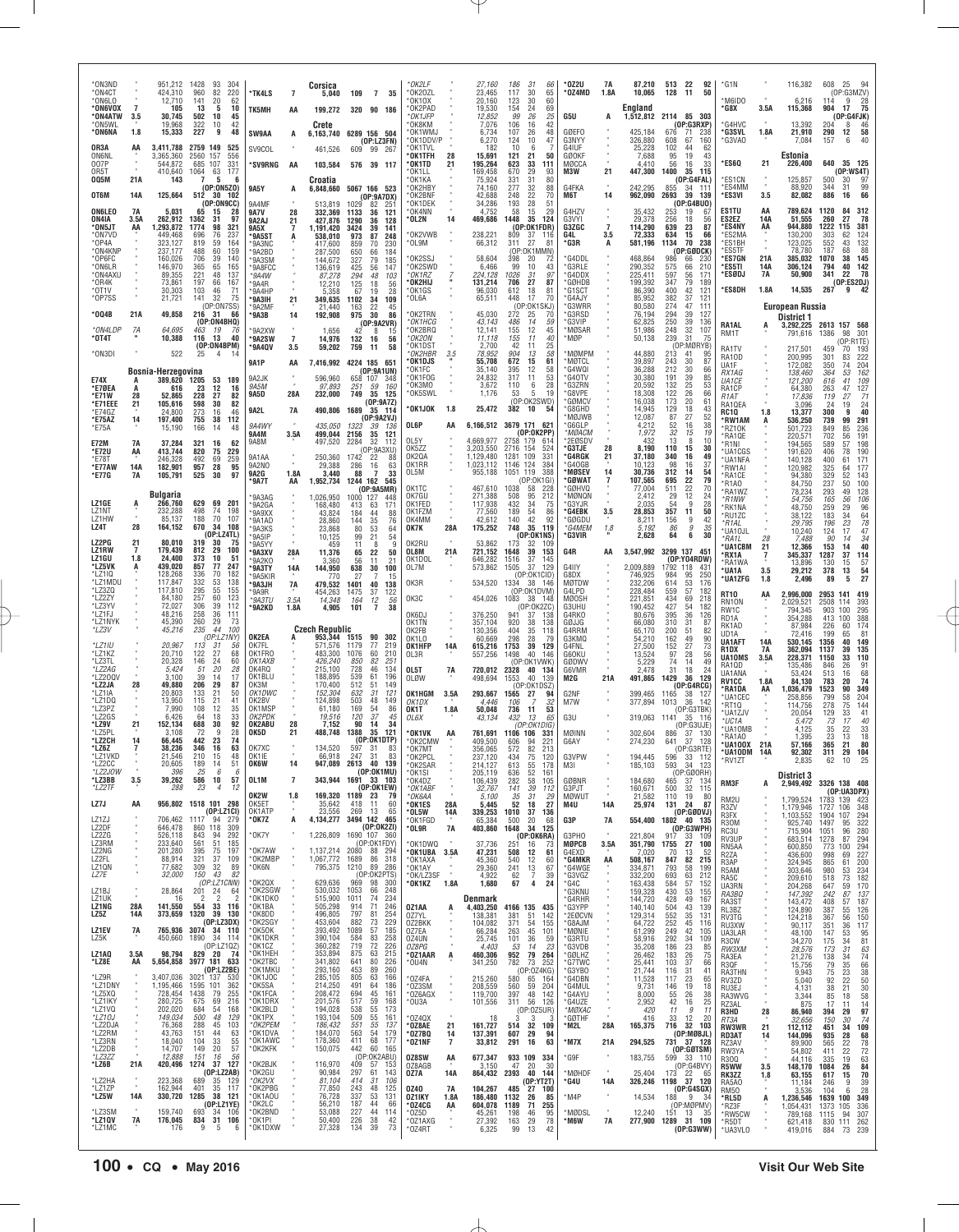| *ON3ND<br>*ON4CT<br>*ON6LO<br>*ON6VOX<br>*ON4ATW<br>*ON5WL<br>*ON6NA<br>OR3A<br><b>ON6NL</b><br>007P<br>OR5T<br>005M<br>OT6M<br><b>ON6LEO</b><br>ON4IA<br>*ON5JT<br>*ON7VD<br>$*$ OP4A<br>*ON4KNP<br>*OP6FC<br>*ON6LR<br>*ON4AXU<br>*OR4K | $\overline{7}$<br>3.5<br>1.8<br>AA<br>$\alpha$<br>21A<br>14A<br>7A<br>3.5A<br>AA | 951,212 1428<br>424,310<br>12,710<br>105<br>30,745<br>19,968<br>15,333<br>3,411,788<br>3,365,360<br>544,872<br>410,640<br>143<br>125,664<br>5,031<br>262,912<br>1,293,872<br>449,468<br>323,127<br>237,177<br>160,026<br>146,970<br>89,355<br>73,861 | 93<br>304<br>960<br>82<br>220<br>141<br>20<br>62<br>10<br>13<br>5<br>502<br>10<br>45<br>322<br>42<br>10<br>227<br>9<br>48<br>2759 149<br>525<br>2560<br>556<br>157<br>685<br>107<br>331<br>1064<br>177<br>$^{63}_{\phantom{1}5}$<br>6<br>(0P:0N5Z0)<br>512<br>30<br>102<br>(OP:ON9CC)<br>65<br>15<br>28<br>1362<br>97<br>31<br>1774<br>98<br>321<br>696<br>76<br>237<br>819<br>59<br>164<br>60<br>159<br>488<br>706<br>39<br>140<br>365<br>165<br>65<br>221<br>48<br>137<br>197<br>66<br>167            | *TK4LS<br>TK5MH<br><b>SW9AA</b><br>SV9COL<br>*SV9RNG<br><b>9A5Y</b><br>9A4MF<br><b>9A7V</b><br>9A2AJ<br>9A5X<br>*9A5S1<br>*9A3NC<br>*9A2BD<br>*9A3SM<br>*9A8FCC<br>*9A4W<br>*9A4R                                                               | $\overline{7}$<br>AA<br>А<br>AA<br>A<br>28<br>21<br>7<br>A                                   | Corsica<br>5,040<br>199,272<br>Crete<br>461.526<br>103,584<br>Croatia<br>513,819<br>332,369<br>427,876<br>1,191,420<br>538,010<br>417,600<br>287,500<br>144,672<br>136,619<br>87,278<br>12.210                                                                | 109 7<br>35<br>320 90 186<br>6,163,740 6289 156 504<br>(OP: LZ3FN)<br>609 99 267<br>576 39 117<br>6,848,660 5067 166 523<br>(OP:9A7DX)<br>1029<br>82<br>$25^{\circ}$<br>1133<br>36<br>121<br>1290<br>128<br>36<br>3424<br>39<br>141<br>973<br>87<br>248<br>859<br>70<br>230<br>650<br>66<br>184<br>327<br>79<br>185<br>425<br>56<br>147<br>294<br>48<br>103<br>125<br>18<br>56                                                                                                                       | *ОК2I F<br>*OK2OZL<br>*0K10X<br>*OK2PAD<br>*OK1JFP<br>*OK8KM<br>*OK1WMJ<br>*OK1DDV/P<br>*OK1TVL<br>*OK1TFH<br>*OK1TD<br>*0K1I I<br>*OK1KA<br>*OK2HBY<br>*OK2BNF<br>*OK1DEK<br>*OK4NN<br>*OL2N<br>*OK2VWB<br>*OL9M<br>*OK2SSJ<br>*OK2SWD<br>*OK1RZ<br>*OK2HIJ | 28<br>21<br>14                                       | 27,160<br>23,465<br>20,160<br>19,530<br>12.852<br>7,076<br>6,734<br>6,270<br>182<br>15.691<br>195,264<br>169,458<br>75,924<br>74,160<br>42,688<br>34,286<br>4,752<br>469,686<br>238,221<br>66,312<br>58,604<br>6,466<br>224,128<br>131,214 | 186<br>-31<br>66<br>65<br>117<br>30<br>60<br>123<br>30<br>69<br>154<br>24<br>99<br>26<br>25<br>106<br>42<br>16<br>107<br>26<br>48<br>124<br>10<br>47<br>10<br>6<br>121<br>21<br>50<br>623<br>33<br>111<br>670<br>$\substack{29\\31}$<br>$\begin{array}{c} 93 \\ 80 \end{array}$<br>331<br>277<br>32<br>88<br>248<br>22<br>70<br>193<br>28<br>51<br>$\overline{29}$<br>58<br>15<br>1448<br>35<br>124<br>(OP:OK1FDR)<br>809<br>37<br>116<br>27<br>311<br>8 <sup>1</sup><br>(OP:OK1MMN)<br>398<br>20<br>72<br>99<br>10<br>43<br>97<br>1026<br>31<br>87<br>27<br>706 | * 0Z2U<br>*OZ4MD<br>G5U<br>GØEFO<br>G3NYY<br>G4IUF<br>GØOKF<br>MØCCA<br>M3W<br>G4FKA<br>M6T<br>G4HZV<br>G3VYI<br>G3ZGC<br>G4L<br>*G3R<br>*G4DDL<br>*G3RLE<br>*G4DDX<br>*GØHDB                                                                   | 7A<br>1.8A<br>21<br>14<br>$\overline{7}$<br>3.5<br>A | 87,210<br>10,065<br>England<br>425,184<br>326,880<br>25,228<br>7,688<br>4,410<br>447,300<br>242,295<br>962,090<br>35,432<br>29,378<br>114,290<br>72,333<br>581,196<br>468,864<br>290,352<br>225.411<br>199,392                               | 513 22<br>92<br>50<br>128<br>- 11<br>1,512,812 2114 85 303<br>(OP:G3RXP)<br>676<br>238<br>-71<br>608<br>67<br>160<br>102<br>44<br>62<br>95<br>19<br>43<br>56<br>16<br>33<br>1400<br>35<br>115<br>(OP:G4FAL)<br>855<br>-34<br>111<br>2693<br>39<br>139<br>(OP:GABU0)<br>253<br>19<br>67<br>256<br>18<br>56<br>639<br>23<br>87<br>634<br>15<br>66<br>1134<br>70<br>238<br>(OP:GØDCK)<br>986<br>66<br>230<br>575<br>66<br>210<br>597<br>56<br>171<br>79<br>347<br>189                                               | *G1N<br>M6IDO<br>*G8X<br>*G4HVC<br>*G3SVL<br>*G3VAO<br>*ES6Q<br>*ES1CN<br>*ES4MM<br>*ES3VI<br>ES1TU<br>ES2EZ<br>*ES4NY<br>*ES2MA<br>*ES1BH<br>*ES5TF<br>*ES7GN<br>*ES5TI<br>*ESØDJ                                                           | 3.5A<br>1.8A<br>21<br>$\alpha$<br>3.5<br>AA<br>14A<br>AA<br>21A<br>14A<br><b>7A</b> | 116,382<br>6,216<br>115,368<br>13.392<br>21,910<br>7,084<br>Estonia<br>226,400<br>125,857<br>88,920<br>82,082<br>789,624<br>51,555<br>944,880<br>130,200<br>123,025<br>78,780<br>385,032<br>306,124<br>50,900                                               | 608<br>25<br>- 94<br>(OP:G3MZV)<br>28<br>114<br>9<br>$\frac{2}{5}$<br>904<br>17<br>(OP:G4FJK)<br>204<br>$\frac{46}{58}$<br>8<br>290<br>12<br>157<br>40<br>6<br>640<br>35 125<br>(0P:WS4T)<br>500<br>97<br>30<br>344<br>99<br>31<br>886<br>66<br>16<br>1120<br>84 312<br>78<br>260<br>27<br>1222<br>381<br>115<br>303<br>62<br>124<br>552<br>$\frac{1}{32}$<br>43<br>187<br>68<br>$\frac{145}{142}$<br>1070<br>38<br>40<br>794<br>341<br>78<br>22<br>(OP:ES2DJ)                                     |
|-------------------------------------------------------------------------------------------------------------------------------------------------------------------------------------------------------------------------------------------|----------------------------------------------------------------------------------|------------------------------------------------------------------------------------------------------------------------------------------------------------------------------------------------------------------------------------------------------|---------------------------------------------------------------------------------------------------------------------------------------------------------------------------------------------------------------------------------------------------------------------------------------------------------------------------------------------------------------------------------------------------------------------------------------------------------------------------------------------------------|-------------------------------------------------------------------------------------------------------------------------------------------------------------------------------------------------------------------------------------------------|----------------------------------------------------------------------------------------------|---------------------------------------------------------------------------------------------------------------------------------------------------------------------------------------------------------------------------------------------------------------|------------------------------------------------------------------------------------------------------------------------------------------------------------------------------------------------------------------------------------------------------------------------------------------------------------------------------------------------------------------------------------------------------------------------------------------------------------------------------------------------------|--------------------------------------------------------------------------------------------------------------------------------------------------------------------------------------------------------------------------------------------------------------|------------------------------------------------------|--------------------------------------------------------------------------------------------------------------------------------------------------------------------------------------------------------------------------------------------|------------------------------------------------------------------------------------------------------------------------------------------------------------------------------------------------------------------------------------------------------------------------------------------------------------------------------------------------------------------------------------------------------------------------------------------------------------------------------------------------------------------------------------------------------------------|-------------------------------------------------------------------------------------------------------------------------------------------------------------------------------------------------------------------------------------------------|------------------------------------------------------|----------------------------------------------------------------------------------------------------------------------------------------------------------------------------------------------------------------------------------------------|------------------------------------------------------------------------------------------------------------------------------------------------------------------------------------------------------------------------------------------------------------------------------------------------------------------------------------------------------------------------------------------------------------------------------------------------------------------------------------------------------------------|----------------------------------------------------------------------------------------------------------------------------------------------------------------------------------------------------------------------------------------------|-------------------------------------------------------------------------------------|-------------------------------------------------------------------------------------------------------------------------------------------------------------------------------------------------------------------------------------------------------------|----------------------------------------------------------------------------------------------------------------------------------------------------------------------------------------------------------------------------------------------------------------------------------------------------------------------------------------------------------------------------------------------------------------------------------------------------------------------------------------------------|
| $*$ 0T1V<br>*OP7SS<br>*004B<br>*ON4LDP<br>*0T4T<br>*ON3DI<br>E74X<br>*E7ØEA<br>*E71W<br>*E71EEE<br>*E74GZ<br>*E75AZ<br>*E75A<br><b>E72M</b><br>*E72U<br>*E78T<br>*E77AW<br>*E77G                                                          | 21A<br>7A<br>А<br>28<br>21<br>14<br>7A<br>AA<br><b>14A</b><br>7A                 | 30,303<br>21,721<br>49,858<br>64,695<br>10,388<br>522<br>Bosnia-Herzegovina<br>389.620<br>616<br>52,865<br>105,616<br>24,800<br>197,400<br>15,190<br>37,284<br>413,744<br>246.328<br>182,901<br>105,791                                              | 103<br>$\frac{71}{75}$<br>46<br>32<br>141<br>(OP:ON7SS)<br>216 31<br>66<br>(OP:ON4BHQ)<br>463<br>19<br>76<br>116<br>13<br>40<br>(OP:ON4BPM)<br>4<br>53<br>189<br>1205<br>12<br>23<br>16<br>228<br>27<br>82<br>598<br>82<br>30<br>273<br>46<br>16<br>112<br>755<br>38<br>166<br>48<br>14<br>321<br>16<br>62<br>820<br>75<br>229<br>492<br>957<br>69<br>$^{259}_{95}$<br>28<br>525<br>30<br>97                                                                                                            | *9A4HP<br>*9A3IH<br>*9A2MF<br>*9A3B<br>*9A2XW<br>*9A2SW<br>*9A4QV<br><b>9A1P</b><br>9A2JK<br>9A5M<br><b>9A5D</b><br>9A2L<br>9A4WY<br>9A4M<br>9A8M<br>9A1AA<br>9A2NO<br><b>9A2G</b>                                                              | 21<br>14<br>$\overline{7}$<br>3.5<br>AA<br>$\mathcal{R}$<br>28A<br><b>7A</b><br>3.5A<br>1.8A | 5,358<br>349,635<br>21,440<br>192,908<br>1,656<br>14,976<br>59,202<br>596,960<br>97,893<br>232,000<br>490,806 1689<br>435,050<br>499,044<br>497,520<br>250,360<br>29,388<br>3,440                                                                             | 28<br>19<br>67<br>1102<br>34<br>109<br>22<br>45<br>163<br>975<br>30<br>86<br>(0P:9A2VR)<br>42<br>8<br>15<br>132<br>16<br>56<br>759<br>58<br>11<br>7,416,992 4224 185 651<br>(OP:9A1UN)<br>658 107<br>348<br>251<br>.59<br>160<br>749 35 125<br>(OP:9A7Z)<br>35 114<br>(OP:9A2VJ)<br>1323<br>39<br>136<br>2156<br>35<br>121<br>2284<br>32<br>112<br>(OP:9A3XU)<br>1742 22<br>88<br>$\frac{16}{7}$<br>63<br>286<br>88<br>33                                                                            | *OK1GS<br>$*$ OL6A<br>*OK2TRN<br>*OK1HCG<br>*OK2BRQ<br>*OK2ON<br>*OK1DST<br>*OK2HBR<br>*OK1DJS<br>*OK1FC<br>*OK1FOG<br>*OK3MO<br>*OK5SWL<br>*OK1JOK<br>OL6P<br>OL5Y<br>OK5ZZ<br>OK2QA<br>OK1RR<br>OL5M                                                       | 3.5<br>1.8<br>AA                                     | 96,030<br>65,511<br>45,030<br>43,143<br>12,141<br>11,118<br>2,700<br>78,952<br>55,708<br>35,140<br>24,832<br>3,672<br>1,176<br>25,472<br>4,669,977<br>3,203,550<br>1,129,480<br>1,023,112<br>955,188                                       | 612<br>18<br>$\frac{81}{70}$<br>448<br>17<br>(OP:OK1SKJ)<br>272<br>70<br>25<br>486<br>14<br>59<br>45<br>12<br>155<br>155<br>11<br>40<br>42<br>25<br>11<br>904<br>58<br>13<br>61<br>672<br>15<br>58<br>395<br>12<br>$\frac{53}{28}$<br>317<br>11<br>110<br>6<br>53<br>19<br>-5<br>(OP:OK2SWD)<br>382<br>10<br>54<br>6.166.512 3679 171 621<br>(0P:OK2PP)<br>2758 179 614<br>2716 154<br>524<br>109<br>331<br>1281<br>384<br>124<br>1146<br>1051<br>119<br>388<br>(OP:0K1GI)                                                                                       | G1SCT*<br>*G4AJY<br>*G3WRR<br>*G3RSD<br>*G3VIP<br>*MØSAR<br>*MØP<br>*MØMPM<br><b>MØTCL</b><br>*G4WQI<br>*G40TV<br>*G3ZRN<br>*G8VPE<br>*GØMCV<br>G8GHD<br>MØJWB<br>'G6GLP<br>*MØACM<br>*2EØSDV<br>*G3TJE<br>*G4RGK<br>*G40GB<br>*MØSEV<br>*GØWAT | 28<br>21<br>14                                       | 86,390<br>85,952<br>80,580<br>76,194<br>62,825<br>51,986<br>50,138<br>44,880<br>39,897<br>36,288<br>30,380<br>20,592<br>18,308<br>16,038<br>14.945<br>12,087<br>4,212<br>1,972<br>432<br>8,190<br>37,180<br>10,123<br>30,736<br>107,565      | $\frac{400}{382}$<br>$\frac{42}{37}$<br>$\frac{121}{121}$<br>274<br>47<br>111<br>294<br>39<br>127<br>250<br>39<br>136<br>248<br>32<br>107<br>239<br>31<br>75<br>(OP:MØRYB)<br>213<br>41<br>95<br>243<br>30<br>87<br>212<br>30<br>66<br>191<br>39<br>85<br>132<br>25<br>53<br>122<br>26<br>66<br>173<br>20<br>61<br>129<br>$\frac{18}{27}$<br>43<br>87<br>52<br>52<br>16<br>38<br>32<br>15<br>19<br>13<br>8<br>10<br>110<br>15<br>30<br>340<br>49<br>16<br>98<br>16<br>37<br>312<br>14<br>54<br>79<br>695<br>22   | *ES8DH<br>RA1AL<br>RM1T<br>RA1TV<br>RA10D<br>UA1F<br>RX1AG<br><i>UA1CE</i><br>RA1CP<br>R <sub>1</sub> AT<br>RA10EA<br>RC10<br>*RW1AM<br>*RZ10K<br>*RA1QE<br>*R1NI<br>*UA1CGS<br>*UA1NFA<br>*RW1AI<br>*RA1CE                                  | 1.8A<br>1.8<br>А                                                                    | 14,535<br><b>European Russia</b><br>District 1<br>3,292,225<br>791,616<br>217,501<br>200,995<br>172,082<br>138,460<br>121,200<br>64,380<br>17,836<br>3,096<br>13,377<br>536,250<br>501,723<br>220,571<br>194,565<br>191,620<br>140,128<br>120,982<br>94,380 | 267<br>42<br>9<br>2613 157 568<br>1386<br>98<br>301<br>(OP:R1TE)<br>459<br>193<br>70<br>$\frac{222}{204}$<br>301<br>83<br>350<br>74<br>364<br>$\frac{162}{109}$<br>$\frac{127}{71}$<br>53<br>616<br>41<br>263<br>47<br>119<br>27<br>$\substack{24 \\ 40}$<br>24<br>19<br>9<br>300<br>739<br>99<br>291<br>849<br>236<br>85<br>191<br>702<br>56<br>198<br>57<br>589<br>$\frac{190}{171}$<br>406<br>78<br>$\frac{400}{325}$<br>61<br>64<br>$\frac{329}{237}$<br>$\frac{143}{100}$<br>52               |
| LZ1GE<br>LZ1NT<br>LZ1HW<br>LZ4T<br>LZ2PG<br>LZ1RW<br>LZ1GU<br>*LZ5VK<br>*LZ1IQ<br>*LZ1MDU<br>*LZ3ZQ<br>*LZ2ZY<br>*LZ3YV<br>*LZ1FJ<br>*LZ1NYK<br>*LZ3V<br>*LZ1IU<br>*LZ1KZ                                                                 | $\ddot{A}$<br>28<br>21<br>$\overline{7}$<br>1.8<br>А                             | Bulgaria<br>266,760<br>232,288<br>85,137<br>164,152<br>80,010<br>179.439<br>24,400<br>439,020<br>128,268<br>117,847<br>117,810<br>84,180<br>72,027<br>48,216<br>45,390<br>45,216<br>20,967<br>20.710                                                 | 629 69 201<br>498<br>74<br>198<br>188<br>70<br>107<br>670<br>34<br>108<br>(OP: LZ4TL)<br>319<br>30<br>75<br>812<br>373<br>29<br>100<br>10<br>-51<br>857<br>77<br>247<br>336<br>70<br>182<br>332<br>138<br>53<br>295<br>155<br>55<br>257<br>60<br>123<br>306<br>39<br>112<br>258<br>36<br>111<br>260<br>29<br>73<br>44<br>100<br>235<br>(OP:LZ<br>'NYI<br>113<br>31<br>56<br>122<br>27<br>68                                                                                                             | *9A7T<br>*9A3AG<br>*9A2GA<br>*9A9XX<br>*9A1AD<br>*9A3KS<br>*9A5IP<br>*9A5YY<br>*9A3XV<br>*9A2KO<br>*9A3TY<br>*9A5KIR<br>*9A3JH<br>*9A9R<br>$*9A3TU$<br>*9A2KD<br>OK2EA<br>OK7FL<br>OK1FRO                                                       | AA<br>28A<br>14A<br>7A<br>3.5A<br>1.8A<br>А                                                  | 1,952,734<br>1,026,950<br>168,480<br>43,824<br>28,860<br>23,868<br>10,125<br>459<br>11,376<br>3,360<br>144,950<br>770<br>479,532<br>454,263<br>14,348<br>4,905<br><b>Czech Republic</b><br>953,344 1515<br>571,576<br>483,300                                 | 1244 162 545<br>(0P:9A5MR)<br>1000 127<br>448<br>413 63<br>171<br>184<br>44<br>88<br>144<br>35<br>76<br>$\frac{53}{21}$<br>80<br>64<br>99<br>54<br>11<br>8<br>q<br>65<br>22<br>50<br>56<br>11<br>21<br>638<br>30<br>100<br>27<br>15<br>1401<br>40<br>138<br>1475<br>37<br>122<br>12<br>164<br>56<br>$\overline{7}$<br>101<br>38<br>90<br>302<br>77<br>1179<br>219<br>1076<br>60<br>210                                                                                                               | OK1TC<br>OK7GU<br>OK1FED<br>OK1FZM<br>OK4MM<br>OK7K<br>OK2RU<br>OL8M<br>OK1DOL<br>OL7M<br>OK3R<br>OK3C<br>OK6DJ<br>OK1TN<br>OK2FB<br>OK1LO<br>OK1HFP<br>OL3R                                                                                                 | 28A<br>21A<br>14A                                    | 467,610<br>271,388<br>117,938<br>77,560<br>42,612<br>175,252<br>53,862<br>721,152<br>646,282<br>573,862<br>534,520<br>454,026<br>376.250<br>357,104<br>130,356<br>60,669<br>615,216<br>557,256                                             | 1038<br>58<br>228<br>508<br>95<br>212<br>432<br>34<br>75<br>189<br>54<br>86<br>$\overline{92}$<br>42<br>140<br>119<br>748<br>35<br>(OP:OK1NS)<br>173<br>32<br>109<br>1648<br>153<br>39<br>1516<br>145<br>37<br>1505<br>129<br>37<br>(OP:OK1CID)<br>1334<br>- 38<br>- 146<br>(0P:0K1DVM)<br>1083<br>38 148<br>(OP:OK2ZC)<br>941<br>37<br>138<br>920<br>38<br>138<br>404<br>35<br>118<br>298<br>28<br>79<br>1753<br>39<br>129<br>40<br>1498<br>146                                                                                                                 | *GØHVQ<br>*MØNQN<br>*G3YJR<br>*G4EBK<br>*GØGDU<br>*G4MEM<br>*G3VIR<br>G4R<br>G4IIY<br>G8DX<br>MØTDW<br>G4LPD<br><b>MØOSH</b><br>G3UHU<br>G4RKO<br>GØJJG<br>G4RRM<br>G3KMQ<br>G4FNL<br>G60KU                                                     | 3.5<br>1.8<br>AA                                     | 77,004<br>2,412<br>2,035<br>28,853<br>8,211<br>5.192<br>2,628<br>3,547,992<br>2,009,889<br>746,925<br>232,206<br>228,484<br>221,851<br>190,452<br>80,676<br>66,080<br>65,170<br>54,210<br>27,500<br>13,524                                   | 22<br>511<br>70<br>12<br>29<br>24<br>9<br>54<br>28<br>357<br>11<br>50<br>156<br>9<br>42<br>86<br>$\frac{g}{6}$<br>$\frac{35}{30}$<br>64<br>3299 137 451<br>(0P:Y04RDW)<br>1792 118<br>43<br>95<br>250<br>984<br>614<br>53<br>176<br>559<br>57<br>182<br>434<br>69<br>218<br>427<br>54<br>182<br>395<br>36<br>126<br>310<br>31<br>87<br>200<br>51<br>82<br>49<br>162<br>90<br>152<br>$\substack{27 \\ 28}$<br>$^{73}_{56}$<br>97                                                                                  | *R1AO<br>*RA1WZ<br>*R1NW<br>*RK1NA<br>*RU1ZC<br>*R1AL<br>*UA10JL<br>*RA1L<br>*UA1CBM<br>*RX1A<br>*RA1WA<br>*UA1A<br>*UA1ZFG<br><b>RT10</b><br>RN10N<br>RW <sub>1</sub> C<br>RD1A<br>RK1AD<br>UD1A<br><b>UA1AFT</b><br>R1DX<br>UA10MS         | 28<br>21<br>3.5<br>1.8<br>AA<br>$^{14A}_{7A}$<br>3.5A                               | 84,750<br>78,234<br>54,756<br>48,750<br>38,122<br>29.795<br>10,240<br>7,488<br>12,366<br>345,337<br>13,896<br>29,212<br>2,496<br>2,996,000<br>2,029,521<br>794.345<br>354,288<br>87,984<br>72,416<br>530,145<br>362,094<br>228,371                          | 50<br>293<br>$\frac{128}{106}$<br>$\frac{106}{96}$<br>$\frac{64}{78}$<br>$\frac{78}{24}$<br>49<br>56<br>165<br>$\frac{259}{183}$<br>$\frac{29}{34}$<br>$\frac{23}{17}$<br>196<br>124<br>34<br>90<br>14<br>40<br>153<br>14<br>1287<br>37<br>114<br>$\frac{57}{54}$<br>15<br>130<br>378<br>13<br>27<br>5<br>89<br>2953 141 419<br>2508<br>393<br>114<br>295<br>388<br>903<br>100<br>413<br>100<br>174<br>226<br>60<br>81<br>199<br>65<br>149<br>1356<br>40<br>135<br>39<br>1137<br>110<br>1150<br>33 |
| *LZ3TL<br>*LZ2AG<br>*LZ200\<br>*LZ2JA<br>*LZ1IA<br>*LZ1DQ<br>*LZ3PZ<br>LZ2GS*<br>*LZ9V<br>*LZ5PL<br>*LZ2CH<br>*LZ6Z<br>*LZ1VKD<br>*LZ2CC<br>*LZ2JOW<br>*LZ3BB<br>*LZ2TF<br>LZ7J<br>LZ1ZJ<br>LZ2DF<br>LZ2ZG                                | 28<br>21<br>14<br>3.5<br>AA                                                      | 20,328<br>5,424<br>3,100<br>49,880<br>20.803<br>13,950<br>7,990<br>6,426<br>152,134<br>3,108<br>66,445<br>38,236<br>21.546<br>20,605<br>396<br>39,262<br>288<br>706,462<br>646,478<br>526,118                                                        | 24<br>60<br>146<br>20<br>28<br>$\frac{51}{39}$<br>14<br>17<br>206<br>29<br>87<br>133<br>21<br>50<br>21<br>41<br>115<br>12<br>35<br>108<br>64<br>18<br>33<br>92<br>30<br>688<br>72<br>9<br>28<br>442<br>23<br>74<br>346<br>16<br>63<br>210<br>15<br>48<br>189<br>14<br>51<br>25<br>6<br>-6<br>586<br>10<br>57<br>23<br>$\overline{4}$<br>12<br>956,802 1518 101 298<br>(DP: LZ1CI)<br>1117 94 279<br>860 118<br>309<br>843<br>292<br>94                                                                  | OK1AXB<br>OK4RQ<br>OK1BLU<br>OK3M<br>OK1DWC<br>OK2BV<br>OK1MSP<br>ОК2РDК<br>OK2ABU<br>OK5D<br>OK7XC<br>OK1IE<br><b>OK6W</b><br>OL1M<br>OK2W<br>OK5ET<br>OK1ATP<br>*0K7Z<br>*0K7Y                                                                | 28<br>21<br>14<br>$\overline{1}$<br>1.8<br>A                                                 | 426,240<br>215,100<br>188,895<br>170,400<br>152,304<br>124,898<br>61,180<br>19,516<br>7,152<br>488,748<br>134,520<br>66.918<br>343,944<br>169,320<br>35,642<br>23,556<br>4,134,277<br>1,226,809                                                               | <i>850</i><br>728<br>82<br>251<br>46<br>134<br>539<br>61<br>196<br>512<br>149<br>51<br>632<br>31<br>121<br>503<br>48<br>149<br>169<br>86<br>54<br>120<br>37<br>45<br>90<br>14<br>34<br>1388 35<br>121<br>(OP:OK1DTP)<br>597<br>83<br>- 31<br>247<br>31<br>83<br>947,089 2613 40 139<br>(0P:0K1MU)<br>1691 33 103<br>(OP:OK1EW)<br>1189 23<br>- 79<br>418<br>11<br>60<br>269<br>13<br>65<br>3494 142 465<br>(0P:0K2ZI)<br>1690 107 360                                                                | OL5T<br><b>OLØW</b><br>OK1HGM<br>OK1DX<br>OK1T<br>OL6X<br>*OK1VK<br>*OK2CMW<br>$*$ OK7MT<br>*OK2PCL<br>*OK2SAR<br>*OK1SI<br>*OK4DZ<br>*OK1ABF<br>*ОК6АА<br>*OK1ES<br>*OL5W<br>*OK1FGD<br>$*$ OL9R                                                            | 7A<br>3.5A<br>1.8A<br>AA<br>28A<br>14A<br><b>7A</b>  | 720,012<br>498,694<br>293,667<br>4,446<br>50,048<br>43,134<br>409,500<br>356,065<br>237,120<br>214,127<br>205,119<br>106,439<br>32,767<br>5.100<br>5,445<br>339,253<br>65,384<br>403,860                                                   | (OP:OK1VWK)<br>2328<br>40<br>134<br>1553<br>40<br>139<br>(OP:OK1DSZ)<br>1565 27<br>94<br>32<br>106<br>736<br>11<br>53<br>432<br>13<br>65<br>(OP:OK1DIG)<br>761,691 1106 106<br>331<br>606<br>94<br>221<br>572<br>82<br>213<br>434<br>75<br>120<br>613<br>178<br>$\frac{55}{52}$<br>636<br>161<br>282<br>58<br>105<br>39<br>141<br>112<br>35<br>31<br>29<br>52<br>18<br>27<br>37<br>136<br>1010<br>500<br>68<br>20<br>1648<br>34<br>125<br>(OP:OK6RA)                                                                                                             | GØDWV<br>G6VMR<br>M2G<br>G2NF<br>M7W<br>G3U<br>MØINN<br>G6AY<br>G3VPW<br>M3I<br><b>GØBNR</b><br>G3PJT<br><b>MØWUT</b><br>M4U<br>G3P<br>G3PHO                                                                                                    | 21A<br>٠<br>14A<br>7A                                | 5,229<br>2,478<br>491,865<br>399,465<br>377,894<br>302,604<br>274,230<br>194,445<br>185,103<br>184,680<br>160,671<br>21,582<br>25,974<br>554,400<br>221,804                                                                                  | 74<br>14<br>49<br>18<br>31<br>24<br>1429<br>36<br>129<br>(OP:G4RCG)<br>1165 38<br>127<br>1013<br>-36<br>-142<br>(OP:G3TBK)<br>319,063 1141 35<br>- 116<br>(OP:G3UJE)<br>886 37 130<br>641<br>37 128<br>(OP:G3RTE)<br>596<br>33 112<br>593<br>34 123<br>(OP:GØORH)<br>465 37 134<br>32 115<br>500<br>19<br>110<br>- 80<br>131 24 87<br>$(OP:G\emptyset DVJ)$<br>1802 40 135<br>(OP:G3WPH)<br>917<br>33 109                                                                                                        | RA1QD<br>UA1ANA<br><b>RV1CC</b><br>*RA1DA<br>*UA1CEC<br>*RT1Q<br>*UA1ZJV<br>*UC1A<br>*UA10MB<br>*RA1A0<br>*UA100X 21A<br>*UA10DM<br>*RV1ZT<br><b>RM3F</b><br>RM <sub>2U</sub><br>R3ZV<br>R3FX<br>R30M<br>RC3U                                | 1.8A<br>AA<br>14A<br>A                                                              | 135,486<br>53,424<br>84,130<br>1,036,479<br>258,856<br>114,756<br>20,054<br>5,472<br>4.125<br>1,395<br>57,166<br>92.302<br>2,835<br><b>District 3</b><br>2,949,492<br>1.799,524<br>1,179,946<br>1,103,552<br>925,740<br>715,904                             | 846<br>$\frac{91}{68}$<br>$\frac{74}{349}$<br>26<br>513<br>16<br>20<br>783<br>1523<br>90<br>799<br>$\frac{204}{144}$<br>58<br>278<br>75<br>$\frac{41}{40}$<br>129<br>33<br>17<br>73<br>35<br>22<br>$\frac{33}{18}$<br>23<br>13<br>80<br>365<br>21<br>311<br>104<br>62 10 25<br>3326 138 408<br>(OP:UA3DPX)<br>1783 139 423<br>1727<br>106<br>348<br>1904 107<br>294<br>322<br>1497<br>95<br>96<br>280<br>1051<br>294<br>87                                                                         |
| LZ3RM<br>LZ2NG<br>LZ2FL<br>LZ1QN<br>LZ7E<br>LZ1BJ<br>LZ1UK<br>LZ1NG<br>LZ5Z<br><b>LZ1EV</b><br>LZ5K<br>LZ1AQ<br>*LZ8E<br>*LZ9R<br>*LZ1DNY<br>*LZ5XQ<br>*LZ1IKY<br>*LZ1VQ<br>*LZ10J<br>*LZ2DJA<br>*LZ2RM                                   | $\sim$<br>28A<br>14A<br>7A<br>3.5A<br>AA                                         | 233,640<br>201,280<br>88,914<br>77,682<br>32,000<br>28,864<br>16<br>141,550<br>373,659<br>765,936<br>450,660<br>98,794<br>5,654,858<br>3,407,036<br>1,195,466<br>728,454<br>280,725<br>202,020<br>149,034<br>76,368<br>43,763                        | 561<br>51<br>185<br>395<br>75<br>197<br>321<br>37<br>109<br>309<br>32<br>89<br>150<br>43<br>82<br>(OP: LZ1CNN)<br>201 24<br>64<br>2<br>$\overline{\phantom{a}}$<br>$\overline{2}$<br>554 33 116<br>1320 39 130<br>(OP: LZ3DX)<br>3074 34 110<br>1890<br>34 114<br>(OP: LZ10Z)<br>829 20<br>- 74<br>3977 181<br>633<br>(OP: LZ2BE)<br>3021 137<br>530<br>1595 101<br>362<br>1438<br>79<br>255<br>675<br>69<br>216<br>684<br>54<br>168<br>48<br>129<br><i>500</i><br>288<br>45<br>103<br>63<br>151<br>-44 | *OK7AW<br>*OK2MBP<br>*OK6N<br>*OK2QX<br>*OK2SGW<br>*OK1DKO<br>*OK1BA<br>*OK8DD<br>*OK2SGY<br>*0K50K<br>*OK1DKR<br>*OK1CZ<br>*OK1HEH<br>*OK2TBC<br>*OK1MKU<br>*OK1JOC<br>*OK5SA<br>*OK1FCA<br>*OK1DRX<br>*OK2BLD<br>*OK1PX<br>*OK2PEM<br>*OK1DVA |                                                                                              | 1,137,214<br>1,067,772<br>795,375<br>629,636<br>530,032<br>515,900<br>505,298<br>496,805<br>453,604<br>393,492<br>390,104<br>360,282<br>353,894<br>341,802<br>293,160<br>285,105<br>214,250<br>208,472<br>201,576<br>194,028<br>193,104<br>186,432<br>184,070 | (OP:OK1FDY)<br>2080 88 294<br>1689<br>86 318<br>1210<br>89<br>286<br>(OP:OK2PTS)<br>969<br>98 300<br>1053<br>66 248<br>1011<br>74<br>234<br>71<br>246<br>914<br>797<br>254<br>81<br>882<br>73<br>229<br>1089<br>57<br>185<br>584<br>83<br>258<br>719<br>72<br>226<br>875<br>63<br>215<br>641<br>80<br>226<br>453<br>89<br>260<br>805<br>166<br>63<br>491<br>64<br>186<br>694<br>45<br>161<br>517<br>59<br>168<br>538<br>55<br>173<br>509<br>$\frac{55}{55}$<br>161<br>551<br>137<br>563<br>54<br>179 | *OK1DWQ<br>*OK1UBA 3.5A<br>*OK1AXA<br>*OK1AY<br>*OK/LZ3SF<br>*OK1KZ<br>0Z1AA<br>0Z7YL<br>0Z2BKK<br>0Z7EA<br>0Z4UN<br>0Z8PG<br>*0Z1AAR<br>*OU4N<br>*OZ4FA<br>*0Z3SM<br>*0Z6AGX<br>*OU3A<br>*0Z4QX<br>*0Z8AE<br>*0Z7BQ                                         | 1.8A<br>A<br>A<br>21                                 | 37,736<br>47,231<br>45,360<br>29,360<br>4,922<br>1,680<br>Denmark<br>4,403,250<br>138,381<br>104,082<br>66,284<br>25,745<br>4,403<br>460,306<br>341,250<br>215,260<br>208,559<br>119,700<br>101,556<br>18<br>161,727<br>137,391            | 251<br>16<br>73<br>508<br>12<br>-61<br>540<br>12<br>60<br>241<br>13<br>67<br>62<br>7<br>39<br>4<br>24<br>67<br>4166 135 435<br>381<br>51<br>142<br>371<br>54<br>155<br>263<br>45<br>101<br>101<br>36<br>59<br>53<br>14<br>23<br>952 79 264<br>782<br>73<br>252<br>(OP:0Z4KG)<br>580 65 164<br>560<br>59 204<br>397<br>48<br>142<br>311<br>56 126<br>(OP:OZ5UR)<br>3<br>3<br>514<br>32 109<br>607<br>29<br>94                                                                                                                                                     | MØPCB<br>G4EXD<br>*G4MKR<br>*G4WGE<br>*G3VGZ<br>*G4C<br>*G3KNU<br>*G4RHR<br>*G3YPP<br>*2EØCVN<br>*G8AJM<br>*MØNIE<br>*G3RTU<br>*G3VDB<br>*GØLHZ<br>*G7TWC<br>*G3YBO<br>*G4DBN<br>*G4MUL<br>*G4AYU<br>*G4UZE<br>*MØXAC<br>*GØTHF<br>$*$ M2L      | 3.5A<br>AA<br>28A                                    | 351,790<br>7,020<br>508,167<br>334,871<br>332,200<br>163,438<br>159,328<br>144,720<br>140,140<br>129,314<br>64,722<br>61,299<br>58,916<br>35,208<br>26,462<br>25,441<br>21,744<br>11,528<br>9,731<br>8,000<br>2,952<br>420<br>416<br>165,375 | 1755<br>27<br>100<br>70<br>13<br>-52<br>847<br>82<br>215<br>793<br>58<br>199<br>693<br>63<br>212<br>584<br>430<br>$\frac{6}{57}$<br>152<br>53<br>155<br>428<br>49<br>167<br>504<br>43<br>139<br>552<br>35<br>131<br>252<br>45<br>116<br>249<br>42<br>105<br>292<br>34<br>109<br>186<br>23<br>85<br>183<br>26<br>75<br>37<br>103<br>66<br>116<br>31<br>41<br>117<br>23<br>65<br>19<br>146<br>18<br>55<br>26<br>38<br>42<br>16<br>25<br>$\overline{g}$<br>-11<br>-11<br>33<br>12<br>20<br>716 32 103<br>(OP:MØBJL) | RV3UP<br>RN5AA<br>R <sub>2</sub> ZA<br>R3AP<br>R5AM<br>RA5C<br>UA3RN<br>RA3BQ<br>RA3ST<br>RL3BZ<br>RV3TG<br>RU3XW<br>UA3LAR<br>R3CW<br>RW3XM<br>RA3EA<br>R3QF<br>RA3THN<br>RV3ZD<br>RU3EJ<br>RA3WVG<br>RZ3AL<br>R3HD<br>RT3A<br><b>RW3WR</b> | $\alpha$<br>28<br>21                                                                | 683,514<br>600,850<br>436,600<br>324,945<br>303,646<br>209,610<br>204,268<br>147,392<br>143,472<br>124,890<br>124,218<br>90,117<br>48,100<br>34,270<br>28,576<br>21,276<br>15,756<br>9,943<br>5,040<br>4,131<br>3,344<br>875<br>86,940<br>32,656<br>112,112 | 1278<br>773<br>294<br>100<br>227<br>998<br>-69<br>200<br>865<br>61<br>980<br>53<br>234<br>182<br>518<br>73<br>170<br>647<br>59<br>242<br>87<br>137<br>408<br>57<br>187<br>126<br>387<br>55<br>367<br>150<br>56<br>351<br>36<br>117<br>95<br>147<br>53<br>81<br>175<br>34<br>63<br>173<br>31<br>74<br>138<br>34<br>66<br>38<br>79<br>$\frac{35}{23}$<br>75<br>22<br>50<br>92<br>38<br>21<br>30<br>58<br>85<br>18<br>$\frac{14}{97}$<br>17<br>11<br>394<br>29<br>74<br>150<br>30<br>109<br>451<br>34 |
| *LZ3RN<br>*LZ2DB<br>*LZ3ZZ<br>*LZ6B<br>*LZ2HA<br>*LZ1ZP<br>*LZ5W<br>*LZ3SM<br>*LZ1QV<br>*LZ1MC                                                                                                                                            | 21A<br>$\sim$<br>14A<br>7A                                                       | 18,040<br>14,707<br>12,888<br>420,496<br>223,368<br>162,944<br>330,720<br>159.740<br>176,045<br>176                                                                                                                                                  | 104<br>33<br>55<br>149<br>20<br>57<br>151<br>16<br>56<br>127<br>1274<br>37<br>(OP: LZ2AB)<br>689<br>35<br>129<br>401<br>35<br>117<br>1285 38 121<br>(OP:LZ1YE)<br>693<br>-34<br>106<br>834<br>31<br>106<br>9<br>5<br>6                                                                                                                                                                                                                                                                                  | *OK1AWC<br>*OK2KFK<br>*OK2BJK<br>*OK2GU<br>*OK2VX<br>*OK2PBG<br>*OK1AOU<br>*OK2LC<br>*OK2BND<br>*OK1PI<br>*OK1DXW                                                                                                                               |                                                                                              | 178,360<br>150,075<br>116,970<br>90,984<br>81,104<br>77,850<br>76,728<br>56,210<br>53,088<br>50,400<br>27,328                                                                                                                                                 | 411<br>68<br>177<br>442<br>60<br>165<br>(OP:OK2ABU)<br>409<br>57<br>153<br>297<br>61<br>143<br>414<br>31<br>106<br>243<br>48<br>125<br>337<br>53<br>131<br>187<br>44<br>66<br>227<br>44<br>114<br>226<br>38<br>42<br>134<br>39<br>73                                                                                                                                                                                                                                                                 | *OZ1NF<br>0Z8SW<br>OZ8AGB<br>OZ7A<br>0Z40<br>0Z1IKY<br>*0Z4CG<br>*0Z5D<br>$*$ OZ1AXG<br>$*$ 024RT                                                                                                                                                            | 14<br>7<br>AA<br>14A<br><b>7A</b><br>1.8A<br>AA<br>٠ | 33,812<br>677,347<br>3,150<br>104.267<br>186,480<br>604,078 1189<br>45,261<br>27,392<br>6,325                                                                                                                                              | 291<br>16<br>63<br>933 109<br>334<br>47<br>20<br>30<br>864,432 2393 40 144<br>(0P:YT2T)<br>485<br>27 100<br>1132<br>26<br>85<br>71<br>255<br>198<br>46<br>95<br>163<br>78<br>29<br>99<br>13<br>42                                                                                                                                                                                                                                                                                                                                                                | $*$ M7X<br>*G9F<br>*MØHDF<br>*G4U<br>*M4P<br>*MØDSL<br>*M6W                                                                                                                                                                                     | 21A<br>٠<br>14A<br><b>7A</b>                         | 294,525<br>183,755<br>25.404<br>326,246<br>14,534<br>12,240<br>277,900                                                                                                                                                                       | 731 37 128<br>(OP:GØTSM)<br>599 33 110<br>(OP:G4BVY)<br>173 22 65<br>1198 37 120<br>(OP:G4SGX)<br>188<br>$9 \t34$<br>(OP:MØPMV)<br>151<br>13 35<br>1289 31 109<br>(0P:G3WW)                                                                                                                                                                                                                                                                                                                                      | RD3AT<br>RZ3AV<br>RW3YA<br>R300<br><b>R5WW</b><br>RK3ZZ<br>RA5A0<br>RM50<br>*RL5D<br>*RZ3F<br>*RW5CW<br>*R5DT<br>*UA3VLO                                                                                                                     | 14<br>n.<br>3.5<br>1.8<br><b>A</b><br>A                                             | 144,096<br>89,900<br>54,802<br>44,116<br>148,170<br>63,155<br>11,184<br>3,536<br>1,236,546<br>1,054,431<br>789,168<br>621,418<br>419,016                                                                                                                    | 68<br>78<br>72<br>63<br>63<br>84<br>935<br>28<br>22<br>565<br>22<br>411<br>335<br>19<br>1084<br>26<br>70<br>39<br>28<br>617<br>15<br>9<br>246<br>104<br>6<br>1639 100 349<br>1373<br>105<br>336<br>307<br>94<br>1115<br>262<br>830<br>111<br>884<br>239<br>73                                                                                                                                                                                                                                      |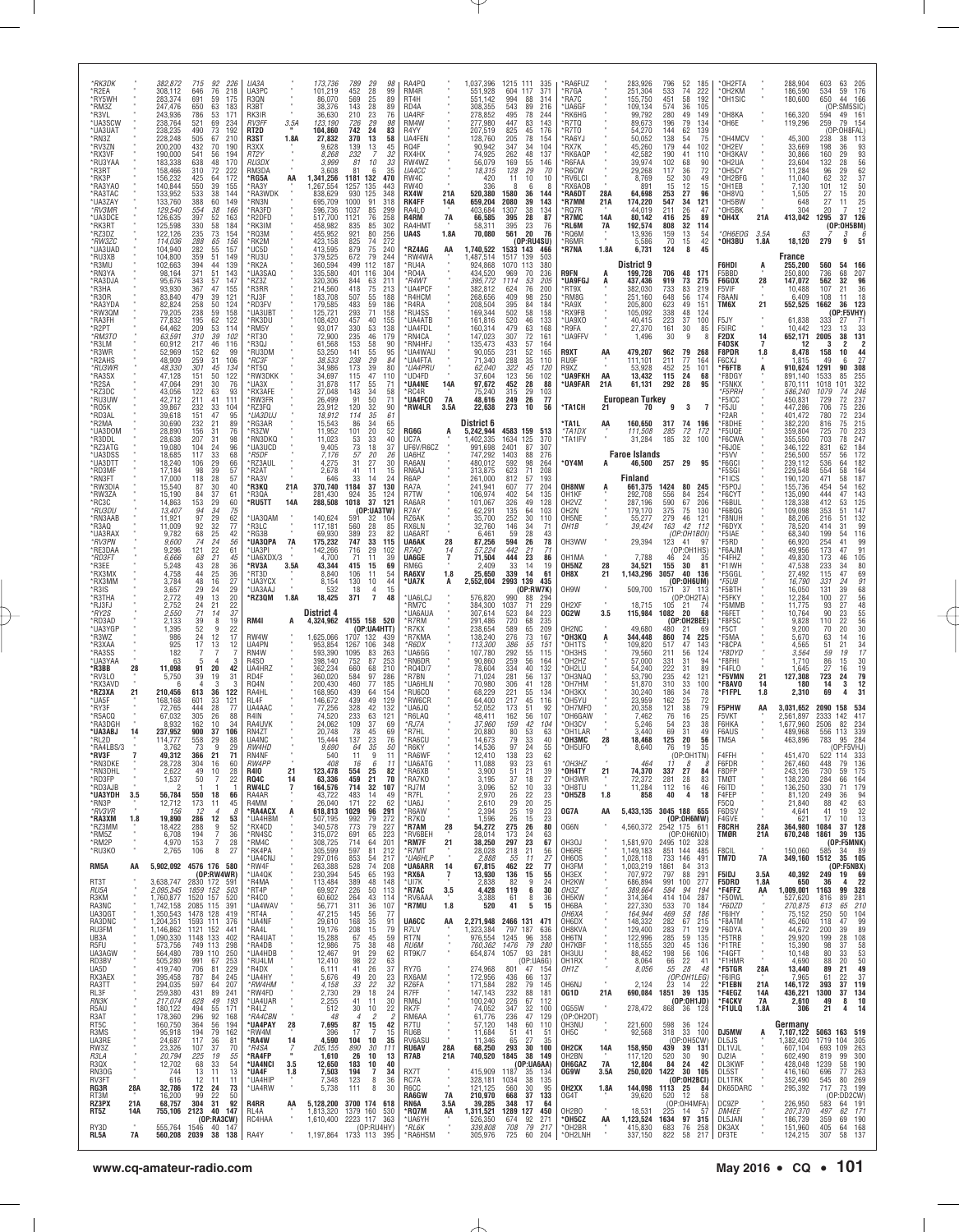| *RK3DK<br>*R2EA<br>*RY5WH<br>*RM3Z                       |                            | 382,872<br>308,112<br>283,374<br>247,476                      | 92<br>226<br>715<br>646<br>76<br>218<br>691<br>59<br>175<br>650<br>63<br>183                                                      | UA3A<br>UA3PC<br>R3QN<br>R3BT                              |                              | 173,736<br>101,219<br>86,070<br>38,376              | 789<br>98<br>$\frac{29}{28}$<br>452<br>99<br>25<br>569<br>89<br>28<br>143<br>89                                                                 | RA4PQ<br>RM4R<br>RT4H<br>RD4A                               |                           | 1,037,396<br>551,928<br>551.142<br>308,355           | 1215 111<br>604<br>994<br>543                              | 335<br>371<br>117<br>88<br>314<br>89<br>216                                             | *RA6FUZ<br>*R7GA<br>'RA7C<br>'UA6GF                                   |                                | 283,926<br>251,304<br>155,750<br>109,134                                   | 796<br>533<br>451<br>574             | 52<br>185<br>74<br>222<br>58<br>192<br>36<br>105                       | *OH2FTA<br>*OH2KM<br>OH1SIC                           |                                   | 288,904<br>186,590<br>180,600                       | 603<br>63<br>534<br>59<br>650<br>44<br>(OP:SM5SIC)                                                           | 205<br>176<br>166                             |
|----------------------------------------------------------|----------------------------|---------------------------------------------------------------|-----------------------------------------------------------------------------------------------------------------------------------|------------------------------------------------------------|------------------------------|-----------------------------------------------------|-------------------------------------------------------------------------------------------------------------------------------------------------|-------------------------------------------------------------|---------------------------|------------------------------------------------------|------------------------------------------------------------|-----------------------------------------------------------------------------------------|-----------------------------------------------------------------------|--------------------------------|----------------------------------------------------------------------------|--------------------------------------|------------------------------------------------------------------------|-------------------------------------------------------|-----------------------------------|-----------------------------------------------------|--------------------------------------------------------------------------------------------------------------|-----------------------------------------------|
| *R3VL<br>*UA3SCW<br>*UA3UAT<br>*RN3Z<br>*RV3ZN           |                            | 243,936<br>238,764<br>238,235<br>228,248<br>200,200           | 786<br>53<br>171<br>521<br>69<br>234<br>490<br>$\frac{73}{2}$<br>192<br>505<br>67<br>210<br>432<br>70<br>190                      | RK3IR<br><b>RV3FF</b><br>RT <sub>2</sub> D<br>R3ST<br>R3XX | 3.5A<br>1.8A                 | 36.630<br>123,190<br>104,860<br>27,832<br>9,628     | 210<br>23<br>76<br>29<br>726<br>98<br>742<br>$^{24}_{13}$<br>83<br>58<br>370<br>139<br>13<br>45<br>$\overline{7}$                               | UA4RF<br>RM4W<br>R4YY<br>UA4FEN<br>RQ4F                     |                           | 278,852<br>277,980<br>207,519<br>128,760<br>90,942   | 495<br>447<br>825<br>205<br>347                            | 78<br>244<br>83<br>143<br>$\frac{45}{12}$<br>176<br>78<br>154<br>34<br>104              | <b>RK6HG</b><br>*R7TQ<br>*R7T0<br>*RA6YJ<br>'RX7K                     |                                | 99.792<br>89,673<br>54.270<br>50.052<br>45,260                             | 280<br>196<br>144<br>138<br>179      | 49<br>149<br>79<br>134<br>62<br>139<br>54<br>75<br>44<br>102           | *OH8KA<br>OH6E<br>OH4MCV<br>*OH2EV                    |                                   | 166,320<br>119,296<br>45,300<br>33,669              | 594<br>49<br>259<br>79<br>(0)<br>238<br>38<br>198<br>36                                                      | 161<br>154<br>:OH8FAL<br>113<br>93<br>93      |
| *RX3VF<br>*RU3YAA<br>*R3RT<br>*RK3P<br>*RA3YAO           |                            | 190,000<br>183,338<br>158,466<br>156,232<br>140,844           | 541<br>56<br>194<br>638<br>48<br>170<br>310<br>72<br>222<br>425<br>64<br>172<br>39<br>550<br>155                                  | RT2Y<br>RU3DX<br>RM3DA<br>*RG5A<br>*RA3Y                   | AA                           | 8.268<br>3,999<br>3,608<br>1,341,256<br>1,267,554   | 232<br>32<br>81<br>10<br>33<br>81<br>6<br>35<br>1181<br>132<br>470<br>1257<br>135<br>443                                                        | RX4HX<br>RW4WZ<br><i>UA4CC</i><br>RW4C<br><b>RW40</b>       |                           | 74,925<br>56,079<br>18,315<br>420<br>336             | 262<br>169<br>128<br>11                                    | 48<br>137<br>55<br>146<br>29<br>70<br>10<br>10<br>-8                                    | 'RK6AQP<br>'R6FAA<br>'R6CW<br>'RV6LCI<br><b>RX6AOB</b>                |                                | 42,582<br>39,974<br>29,268<br>8,769<br>891                                 | 190<br>102<br>117<br>52<br>15        | 41<br>110<br>68<br>90<br>36<br>72<br>30<br>49<br>12<br>15              | OH3KAV<br>OH2UA<br>OH5CY'<br>*OH2BFG<br>OH1EB         |                                   | 30,866<br>23,604<br>11,284<br>11,040<br>7,130       | 160<br>29<br>132<br>28<br>96<br>29<br>62<br>32<br>12<br>$^{101}_{27}$                                        | 56<br>$rac{62}{37}$<br>$\frac{50}{20}$        |
| *RA3TAC<br>*UA3ZAY<br>*RV3MR<br>*UA3DCE<br>*RK3RT        |                            | 133,952<br>133,760<br>129,540<br>126.635<br>125,598           | 533<br>38<br>144<br>388<br>60<br>149<br>554<br>38<br>166<br>397<br>52<br>163<br>58<br>330<br>184                                  | *RA3WDK<br>*RN3N<br>*RA3FD<br>*R2DFD<br>*RK3IM             |                              | 838,629<br>695,709<br>596,736<br>517.700<br>458,982 | 930<br>125<br>348<br>1000<br>91<br>318<br>1037<br>85<br>299<br>1121<br>76<br>258<br>835<br>85<br>302                                            | RX4W<br><b>RK4FF</b><br>RA4L0<br>R4RM<br>RA4HMT             | 21A<br>14A<br><b>7A</b>   | 520,380<br>659,204<br>403,684<br>66,585<br>58,311    | 1580<br>2080<br>1307<br>395<br>395                         | 36<br>144<br>39<br>143<br>38<br>134<br>28<br>87<br>23<br>76                             | *RA6DT<br>*R7MM<br>'RQ7R<br><b>*R7MC</b><br>*RL6M                     | 28A<br>21A<br><b>14A</b><br>7A | 64,698<br>174,220<br>44.019<br>80,142<br>192,574                           | 253<br>547<br>211<br>416<br>808      | 27<br>96<br>34<br>121<br>26<br>47<br>25<br>89<br>32<br>114             | *OH8VQ<br>OH5BW<br>OH5BK<br>*OH4X                     | 21A                               | 1,505<br>648<br>304<br>413,042                      | 15<br>27<br>11<br>20<br>1295<br>37<br>(OP:OH5BM)                                                             | $\frac{25}{12}$<br>126                        |
| RZ3DZ<br>*RW3ZC<br>*UA3UAD<br>*RU3XB<br>*R3MU            |                            | 122,126<br>114,036<br>104,940<br>104,800                      | 73<br>235<br>154<br>288<br>65<br>156<br>282<br>359<br>55<br>51<br>157<br>149<br>394<br>44<br>139                                  | *RQ3M<br>*RK2M<br>*UC5D<br>*RU3U                           |                              | 455,952<br>423,158<br>413.595<br>379,525            | 921<br>80<br>256<br>825<br>74<br>272<br>879<br>$^{75}_{79}$<br>240<br>244<br>672<br>499<br>112                                                  | UA4S<br>*RZ4AG<br>'RW4WA                                    | 1.8A<br>AA                | 70,080<br>1,740,522<br>,487,514                      | 561<br>1533<br>1517                                        | 20<br>76<br>(OP:RU4SU)<br>143<br>466<br>503<br>139                                      | 'RQ6M<br>'R6MR<br>*R7NA                                               | 1.8A                           | 13,936<br>5,586<br>6,731<br>District 9                                     | 159<br>70<br>124                     | 13<br>54<br>42<br>15<br>8<br>45                                        | *OH6EOG<br>*OH3BU<br>F6HDI                            | 3.5A<br>1.8A                      | 63<br>18,120<br>France                              | 3<br>279<br>9<br>560<br>54                                                                                   | 6<br>51<br>166                                |
| *RN3YA<br>*RA3DJA<br>*R3HA<br>*R30R                      |                            | 102,663<br>98,164<br>95,676<br>93,930<br>83,840               | 371<br>51<br>143<br>57<br>343<br>147<br>47<br>367<br>155<br>479<br>39<br>121                                                      | *RK2A<br>*UA3SAQ<br>*RZ3Z<br>*R3RR<br>*RJ3F                |                              | 360,594<br>335,580<br>320,306<br>214,560<br>183,708 | 187<br>401<br>116<br>304<br>844<br>$\frac{63}{75}$<br>211<br>213<br>418<br>507<br>55<br>188                                                     | 'RU4A<br>*R04A<br>*R4WT<br>UA4PCF<br>R4HCM                  |                           | 924,868<br>434,520<br>395,772<br>382,812<br>268,656  | 1070<br>969<br>1114<br>624<br>409                          | 113<br>380<br>70<br>236<br>53<br>205<br>76<br>200<br>98<br>250                          | R9FN<br><b>UA9FGJ</b><br>'RT9X<br>*RM8G                               | А<br>А                         | 199.728<br>437,436<br>382,030<br>251,160                                   | 706<br>919<br>733<br>648             | 48<br>17 <sup>1</sup><br>73<br>275<br>83<br>219<br>56<br>174           | F5BBD<br>F6GOX<br>F5VIF<br>F8AAN                      | Ą<br>28                           | 255,200<br>250,800<br>147,072<br>10.488<br>6,409    | 736<br>68<br>562<br>32<br>107<br>21<br>108<br>11                                                             | 207<br>96<br>36<br>18                         |
| *RA3YDA<br>*RW3QM<br>*RA3FH<br>*R2PT<br>*RM3TO           |                            | 82,824<br>79,205<br>77,832<br>64,462<br>63.591                | 258<br>50<br>124<br>59<br>238<br>158<br>195<br>62<br>122<br>209<br>53<br>114<br>310<br>39<br>102                                  | *RD3FV<br>*UA3UBT<br>*RK3DU<br>*RM5Y<br>RT30               |                              | 179,585<br>125,721<br>108,420<br>93,017<br>72,900   | 59<br>483<br>186<br>293<br>71<br>158<br>457<br>40<br>155<br>53<br>330<br>138<br>235<br>46<br>179                                                | 'R4RA<br>*RU4SS<br><b>UA4ATB</b><br>'UA4FDL<br><b>RN4CA</b> |                           | 208,504<br>169,344<br>161,816<br>160,314<br>147,023  | 395<br>502<br>520<br>479<br>307                            | 84<br>184<br>58<br>158<br>46<br>133<br>63<br>168<br>72<br>161                           | *RA9X<br>*RX9FB<br>*UA9X0<br>'R9FA<br>*UA9FFV                         |                                | 205,800<br>105,092<br>40,415<br>27,370<br>1,496                            | 623<br>338<br>223<br>161<br>30       | 49<br>151<br>48<br>124<br>37<br>100<br>30<br>85<br>9                   | TM6X<br>F5JY<br>F5IRC<br>F2DX                         | 21<br>14                          | 552,525<br>61,838<br>10,442<br>652,171              | 1662<br>36<br>333<br>27<br>123<br>13<br>2005<br>38                                                           | 123<br>$(OP:$ F5VHY<br>-71<br>33<br>131       |
| *R3LM<br>*R3WR<br>*R2AHS<br>*RU3WR                       |                            | 60,912<br>52.969<br>48,909<br>48,330                          | 217<br>46<br>116<br>152<br>62<br>99<br>259<br>31<br>106<br>301<br>$\substack{45 \\ 50}$<br>134                                    | 'R3QJ<br>*RU3DM<br>*RC3F<br>*RT5Q                          |                              | 61,568<br>53,250<br>38.533<br>34.986                | 58<br>153<br>90<br>$\frac{55}{29}$<br>141<br>95<br>238<br>84<br>$\frac{39}{47}$<br>173<br>80                                                    | 'RN4HFJ<br>UA4WAU<br>*UA4FTA<br>*UA4PRU                     |                           | 135,473<br>90,055<br>71,340<br>62.040                | 433<br>231<br>288<br>$\frac{322}{123}$                     | 57<br>164<br>52<br>165<br>35<br>110<br>$\begin{array}{c} 45 \\ 56 \end{array}$<br>120   | R9XT<br>RU9F<br>R9XZ                                                  | AA                             | 479,207<br>111,101<br>53.928                                               | 962<br>211<br>452                    | 79<br>268<br>77<br>164<br>$\frac{25}{24}$<br>101                       | F4DSK<br>F8PDR<br>F6CXJ<br>*F6FTB                     | 7<br>1.8<br>Ą                     | 12<br>8,478<br>1,815<br>910,624                     | 158<br>10<br>49<br>1291<br>90                                                                                | $\frac{44}{27}$<br>308<br>255                 |
| *RA3SX<br>R2SA*<br>*RZ3DC<br>*RU3UW<br>*R05K             |                            | 47,128<br>47,064<br>43,056<br>42,712<br>39.867                | 122<br>151<br>291<br>30<br>76<br>122<br>63<br>93<br>211<br>41<br>111<br>33<br>232<br>104                                          | *RW3DKK<br>'UA3X<br>*RX3AFE<br>*RW3FR<br>*RZ3FQ            |                              | 34,697<br>31,878<br>27,048<br>26,499<br>23,912      | 110<br>115<br>117<br>55<br>71<br>34<br>143<br>58<br>91<br>50<br>71<br>120<br>32<br>90                                                           | 'UD4FD<br>'UA4NE<br>'RC4R<br>*UA4FCO<br>'RW4LR              | 14A<br>7A<br>3.5A         | 37,604<br>97,672<br>75,240<br>48,616<br>22,638       | 452<br>315<br>249<br>273                                   | 102<br>28<br>88<br>29<br>103<br>26<br>77<br>10<br>56                                    | *UA9FKH<br>*UA9FAR<br><b>'TA1CH</b>                                   | AA<br>21A<br>21                | 13,432<br>61,131<br><b>European Turkey</b><br>70                           | 115<br>292<br>9                      | 68<br>28<br>95<br>3<br>-7                                              | *F8DGY<br>*F5NKX<br><i>F5PRH</i><br>*F5ICC<br>*F5JU   |                                   | 891.140<br>870,111<br>586,240<br>450,831<br>447,286 | 1533<br>85<br>1018<br>101<br>1079<br>74<br>729<br>72<br>706<br>75                                            | 322<br>246<br>237<br>226                      |
| *RD3AL<br>*R2MA<br>*UA3DOM<br>*R3DDL<br>*RZ3ATG          |                            | 39,618<br>30,690<br>28,890<br>28.638<br>19,080                | 151<br>47<br>95<br>232<br>$\begin{array}{c} 21 \\ 31 \end{array}$<br>89<br>156<br>76<br>207<br>31<br>98<br>104<br>24<br>96        | *UA3DUJ<br>*RG3AR<br>*R3ZW<br>*RN3DKQ<br>*UA3UCD           |                              | 18,912<br>15,543<br>11,952<br>11,023<br>9,405       | 114<br>35<br>61<br>$\frac{34}{20}$<br>86<br>$\frac{65}{52}$<br>101<br>$\frac{33}{18}$<br>40<br>$\frac{53}{73}$<br>37                            | RG6G<br>UC7A<br>UF6V/R6CZ                                   |                           | District 6<br>5,242,944<br>1,402,335<br>991,698      | 4583 159<br>1634<br>2401                                   | 513<br>125<br>370<br>87<br>307                                                          | TA1L<br>*TA1DX<br>*TA1IFV                                             | AA                             | 160,650<br>111,508<br>31,284                                               | 317<br>285<br>185                    | 74<br>196<br>$\frac{72}{32}$<br>172<br>100                             | F2AR<br>*F8DHE<br>*F5UQE<br>*F6CWA<br>F6JOE           |                                   | 401,472<br>382,220<br>359,804<br>355,550<br>346,122 | 780<br>72<br>816<br>75<br>725<br>70<br>703<br>78<br>831<br>62                                                | 234<br>215<br>223<br>247<br>184               |
| *UA3DSS<br>*UA3DTT<br>*RD3MF<br>*RN3FT<br>*RW3DIA        |                            | 18,685<br>18,240<br>17,184<br>17,000<br>15,540                | 117<br>33<br>68<br>106<br>29<br>66<br>39<br>98<br>57<br>28<br>57<br>118<br>40                                                     | *R5DF<br>*RZ3AUL<br>R2AT*<br>*RA3V<br>*R3KQ                | 21A                          | 7,176<br>4,275<br>2,678<br>646<br>370,740           | 57<br>20<br>26<br>31<br>27<br>30<br>41<br>11<br>15<br>33<br>14<br>24<br>1184<br>37<br>130                                                       | UA6HZ<br>RA6AN<br>RN6AJ<br>R6AP<br>RA7A                     |                           | 747.292<br>480,012<br>313,875<br>261,000<br>241.941  | 1403<br>592<br>623<br>812<br>607                           | 88<br>276<br>98<br>264<br>71<br>208<br>57<br>193<br>77<br>204                           | OY4M*<br>OH8NW                                                        |                                | <b>Faroe Islands</b><br>46,500<br>Finland<br>661,375                       | 257 29<br>1424                       | 95<br>80<br>245                                                        | *F5VV<br>*F6GCI<br>*F5SGI<br>*F1ICS<br>*F5POJ         |                                   | 256,500<br>239,112<br>229,548<br>190,120<br>155,736 | 557<br>56<br>536<br>64<br>554<br>58<br>471<br>58<br>454<br>54                                                | 172<br>182<br>164<br>187                      |
| *RW3ZA<br>*RC3C<br>*RU3DU<br>*RN3AAB                     |                            | 15,190<br>14,863<br>13,407<br>11,921                          | $\substack{87 \\ 84}$<br>$\frac{30}{37}$<br>61<br>$\frac{153}{94}$<br>29<br>60<br>34<br>75<br>97<br>62                            | *R3QA<br>*RU5TT<br>*UA3QAM                                 | 14A                          | 281,430<br>288,508<br>140,624                       | 35<br>924<br>124<br>1018<br>37<br>121<br>(0P:UA3TW)<br>591<br>32<br>104                                                                         | R7TW<br>RA6AR<br>R7AY<br>RZ6AK                              |                           | 106,974<br>101,067<br>62,291<br>35,700               | 402<br>326<br>135<br>252                                   | 54<br>135<br>49<br>128<br>64<br>103<br>30<br>110                                        | OH1KF<br>OH <sub>2</sub> V <sub>Z</sub><br>OH <sub>2</sub> N<br>OH5NE |                                | 292,708<br>287,196<br>179,170<br>55,277                                    | 556<br>590<br>375<br>279             | 84<br>254<br>67<br>206<br>75<br>130<br>46<br>121                       | *F6CYT<br>*F6BUL<br>*F6BQG<br>*F8NUH                  |                                   | 135,090<br>128,338<br>109,098<br>88,206             | 47<br>444<br>412<br>53<br>353<br>51<br>216<br>51                                                             | 162<br>143<br>125<br>147<br>132               |
| *R3AQ<br>*UA3RAX<br>*RV3PN<br>*RE3DAA<br>*RD3FT          |                            | 11,009<br>9,782<br>9,600<br>9,296<br>6.666                    | 29<br>32<br>25<br>24<br>22<br>92<br>77<br>68<br>74<br>42<br>$\frac{56}{61}$<br>121<br>$\frac{21}{28}$<br>68<br>45                 | *R3LC<br>*RG3B<br>*UA3QPA<br>*UA3PI<br>UA6XDX/3            | 7A<br>٠                      | 117,181<br>69,930<br>175,232<br>142,266<br>4,700    | 28<br>560<br>85<br>389<br>$\frac{23}{33}$<br>82<br>747<br>115<br>716<br>29<br>102<br>11<br>39<br>71                                             | RX6LN<br>UA6ART<br><b>UA6AK</b><br>R7AO<br>UA6GE            | 28<br>14<br>7             | 32,760<br>6,461<br>87,256<br>57,224<br>71,504        | 146<br>59<br>594<br>442<br>444                             | 34<br>71<br>28<br>43<br>26<br>$\begin{array}{c} 78 \\ 71 \end{array}$<br>21<br>23<br>86 | OH1B<br>OH3WW<br>OH <sub>1</sub> MA                                   |                                | 39,424<br>29,394<br>7.788                                                  | 163<br>123<br>46                     | 42<br>-112<br>(OP:OH1BOI)<br>41<br>-9<br>(OP:OH1HS)<br>24<br>35        | *F6DYX<br>*F5IAE<br>*F5RD<br>*F6AJM<br>*F4FHZ         |                                   | 78,520<br>68,340<br>66,920<br>49,956<br>49,830      | 414<br>31<br>199<br>54<br>41<br>254<br>47<br>173<br>173<br>46                                                | 99<br>116<br>99<br>91<br>105                  |
| *R3EE<br>*RX3MX<br>*RX3MM<br>*R3IS<br>*R3THA             |                            | 5,248<br>4,758<br>3,784<br>3,657<br>2,772                     | 43<br>36<br>25<br>44<br>36<br>48<br>16<br>27<br>29<br>24<br>29<br>49<br>13<br>20                                                  | *RV3A<br>*RT3D<br>*UA3YCX<br><b>UA3AAJ</b><br>*RZ3QM       | 3.5A<br>1.8A                 | 43,344<br>8.840<br>8,154<br>532<br>18,425           | 415<br>15<br>69<br>106<br>11<br>54<br>130<br>10<br>44<br>15<br>18<br>4<br>371<br>7<br>48                                                        | RM6G<br>RA6XV<br>*UA7K<br>UA6LCJ                            | 1.8<br>А                  | 2,409<br>25,650<br>2,552,004<br>576,820              | 33<br>339<br>2993<br>990                                   | 14<br>19<br>61<br>14<br>139<br>435<br>(OP:RW7K)<br>88<br>294                            | OH5NZ<br>OH8X<br>OH9W                                                 | 28<br>21                       | 34,521<br>1,143,296<br>509,700                                             | 155<br>3057<br>1571                  | 30<br>81<br>40<br>136<br>(OP:0H6UM)<br>37 113<br>(OP:0H2TA)            | *F1IWH<br>*F5GGL<br>*F5UB<br>*F5BTH<br>®F5FKY         |                                   | 47,538<br>27.492<br>16,790<br>16,050<br>12,284      | 233<br>34<br>115<br>47<br>331<br>24<br>131<br>39<br>27<br>100                                                | 80<br>69<br>91<br>68<br>56                    |
| *RJ3FJ<br>*RY2S<br>*RD3AD<br>*UA3YGP<br>*R3WZ            |                            | 2,752<br>2,550<br>2,133<br>1.395<br>986                       | $\frac{24}{71}$<br>$\frac{21}{14}$<br>$\begin{array}{c} 22 \\ 37 \end{array}$<br>39<br>8<br>19<br>52<br>22<br>9<br>24<br>17<br>12 | RM4I<br>RW4W                                               | Α                            | District 4<br>4,324,962<br>1,625,066                | 4155 158 520<br>(OP:UA4HTT)<br>1707 132<br>439                                                                                                  | 'RM7C<br>UA6AUA<br>'R7RM<br>*R7KX<br>'R7KMA                 |                           | 384,300<br>307,614<br>291,486<br>238,654<br>138,240  | 1037<br>523<br>720<br>589<br>276                           | 229<br>223<br>71<br>84<br>68<br>235<br>65<br>209<br>73<br>167                           | OH <sub>2</sub> XF<br>0G2W<br>OH2NC<br><b>•онзко</b>                  | 3.5                            | 18,715<br>115,984<br>49,680<br>344,448                                     | 105<br>1082<br>480<br>860            | $\frac{21}{20}$<br>68<br>(OP:OH2BEE)<br>21<br>69<br>74<br>225          | *F5MMB<br>*F6FET<br>F8FSC*<br>*F5CT<br>*F5MA          |                                   | 11.775<br>10,764<br>9,828<br>9,200<br>5,670         | $\frac{93}{90}$<br>$\substack{27 \\ 23}$<br>110<br>$\begin{array}{c} 22 \\ 20 \end{array}$<br>70<br>63<br>14 | 48<br>55<br>56<br>30<br>16                    |
| *R3XAA<br>*RA3SS<br>*UA3YAA<br>*R3BB                     | 28                         | 925<br>182<br>63<br>11,098                                    | 12<br>17<br>13<br>$\mathbf{A}$<br>-3<br>91<br>20<br>42                                                                            | UA4PN<br>RN4W<br>R4SO<br>UA4HRZ                            |                              | 953,854<br>593,390<br>398,140<br>362,234            | 106<br>348<br>1267<br>263<br>1095<br>83<br>87<br>253<br>752<br>660<br>68<br>210                                                                 | *R6DX<br>'UA6GG<br>'RN6DR<br>*RQ4D/7                        |                           | 113,300<br>107,780<br>90,860<br>78,604               | 386<br>292<br>259<br>334                                   | 55<br>151<br>55<br>115<br>56<br>164<br>40<br>132                                        | 'OH1TS<br>°ОНЗНS<br>OH2HZ<br>*OH2LU                                   | А                              | 109,820<br>79,560<br>57,000<br>54,240                                      | 517<br>211<br>331<br>222             | 47<br>143<br>56<br>124<br>31<br>94<br>31<br>89                         | F8CPA<br>*F8DYD<br>*F8FHI<br>*F4FLO                   |                                   | 4.565<br>3,564<br>1,710<br>1,645                    | 21<br>51<br>59<br>19<br>86<br>15<br>27<br>16                                                                 | 34<br>17<br>$\frac{30}{19}$                   |
| *RV3LO<br>*RX3AVD<br>*RZ3XA<br>*UA5F<br>*RY3F            | 21                         | 5,750<br>210.456<br>168,168<br>72,765                         | 39<br>19<br>31<br>613<br>36<br>122<br>601<br>33<br>121<br>28<br>444<br>77                                                         | RD4F<br>RQ4N<br>RA4HL<br>RL4F<br>UA4AAC                    |                              | 360,020<br>200,430<br>168.950<br>146,672<br>77,256  | 584<br>97<br>286<br>460<br>77<br>185<br>439<br>64<br>154<br>439<br>49<br>129<br>328<br>42<br>132                                                | 'R7BN<br>'UA6HLN<br>RU6CO<br>'RW6CR<br>UA6JQ                |                           | 71,024<br>70,980<br>68.229<br>64,400<br>52,052       | 281<br>306<br>221<br>217<br>173                            | 56<br>137<br>41<br>128<br>55<br>134<br>45<br>116<br>51<br>92                            | OH3NAQ<br>'OH7HM<br>OH3KX<br>'OH5YU<br>OH7MFO                         |                                | 53.790<br>51,870<br>30.240<br>23,959<br>20,358                             | 235<br>310<br>186<br>162<br>121      | 42<br>121<br>33<br>100<br>34<br>78<br>25<br>72<br>38<br>79             | *F5VMN<br>*F8AVO<br>*F1FPL<br>F5PHW                   | 21<br>14<br>1.8<br>AA             | 127,308<br>180<br>2,310<br>3,031,652                | 723<br>24<br>14<br>3<br>69<br>2090<br>158                                                                    | $\frac{79}{12}$<br>31<br>534                  |
| *R5ACQ<br><b>RA3DGH</b><br>*UA3ABJ<br>*RL2D<br>*RA4LBS/3 | 14                         | 67,032<br>8.932<br>237,952<br>114,777<br>3.762                | 305<br>26<br>88<br>162<br>10<br>34<br>37<br>106<br>900<br>558<br>29<br>88<br>9<br>29<br>73                                        | R4IN<br>RA4UVK<br>RN4ZT<br>UA4NC<br>RW4HD                  |                              | 74,520<br>24.062<br>20.748<br>15,444<br>9.690       | 233<br>63<br>121<br>$\frac{37}{45}$<br>109<br>69<br>69<br>78<br>137<br>23<br>76<br>64<br>35<br>50                                               | 'R6LAQ<br>*RJ7A<br>'R7HL<br>'RA6CU<br>*R6KY                 |                           | 48,411<br>37.960<br>20.880<br>14,673<br>14.536       | 162<br>159<br>80<br>79<br>97                               | 56<br>107<br>42<br>104<br>$5\overline{3}$<br>63<br>33<br>40<br>24<br>55                 | OH6GAW'<br>OH3CV<br>'OH1LAR<br>°0Н3МС<br>*OH5UFC                      | 28                             | 7,462<br>5,246<br>3,440<br>18,468<br>8,640                                 | 76<br>$\frac{54}{69}$<br>125<br>76   | 25<br>16<br>$\substack{23 \\ 31}$<br>38<br>49<br>20<br>56<br>19<br>35  | F5VKT<br>F6HKA<br>F6AUS<br>TM5A                       |                                   | .561,897<br>1.677.960<br>489,968<br>463,896         | 2333<br>142<br>82<br>2506<br>113<br>556<br>783<br>95                                                         | 417<br>$\frac{234}{339}$<br>284<br>(OP:F5VHJ) |
| *RV3F<br>*RN3DKE<br>*RN3DHL<br>*RD3FP                    |                            | 49,312<br>28,728<br>2,622<br>1,537                            | 366<br>21<br>71<br>304<br>16<br>60<br>49<br>10<br>28<br>22<br>50<br>7                                                             | RN4NF<br>RW4PP<br>R410<br>RQ4C                             | 21<br>14                     | 540<br>408<br>123,478<br>63,336                     | 11<br>9<br>11<br>6<br>16<br>11<br>554<br>$\frac{25}{21}$<br>82<br>459<br>70<br>32                                                               | RA6WF<br>*UA6ATG<br>*RA6XB<br>*RA7KO                        |                           | 12.410<br>11,088<br>3,900<br>3,195                   | 138<br>93<br>$\begin{array}{c} 51 \\ 37 \\ 52 \end{array}$ | 23<br>62<br>23<br>61<br>21<br>39<br>27<br>18                                            | *OH3HZ<br>OH4TY*<br>*OH3WR                                            | 21                             | 464<br>74,370<br>72,372                                                    | 11<br>337<br>281                     | (OP:OH1TN)<br>8<br>27<br>84<br>28<br>83                                | F4FFH<br>F6FDR<br>F8DFP<br>TMØT                       |                                   | 451,470<br>267,460<br>243,126<br>138,230            | 522<br>114<br>448<br>79<br>730<br>59<br>284<br>66                                                            | 136<br>175<br>164                             |
| *RD3AJB<br>*UA3YDH<br>*RN3P<br>*RV3VR<br>*RA3XM          | 3.5<br>1.8                 | 56,784<br>12,712<br>156<br>19,890                             | 550<br>18<br>66<br>173<br>11<br>45<br>12<br>$\overline{4}$<br>-8<br>286<br>12<br>53                                               | <b>RW4LC</b><br>RA4AR<br>R4MM<br>*RA4ACX<br>*UA4HBM        | 7<br>A                       | 164,576<br>43,722<br>26,040<br>618,813<br>507,195   | 714<br>107<br>483<br>49<br>-14<br>171<br>22<br>62<br>1029<br>96<br>291<br>992<br>79<br>272                                                      | *RJ7M<br>*R7FL<br>'UA6J<br>*R6AW<br>*R7KQ                   |                           | 3,096<br>2,970<br>2,610<br>2,394<br>1,596            | $\frac{26}{29}$<br>25<br>26                                | 10<br>33<br>22<br>23<br>20<br>25<br>19<br>23<br>15<br>23                                | *OH8TU<br>*OH5ZB<br>OG7A                                              | 1.8<br>AA                      | 11,284<br>858<br>5,433,135 3045 188 655                                    | 112<br>40                            | 16<br>46<br>4<br>18<br>(OP:OH6MW)                                      | F6ITD<br>F4FEP<br>F5CQ<br>F6DSV<br>F4GVE              |                                   | 136,250<br>81,120<br>21,840<br>4,641<br>621         | 330<br>71<br>249<br>36<br>88<br>42<br>41<br>19<br>17<br>10                                                   | 179<br>94<br>63<br>32<br>13                   |
| *RZ3MM<br>*RM5Z<br>*RM2P<br>*RU3KO                       | ٠<br>٠                     | 18,422<br>6,708<br>4.970<br>2,765                             | 52<br>288<br>9<br>7<br>194<br>36<br>$\overline{7}$<br>28<br>153<br>8<br>27<br>106                                                 | *RX4CD<br>*RN4SC<br>*RM4C<br>*RK4PA<br><b>UA4CNJ</b>       |                              | 340,578<br>315,072<br>308,725<br>305,599<br>297,016 | 773<br>79<br>227<br>65<br>223<br>691<br>714<br>201<br>64<br>597<br>81<br>212<br>853<br>54<br>217                                                | *R7AM<br>'RV6BEH<br>*RM7F<br>*R7MT<br>*UA6HLP               | $28 \n$<br>21             | 54,272<br>28,014<br>38,250<br>28,028<br>2,888        | 275<br>173<br>297<br>218<br>55                             | 26<br>80<br>24<br>63<br>23<br>67<br>21<br>56<br>11<br>27                                | OG6N<br>OH3OJ<br>OH6RE<br>OH6OS                                       |                                | 4,560,372 2542 175 611<br>1.581.970<br>1,149,183<br>1,028,118<br>1,003,219 | 2495 102 328<br>851 144<br>733 146   | (OP:OH6NIO)<br>485<br>491                                              | F8CRH<br>TMØR<br>F8CIL<br>TM7D                        | 28A<br>21A<br>$\sim$<br><b>7A</b> | 364,980<br>670,248<br>150,060<br>349,160            | 1084<br>37<br>1861<br>39<br>(OP:FSMNK)<br>585<br>1512 35 105                                                 | 128<br>135<br>34 89                           |
| RM5A<br>RT3T<br>RU5A<br>R3KM                             | AA                         | 5,902,092<br>3,638,747<br>2,095,345<br>1,760,877              | 4576 176 580<br>(0P:RW4WR)<br>2830 172 591<br>1859 152<br>503<br>1520 157<br>520                                                  | *RW4F<br>*UA4QK<br>*R4MA<br>*RT4P<br>*R4CO                 |                              | 263,388<br>230,394<br>113,484<br>69,927<br>60,602   | 208<br>528<br>74<br>545<br>65<br>193<br>389<br>48<br>148<br>226<br>50<br>113<br>43<br>264<br>114                                                | *UA6ARR<br>*RX6A<br>*UI7K<br>*R7AC<br>*RV6AAA               | 14<br>7<br>3.5            | 67,815<br>13,930<br>2,838<br>4,428<br>3,388          | 462<br>136<br>-82<br>119<br>61                             | 22<br>77<br>15<br>55<br>9<br>24<br>30<br>6<br>8                                         | OH3FM<br>OH3EX<br>OH <sub>2</sub> KW<br>OH3Z<br>OH <sub>5</sub> KW    |                                | 707,972<br>686,894<br>389,664<br>314,364                                   | 1861<br>797<br>991 100<br>584<br>414 | 313<br>-84<br>88<br>291<br>277<br>94<br>194<br>104<br>287              | F5IDJ<br><b>F5DRD</b><br>*F4FFZ<br>*F50WL             | 3.5A<br>1.8A<br>AA                | 40,392<br>650<br>1,009,001<br>527,620               | 249 19<br>36<br>$\overline{a}$<br>99<br>1163<br>89<br>816                                                    | (OP:F5NBX)<br>- 69<br>22<br>328<br>281        |
| RA3NC<br>UA3QGT<br>RA3DNC<br>RU3FM<br>UB3A               |                            | 1,742,158<br>1,350,543<br>1,204,351<br>1,146,862<br>1,090,330 | 2085 115<br>391<br>1478 128<br>419<br>1593 111<br>376<br>1121 152<br>441<br>1148 133<br>402                                       | *UA4WAV<br>*RT4A<br>*UA4NF<br>*RA4L<br>*RA4UAT             |                              | 56,771<br>47,215<br>29,610<br>19,176<br>15,288      | 311<br>36<br>107<br>145<br>56<br>77<br>168<br>35<br>91<br>208<br>15<br>79<br>67<br>45<br>59                                                     | *R7MU<br><b>UA6CC</b><br>R7LV<br>RT7N                       | 1.8<br>AA<br>$\epsilon$   | 520<br>2,271,948<br>1,323,384<br>976,554             | 41<br>2466 131<br>797<br>1245                              | 36<br>15<br>5<br>471<br>187<br>636<br>96<br>358                                         | OH6BA<br>ОН6ХА<br>OH6DX<br>OH8KVA<br>OH6TN                            |                                | 227,330<br>164,944<br>148,332<br>129,400<br>122,996                        | 533<br>469<br>282<br>283<br>285      | 70<br>184<br>58<br>186<br>67<br>215<br>71<br>129<br>59<br>135          | *F6DZD<br>*F6IHY<br>*F8ATM<br>*F6DYA<br>*F5TRB        |                                   | 270,875<br>75,152<br>45,260<br>44,672<br>29,920     | 613<br>65<br>250<br>50<br>118<br>47<br>200<br>39<br>199<br>28                                                | 210<br>104<br>99<br>89<br>108                 |
| R5FU<br>UA3AGW<br>RD3BV<br>UA5D                          |                            | 573,756<br>564,480<br>505,280<br>419,740                      | 749 113<br>298<br>789<br>110<br>250<br>991<br>67<br>253<br>229<br>81<br>706                                                       | RA4DB<br>*UA4HDB<br>*RU4LM<br>*R4DX                        |                              | 12,986<br>12,467<br>12,410<br>6,111                 | 75<br>$\frac{38}{29}$<br>48<br>91<br>62<br>98<br>$^{22}_{26}$<br>63<br>41<br>37                                                                 | RU6M<br>RT9K/7<br>RY7G                                      |                           | 760,362<br>654,874<br>274,968                        | 1476<br>1057<br>801                                        | 79<br>280<br>93<br>281<br>(OP:UA6G)<br>47<br>154                                        | OH7KBF<br>OH3UU<br>OH1RX<br>OH1Z                                      |                                | 118,555<br>88,452<br>8,064<br>8,056                                        | 320<br>198<br>66<br>55               | 45<br>136<br>56<br>106<br>$\frac{22}{28}$<br>-41<br>48                 | *F1TRE<br>*F4GFT<br>*F1HMR<br>*F5TGR                  | 14.<br>28A                        | 15,390<br>10,148<br>4.690<br>13,440                 | 98<br>37<br>80<br>33<br>20<br>88<br>89<br>21                                                                 | 58<br>53<br>50<br>49                          |
| RX3AEX<br>RA3TT<br>RL3F<br><b>RN3K</b><br>R5AU           |                            | 395,458<br>294,035<br>259,380<br>217,074<br>180,122           | 84<br>787<br>245<br>207<br>597<br>64<br>431<br>89<br>241<br>628<br>49<br>193<br>494<br>55<br>171                                  | *UA4HY<br>*RW4HM<br>*RW4FD<br>*UA4UAR<br>*R4LZ             |                              | 5,676<br>4,158<br>2,730<br>2,255<br>512             | 49<br>20<br>23<br>22<br>33<br>32<br>29<br>18<br>24<br>41<br>30<br>11<br>30<br>10<br>22                                                          | RX6AM<br>RZ6FA<br>R7FF<br>RM6J<br>RK7F                      |                           | 172,956<br>171,584<br>147,143<br>100,240<br>74,052   | 436<br>282<br>232<br>226<br>347                            | 66<br>137<br>79<br>-145<br>88<br>181<br>67<br>112<br>32<br>100                          | OH6NJ<br>OG1D<br>0G55W                                                | 21A                            | 2,124<br>690,084<br>278,472                                                | 23                                   | (OP:OH1LEG)<br>- 14<br>- 22<br>1851 39 135<br>(OP:OH1JD)<br>868 36 128 | 'F6IRG<br>*F1EBN<br>*F4EGZ<br>*F4CKV<br>*F1ULQ        | 21A<br>14A<br>7A<br>1.8A          | 7,965<br>146,172<br>436,221<br>2,610<br>306         | 61<br>22<br>37<br>393<br>1300<br>37<br>49<br>8<br>21<br>4                                                    | 37<br>119<br>134<br>10<br>14                  |
| R3AT<br>RT5C<br>R3MS<br>UA3RE<br>RW3Z                    |                            | 178,360<br>160,750<br>95,918<br>24,687<br>23.326              | 92<br>296<br>168<br>364<br>56<br>194<br>79<br>194<br>162<br>117<br>36<br>81<br>107<br>37<br>70                                    | *RA4CBN<br>*UA4PAY<br>*RW4M<br>*RA4W<br>*R4SA              | 28<br>14                     | 48<br>7,695<br>396<br>4,590<br>205,155              | 2<br>2<br>$\overline{A}$<br>87<br>15<br>42<br>17<br>15<br>-7<br>104<br>10<br>35<br>30<br>111<br>890                                             | RM6AA<br>R7TU<br>RU6B<br>RV6ASU<br><b>RU6AV</b>             | 28A                       | 61,776<br>57,120<br>11,684<br>11,346<br>68,250       | 236<br>148<br>51<br>65<br>293                              | $\frac{47}{3}$<br>129<br>60<br>110<br>41<br>-51<br>27<br>35<br>30<br>100                | (OP:OH2OT)<br>OH3NU<br>OH <sub>5</sub> C<br>OH <sub>2</sub> CK        | 14A                            | 221,600<br>92,568<br>158,950                                               | 598                                  | 36 124<br>318 33 100<br>(OP:0H5CW)<br>439 39 131                       | DJ5MW<br>DL5JS<br>DL1VJL                              | Ą                                 | Germany<br>7,107,122<br>,382,420<br>607,104         | 5063 163 519<br>1719<br>104<br>693 109                                                                       | 305<br>263                                    |
| R3LA<br>R3QX<br>RN30G<br>RV3FT                           | ٠<br>٠<br>$\bullet$<br>28A | 20,794<br>12,702<br>744<br>616                                | 225<br>19<br>55<br>68<br>33<br>54<br>11<br>13<br>13<br>12<br>11<br>11<br>24                                                       | *RA4FP<br>'UA4NCI<br>*UA4F<br>*UA4HIP                      | $\vec{\Delta}$<br>3.5<br>1.8 | 1,610<br>12,650<br>7,503<br>7,348                   | 26<br>10<br>13<br>183<br>40<br>10<br>194<br>$\overline{7}$<br>34<br>123<br>$_{\rm 8}^{\rm 8}$<br>$\begin{array}{c} 36 \\ 30 \end{array}$<br>111 | R7AB<br>RX7T<br>RC7A<br>R6CC                                | 21A<br>$\alpha$<br>$\sim$ | 740,520<br>415,909<br>328,181                        | 1845<br>1187<br>1034                                       | 38<br>149<br>(OP:UA6AA)<br>35<br>-134<br>$\frac{38}{30}$<br>135<br>95                   | OH2BN<br>OH6GAZ<br>OG9W<br>OH2XX                                      | 7A<br>3.5A<br>1.8A             | 117,120<br>12,804<br>250,020<br>144,098                                    | 520<br>84<br>1422<br>1113 25         | -30<br>- 90<br>24<br>42<br>30<br>105<br>(OP:OH2BCI)<br>-84             | DJ2IA<br>DL3KWF<br>DL5ST<br><b>DL1TRK</b><br>DK65DARC |                                   | 602,490<br>428,048<br>416,160<br>352,490            | 819<br>99<br>1239<br>58<br>696<br>77<br>545<br>80<br>717<br>-73                                              | 300<br>190<br>263<br>$\frac{269}{199}$        |
| RG3R<br>RT3M<br><b>RZ3PX</b><br>RT5Z                     | 21A<br>14A                 | 32,786<br>16,200<br>68,757<br>755,106                         | 172<br>73<br>50<br>99<br>22<br>304<br>31<br>92<br>2123<br>40<br>147<br>(OP:RA3CW)                                                 | *UA4RW<br>R4RR<br>RL4A<br>RC4HAA                           | AA                           | 5,738<br>5,128,200<br>1,813,320<br>1,610,400        | 3700 174 618<br>1379 160<br>530<br>2223 117 363                                                                                                 | RA6GW<br>RN6A<br>*RQ7M<br>*UA6YH                            | <b>7A</b><br>3.5A<br>AA   | 121,125<br>210,970<br>39,285<br>1,311,521<br>526,350 | 560<br>668<br>348<br>1289<br>674                           | 37<br>133<br>-17<br>64<br>127<br>450<br>271<br>92                                       | OG4T<br>OH2BO<br>*OH5CZ                                               | AA                             | 39,620<br>18,531<br>1,123,524 1634                                         | 520<br>225                           | -12<br>58<br>(OP:OH4MFA)<br>-14<br>-51<br>97<br>315                    | DC9ZP<br><b>DM4EE</b><br>DL5JAN                       |                                   | 295,392<br>226,950<br>207,370<br>186,739            | (OP:DD2CW)<br>583<br>-64<br>497<br>62<br>359<br>69                                                           | 191<br>171<br>190                             |
| RY3D<br>RL5A                                             | 7A                         | 555,764                                                       | 1546<br>40<br>147<br>560,208 2039 38<br>138                                                                                       | RA4Y                                                       | ٠                            |                                                     | (OP:RU4HY)<br>1,197,864 1733 113 395                                                                                                            | *RL6K<br>*RA6HSM                                            |                           | 339,808<br>305,976                                   | 708<br>725                                                 | 79<br>217<br>60<br>204                                                                  | OH2BR*<br>*OH2LNH                                                     |                                | 415,830<br>337,150                                                         | 683<br>822                           | 258<br>76<br>217<br>58                                                 | DK3AX<br>DF3TE                                        | ×                                 | 151,960<br>124,215                                  | 64<br>405<br>58<br>307                                                                                       | 168<br>137                                    |

www.cq-amateur-radio.com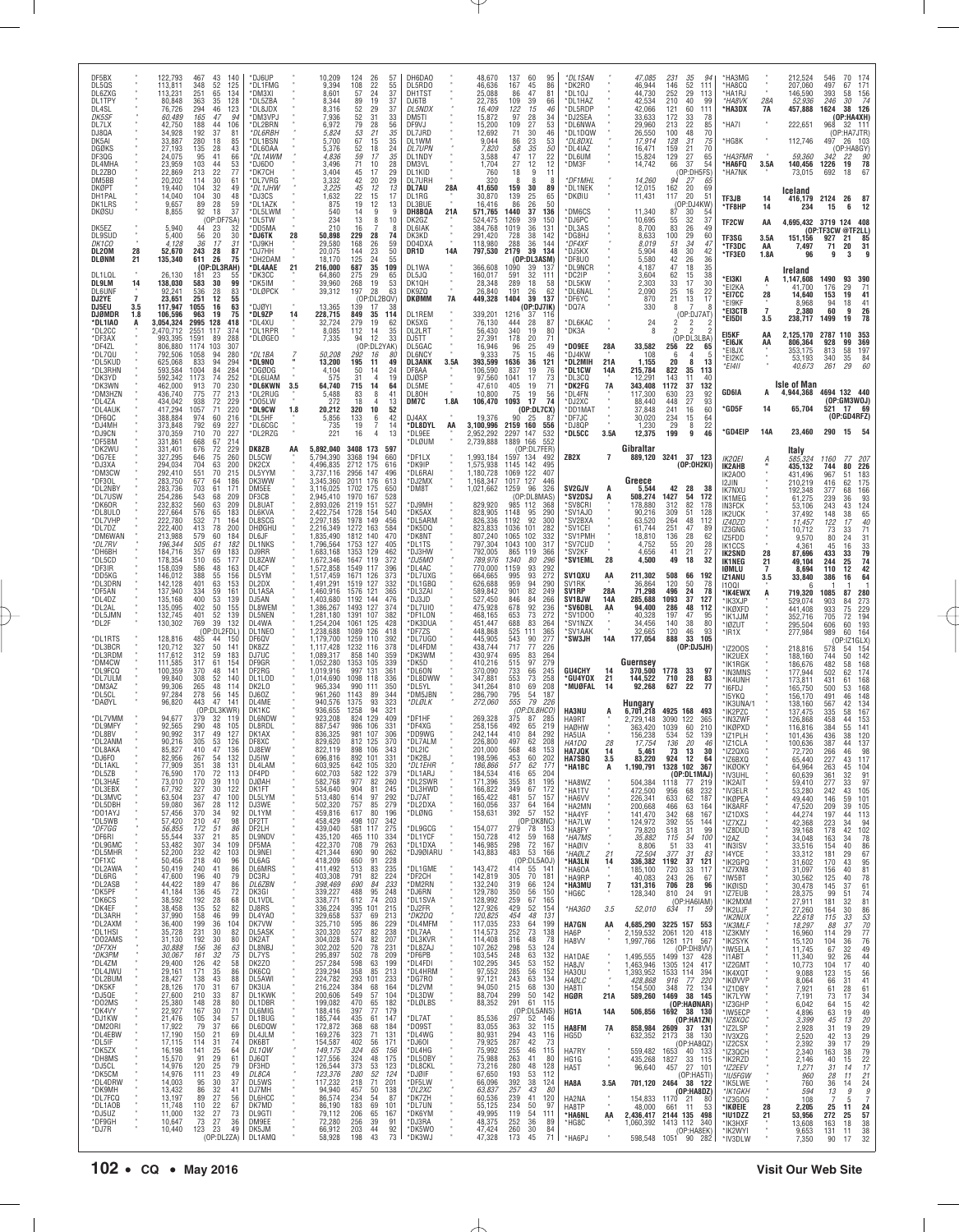| *DF5BM<br>*DK2WU<br>*DG7EE<br>*DJ3XA<br>*DM3CW<br>*DF30L<br>*DL2NBY<br>*DL7USW<br>*DK6OR<br>*DL8ULO<br>*DL7VHP<br>*DL7DZ<br>*DM6WAN<br>*DL7RV<br>*DH6BH<br>*DL5CD<br>*DF3IR<br>*DD5KG<br>*DL3DRN<br>*DF5AN<br>*DL4DZ<br>*DL2AL<br>*DL5JMN<br>*DL2F<br>*DL1RTS<br>*DL3BCR<br>*DL3RDM<br>*DM4CW<br>*DL9FCQ<br>*DL7ULM<br>*DM3AZ<br>*DL5CL<br>*DAØYL<br>*DL7VMM<br>*DL9MFY<br>*DL8BV<br>*DL2ANM<br>*DL8AKA<br>*DJ6FO<br>*DL1AKL<br>*DL5ZB<br>*DL3HAE<br>*DL3EBX<br>*DL3MVC<br>*DL5DBH<br>*D01AYJ<br>*DL5WB<br>*DF7GG<br>*DF6RI<br>*DL9GMC<br>*DL5MHR<br>*DF1XC<br>*DL2AWA<br>*DL6RG<br>*DL2ASB<br>*DK5PF<br>*DK6CS<br>*DK4EF<br>*DL3ARH<br>*DL2AXM<br>*DL1HSI<br>*DO2AMS<br>*DF7XH<br>*DK3PM<br>*DL4ZM<br>*DL4JWU<br>*DL2BUM<br>*DK5KF<br>*DJ5QE<br>*DO2MS<br>*DK4VY<br>*DJ1KW<br>*DM20RI<br>*DL4EBW<br>*DL5IF<br>*DK5ZX<br>*DH8MS<br>*DJ5CL<br>*DK5CM<br>*DL4DRW<br>*DK9MH<br>*DL7FCQ<br>*DL1AOB<br>*DJ5UZ<br>*DF9GH<br>*DJ7R                                                                                                                                                                                                                                                                                                                                                                                                                                                                                                                                                                                                                                                                                                                                                                                                                                                                                                                                                                                                                                                                                                                                                                                                                                                | *DK3WN<br>*DM3HZN<br>*DL4ZA<br>*DL4AUK<br>*DF6QC<br>*DJ4MH<br>*DJ9CN                                                                                                  | *DI 2CC<br>*DF3AX<br>*DF4ZL<br>*DL7QU<br>*DL5KUD<br>*DL3RHN<br>*DK3YD                                                                                                          | DL1LQL<br><b>DL9LM</b><br><b>DL6UNF</b><br>DJ2YE<br><b>DJ5EU</b><br><b>DJØMDR</b><br>*DL1IAO                                                                                          | <b>DKØPT</b><br>DH1PAL<br>DK1LRS<br><b>DKØSU</b><br>DK5EZ<br>DL9SUD<br>DK1CO<br>DL20M<br><b>DLØNM</b>                                                                                                            | DK5AI<br>DGØKS<br>DF3QG<br>DL4MHA<br>DL2ZB0<br>DM5BB                                                                                         | DF5BX<br>DL5QS<br>DL6ZXG<br>DL1TPY<br>DL4SL<br><b>DK5SF</b><br>DL7LX<br>DJ8QA                                                                                                           |
|----------------------------------------------------------------------------------------------------------------------------------------------------------------------------------------------------------------------------------------------------------------------------------------------------------------------------------------------------------------------------------------------------------------------------------------------------------------------------------------------------------------------------------------------------------------------------------------------------------------------------------------------------------------------------------------------------------------------------------------------------------------------------------------------------------------------------------------------------------------------------------------------------------------------------------------------------------------------------------------------------------------------------------------------------------------------------------------------------------------------------------------------------------------------------------------------------------------------------------------------------------------------------------------------------------------------------------------------------------------------------------------------------------------------------------------------------------------------------------------------------------------------------------------------------------------------------------------------------------------------------------------------------------------------------------------------------------------------------------------------------------------------------------------------------------------------------------------------------------------------------------------------------------------------------------------------------------------------------------------------------------------------------------------------------------------------------------------------------------------------------------------------------------------------------|-----------------------------------------------------------------------------------------------------------------------------------------------------------------------|--------------------------------------------------------------------------------------------------------------------------------------------------------------------------------|---------------------------------------------------------------------------------------------------------------------------------------------------------------------------------------|------------------------------------------------------------------------------------------------------------------------------------------------------------------------------------------------------------------|----------------------------------------------------------------------------------------------------------------------------------------------|-----------------------------------------------------------------------------------------------------------------------------------------------------------------------------------------|
|                                                                                                                                                                                                                                                                                                                                                                                                                                                                                                                                                                                                                                                                                                                                                                                                                                                                                                                                                                                                                                                                                                                                                                                                                                                                                                                                                                                                                                                                                                                                                                                                                                                                                                                                                                                                                                                                                                                                                                                                                                                                                                                                                                            |                                                                                                                                                                       |                                                                                                                                                                                | 14<br>$\overline{7}$<br>3.5<br>1.8                                                                                                                                                    | 28<br>21                                                                                                                                                                                                         |                                                                                                                                              |                                                                                                                                                                                         |
| 331,861<br>668<br>67<br>331.401<br>676<br>72<br>327,295<br>646<br>75<br>294.034<br>704<br>63<br>70<br>292,410<br>551<br>283,750<br>677<br>64<br>61<br>703<br>283,736<br>543<br>68<br>254,286<br>63<br>232,832<br>560<br>227,664<br>576<br>65<br>71<br>222,780<br>532<br>222,400<br>413<br>78<br>213,988<br>579<br>60<br>196,344<br>505<br>61<br>184,716<br>357<br>69<br>178,354<br>510<br>65<br>158,039<br>586<br>48<br>146,012<br>388<br>55<br>142,128<br>401<br>63<br>137,940<br>334<br>$\begin{array}{c} 59 \\ 53 \end{array}$<br>135,168<br>400<br>50<br>135,095<br>402<br>132,745<br>401<br>52<br>39<br>130,302<br>769<br>(OP:DL2FDL)<br>128,816<br>485<br>44<br>120,712<br>327<br>50<br>117,612<br>312<br>59<br>111,585<br>317<br>61<br>100,359<br>370<br>48<br>99,840<br>308<br>52<br>99,306<br>265<br>48<br>97,284<br>278<br>56<br>47<br>96,820<br>443<br>(OP:DL3KWR)<br>94,677<br>379<br>32<br>92,565<br>290<br>48<br>90,992<br>317<br>49<br>90,216<br>53<br>305<br>85,827<br>410<br>47<br>82,956<br>267<br>54<br>77,909<br>38<br>351<br>72<br>76,590<br>170<br>73,010<br>270<br>39<br>67,792<br>30<br>327<br>47<br>63,504<br>237<br>59,080<br>367<br>28<br>57,456<br>370<br>34<br>57,420<br>210<br>47<br>56,855<br>$\frac{172}{337}$<br>51<br>55,544<br>21<br>34<br>53,482<br>307<br>52,200<br>232<br>42<br>218<br>40<br>50,456<br>50,419<br>240<br>41<br>47,600<br>196<br>40<br>44,422<br>189<br>47<br>41,184<br>136<br>45<br>38,592<br>192<br>28<br>38,458<br>135<br>52<br>37,990<br>158<br>46<br>36,400<br>199<br>36<br>35,728<br>231<br>30<br>31,130<br>192<br>30<br>30,888<br>156<br>36<br>30,067<br>161<br>32<br>42<br>29,400<br>126<br>29,161<br>171<br>35<br>43<br>28,427<br>138<br>28,126<br>31<br>170<br>210<br>33<br>27,600<br>25,380<br>148<br>28<br>22,927<br>167<br>30<br>21,476<br>105<br>34<br>17,922<br>79<br>37<br>17,190<br>150<br>21<br>17,115<br>114<br>31<br>16,198<br>141<br>25<br>91<br>29<br>15,570<br>$\frac{25}{23}$<br>14,976<br>120<br>14,976<br>111<br>30<br>14,003<br>95<br>86<br>32<br>13,432<br>27<br>13,197<br>89<br>11,748<br>22<br>110<br>27<br>11,000<br>132<br>10,647<br>$^{27}_{23}$<br>73<br>123<br>10,440<br>(OP:DL2ZA) | 70<br>462,000<br>913<br>436,740<br>775<br>77<br>72<br>434,042<br>938<br>1057<br>71<br>417,294<br>60<br>388,884<br>974<br>373,848<br>792<br>69<br>370,359<br>710<br>70 | 2.470.712<br>117<br>2551<br>993,395<br>1591<br>89<br>806,880<br>1174<br>103<br>792,506<br>1058<br>94<br>625,068<br>94<br>833<br>84<br>593,584<br>1004<br>74<br>592,342<br>1173 | (OP:DL3RAH)<br>26,130<br>181<br>23<br>138,030<br>30<br>583<br>92,241<br>536<br>28<br>251<br>12<br>23.651<br>117,947<br>1055<br>16<br>106,596<br>963<br>19<br>3,054,324<br>2995<br>128 | 19,440<br>104<br>32<br>14,040<br>104<br>30<br>9,657<br>89<br>28<br>8,855<br>92<br>18<br>(OP:DF7SA)<br>5.940<br>44<br>23<br>5,400<br>56<br>20<br>36<br>17<br>4,128<br>243<br>52,670<br>28<br>26<br>135,340<br>611 | 280<br>33,887<br>18<br>27,193<br>135<br>28<br>24,075<br>95<br>41<br>103<br>44<br>23.959<br>22,869<br>213<br>$\frac{22}{30}$<br>114<br>20,202 | 122,793<br>43<br>467<br>52<br>113,811<br>348<br>113.231<br>251<br>65<br>80,848<br>363<br>35<br>76.726<br>294<br>46<br>60,489<br>165<br>47<br>188<br>44<br>42.750<br>34,928<br>192<br>37 |
| 214<br>229<br>DK8ZB<br>260<br>DL5CW<br>200<br>DK2CX<br>215<br>DL5YYM<br>186<br>DK3WW<br>DM5EE<br>171<br>209<br>DF3CB<br>209<br>DL8UA1<br>183<br>DL6KVA<br>164<br>DL8SCG<br>200<br><b>DHØGHU</b><br>184<br>DI 6JF<br>182<br>DL1NKS<br>183<br>D.I9RR<br>177<br>DL8ZAW<br>163<br>DL4CF<br>156<br>DL5YM<br>153<br>DL2DX<br>161<br>DL1ASA<br>139<br>DJ5AN<br>155<br>DL8WEM<br>139<br>DL5NEN<br>132<br>DL4WA<br>DL1NEC<br>150<br>DF6QV<br>141<br>DK877<br>183<br>DJ7UC<br>154<br>DF9GR<br>141<br>DF2RG<br>140<br>DL1LOD<br>114<br>DK21 0<br>145<br>DJ60Z<br>141<br>DI 4MF<br>DK1KC<br>119<br><b>DL6NDW</b><br>105<br>DL8RDL<br>127<br>DK1AX<br>126<br>DF8XC<br>136<br>DJ8FW<br>132<br>DJ5IW<br>131<br>DL4LAM<br>113<br>DF4PD<br>110<br><b>DJØAH</b><br>122<br>DK1FT<br>100<br>DL5LYM<br>112<br>DJ3WE<br>92<br>DL1YM<br>98<br>DF2TT<br>86<br>DF2LH<br>DL9NDV<br>85<br>109<br>DF5MA<br>103<br>DL9NEI<br>96<br>DL6AG<br>86<br><b>DL6MRS</b><br>79<br>DC3RJ<br>86<br>DL6ZBN<br>72<br>DK3GI<br>68<br>DL1VDL<br>82<br>DJ8RS<br>99<br>DL4YA0<br>104<br>DK7VW<br>82<br>DL5ASK<br>80<br>DK2AT<br>63<br>DL8NBJ<br>75<br>DL7YS<br>58<br>DK2Z0<br>86<br>DK6CQ<br>88<br>DL5AWI<br>67<br>DK3UA<br>87<br>DL1KWK<br>80<br>DL1DBR<br>71<br>DL6MIG<br>57<br>DL1BUG<br>66<br>DL6DQW<br>69<br>DL4JLM<br>74<br>DK6BT<br>64<br>DL10W<br>61<br>DJ6QT<br>79<br>DF3HD<br>49<br>DL8CA<br>37<br>DL5WS<br>41<br>DJ7MH<br>56<br><b>DL6HCC</b><br>67<br>DK7MD<br>73<br>DL9GTI<br>DM9EE<br>36<br>49<br>DK5.IM<br>DL1AMQ                                                                                                                                                                                                                                                                                                                                                                                                                                                                                                                                                                                                                                                                                         | 230<br>*DL6KWN<br>213<br>*DI 2RUG<br>229<br>*DO5LW<br>220<br>*DL9CW<br>216<br>*DL5HF<br>227<br>*DL6CGC<br>227<br>*DL2RZG                                              | 374<br>*DL1RPR<br>288<br>*DLØGEO<br>307<br>280<br>*DL1BA<br>294<br>*DL9NO<br>284<br>*DGØDG<br>252<br>*DL6UAM                                                                   | *DL4AAE<br>*DK3CC<br>55<br>99<br>*DK5IM<br>83<br>*DLØPCK<br>55<br>*DJØYI<br>63<br>75<br>*DL9ZP<br>418<br>*DL4XU                                                                       | 49<br>*DL1JHW<br>48<br>*DJ3CS<br>59<br>*DL1AZK<br>37<br>*DL5LWM<br>*DL5TW<br>32<br>*DD5MA<br>30<br>*DJ6TK<br>31<br>*D.I9KH<br>87<br>*DJ7HH<br>75<br>*DH2DAM                                                      | 85<br>*DL1BSN<br>43<br>*DL60AA<br>*DL1AWM<br>66<br>53<br>*DJ6DO<br>77<br>*DK7CH<br>61<br>*DI 7VRG                                            | *DJ6UP<br>140<br>125<br>*DL1FMG<br>134<br>*DM3XI<br>128<br>*DL5ZBA<br>123<br>*DL8JDX<br>94<br>*DM3VP、<br>106<br>*DL2BRN<br>81<br>*DL6RBH                                                |
| AA                                                                                                                                                                                                                                                                                                                                                                                                                                                                                                                                                                                                                                                                                                                                                                                                                                                                                                                                                                                                                                                                                                                                                                                                                                                                                                                                                                                                                                                                                                                                                                                                                                                                                                                                                                                                                                                                                                                                                                                                                                                                                                                                                                         | 3.5<br>1.8                                                                                                                                                            |                                                                                                                                                                                | 21<br>14                                                                                                                                                                              | 28                                                                                                                                                                                                               |                                                                                                                                              |                                                                                                                                                                                         |
| 5,892,040<br>5.794.390<br>4.496.835<br>3,737,116<br>3,345,360<br>3,116,025<br>2,945,410<br>2,893,026<br>2,422,754<br>2,297,185<br>2,216,349<br>1.835.490<br>1,796,564<br>1,683,168<br>1,672,346<br>1,572,858<br>1,517,459<br>1,491,291<br>1,460,916<br>1,403,680<br>1,386,267<br>1,281,180<br>1,254,204<br>1,238,688<br>1,179,700<br>1,117,428<br>1,089,317<br>1,052,280<br>1,019,916<br>1,014,690<br>965.334<br>961,260<br>940.576<br>936,655<br>923,208<br>887,547<br>836,325<br>829.620<br>822.119<br>696,816<br>603,925<br>602,703<br>582,768<br>534,640<br>513,480<br>502,320<br>459,816<br>458,429<br>439,040<br>435,120<br>422,370<br>421,344<br>418,209<br>411,492<br>403,308<br>398,469<br>339,227<br>338,771<br>336,224<br>329,658<br>325,710<br>320,320<br>304,028<br>302,202<br>295,897<br>257,284<br>239,294<br>224,782<br>216,224<br>200,606<br>199,082<br>188,416<br>185,744<br>172,872<br>169,276<br>154,587<br>149,175<br>127,556<br>126,544<br>123,376<br>117,232<br>94,940<br>86,574<br>86,190<br>79,112<br>72,280<br>66,912<br>58,928                                                                                                                                                                                                                                                                                                                                                                                                                                                                                                                                                                                                                                                                                                                                                                                                                                                                                                                                                                                                                                                                                                                  | 64,740<br>5,488<br>272<br>20,212<br>5,856<br>735<br>221                                                                                                               | 8,085<br>7,335<br>50,208<br>13,200<br>4,104<br>575                                                                                                                             | 216,000<br>64,860<br>39,960<br>39,312<br>13,365<br>228,715<br>32,724                                                                                                                  | 3,225<br>1,632<br>875<br>540<br>234<br>210<br>50,898<br>29,580<br>20,075<br>18,170                                                                                                                               | 5,700<br>5,376<br>4,836<br>3,496<br>3,404<br>3,332                                                                                           | 10,209<br>9,394<br>8.601<br>8,344<br>8,316<br>7,936<br>6,972<br>5,824                                                                                                                   |
| 3408 173<br>597<br>3368 194<br>660<br>2712 175<br>616<br>2956<br>147<br>496<br>2011 176<br>613<br>1702 175<br>650<br>1970 167<br>528<br>2119 151<br>527<br>1728 154<br>540<br>1978 149<br>456<br>1272 163<br>584<br>1812 140<br>470<br>1753 127<br>405<br>1353 129<br>462<br>1647 119<br>372<br>1549 117<br>396<br>1671 126<br>373<br>1519 127<br>332<br>1576<br>121<br>365<br>1192 144<br>476<br>1493 127<br>374<br>1391<br>107<br>382<br>1061<br>125<br>428<br>1089 126<br>418<br>1259 110<br>392<br>1232 116<br>378<br>858 140<br>359<br>1353 105<br>339<br>997 131<br>361<br>1098 118<br>336<br>990 111<br>350<br>1143<br>89<br>344<br>1375<br>93<br>323<br>1258<br>94<br>321<br>824 129<br>409<br>986 106<br>331<br>981<br>107<br>306<br>812 125<br>370<br>898 106<br>343<br>892 101<br>331<br>642 105<br>320<br>582 122<br>379<br>977<br>82<br>260<br>904<br>81<br>245<br>614<br>97<br>292<br>757<br>85<br>279<br>617<br>80<br>196<br>498 107<br>342<br>581<br>117<br>275<br>465 110<br>334<br>708<br>79<br>263<br>690<br>90<br>262<br>650<br>91<br>228<br>513<br>83<br>235<br>82<br>791<br>224<br>690<br>84<br>233<br>95<br>248<br>488<br>74<br>612<br>203<br>395 101<br>215<br>537<br>69<br>213<br>595<br>86<br>229<br>527<br>82<br>238<br>$\frac{6}{9}$<br>574<br>207<br>520<br>502<br>78<br>231<br>209<br>78<br>598<br>63<br>199<br>358<br>85<br>213<br>293 101<br>233<br>384<br>164<br>68<br>549<br>57<br>104<br>470<br>182<br>$\frac{65}{77}$<br>397<br>179<br>435<br>61<br>147<br>368<br>184<br>68<br>323<br>71<br>131<br>402<br>56<br>171<br>324<br>65<br>156<br>324<br>48<br>175<br>373<br>280<br>$\frac{53}{52}$<br>123<br>124<br>71<br>218<br>201<br>457<br>50<br>138<br>234<br>54<br>87<br>183<br>69<br>101<br>206<br>65<br>167<br>256<br>39<br>91<br>203<br>44<br>92<br>43<br>198<br>73                                                                                                                                                                                                                                                                                                                                                                 | 715<br>14<br>64<br>83<br>8<br>41<br>18<br>4<br>13<br>320<br>10<br>52<br>42<br>133<br>6<br>19<br>7<br>14<br>16<br>$\overline{4}$<br>13                                 | 112<br>14<br>35<br>12<br>94<br>33<br>(OP:DL2YAK)<br>292<br>16<br>80<br>195<br>11<br>49<br>24<br>50<br>14<br>31<br>19                                                           | 35<br>687<br>109<br>29<br>275<br>65<br>19<br>53<br>268<br>197<br>28<br>63<br>(OP:DL2BQV)<br>139<br>17<br>38<br>849<br>35<br>114<br>279<br>19<br>62                                    | 45<br>12<br>13<br>22<br>15<br>17<br>19<br>12<br>13<br>14<br>9<br>g<br>13<br>8<br>10<br>16<br>8<br>229<br>28<br>74<br>26<br>59<br>168<br>23<br>144<br>50<br>125<br>24<br>55                                       | 67<br>35<br>15<br>24<br>52<br>18<br>59<br>17<br>35<br>71<br>10<br>28<br>29<br>45<br>17<br>42<br>29<br>20                                     | 124<br>26<br>57<br>22<br>55<br>108<br>37<br>24<br>57<br>89<br>19<br>37<br>52<br>29<br>37<br>31<br>$\frac{52}{79}$<br>33<br>28<br>56<br>53<br>21<br>35                                   |
| *DLØUM<br>*DF1LX<br>*DK9IP<br>*DL6RAI<br>*DJ2MX<br>*DM8T<br>*DJ9MH<br>*DK5AX<br>*DL5ARM<br>*DK5DQ<br>*DK8NT<br>*DL1TS<br>*DJ3HW<br>*DJ5MO<br>DL4AC<br>*DL7UXG<br>*DL1GBQ<br>*DL3ZAI<br>*DJ3JD<br>*DL7UI0<br>*DF1LON<br>*DK3DUA<br>*DF7ZS<br>*DL7UG0<br>'DL4FDM<br>DK3WM<br>*DK5D<br>DL6ON<br>*DL8DWW<br>*DL5YL<br>*DM5JBN<br>*DLØLK<br>*DF1HF<br>*DF4XG<br>*DD9WG<br>*DL7ALM<br>DI 210<br>*DK2BJ<br>*DL1EHR<br>*DL1ARJ<br>*DL2SWR<br>*DL3HWD<br>*DJ7AT<br>*DL2DXA<br>*DLØNG<br>*DL9GCG<br>*DL1YCF<br>*DL1DXA<br>*DJ9ØIARU<br>*DL1GME<br>*DF2CH<br>*DM2RN<br>*DJ6RN<br>*DL1SVA<br>*DJ2FR<br>*DK2DQ<br>*DL4MFM<br>*DL7AA<br>*DL3KVR<br>*DL8ZAJ<br>*DF6PB<br>*DL4FDI<br>*DL4HRM<br>*DG7RO<br>*DL2VM<br>*DL3DW<br>*DLØLBS<br>*DL7AT<br>*DO9ST<br>*DL4WG<br>*DJ601<br>*DL4HG<br>*DL50BY<br>*DL8CKL<br>*DJØIF<br>*DF5LW<br>*DL2XC<br>*DK7ZH<br>*DL7UN<br>*DK6YM<br>*DJ3RA<br>*DK5W0<br>*DK3WJ                                                                                                                                                                                                                                                                                                                                                                                                                                                                                                                                                                                                                                                                                                                                                                                                                                                                                                                                                                                                                                                                                                                                                                                                                                                                                    | DL5ME<br>DI 80H<br>DM7C<br>DJ4AX<br>*DL8DYL<br>*DI 9FF                                                                                                                | DL2LRT<br>DJ5TT<br>DL5GAC<br>DL6NCY<br><b>DL3ANK</b><br>DF8AA<br><b>DJØSP</b>                                                                                                  | DL1WA<br>DL5JQ<br>DK10H<br>DK9ZQ<br>DKØMM<br>DL1REM<br>DK5XG                                                                                                                          | <b>DL7AU</b><br>DI 1RG<br>DL3BUE<br>DH8BQA<br>DK2GZ<br>DL6IAK<br>DK3KD<br>DO4DXA<br>DR1D                                                                                                                         | DL1WM<br><b>DL7UPN</b><br>DL1NDY<br>DM3VL<br>DL1KID<br>DI 7URH                                                                               | DH6DA0<br>DL5RD0<br>DH1TST<br>DJ6TB<br>DL5NDX<br>DM5TI<br>DF9VJ<br>DL7JRD                                                                                                               |
|                                                                                                                                                                                                                                                                                                                                                                                                                                                                                                                                                                                                                                                                                                                                                                                                                                                                                                                                                                                                                                                                                                                                                                                                                                                                                                                                                                                                                                                                                                                                                                                                                                                                                                                                                                                                                                                                                                                                                                                                                                                                                                                                                                            | 1.8A<br>AA                                                                                                                                                            | 3.5A                                                                                                                                                                           | <b>7A</b>                                                                                                                                                                             | 28A<br>21A<br>14A                                                                                                                                                                                                |                                                                                                                                              |                                                                                                                                                                                         |
| 2,739,888<br>1,993,184<br>1,575,938<br>1,180,728<br>1,168,347<br>1,021,662<br>829,920<br>828,905<br>826,336<br>823,833<br>807,240<br>797,304<br>792.005<br>789,976<br>770,000<br>664,665<br>626.688<br>589,842<br>527,450<br>475,928<br>468,165<br>451,447<br>448,868<br>445,905<br>438,744<br>430,974<br>410,216<br>370,090<br>347,881<br>341,264<br>286,790<br>272,060<br>269,328<br>258,156<br>242,144<br>226,800<br>201,000<br>198,596<br>186,866<br>184,534<br>171,396<br>166,822<br>165,422<br>160,056<br>158,631<br>154,077<br>150,728<br>146,985<br>143,883<br>143,472<br>142,819<br>132,240<br>129,780<br>128,992<br>127,926<br>120,825<br>117,035<br>114,573<br>114,408<br>107,262<br>103,545<br>102,295<br>97,552<br>97,121<br>94,050<br>88,704<br>88,352<br>85,536<br>83,055<br>80,931<br>79,925<br>75,992<br>75,988<br>73,216<br>67,650<br>66,096<br>63.837<br>60,536<br>55,125<br>49,995<br>48,375<br>47,424<br>47,328                                                                                                                                                                                                                                                                                                                                                                                                                                                                                                                                                                                                                                                                                                                                                                                                                                                                                                                                                                                                                                                                                                                                                                                                                                       | 47.610<br>10,800<br>106,470<br>19.376<br>3.100.996<br>2.952.292                                                                                                       | 56.430<br>27,391<br>16.946<br>9,333<br>393,599<br>106,590<br>97,560                                                                                                            | 366,608<br>160,017<br>28,348<br>26,840<br>449,328<br>339,201<br>76,130                                                                                                                | 41,650<br>30,870<br>16,416<br>571,765<br>524,475<br>384.768<br>291,420<br>118,980<br>797,530                                                                                                                     | 9,044<br>7,820<br>3,588<br>1,704<br>760<br>320                                                                                               | 48,670<br>46,636<br>25,088<br>22,785<br>16,409<br>15,872<br>15,200<br>12,692                                                                                                            |
| 1889 166<br>552<br>(OP:DL7FER)<br>1597<br>-134<br>492<br>1145 142<br>495<br>1069<br>122<br>407<br>1017 127<br>446<br>1259<br>326<br>-96<br>(OP:DL8MAS)<br>985 112<br>-368<br>1148<br>95<br>290<br>92<br>1192<br>300<br>101<br>1036<br>282<br>102<br>332<br>1065<br>1043<br>100<br>317<br>865 119<br>366<br>1340<br>80<br>296<br>1159<br>93<br>292<br>995<br>93<br>272<br>959<br>94<br>290<br>82<br>901<br>249<br>846<br>84<br>266<br>92<br>678<br>236<br>73<br>272<br>653<br>83<br>688<br>264<br>111<br>365<br>525<br>543<br>90<br>277<br>717<br>77<br>226<br>83<br>695<br>264<br>515<br>97<br>279<br>733<br>245<br>66<br>553<br>73<br>258<br>810<br>69<br>208<br>795<br>54<br>187<br>79<br>555<br>226<br>(OP:DL8HCO)<br>375<br>87<br>285<br>492<br>219<br>65<br>410<br>84<br>292<br>497<br>62<br>208<br>568<br>48<br>153<br>453<br>202<br>60<br>517<br>62<br>171<br>416<br>65<br>204<br>355<br>81<br>195<br>349<br>172<br>67<br>481<br>57<br>157<br>337<br>64<br>164<br>392<br>57<br>152<br>(OP:DK8NC)<br>279<br>78<br>153<br>412<br>59<br>168<br>298<br>72 167<br>483<br>53 166<br>(OP:DL5AOJ)<br>414<br>55 141<br>70<br>305<br>181<br>319<br>66<br>124<br>350<br>56<br>150<br>259<br>67<br>165<br>429<br>52<br>154<br>48<br>454<br>131<br>233<br>64<br>199<br>252<br>73<br>138<br>316<br>48<br>78<br>298<br>$\substack{53 \\ 63}$<br>124<br>248<br>132<br>345<br>53<br>152<br>285<br>56<br>152<br>243<br>63<br>134<br>215<br>68<br>130<br>50<br>299<br>142<br>291<br>61<br>115<br>(OP:DL5ANS)<br>297<br>52<br>146<br>32<br>363<br>115<br>294<br>43<br>116<br>287<br>42<br>73<br>255<br>46<br>115<br>263<br>41<br>80<br>280<br>48<br>128<br>193<br>53<br>112<br>38<br>392<br>124<br>257<br>43<br>80<br>239<br>41<br>120<br>234<br>50<br>97<br>119<br>54<br>111<br>252<br>36<br>89<br>260<br>30<br>84<br>173<br>45<br>71                                                                                                                                                                                                                                                                                                                                                  | 405<br>19<br>71<br>75<br>19<br>56<br>1093<br>17<br>74<br>(OP:DL7CX)<br>$90^{\degree}$<br>-25<br>-87<br>2159 160<br>556<br>2297 147<br>532                             | 340<br>19<br>80<br>178<br>20<br>71<br>49<br>96<br>25<br>75<br>15<br>46<br>36<br>121<br>1636<br>837<br>19<br>76<br>1041<br>17<br>73                                             | 1090<br>39<br>137<br>32<br>591<br>111<br>289<br>18<br>58<br>26<br>62<br>191<br>39<br>1404<br>137<br>(OP:DJ7IK)<br>1216<br>37<br>116<br>444<br>28<br>87                                | 159<br>30<br>89<br>139<br>25<br>65<br>86<br>26<br>50<br>1440<br>37<br>136<br>1269<br>39<br>150<br>1019<br>36<br>131<br>728<br>38<br>142<br>288<br>36<br>144<br>2179<br>39<br>134<br>(OP:DL3ASM)                  | 53<br>86<br>23<br>50<br>35<br>58<br>47<br>22<br>17<br>12<br>12<br>27<br>11<br>18<br>9<br>8<br>8<br>8                                         | 137<br>-60<br>95<br>167<br>45<br>86<br>86<br>47<br>81<br>109<br>39<br>66<br>122<br>15<br>46<br>97<br>28<br>$\frac{34}{53}$<br>109<br>27<br>71<br>30<br>46                               |
| ZB <sub>2</sub> X<br>SV2GJV<br>'SV2DSJ<br>'SV8CRI<br>*SV1AJ0<br>'SV2BXA<br>SV1CEI<br><b>SV1PMH</b><br>*SV7CUD<br>*SV2KF<br>*SV1EML<br>SV1QXU<br>SV <sub>1</sub> RK<br>SV1RP<br>SV1BJW<br>'SV6DBL<br>'SV1D00<br>*SV1NZX<br>*SV1AAK<br>'SW3JH<br>GU4CHY<br>°GU4YOX<br>*MUØFAL<br><b>HA3NU</b><br>HA9RT<br><b>HAØHW</b><br>HA5UA<br>HA1DQ<br><b>HA7JQK</b><br><b>HA7SBQ</b><br>*HA1BC<br>*HA8WZ<br>*HA1TV<br>*HA6W<br>*HA2MN<br>*HA4YF<br>*HA7LW<br>*HA8FY<br>*HA7MS<br>*HAØIV<br>*HAØLZ<br>*HA3LN<br>*HA6OA<br>*HA9RP<br>*HA3MU<br>*HG6C<br>*HA3GO<br><b>HA7GN</b><br>HA6P<br>HA8VV<br>HA1DAE<br>HA8JV<br><b>HA30U</b><br>HAØLC<br>HA8TI<br>HGØR<br>HG1A<br>HA8FM<br>HG5D<br>HA7RY<br>HG1G<br>HA5T<br>HA8A<br>HA2NA<br>HA8TP<br>*HA6NL<br>*HG8C<br>*HA6PJ                                                                                                                                                                                                                                                                                                                                                                                                                                                                                                                                                                                                                                                                                                                                                                                                                                                                                                                                                                                                                                                                                                                                                                                                                                                                                                                                                                                                                    | *DK2FG<br>*DL4FN<br>*DJ2XC<br>'DD1MA'<br>*DF7.IC<br>*DJ8QP<br>*DL5CC                                                                                                  | *DK3A<br>*DO9EE<br>*DJ4KW<br>*DL2MIH<br>*DL1CW<br>*DL3CQ                                                                                                                       | 'DL9NCR<br>*DC2IP<br>*DL5KW<br>'DL6NAL<br>*DF6YC<br>*DQ7A<br>*DL6KAC                                                                                                                  | *DL1NEK<br>*DKØIU<br><b>DM6CS</b><br>*DJ6PC<br>DL3AS<br>'DG8HJ<br>*DF4XF<br>*DJ5KX<br>DF8U0'                                                                                                                     | *DL8DXL<br>*DL4IAZ<br>*DL6UM<br>*DM3F<br>*DF1MHL                                                                                             | *DL1SAN<br>*DK2RO<br>DL10J<br>*DL1HAZ<br>DL5RDP<br>'DJ2SEA<br>*DL6NWA<br>*DL1DQW                                                                                                        |
| 7<br>28<br>AA<br>14A<br>AA<br>14A<br>14<br>21<br>14<br>28<br>14<br>3.5<br>А<br>21<br>14<br>$\overline{1}$<br>3.5<br>AA<br>21A<br>14A<br>7A<br>$\alpha$<br>×<br>3.5A<br>$\alpha$<br>AA<br>$\sim$                                                                                                                                                                                                                                                                                                                                                                                                                                                                                                                                                                                                                                                                                                                                                                                                                                                                                                                                                                                                                                                                                                                                                                                                                                                                                                                                                                                                                                                                                                                                                                                                                                                                                                                                                                                                                                                                                                                                                                            | <b>7A</b><br>3.5A                                                                                                                                                     | 28A<br>21A<br>14A                                                                                                                                                              |                                                                                                                                                                                       |                                                                                                                                                                                                                  |                                                                                                                                              |                                                                                                                                                                                         |
| Gibraltar<br>Greece<br>5,544<br>508,274<br>178,880<br>90,216<br>63,520<br>61,744<br>18,810<br>4,752<br>4.656<br>4,500<br>211,302<br>36,864<br>71,298<br>285,688<br>94,400<br>40,328<br>34,456<br>32,665<br>177,054<br>Guernsey<br>370.500<br>144,522<br>92,268<br>Hungary<br>6,701,218<br>2,729,148<br>363,420<br>156,238<br>17,754<br>5,461<br>83,220<br>1,190,791<br>504,384<br>472,500<br>226,341<br>200,668<br>141,470<br>124,972<br>79,820<br>35,882<br>8,806<br>72,504<br>336,382<br>185,100<br>40,083<br>131,316<br>128,340<br>52,010<br>4,685,290<br>2,159,532<br>1,997,766<br>1,495,555<br>1,463,946<br>1,393,952<br>428,868<br>154,500<br>589,260<br>506,856<br>632,352<br>559,482<br>435,268<br>96,640<br>701,120<br>154,833<br>48,000<br>2,436,417<br>1,060,392<br>598,548                                                                                                                                                                                                                                                                                                                                                                                                                                                                                                                                                                                                                                                                                                                                                                                                                                                                                                                                                                                                                                                                                                                                                                                                                                                                                                                                                                                     | 343,408<br>117,300<br>88,440<br>37,848<br>30,020<br>1,230<br>12,375                                                                                                   | 8<br>33,582<br>108<br>1,155<br>215,784<br>12,291                                                                                                                               | 4,187<br>3,604<br>2,303<br>2,090<br>870<br>330<br>24                                                                                                                                  | 12,015<br>11,431<br>11,340<br>10,695<br>8,700<br>8,633<br>8.019<br>5,904<br>5,580                                                                                                                                | 17,914<br>16,471<br>15,824<br>14,742<br>14,260                                                                                               | 47,085<br>46,944<br>44.730<br>42,534<br>42,066<br>33,633<br>29,960<br>26,550                                                                                                            |
| 889.120 3241 37 123<br>(OP:OH2KI)<br>42<br>28<br>1427<br>54<br>172<br>312<br>82<br>178<br>309<br>51<br>128<br>48<br>264<br>112<br>251<br>47<br>136<br>28<br>55<br>20<br>41<br>21<br>49<br>18<br>508<br>66<br>192<br>120<br>50<br>496<br>24<br>1093<br>37<br>127<br>286<br>48<br>112<br>197<br>47<br>140<br>38<br>120<br>46<br>888<br>33<br>105<br>(OP:DJ5JH)<br>1778 33<br>710<br>28<br>627<br>22<br>4925 168<br>493<br>3090<br>122<br>365<br>60<br>1039<br>210<br>534<br>52<br>139<br>136<br>20<br>73<br>13<br>12<br>924<br>1328 102<br>367<br>(OP:DL1MAJ)<br>1118<br>77<br>219<br>956<br>68<br>232<br>633<br>187<br>62<br>466<br>63<br>164<br>342<br>68<br>167<br>392<br>55<br>144<br>518<br>31<br>54<br>115<br>51<br>33<br>31<br>377<br>1192<br>37<br>121<br>720<br>33<br>117<br>243<br>26<br>706 28<br>810<br>24<br>(OP:HA6IAM)<br>634 11 59<br>3225 157 553<br>2061 120 418<br>1261 171 567<br>(OP:DH8VV)<br>1499 137<br>428<br>1305 124 417<br>1533 114<br>394<br>916<br>-77<br>220<br>348<br>72<br>134<br>1469 38 145<br>(OP:HAØNAR)<br>1692 38 130<br>(OP:HA1ZN)<br>858,984 2609 37 131<br>2173 38 130<br>(OP:HA8QZ)<br>1653 40 133<br>1827<br>33 115<br>457<br>27 101<br>(OP:HA5TI)<br>2464 38 122<br>(OP:HA8DZ)<br>1170 21<br>661<br>-11<br>2144 135 498<br>1413 112 340<br>(OP:HA8EK)<br>1051<br>90 282                                                                                                                                                                                                                                                                                                                                                                                                                                                                                                                                                                                                                                                                                                                                                                                                                                                         | 1172<br>37<br>132<br>630<br>23<br>448<br>27<br>241<br>16<br>234<br>15<br>29<br>8<br>9<br>199                                                                          | (OP:DL3LBA)<br>256<br>22<br>20<br>8<br>822<br>35<br>113<br>143<br>11                                                                                                           | 18<br>47<br>62<br>15<br>17<br>33<br>25<br>16<br>21<br>13<br>8<br>7<br>(OP:DJZAT)<br>$\overline{2}$                                                                                    | 162<br>20<br>117<br>20<br>(OP:DJ4KW)<br>87<br>30<br>55<br>32<br>83<br>26<br>29<br>100<br>34<br>51<br>48<br>30<br>26<br>42                                                                                        | 31<br>128<br>159<br>-21<br>27<br>129<br>66<br>37<br>(OP:DH5FS)<br>4 27 65<br>94                                                              | 231<br>35<br>52<br>146<br>111<br>252<br>29<br>113<br>210<br>40<br>60<br>111<br>121<br>172<br>33<br>22<br>213<br>100<br>48                                                               |
| IK20EI<br>IK2AHB<br>IK2A00<br>12JIN<br>-38<br><b>IK7NXU</b><br>IK1MEG<br><b>IN3FCK</b><br>IK2UCK<br>IZ4DZD<br>89<br>IZ3GNG<br>62<br>IZ5FDD<br>28<br>IK1CCS<br>27<br><b>IK2SND</b><br>32<br>IK1NEG<br>IØMLU<br><b>IZ1ANU</b><br>78<br><b>11001</b><br>78<br>*IK4EWX<br>*IK3XJP<br>*IKØXFD<br>95<br>*IK1JJM<br>80<br>*IØZUT<br>93<br>*IR1X<br>*IZ200S<br>'IK2UEX<br>*IK1RGK<br>97<br>*IN3MNS<br>83<br>*IK4UNH<br>-77<br>* I6FDJ<br>*I5YKO<br>*IK3UNA/1<br>*IK2PZC<br>*IN3ZWF<br>*IKØPXD<br>*IZ1PLH<br>46<br>*IZ1CLA<br>30<br>'IZ2QXG<br>*IZ6BXQ<br>64<br>*IKØOKY<br>*IV3UHL<br>*IK2AIT<br>*IV3ELR<br>*IKØPEA<br>*IK8ARF<br>*IZ1DXS<br>*IZ7XZJ<br>99<br>*IZ8DUD<br>100<br>*I2AZ<br>41<br>*IN3ISV<br>83<br>*14YCE<br>*IK2GPQ<br>*IZ7XNB<br>*IW5BT<br>67<br>96<br>*IKØISD<br>91<br>*IZ7EUB<br>*IK2MXM<br>*IK2UJF<br>*IK2NUX<br>*IK3MLF<br>*IZ3KMY<br>*IK2SYK<br>*IW5ELA<br>*I1ABT<br>*IZ2GMT<br>*IK4XQT<br>*IKØVVP<br>*IZ1DBY<br>*IK7LYW<br>*IZ3GHP<br>*IW5ECP<br>*IZ8XQC<br>*IZ2LSP<br>*IV3XZG<br>*IZ2CSX<br>*IZ3QCH<br>*IK2RZD<br>*IZ2EEV<br>*IU5FGW<br>*IK5LWE<br>*IK1GKH<br>80<br>*IZ3GOG<br>53<br>*IKØEIE<br>*IU1DZZ<br>*IK3HXF<br>*IK2WYI<br>*IV3DLW                                                                                                                                                                                                                                                                                                                                                                                                                                                                                                                                                                                                                                                                                                                                                                                                                                                                                                                                                                                                                      | GD6IA<br>92<br>93<br>*GD5F<br>60<br>64<br>22<br>*GD4EIP<br>46                                                                                                         | EI5KF<br>*EI6JK<br>65<br>*EI8JX<br>*FI2KC<br>13<br>*EI4II<br>40                                                                                                                | 35<br>38<br>*EI3KI<br>30<br>*EI2KA<br>22<br>*EI7CC<br>17<br>*EI9KF<br>*EI3CTB<br>*EI5DI                                                                                               | 69<br>51<br>TF3JB<br>*TF8HP<br>54<br>37<br><b>TF2CW</b><br>49<br>60<br>TF3SG<br>47<br><b>'TF3DC</b><br>42<br>*TF3E0<br>36                                                                                        | *HG8K<br>75<br>70<br>*HA3FMR<br>65<br>54<br>*HA6FQ<br>*HA7NK                                                                                 | 94<br>*HA3MG<br>*HA8CQ<br>*HA1RJ<br>99<br>*HA8VK<br>*HA3DX<br>78<br>85<br>*HA7I<br>70                                                                                                   |
| A<br>"<br>28<br>21<br>3.5<br>A<br>28<br>21                                                                                                                                                                                                                                                                                                                                                                                                                                                                                                                                                                                                                                                                                                                                                                                                                                                                                                                                                                                                                                                                                                                                                                                                                                                                                                                                                                                                                                                                                                                                                                                                                                                                                                                                                                                                                                                                                                                                                                                                                                                                                                                                 | А<br>14<br>14A                                                                                                                                                        | AA<br>AA                                                                                                                                                                       | Ą<br>28<br>$\overline{7}$<br>3.5                                                                                                                                                      | 14<br>14<br>AA<br>3.5A<br>AA<br>1.8A                                                                                                                                                                             | 3.5A                                                                                                                                         | 28A<br><b>7A</b>                                                                                                                                                                        |
| ltaly<br>585,324<br>435,132<br>431.496<br>210,219<br>192,348<br>61,275<br>53,106<br>37,492<br>11,457<br>10,712<br>9,570<br>4.361<br>87,696<br>49,104<br>8,694<br>33,840<br>719,320<br>529,074<br>441.408<br>352,716<br>295,504<br>277,984<br>218,816<br>188,160<br>186,676<br>177,944<br>173,811<br>165,750<br>156,170<br>138,160<br>137,475<br>126,868<br>116,816<br>101,436<br>100,636<br>72,720<br>65,440<br>64,964<br>60,639<br>59,410<br>53,280<br>49,440<br>47,520<br>44,274<br>42,368<br>39,168<br>34,048<br>33,516<br>33,312<br>31,602<br>31,097<br>30,562<br>30,478<br>28,375<br>27,911<br>27,260<br>22,618<br>18,297<br>16,960<br>15,120<br>11,745<br>11,340<br>10,773<br>9,088<br>8,064<br>7,921<br>7,191<br>6,042<br>4,896<br>3,399<br>2,928<br>2,520<br>2,392<br>2,340<br>2,146<br>1,271<br>960<br>760<br>594<br>108<br>2,205<br>53,956<br>13,608<br>9,653<br>7,350                                                                                                                                                                                                                                                                                                                                                                                                                                                                                                                                                                                                                                                                                                                                                                                                                                                                                                                                                                                                                                                                                                                                                                                                                                                                                           | <b>Isle of Man</b><br>4,944,368<br>65,704<br>23,460                                                                                                                   | 2,125,170<br>806,364<br>353,175<br>53,193<br>40,673                                                                                                                            | Ireland<br>1,147,608<br>41.700<br>14,640<br>8,968<br>2,380<br>238,717                                                                                                                 | lceland<br>416,179<br>234<br>4,695,432 3719 124 408<br>151,156<br>7,497<br>96                                                                                                                                    | 112,746<br>59,360<br>140,456<br>73,015                                                                                                       | 212,524<br>207,060<br>146.590<br>52,936<br>457,888<br>222,651                                                                                                                           |
| 1160<br>744<br>967<br>416<br>377<br>239<br>243<br>148<br>122<br>73<br>80<br>45<br>433<br>244<br>110<br>386<br>1085<br>903<br>933<br>705<br>606<br>989<br>578<br>744<br>482<br>502<br>431<br>500<br>491<br>567<br>335<br>458<br>384<br>436<br>387<br>266<br>227<br>263<br>361<br>277<br>242<br>146<br>209<br>197<br>223<br>178<br>163<br>154<br>181<br>170<br>156<br>125<br>145<br>99<br>181<br>164<br>115<br>88<br>114<br>104<br>67<br>92<br>104<br>123<br>66<br>61<br>73<br>64<br>63<br>45<br>31<br>42<br>39<br>163<br>40<br>31<br>28<br>36<br>13<br>7<br>25<br>272<br>163<br>131<br>90                                                                                                                                                                                                                                                                                                                                                                                                                                                                                                                                                                                                                                                                                                                                                                                                                                                                                                                                                                                                                                                                                                                                                                                                                                                                                                                                                                                                                                                                                                                                                                                   | 4694 132 440<br>521                                                                                                                                                   | 2787<br>928<br>813<br>340<br>261                                                                                                                                               | 1490<br>176<br>153<br>94<br>60<br>1499                                                                                                                                                | 2124<br>15<br>(OP:TF3CW @TF2LL)<br>927<br>71<br>9                                                                                                                                                                | 497<br>342<br>1226<br>692                                                                                                                    | 546<br>497<br>393<br>246<br>1624<br>968                                                                                                                                                 |
| 77<br>207<br>226<br>80<br>51<br>183<br>175<br>62<br>166<br>93<br>68<br>36<br>$\frac{124}{65}$<br>43<br>38<br>17<br>71<br>33<br>24<br>31<br>33<br>79<br>74<br>42<br>64<br>16<br>33<br>25<br>12<br>16<br>280<br>87<br>84<br>273<br>$\frac{229}{194}$<br>75<br>72<br>$\frac{193}{164}$<br>60<br>60<br>OP:IZ1GLX)<br>154<br>54<br>142<br>50<br>168<br>58<br>174<br>62<br>168<br>61<br>168<br>53<br>148<br>46<br>134<br>42<br>167<br>58<br>153<br>44<br>141<br>55<br>120<br>38<br>137<br>44<br>98<br>46<br>43<br>117<br>104<br>45<br>32<br>91<br>97<br>33<br>105<br>43<br>101<br>59<br>39<br>105<br>113<br>44<br>94<br>34<br>102<br>42<br>78<br>34<br>40<br>86<br>67<br>29<br>95<br>81<br>78<br>43<br>40<br>40<br>37<br>61<br>51<br>74<br>32<br>81<br>30<br>86<br>$\frac{53}{70}$<br>70<br>33<br>$\frac{37}{29}$<br>76<br>36<br>49<br>32<br>26<br>44<br>17<br>40<br>56<br>15<br>41<br>31<br>28<br>$\frac{61}{34}$<br>17<br>42<br>15<br>19<br>49<br>20<br>13<br>19<br>29<br>29<br>29<br>79<br>13<br>17<br>38<br>22<br>15<br>17<br>14<br>11<br>21<br>24<br>14<br>9<br>9<br>5<br>11<br>24<br>57<br>25<br>38<br>18<br>38<br>11<br>32<br>17                                                                                                                                                                                                                                                                                                                                                                                                                                                                                                                                                                                                                                                                                                                                                                                                                                                                                                                                                                                                                                          | (0P:GM3WOJ)<br>521 17 69<br>(OP:GD4RFZ)<br>290 15 54                                                                                                                  | 110<br>353<br>369<br>99<br>58<br>197<br>$rac{84}{60}$<br>35<br>29                                                                                                              | 390<br>93<br>71<br>29<br>41<br>19<br>18<br>41<br>26<br>g<br>19<br>78                                                                                                                  | 26<br>87<br>6<br>12<br>21<br>85<br>31<br>20<br>3                                                                                                                                                                 | 26 103<br>(OP:HA8GY<br>22<br>90<br>78<br>19<br>67<br>18                                                                                      | 70<br>174<br>171<br>67<br>156<br>58<br>74<br>30<br>126<br>38<br>(OP:HA4XH)<br>$32 - 11$<br>(OP:HA7JTR)                                                                                  |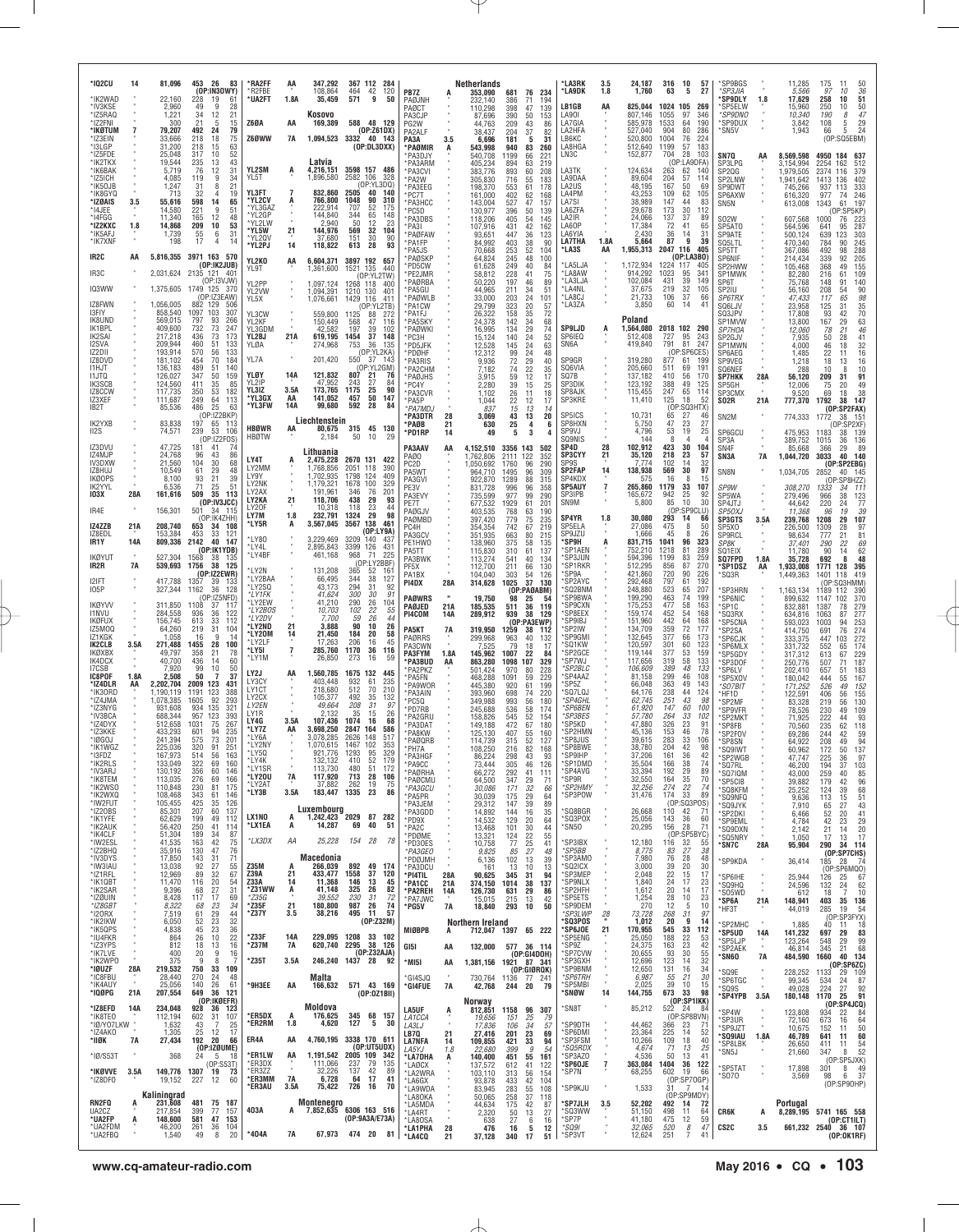| *102CU<br>*IK2WAD<br>*IV3KSE                                  | 14         | 81,096<br>22,160<br>2,960                            | 453 26<br>83<br>(OP:IN3OWY)<br>228<br>19<br>61<br>49<br>9<br>28                                             | *RA2FF<br><b>R2FBF</b><br>'UA2FT               | AA<br>1.8A                             | 347,292<br>108,864<br>35,459                      | 367 112 284<br>120<br>464 42<br>9<br>571<br>50                                                   | PB7Z<br>PAØJNH<br>PAØCT                                |                   | Netherlands<br>353,090<br>232.140<br>110,298              | 681<br>386<br>398                       | 76 234<br>71<br>194<br>139<br>47                                       | *LA3RK<br>*LA9DK<br>LB1GB                            | 3.5<br>1.8<br>AA     | 24,187<br>1,760<br>825,044                                     | 316<br>10<br>63<br>5<br>1024<br>105                                            | 57<br>27<br>269                        | *SP9BGS<br><i><b>*SP3JIA</b></i><br>'SP9DLY<br>'SP5ELW | 1.8        | 11,285<br>5,566<br>17,629<br>15,960          | 175<br>50<br>-11<br>97<br>36<br>10<br>258<br>51<br>10<br>250<br>50<br>10              |
|---------------------------------------------------------------|------------|------------------------------------------------------|-------------------------------------------------------------------------------------------------------------|------------------------------------------------|----------------------------------------|---------------------------------------------------|--------------------------------------------------------------------------------------------------|--------------------------------------------------------|-------------------|-----------------------------------------------------------|-----------------------------------------|------------------------------------------------------------------------|------------------------------------------------------|----------------------|----------------------------------------------------------------|--------------------------------------------------------------------------------|----------------------------------------|--------------------------------------------------------|------------|----------------------------------------------|---------------------------------------------------------------------------------------|
| *IZ5RAQ<br>*IZ2FNI<br>*IKØTUM<br>*IZ3EIN<br>*I3LGP<br>*IZ5FDE | 7          | 1,221<br>300<br>79,207<br>33.666<br>31,200<br>25,048 | 34<br>12<br>21<br>21<br>5<br>15<br>492<br>24<br>79<br>218<br>18<br>75<br>218<br>15<br>63<br>317<br>10<br>52 | <b>Z60A</b><br>Z6ØWW                           | AA<br><b>7A</b>                        | Kosovo<br>169,389                                 | 588 48 129<br>(OP:Z61DX)<br>1,094,523 3332 40 143<br>(OP:DL3DXX)                                 | PA3CJP<br>PG2W<br>PA2ALF<br>PA3A<br>*PAØMIR<br>PA3D.IY | 3.5               | 87,696<br>44,763<br>38,437<br>6,696<br>543,998<br>540,708 | 390<br>209<br>204<br>181<br>940<br>1199 | 50<br>153<br>43<br>86<br>37<br>82<br>31<br>5<br>83<br>260<br>221<br>66 | LA90I<br>LA7GIA<br>LA2HFA<br>LB6KC<br>LA8HGA<br>LN3C |                      | 807,146<br>585,978<br>527,040<br>520,800<br>512,640<br>152,877 | 1055<br>97<br>1533<br>64<br>904<br>80<br>1004<br>76<br>57<br>1199<br>704<br>28 | 346<br>190<br>286<br>224<br>183<br>103 | *SP9DNO<br>*SP9DUX<br>*SN5V<br>SN7Q                    | AA         | 10,340<br>3,842<br>1,943<br>8,569,598        | 47<br>190<br>8<br>$^{29}_{24}$<br>108<br>5<br>5<br>66<br>(OP:SQ5EBM)<br>4950 184 637  |
| *IK2TKX<br>*IK6BAK<br>*IZ5ICH<br>*IK50JB                      |            | 19,544<br>5,719<br>4,085<br>1,247                    | 235<br>13<br>43<br>12<br>76<br>31<br>9<br>34<br>119<br>31<br>8<br>$^{21}$                                   | YL2SM<br>YL5T                                  | A                                      | Latvia<br>4,216,151<br>1,896,580                  | 3598 157 486<br>2582 106<br>328<br>(OP:YL3DQ)                                                    | 'PA3ARM<br>*PA3CVI<br>*PA2W<br>PA3EEG                  |                   | 405,234<br>383,776<br>305,830<br>198,370                  | 894<br>893<br>716<br>553<br>402         | 63<br>219<br>60<br>208<br>55<br>183<br>61<br>178                       | LA3TK<br>LA9DAA<br>LA2US                             |                      | 124,634<br>89,604<br>48,195                                    | (OP:LA9DFA)<br>263<br>62<br>204<br>57<br>167<br>50                             | 114<br>69                              | SP3LPG<br>SP2QG<br>SP2LNW<br><b>SP9DWT</b>             |            | 3,154,994<br>.979,505<br>,941,642<br>745,266 | 2254<br>162<br>512<br>2374<br>116<br>379<br>1413<br>136<br>402<br>937 113<br>333      |
| *IK8GYQ<br>*IZØAIS<br>*14JEE<br>*14FGG<br>*IZ2KXC             | 3.5<br>1.8 | 713<br>55,616<br>14,580<br>11,340<br>14,868          | 32<br>$\overline{4}$<br>19<br>598<br>14<br>65<br>221<br>9<br>51<br>165<br>12<br>48<br>209<br>10<br>53       | YL3FT<br>'YL2CV<br>*YL3GAZ<br>*YL2GP<br>*YL2LW |                                        | 832,860<br>766,800<br>222,914<br>144,840<br>2.940 | 2505<br>40<br>140<br>1048<br>90<br>310<br>707<br>52<br>175<br>344<br>65<br>148<br>50<br>12<br>23 | PC7T<br>*PA3HCC<br>'PC5D<br>PA3DBS<br>*PA3I            |                   | 161,000<br>143,004<br>130,977<br>118,206                  | 527<br>396<br>405<br>431                | 62<br>168<br>47<br>157<br>50<br>139<br>54<br>145<br>42                 | LA4PM<br>LA7SI<br>LA6ZFA<br>LA2IR<br>LA60P           |                      | 43,253<br>38,989<br>29,678<br>24,066<br>17,384                 | 109<br>62<br>147<br>44<br>173<br>30<br>137<br>37<br>72<br>41                   | 105<br>83<br>112<br>89<br>65           | SP6AXW<br>SN5N<br><b>SO2W</b><br>SP5AT0                |            | 616,320<br>613,008<br>607,568<br>564,596     | 977<br>74<br>246<br>61<br>197<br>1343<br>[OP:SP5KP]<br>1000<br>76<br>223<br>287<br>95 |
| *IK5AFJ<br>*IK7XNF<br>IR2C                                    | AA         | 1,739<br>198                                         | 31<br>55<br>6<br>17<br>4<br>5,816,355 3971 163 570                                                          | *YL5W<br>*YI 20V<br>*YL2PJ                     | 21<br>14                               | 144,976<br>37,680<br>118,822                      | 569<br>32<br>104<br>151<br>30<br>-90<br>613<br>28<br>93                                          | *PAØFAW<br>*PA1FP<br>PA5JS<br>PAØSKP                   |                   | 107,916<br>93,651<br>84,992<br>70,668<br>64.824           | 447<br>403<br>253<br>245                | 162<br>123<br>36<br>38<br>90<br>52<br>104<br>48<br>100                 | LA6YIA<br><b>LA7THA</b><br>*LA3S                     | 1.8A<br>AA           | 2,430<br>5,664<br>1,955,313                                    | 36<br>14<br>9<br>87<br>2047 116<br>(OP:LA3BO)                                  | -31<br>39<br>405                       | SP9ATE<br>SQ5LTL<br>SP5TT                              |            | 500,124<br>470,340<br>367,086                | 641<br>639<br>303<br>123<br>245<br>784<br>90<br>288<br>492<br>98<br>92                |
| IR3C                                                          |            | 2,031,624 2135 121                                   | (OP:IK2JUB)<br>$-40^{\circ}$<br>(0P:13VJW)                                                                  | YL2KO<br>YL9T<br>YL2PP                         | AA                                     | 6,604,371<br>1,361,600                            | 3897 192 657<br>1521 135<br>440<br>(OP:YL2TW)                                                    | *PD5CW<br>PE2JMR<br>*PAØRBA                            |                   | 61,628<br>58,812<br>50,220                                | 249<br>228<br>197                       | 40<br>84<br>75<br>41<br>46<br>89                                       | *LA5LJA<br>*LA8AW<br>*LA3LJA                         |                      | 1,172,934<br>914,292<br>102,084                                | 1224 117<br>1023<br>95<br>39<br>431                                            | 405<br>341<br>149                      | SP6NIF<br>SP2HWW<br>SP1MWK<br>SP6T                     |            | 214,434<br>105,468<br>82,280<br>75,768       | 205<br>339<br>155<br>368<br>49<br>109<br>216<br>61<br>140<br>148<br>91                |
| IQ3WW<br>IZ8FWN                                               |            | 1,375,605 1749 125<br>1,056,005                      | 370<br>(OP:IZ3EAW)<br>882<br>129<br>506                                                                     | YL2VW<br>YL5X                                  |                                        | 1,097,124<br>1,094,391<br>1,076,661               | 1268 118<br>400<br>1210 130<br>401<br>1429 116<br>411<br>(OP:YL2TB)                              | PA5GU<br>*PAØWLB<br>*PA1CW                             |                   | 44.965<br>33,000<br>29.799                                | 211<br>203<br>323                       | 34<br>51<br>24<br>101<br>20<br>$\frac{57}{72}$                         | *LA4NL<br>*LA8CJ<br>*LA3ZA                           |                      | 37,675<br>21,733<br>3,850                                      | 219<br>32<br>106<br>37<br>60<br>-14                                            | 105<br>66<br>41                        | SP2IU<br><i>SP6TRX</i><br>SQ6LJV                       |            | 56,160<br>47,433<br>23,958                   | $\frac{90}{98}$<br>208<br>54<br>65<br>117<br>125<br>31                                |
| 13FIY<br>IK8UND<br>IK1BPL                                     |            | 858,540<br>569,015<br>409,600                        | 1097<br>103<br>307<br>797<br>266<br>93<br>732<br>73<br>247                                                  | YL3CW<br>YL2KF<br>YL3GDM                       |                                        | 559,800<br>150,449<br>42.582                      | 1125<br>88<br>-272<br>568<br>47<br>116<br>197<br>39<br>102                                       | *PA1FJ<br>'PA5SKY<br>*PAØWKI                           |                   | 26,322<br>24,378<br>16,995                                | 158<br>142<br>134                       | 35<br>34<br>68<br>29<br>74                                             | <b>SP9LJD</b>                                        | А                    | Poland<br>1,564,080                                            | 2018 102                                                                       | 290                                    | SQ3JPV<br>SP1MVW<br>SP7H0A                             |            | 17,808<br>13,800<br>12,060                   | 35<br>70<br>63<br>46<br>93<br>$^{42}_{29}$<br>167<br>78<br>21                         |
| IK2SAI<br>I2SVA<br>IZ2DII<br>IZ8DVD                           |            | 217,218<br>209,944<br>193,914<br>181,102             | 436<br>73<br>173<br>460<br>51<br>133<br>570<br>56<br>133<br>454<br>70<br>184                                | YL2BJ<br>YLØA<br>YL7A                          | 21A                                    | 619,195<br>274,968<br>201,420                     | 1454<br>37<br>148<br>36<br>753<br>135<br>(OP:YL2KA)<br>550<br>37 143                             | 'PC3H<br>*PD5JFK<br>'PDØHF<br>'PA3RIS                  |                   | 15,124<br>12,528<br>12,312<br>9,936                       | 140<br>145<br>99<br>72                  | 52<br>24<br>24<br>63<br>24<br>48<br>29<br>40                           | SP6IEQ<br>SN6A<br>SP9GR                              |                      | 512,408<br>419,840<br>319,280                                  | 95<br>727<br>791<br>81<br>(OP:SP6CES)<br>877<br>61                             | 243<br>247<br>199                      | SP2GJV<br>SP1MWN<br>SP6AEG<br>SP9VEG                   |            | 7,935<br>4,000<br>1,485<br>1,218             | 41<br>50<br>28<br>32<br>46<br>18<br>16<br>22<br>11<br>16<br>18<br>13                  |
| 11 HJ T<br><b>I1JTQ</b><br>IK3SCB                             |            | 136,183<br>126,027<br>124,560                        | 489<br>140<br>51<br>347<br>50<br>159<br>411<br>35<br>85                                                     | YLØY<br>YL2IP                                  | 14A                                    | 121,832<br>47.952                                 | (OP:YL2GM)<br>807<br>21<br>-76<br>27<br>243<br>84                                                | PA2CHM<br>PAØJHS<br>'PC4Y                              |                   | 7,182<br>3.915<br>2,280                                   | 74<br>59<br>39                          | 22<br>35<br>17<br>12<br>15<br>25                                       | SQ6VIA<br>SQ7B<br>SP3DIK                             |                      | 205,660<br>137,182<br>123,192                                  | 511<br>69<br>410<br>56<br>388<br>49                                            | 191<br>170<br>125                      | SQ6NEF<br><b>SP7HKK</b><br>SP5GH                       | 28A        | 288<br>56,120<br>12,006                      | 10<br>10<br>8<br>91<br>209<br>31<br>20<br>49<br>75                                    |
| IZ8CCW<br>IZ3XEF<br>IB2T                                      |            | 117,735<br>111,687<br>85,536                         | 350<br>53<br>182<br>249<br>64<br>113<br>25<br>486<br>63                                                     | YL3IZ<br>*YL3GX<br>*YL3FW                      | 3.5A<br>AA<br>14A                      | 173,765<br>141,052<br>99,680                      | 90<br>1175<br>25<br>457<br>50<br>147<br>592<br>28<br>84                                          | PA3CVR<br>*PA5P<br>*PA7MDJ                             |                   | 1.102<br>1,044<br>837                                     | 26<br>22<br>15                          | 18<br>11<br>12<br>17<br>13<br>14                                       | SP8AJK<br>SP3KRE                                     |                      | 115,455<br>11,410                                              | 247<br>65<br>125<br>18<br>(OI                                                  | 114<br>-52<br>:SQ3HTX)                 | SP3CMX<br>SO2R                                         | 21A        | 9,520<br>777,370                             | 38<br>69<br>18<br>1792<br>38<br>147<br>(OP:SP2FAX)                                    |
| IK2YXB<br>II <sub>2</sub> S                                   |            | 83,838<br>74,571                                     | (OP:IZ2BKP)<br>197<br>65<br>239<br>53<br>106<br>(OP:IZ2FOS)                                                 | <b>HBØWR</b><br><b>HBØTW</b>                   | AA                                     | Liechtenstein<br>80,675<br>2,184                  | 315 45 130<br>10<br>50                                                                           | *PA3DTR<br><b>PAØB</b><br>*PD1RP                       | 28<br>21<br>14    | 3,069<br>$630\n49$                                        | 43<br>$^{25}_{\hphantom{1}5}$           | 20<br>13<br>$\frac{4}{3}$<br>6                                         | SP5ICS<br>SP8HXN<br>SP9VJ<br>SQ9NIS                  |                      | 10,731<br>5,750<br>4,796<br>144                                | 65<br>27<br>47<br>23<br>53<br>19<br>8<br>4                                     | 46<br>27<br>25<br>4                    | SN <sub>2</sub> M<br>SP6GCU<br>SP3A                    |            | 774,333<br>475,953<br>389,752                | 1772<br>38 151<br>OP:SP2XF)<br>139<br>1183<br>38<br>136<br>1015<br>36                 |
| IZ3DVU<br>IZ4MJP<br>IV3DXW                                    |            | 47,725<br>24,768<br>21,560                           | 181<br>41<br>74<br>96<br>43<br>86<br>104<br>68<br>30                                                        | LY4T                                           |                                        | Lithuania<br>2,475,228                            | 2670 131 422                                                                                     | PA3AAV<br>PAØ0<br>PC2D                                 | AA                | 4,152,510<br>1,762,806<br>1,050,692                       | 3356 143<br>2111<br>1760                | 502<br>122<br>352<br>96<br>290                                         | SP4D<br><b>SP3CYY</b><br>SP9S                        | 28<br>21             | 102,912<br>35,120<br>7,774                                     | 30<br>423<br>218<br>23<br>102<br>14                                            | 104<br>57<br>32                        | SN <sub>4F</sub><br>SN3A                               | 7A         | 85,668<br>1,044,720                          | 89<br>366<br>29<br>140<br>3033<br>40<br>(OP:SP2EBG)                                   |
| IZ8HUJ<br><b>IKØOPS</b><br>IK2YYL                             |            | 10,549<br>8,100<br>6,536                             | 61<br>29<br>48<br>93<br>21<br>39<br>71<br>25<br>51                                                          | LY2MM<br>LY9Y<br>LY2NK<br>LY2AX                |                                        | 1.768.856<br>1,702,935<br>1.179.321<br>191,961    | 2051 118<br>390<br>1798<br>124<br>409<br>1678<br>100<br>329<br>346<br>76<br>201                  | PA5WT<br>PA3GVI<br>PE3V                                |                   | 964,710<br>922,870<br>831,728                             | 1495<br>1289<br>996                     | 96<br>309<br>88<br>315<br>96<br>358                                    | <b>SP2FAP</b><br>SP4KDX<br><b>SP5AUY</b>             | 14<br>7              | 138,938<br>575<br>265,860                                      | 30<br>569<br>16<br>8<br>1179<br>33                                             | 97<br>15<br>107                        | SN8N<br>SP9W                                           |            | 1,034,705<br>308,270                         | 2852<br>40 145<br>(OP:SP8HZZ)<br>1333<br>34<br>11                                     |
| <b>103X</b><br>IR4E                                           | 28A        | 161,616<br>156,301                                   | 509<br>35<br>113<br>(OP:IV3JCC)<br>501<br>34 115<br>(OP:IK4ZHH)                                             | LY2KA<br>LY20F<br>LY7M                         | 21<br>1.8                              | 118,706<br>10,318<br>232,791                      | 438<br>29<br>93<br>23<br>118<br>44<br>1324<br>29<br>98                                           | PA3EVY<br>PE7T<br>PAØGJV                               |                   | 735,599<br>677,532<br>403,535                             | 977<br>1929<br>768                      | 290<br>99<br>61<br>201<br>63<br>190                                    | SP3IPB<br>SN9M<br>SP4YR                              | 1.8                  | 165,672<br>5,800<br>30,080                                     | 942<br>25<br>85<br>10<br>(OP:SP9CLU)<br>293<br>14                              | 92<br>30<br>66                         | SP5WA<br>SP4JTJ<br>SP50XJ                              |            | 279,496<br>44,642<br>11,368                  | 123<br>966<br>38<br>77<br>220<br>24<br>19<br>39<br>96                                 |
| IZ4ZZB<br>IZ8EDL<br>IR1Y                                      | 21A<br>14A | 208,740<br>153,384<br>809,336                        | 653<br>34<br>108<br>453<br>33<br>-121<br>2142<br>40<br>147                                                  | *LY5R<br>*LY80                                 | A                                      | 3,567,045<br>3,229,469                            | 3567 138<br>461<br>(OP:LY9A)<br>3209<br>140<br>-43                                               | PAØMBD<br>PC <sub>4</sub> H<br>PA3GCV<br>PE1HW0        |                   | 397,420<br>354,354<br>351,935<br>138,960                  | 779<br>742<br>663<br>375                | 75<br>235<br>67<br>219<br>80<br>215<br>58<br>135                       | SP5ELA<br>SP9JZU<br>*SP9H                            |                      | 27,086<br>1,666<br>831,715                                     | 475<br>8<br>8<br>45<br>1041<br>96                                              | 50<br>-26<br>323                       | <b>SP3GTS</b><br>SP5X0<br><b>SP9RCL</b><br>SP8K        | 3.5A       | 239,768<br>226,500<br>98,634<br>37.401       | 1208<br>29<br>107<br>28<br>97<br>1309<br>777<br>21<br>81<br>290<br>22<br>69           |
| <b>IKØYUT</b><br>IR2R                                         | 7A         | 527,304<br>539,693                                   | (OP:IK1YDB)<br>1568<br>38<br>-135<br>1756<br>38<br>125                                                      | *LY4L<br>*LY4BF<br>LY2N                        |                                        | 2,895,843<br>461,168<br>131,208                   | 3399<br>126<br>431<br>968<br>71<br>225<br>(OP:LY2BBF<br>52<br>365<br>$16^{\circ}$                | PA5TT<br>PA3BWK<br>PF5X                                |                   | 115,830<br>113,274<br>112,700                             | 310<br>541<br>211                       | 61<br>137<br>40<br>134<br>66<br>130                                    | 'SP1AEN<br>*SP3JUN<br>*SP1RKR                        |                      | 752,210<br>594,396<br>512,295                                  | 1218<br>81<br>1199<br>83<br>856<br>87                                          | 289<br>259<br>270                      | SQ1EIX<br>SQ7FPD<br>*SP1DSZ                            | 1.8A<br>AA | 11,780<br>35,728<br>1,933,008                | 62<br>90<br>14<br>48<br>692<br>8<br>395<br>128<br>1771                                |
| 12IFT<br><b>IO5P</b>                                          |            | 417,788<br>327,344                                   | (OP:IZ2EWR)<br>1357<br>39<br>-133<br>1162<br>36<br>128<br>(OP:IZ5NFD)                                       | *LY2BAA<br>*LY2SQ<br>*LY1FK                    |                                        | 66,495<br>43,173<br>41,624                        | 344<br>38<br>127<br>294<br>92<br>31<br><i>300</i><br>30<br>91                                    | PA1BX<br>PI4DX                                         | 28A               | 104,040<br>314,628                                        | 303<br>1025                             | 54<br>126<br>37<br>130<br>(OP:PAØABM)                                  | *SP9A<br>'SP2AYC<br>'SQ2BNM<br>'SP9BWA               |                      | 421,860<br>292,468<br>248,880<br>199,290                       | 720<br>90<br>797<br>61<br>523<br>65<br>463<br>74                               | 226<br>192<br>207<br>199               | *SQ3R<br>'SP3HRN                                       |            | 1,449,363<br>1,163,134                       | 1401<br>118<br>419<br>SQ3HMM)<br>(0P<br>1189<br>112<br>390                            |
| <b>IKØYVV</b><br>11 NVU<br><b>IKØFUX</b>                      |            | 311,850<br>284,558<br>156,745                        | 1108<br>37<br>117<br>936<br>36<br>122<br>613<br>33<br>112                                                   | *LY2EW<br>*LY2BOS<br>*LY2DV                    |                                        | 41,210<br>10,703<br>7,700                         | 290<br>26<br>104<br>102<br>22<br>26<br>55<br>59<br>44                                            | <b>PAØWRS</b><br>PAØJED<br>PI4COM                      | 21A<br><b>14A</b> | 19,750<br>185,535<br>289,912                              | 98<br>511<br>939                        | 25<br>54<br>36<br>119<br>38<br>129<br>(OP:PA3EWP)                      | 'SP9CXN<br>*SP8EEX<br>'SP9IBJ                        |                      | 175,253<br>159,174<br>151,960                                  | 58<br>477<br>452<br>54<br>442<br>64                                            | 163<br>168<br>168                      | *SP6NIC<br>*SP1C<br>'SQ3RX<br>*SP5CNA                  |            | 899,632<br>832,881<br>634,816<br>593,023     | 370<br>1147<br>102<br>1387<br>78<br>279<br>277<br>1063<br>87<br>253<br>1003<br>94     |
| IZ5MOQ<br>IZ1KGK<br>IK2CLB                                    | 3.5A       | 64,260<br>1,058<br>271,488                           | 219<br>31<br>104<br>9<br>14<br>16<br>28<br>1455<br>100                                                      | *LY2ND<br>*LY20M<br>*LY2LF<br>*LY5I            | 21<br>$\frac{14}{1}$<br>$\overline{7}$ | 3,888<br>21,450<br>17,263<br>285,760              | 90<br>10<br>26<br>184<br>20<br>58<br>206<br>45<br>16<br>1170<br>36<br>116                        | PA5KT<br>PAØRRS<br>PA3CWN                              | 7A                | 319,950<br>299,968<br>7,525                               | 1259<br>963<br>79                       | 38<br>112<br>40<br>132<br>18<br>17                                     | *SP2IW<br>'SP9GMI<br>*SQ1KW                          |                      | 134,709<br>132,645<br>120,597                                  | 359<br>72<br>377<br>66<br>301<br>60                                            | 177<br>173<br>123                      | 'SP2SA<br>'SP6CJK<br>'SP6MLX                           |            | 414,750<br>333,375<br>331,732                | 274<br>691<br>76<br>272<br>447<br>103<br>174<br>552<br>65                             |
| IKØXBX<br>IK4DCX<br>I7CSB<br>IC8POF                           | 1.8A       | 49,797<br>40,700<br>7,920<br>2,508                   | 358<br>21<br>78<br>436<br>60<br>14<br>99<br>50<br>10<br>50<br>$\overline{7}$<br>37                          | *LY1M<br>LY2J                                  | AA                                     | 26,850<br>1,560,785                               | 273<br>16<br>59<br>1675<br>132<br>445                                                            | PA3FYM<br><b>PA3BUD</b><br>PA2PKZ                      | 1.8A<br>AA        | 145,962<br>863,280<br>501,424                             | 1007<br>1098<br>970                     | 22<br>84<br>107<br>329<br>80<br>228                                    | 'SP2GCE<br>*SP7WJ<br>SP2BLC<br>SP4AAZ*               |                      | 119,144<br>117,656<br>106,609<br>81,158                        | 377<br>53<br>319<br>58<br>389<br>48<br>299<br>46                               | 159<br>133<br>133<br>108               | 'SP5GDY<br>*SP3DOF<br>*SP6LV                           |            | 317,312<br>250,776<br>202,410                | 613<br>67<br>229<br>187<br>507<br>71<br>657<br>51<br>183                              |
| *IZ4DLR<br>*IK30RD<br>*IZ4JMA                                 | AA         | 2,202,704<br>∣,190,119<br>1,078,385                  | 2009<br>123<br>431<br>388<br>1191<br>123<br>92<br>1605<br>293                                               | LY3CY<br>LY1CT<br>LY2CX                        |                                        | 403,448<br>218,680<br>105,377                     | 932<br>61<br>235<br>512<br>70<br>210<br>492<br>35<br>132                                         | *PA5FN<br>®PA9WOR<br>PA3AIN<br>PC5Q                    |                   | 468,288<br>445,380<br>393,960<br>349,988                  | 1091<br>920<br>698<br>993               | 229<br>59<br>61<br>199<br>74<br>220<br>56<br>180                       | SP5Z*<br>'SQ7LQJ<br>'SP4GHL                          |                      | 66,048<br>64,176<br>62,745                                     | 363<br>49<br>238<br>44<br>251<br>43                                            | 143<br>124<br>98                       | 'SP5XOV<br>*SO7BIT<br>HF1D<br>'SP2MF                   |            | 180,042<br>171,252<br>122.591<br>83,328      | 444<br>167<br>152<br>55<br>526<br>49<br>155<br>406<br>56<br>130<br>219<br>56          |
| *IZ3NYG<br>*IV3BCA<br>*IZ4DYX                                 |            | 931.608<br>688.344<br>512,658                        | 934<br>135<br>321<br>957<br>123<br>393<br>1031<br>267<br>75                                                 | LY2EN<br>LY1R<br>LY4G                          | 3.5A                                   | 49,664<br>2,132<br>107.436                        | 208<br>97<br>-31<br>35<br>15<br>26<br>1074<br>16<br>68                                           | 'PD7RB<br>®PA2GRU<br>PA3DAT                            |                   | 245,688<br>158,826<br>149,188                             | 536<br>545<br>472                       | 58<br>174<br>52<br>154<br>67<br>180                                    | *SP6BEN<br><b>SP3BES</b><br>'SP5KD                   |                      | 61,920<br>57,780<br>47,880                                     | 147<br>60<br>264<br>33<br>326<br>23                                            | 100<br>102<br>91                       | 'SP9VFR<br>*SP2MKT<br>*SP8FB                           |            | 78,526<br>71,925<br>70.560                   | 230<br>49<br>109<br>222<br>93<br>44<br>235<br>62<br>118                               |
| *IZ3KKE<br>*IØGOJ<br>*IK1WGZ                                  |            | 433.293<br>241,394<br>225,036                        | 601<br>94<br>235<br>575<br>73<br>201<br>320<br>91<br>251                                                    | *LY7Z<br>*LY6A<br>*LY2NY<br>*I Y50             | AA                                     | 3,698,250<br>3.078.285<br>1,070,615               | 2847<br>164<br>586<br>2626<br>148<br>517<br>1467<br>102<br>353<br>1293                           | <b>PA8KW</b><br>*PAØQRB<br>*PH7A                       |                   | 125,130<br>114,739<br>108,250                             | 407<br>315<br>216                       | 55<br>160<br>52<br>127<br>82<br>168                                    | *SP2HMN<br>*SP8JUS<br>*SP8BWE                        |                      | 45.136<br>39,615<br>38,780                                     | 153<br>46<br>283<br>33<br>204<br>42                                            | 78<br>106<br>98                        | *SP2FOV<br>*SP8SN<br>*SQ9IWT                           |            | 69,286<br>64.922<br>60,962                   | 244<br>42<br>59<br>208<br>94<br>49<br>137<br>172<br>50                                |
| `I3FDZ<br>*IK2RLS<br>*IV3ARJ<br>*IK8TEM                       |            | 167.973<br>133,049<br>130,192<br>113,035             | 514<br>.5b<br>163<br>322<br>69<br>160<br>356<br>60<br>146<br>276<br>69<br>166                               | *LY4K<br>*LY1SR<br>*LY20U                      | 7A                                     | 132,132<br>113,730<br>117,920                     | 52<br>410<br>179<br>480<br>172<br>51<br>713<br>28<br>106                                         | PA3HGF<br>*PA9CC<br>*PAØRHA                            |                   | 86.224<br>73,444<br>66,272                                | 298<br>305<br>292                       | 43<br>93<br>46<br>126<br>41<br>111                                     | SPYIHP<br>*SP1DMD<br>*SP4AVG<br>*SP9R                |                      | 37.206<br>35,504<br>33,394<br>32,550                           | 161<br>-36<br>166<br>38<br>192<br>29<br>164                                    | 42<br>74<br>89<br>70                   | SP2WGB<br>*SQ7RL<br>*SQ7IQM                            |            | 47.747<br>46,200<br>43,000                   | 225<br>36<br>97<br>194<br>37<br>103<br>259<br>40<br>85                                |
| *IK2WS0<br>*IK2WXQ<br>*IW2FUT                                 |            | 110,848<br>108,468<br>105,455                        | 230<br>81<br>175<br>343<br>61<br>146<br>425<br>35<br>126                                                    | *LY2AT<br>*LY3B                                | 3.5A                                   | 37,882<br>183,447 1335                            | 262<br>19<br>75<br>23<br>86                                                                      | *PAØCMU<br>*PA3GCU<br>*PA5PR<br>*PA3JEM                |                   | 64,500<br>30,086<br>30,039<br>29,312                      | 347<br>171<br>175<br>147                | $\frac{29}{32}$<br>71<br>66<br>29<br>64<br>39<br>89                    | *SP2HMY<br>*SP3POW                                   |                      | 32,256<br>31,476                                               | $\frac{35}{22}$<br>274<br>174<br>33<br>(OP:SQ3POS)                             | 74<br>89                               | *SP5CIB<br>*SQ8KFM<br>*SQ9NFQ<br>*SQ9JYK               |            | 39,882<br>25,252<br>9,636<br>7,910           | 179<br>42<br>96<br>124<br>39<br>68<br>113<br>15<br>51<br>43<br>27<br>65               |
| *IZ20BS<br>*IK1YFE<br>*IK2AUK                                 |            | 85,301<br>62,629<br>56,420                           | 207<br>60<br>137<br>199<br>49<br>112<br>250<br>41<br>114                                                    | LX1NO<br>*LX1EA                                | A<br>A                                 | Luxembourg<br>14,287                              | 1,242,423 2029 87 282<br>69<br>40<br>51                                                          | *PA3GDD<br>*PD9X<br>*PA2C                              |                   | 14,892<br>14,532<br>13,468                                | 144<br>129<br>101                       | 16<br>35<br>20<br>64<br>30<br>44                                       | *SQ8BGR<br>'SQ3POX<br>*SN5O                          |                      | 26,668<br>25,056<br>20,295                                     | 110<br>42<br>143<br>36<br>28<br>156                                            | 71<br>60<br>71                         | *SP2DKI<br>*SP9EML<br>*SQ9DXN                          |            | 6,466<br>4,784<br>2,142                      | 52<br>20<br>41<br>42<br>23<br>29<br>20<br>21<br>14                                    |
| *IK4CLF<br>*IW2ESL<br>*IZ2BHQ<br>*IV3DYS                      |            | 51,304<br>41,535<br>35,916<br>17,850                 | 189<br>34<br>87<br>42<br>163<br>75<br>130<br>47<br>76<br>143<br>31<br>71                                    | *LX3DX                                         | ΑA                                     | 25,228<br>Macedonia                               | 154 28<br>78                                                                                     | *PDØME<br>*PD30ES<br>*PA3GFO                           |                   | 13,321<br>10,758<br>9,825                                 | 124<br>77<br>85                         | 22<br>55<br>25<br>41<br>27<br>48                                       | *SP3IBX<br>*SP5BB<br>*SP3AMO                         |                      | 12,180<br>8,775<br>7,980                                       | (OP:SP5BYC)<br>116<br>$\frac{32}{27}$<br>83<br>76<br>28                        | 55<br>38<br>48                         | *SQ5NRY<br>*SN7C                                       | 28A        | 1,050<br>95,904                              | 17<br>17<br>13<br>290<br>34 114<br>(OP:SP7CHS)                                        |
| *IW3IAU<br>*IZ1RFL<br>*IK1QBT                                 |            | 13,038<br>12,969<br>11,470                           | 92<br>27<br>55<br>89<br>32<br>67<br>116<br>20<br>54                                                         | Z35M<br>Z39A<br>Z33A                           | 21<br>14                               | 266,039<br>433,477<br>11,368                      | 892<br>49<br>174<br>37<br>1558<br>120<br>146<br>13<br>45                                         | *PDØJMH<br>*PA3DCU<br>* PI4TIL<br>*PA1CC               | 28A<br>21A        | 6,136<br>161<br>90,625<br>374,150                         | 102<br>13<br>345<br>1014                | 13<br>39<br>10<br>13<br>31<br>94<br>38<br>137                          | *SQ2ICX<br>*SP3MEP<br>*SP9NLX                        |                      | 3,000<br>2,048<br>1,840                                        | 39<br>20<br>22<br>15<br>24<br>17                                               | 30<br>17<br>23                         | *SP9KDA<br>*SP6IHE<br>*SQ9HQ                           | $\epsilon$ | 36,414<br>25,944                             | 185 28 74<br>(OP:SP6MQ0)<br>126<br>-25<br>-67<br>62                                   |
| *IK2SAR<br>*IZØUIN<br>*IZ8GBT                                 |            | 9,396<br>8,428<br>8,322                              | 27<br>31<br>68<br>117<br>17<br>69<br>23<br>34<br>68                                                         | *Z31WW<br>*Z35G<br>*Z35F                       | A<br>21                                | 41,148<br>39,552<br>180,800                       | 325<br>26<br>82<br>230<br>72<br>31<br>987<br>26<br>74                                            | *PA2REH<br>*PA7JWC<br>*PG5V                            | 14A<br><b>7A</b>  | 126,730<br>15,015<br>18,840                               | 631<br>215<br>293                       | 29<br>86<br>42<br>13<br>50<br>10                                       | *SP2HFH<br>*SP5ETS<br>*SP9DEM                        |                      | 1,612<br>1,254<br>270                                          | 20<br>14<br>28<br>10<br>12<br>5                                                | 17<br>23<br>10                         | *SO5WD<br>*SP6A<br>*HF3T                               | 21A        | 24,596<br>612<br>148,941<br>44,019           | 132<br>24<br>10<br>18<br>-7<br>403<br>35 136<br>285<br>19<br>54                       |
| *120RX<br>*IK2IKW<br>*IK5QPS                                  |            | 7,519<br>6,050<br>4,838                              | 29<br>61<br>44<br>23<br>32<br>52<br>23<br>45<br>36                                                          | *Z37Y<br>*Z33F                                 | 3.5                                    | 38,216<br>229,095 1208                            | 495<br>11<br>57<br>(OP:Z32M)<br>33 102                                                           | <b>MIØBPB</b>                                          | A                 | Northern Ireland<br>712,047 1397 65 222                   |                                         |                                                                        | *SP3LWP<br>*SQ3POS<br>*SP6JOE                        | $\frac{28}{1}$<br>21 | 73,728<br>1,012<br>170,955                                     | 268<br>31<br>20<br>9<br>545<br>33                                              | 97<br>14<br>112                        | *SP2MHC<br>*SP5UD                                      | 14A        | 1,885<br>141,232                             | (OP:SP3FYX)<br>40<br>18<br>-11<br>697<br>83<br>29                                     |
| *IU4FKR<br>*IZ3YPS<br>*IK7LVE<br>*IK2WP0                      |            | 864<br>-812<br>400<br>375                            | 26<br>10<br>22<br>13<br>16<br>18<br>20<br>9<br>16<br>$\mathbf{q}$<br>8                                      | *Z37M<br>*Z35T                                 | 14A<br>7A<br>3.5A                      | 620,740                                           | 2295 38 126<br>(DP:Z32AJA)<br>246,240 1437 28 92                                                 | GI5I<br>*MI5I                                          | AA<br>AA          | 132,000<br>1,381,156                                      |                                         | 577 36 114<br>(OP:GI4DOH)<br>1921 87 341                               | 'SP5ENG<br>*SP9Z<br>*SP7CVW<br>*SP3GXH               |                      | 25,050<br>24,375<br>20,655<br>12,696                           | 188<br>22<br>23<br>163<br>93<br>30<br>123<br>14                                | 53<br>42<br>55<br>32                   | 'SP5LJP<br>*SP2AEK<br>*SN6O                            | 7A         | 123,264<br>46,814<br>484,590                 | 99<br>548<br>29<br>68<br>345<br>21<br>40 134<br>1660                                  |
| *IØUZF<br>*IC8FBU<br>*IK4AUY                                  | 28A        | 219,532<br>28,440<br>25,056                          | 750<br>33<br>109<br>270<br>24<br>48<br>140<br>26<br>61                                                      | *9H3EE                                         | AA                                     | Malta<br>166,632                                  | 571 43 169                                                                                       | *GI4SJQ<br>*GI4FUE                                     | <b>A</b><br>7A    | 730,764<br>42,768                                         |                                         | (OP:GIBROK)<br>1136 77 241<br>244 20 79                                | *SP9BNM<br><i>*SP6TRH</i><br>*SP5MBI                 |                      | 12,650<br>6,987<br>2,025                                       | 131<br>16<br>55<br>21<br>39<br>10                                              | 34<br>30<br>15                         | *SQ9E<br>*SP6TGC<br>'SQ9S                              | ×          | 228,252<br>99,345<br>49.028                  | (OP:SP6ZC)<br>1133<br>29 109<br>534<br>24<br>87<br>224<br>92<br>27                    |
| *IQØPG<br>*IZ8EFD                                             | 21A<br>14A | 207,554<br>234,048                                   | 649<br>36<br>121<br>(OP:IKOEFR)<br>928<br>36 123                                                            | *ER5DX                                         | A                                      | Moldova<br>176,625                                | (OP:OZ1BII)<br>345 68 157                                                                        | <b>LA5UF</b>                                           | A                 | Norway<br>812,851                                         | 1158                                    | 96<br>307                                                              | *SNØW<br>*SN8T                                       | 14                   | 144,755<br>85,212                                              | 673<br>33<br>(OP:SP1IKK)<br>522<br>- 24                                        | 98<br>-84                              | *SP4YPB<br>*SP4W                                       | 3.5A       | 180,148<br>123,808                           | 91<br>1170<br>25<br>(OP:SP4JCQ)<br>934<br>84<br>22                                    |
| *IK8TEO<br>*IØ/Y07LKW *<br>*IZ4AKO<br>*IIØK                   | <b>7A</b>  | 112,194<br>1,632<br>1,305<br>27,434                  | 602<br>31<br>107<br>43<br>25<br>12<br>17<br>25<br>192 20<br>66                                              | *ER2RM<br>ER4A                                 | 1.8<br>AA                              | 4,620<br>4,760,195                                | 127<br>5<br>30<br>3338 170 611                                                                   | LA1CCA<br>LA3LJ<br>LB7Q<br><b>LA7NFA</b>               | 21<br>14          | 19,656<br>17,836<br>27,416<br>109,855                     | 151<br>106<br>201<br>421                | 25<br>79<br>34<br>57<br>23<br>69<br>33<br>94                           | 'SP9DTH<br>*SP6DMI<br>*SP3FSM                        |                      | 44,462<br>23,364<br>10,266                                     | (OP:SP8BVN)<br>366<br>23<br>225<br>-14<br>109<br>18                            | 71<br>52<br>40                         | *SP3UR<br>*SP9JZT<br>*SQ9IAU                           | 1.8A       | 72,160<br>10,675<br>46,789                   | 673<br>64<br>16<br>152<br>11<br>50<br>641<br>11<br>60                                 |
| *IØ/S53T                                                      |            | 368                                                  | (OP:IZØUME)<br>24<br>5 18<br>(OP:SS3T)                                                                      | *ER1LW<br>*ER3DX                               | AA                                     | 1,191,542<br>111,066                              | (OP:UT5UDX)<br>2005 109 342<br>237<br>79<br>135                                                  | LA5YJ<br>*LA7DHA<br>*LAØCX                             | 1.8<br>A          | 22,680<br>140,400<br>137,572                              | 399<br>451<br>612                       | 9<br>.54<br>55<br>161<br>41<br>122                                     | *SQ5RDX<br>'SP3AZ0<br>*SP60JE                        | $\overline{1}$       | 4,674<br>4,536<br>363,084                                      | 71<br>13<br>50<br>13<br>1404<br>36                                             | 25<br>41<br>122                        | *SP8LBK<br>*SN5J                                       | ×          | 26,650<br>21,660                             | 411<br>11<br>54<br>52<br>347<br>-8<br>(OP:SP5JXK)                                     |
| *IKØVVE<br>*IZ8DF0                                            | 3.5A       | 149,776<br>19,152                                    | 1307 19<br>73<br>227<br>12<br>60                                                                            | *ER3ZZ<br>*ER3MM<br>*ER3AU                     | 7A<br>3.5A                             | 32,226<br>6,728<br>75,422                         | 42<br>137<br>-89<br>17<br>41<br>64<br>726<br>16<br>70                                            | *LA2WRA<br>*LA6GX<br>*LA9WDA                           |                   | 103,110<br>93,878<br>83,945                               | 313<br>433<br>283                       | 56<br>154<br>104<br>42<br>55<br>108                                    | *SP7N<br>*SP9KJU                                     |                      | 68,255<br>1,533                                                | 602<br>19<br>(OP:SP7OGP)<br>31<br>7                                            | 66<br>-14                              | *SP5TAT<br>*S070                                       | $\alpha$   | 17,898<br>3,569                              | 301 8 49<br>6 37<br>98<br>(OP:SP90HP)                                                 |
| RN2FQ<br>UA2CZ                                                | Ą          | Kaliningrad<br>231,608<br>217,854                    | 187<br>481<br>75<br>399<br>77<br>157<br>47<br>581                                                           | 403A                                           | A                                      | Montenegro<br>7,852,635                           | 6306 163 516<br>(OP:9A3A/E73A)                                                                   | *LA80KA<br>LA5MDA*<br>*LA4RT                           |                   | 50,065<br>44,634<br>2,320                                 | 258<br>175<br>50                        | 37<br>118<br>42<br>87<br>13<br>27                                      | *SP7JLH<br>*SQ3WW                                    | 3.5                  | 52,202<br>51,150                                               | (OP:SP9MDY)<br>492 14<br>498<br>11                                             | 72<br>64                               | <b>CR6K</b>                                            | A          | Portugal<br>8,289,195                        | 5741 165 558                                                                          |
| *UA2FP<br>*UA2FDM<br>*UA2FBQ                                  | A          | 148,600<br>46,200<br>1,540                           | 153<br>261<br>36<br>104<br>20<br>8<br>-49                                                                   | *404A                                          | <b>7A</b>                              |                                                   | 67,973 474 20 81                                                                                 | *LA80SA<br>*LA1PHA<br>*LA4CQ                           | 28<br>21          | 638<br>476<br>37,128                                      | 27<br>16<br>340                         | 6<br>16<br>5<br>12<br>17<br>51                                         | *SP7P<br>$*$ SQ9I<br>*SP3VT                          |                      | 41,180<br>32,065<br>12,624                                     | 475<br>12<br>520<br>8<br>251<br>7                                              | 59<br>47<br>41                         | CS <sub>2</sub> C                                      | 3.5        |                                              | (OP:CT1ILT)<br>661,232 2540 36 107<br>(OP:OK1RF)                                      |

www.cq-amateur-radio.com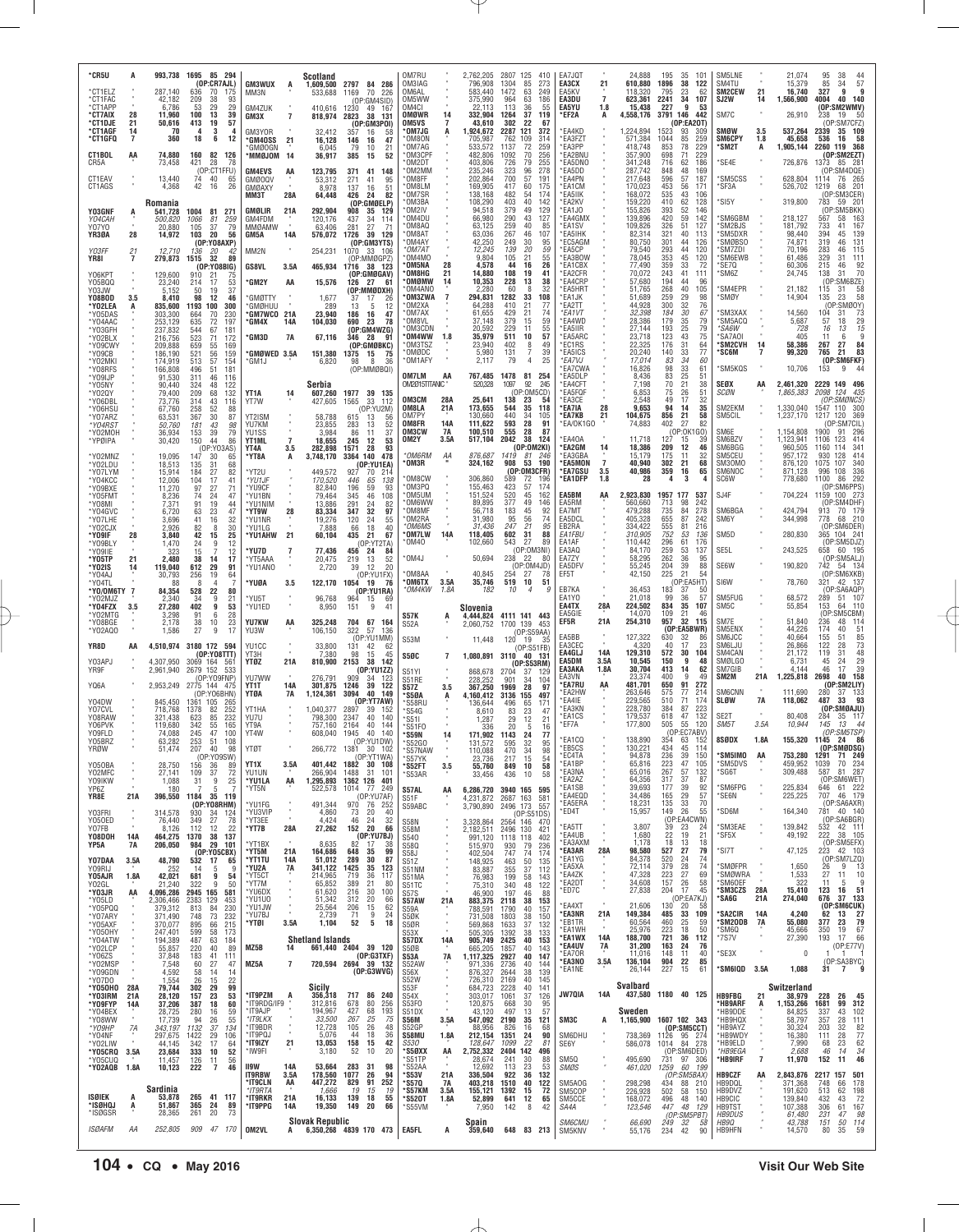| *CR5U<br>*CT1ELZ<br>*CT1FAC<br>*CT1APP<br>*CT7AIX | А<br>28           | 287.140<br>42,182<br>6,786<br>11,960       | 993,738 1695 85 294<br>(OP:CR7AJL)<br>636<br>70<br>175<br>209<br>93<br>38<br>53<br>29<br>29<br>100<br>13<br>39 | <b>GM3WUX</b><br>MM3N<br>GM4ZUK              | <b>Scotland</b><br>1,609,500<br>A<br>533,688<br>410,616      | 2797 84 286<br>1169<br>70<br>-226<br>(OP:GM4SID)<br>1230<br>49 167            | OM7RU<br>OM3IAG<br>OM6AL<br>OM5WW<br>OM4CI<br>OMØWR | 14                        | 2,762,205<br>796,908<br>583.440<br>375,990<br>22.113<br>332,904 | 1304<br>1472<br>964<br>113<br>1264 | 2807 125 410<br>85<br>273<br>63<br>249<br>63<br>186<br>36<br>55<br>37<br>119 | EA7JQT<br>EA3CX<br>EA5KV<br>EA3DU<br>EA5YU<br>*EF2A | 21<br>$\overline{7}$<br>1.8<br>A | 24,888<br>610,880<br>118.320<br>623,361<br>15,438<br>4,558,176 | 195<br>35 101<br>1896<br>38<br>122<br>795<br>23<br>62<br>2241<br>34<br>107<br>227<br>9<br>53<br>3791 146<br>442 | SM5LNE<br>SM4TU<br>SM2CEW<br>SJ2W<br>SM7C | 21<br>14       | 21,074<br>15,379<br>16.740<br>1,566,900<br>26,910 | 95<br>38<br>$\frac{44}{57}$<br>85<br>34<br>327<br>9<br>9<br>40<br>4004<br>140<br>(OP:SM2WMV)<br>19<br>-50 |
|---------------------------------------------------|-------------------|--------------------------------------------|----------------------------------------------------------------------------------------------------------------|----------------------------------------------|--------------------------------------------------------------|-------------------------------------------------------------------------------|-----------------------------------------------------|---------------------------|-----------------------------------------------------------------|------------------------------------|------------------------------------------------------------------------------|-----------------------------------------------------|----------------------------------|----------------------------------------------------------------|-----------------------------------------------------------------------------------------------------------------|-------------------------------------------|----------------|---------------------------------------------------|-----------------------------------------------------------------------------------------------------------|
| *CT1DJE<br>*CT1AGF<br>*CT1GFQ                     | 21<br>14<br>7     | 50,616<br>-70<br>360                       | 413<br>19<br>57<br>3<br>4<br>18<br>6<br>12                                                                     | GM3X<br>GM3YOR<br>*GM4OSS                    | $\overline{7}$<br>818,974<br>32,412<br>21<br>16,128          | 2823<br>38<br>131<br>(OP:GM3POI)<br>357<br>16<br>58<br>146<br>16<br>47        | OM5VS<br>*OM7JG<br>'OM8ON                           |                           | 43,610<br>1,924,672<br>705,987                                  | 302<br>2287<br>762                 | 22<br>67<br>121<br>372<br>109<br>314                                         | 'EA4KD<br>EA3FZT                                    |                                  | 1,224,894<br>571,384                                           | (OP:EA2OT)<br>1523<br>93<br>309<br>1044<br>85<br>259                                                            | SMØW<br><b>SM6CPY</b>                     | 3.5<br>1.8     | 537,264<br>45,658                                 | 238<br>(OP)<br>:SM7CFZ)<br>2339<br>35 109<br>58<br>536<br>16                                              |
| CT1BOL<br>CR5A                                    | AA                | 74,880<br>73,458                           | 160<br>82<br>126<br>78<br>421<br>28<br>(OP:CT1FFU)                                                             | GMØOGN<br><b>MOLQMM</b> *<br><b>GM4EVS</b>   | 6,045<br>-14<br>36,917<br>123,795<br>AA                      | 79<br>10<br>21<br>52<br>385<br>15<br>371<br>41 148                            | OM7AG<br>*OM3CPF<br>OM2DT<br>`OM2MM                 |                           | 533,572<br>482,806<br>403,806<br>235,246                        | 1137<br>1092<br>726<br>323         | 72<br>259<br>70<br>256<br>79<br>255<br>96<br>278                             | EA3PP<br>EA2BNU<br>'EA5DNO<br>*EA5DD                |                                  | 418,748<br>357,900<br>341,248<br>287,742                       | 229<br>853<br>78<br>698<br>71<br>229<br>716<br>62<br>186<br>848<br>48<br>169                                    | 'SM2T<br>SE4E*                            | A              | 1,905,144<br>726,876                              | 2260 119 368<br>(OP:SM2EZT)<br>1373<br>$85 \t28$<br>(OP:SM4DQE)                                           |
| CT1EAV<br>CT1AGS                                  |                   | 13,440<br>4,368<br>Romania                 | 74<br>40<br>65<br>42<br>16<br>26                                                                               | <b>GMØOQV</b><br>GMØAXY<br>MM3T              | 53,312<br>8,978<br>28A<br>64,448                             | 271<br>41<br>95<br>137<br>51<br>16<br>426<br>24<br>82<br>(OP:GMØELP)          | OM8FF<br>OM8LM<br>*OM7SR<br>*OM3BA                  |                           | 202,864<br>169,905<br>138,168<br>108,290                        | 700<br>417<br>482<br>403           | 57<br>191<br>60<br>175<br>174<br>54<br>40<br>142                             | *EA4PN<br>*EA1CM<br>*FA5IIK<br>*EA2KV               |                                  | 217,648<br>170,023<br>168,072<br>159,220                       | 596<br>57<br>187<br>453<br>56<br>171<br>535<br>43<br>106<br>410<br>62<br>128                                    | <b>SM5CSS</b><br>*SF3A<br>*SI5Y           |                | 628,804<br>526,702<br>319,800                     | 1114 76 265<br>1219<br>68<br>201<br>(OP:SM3CER<br>783<br>59 201                                           |
| Y03GNF<br>Y04CAH<br>Y07YO<br>YR3ØA                | A<br>28           | 541,728<br>500,820<br>20,880<br>14,972     | 1004<br>81<br>271<br>1066<br>81<br>259<br>105<br>37<br>79<br>103<br>20<br>56                                   | GMØLIR<br>GM4FDM<br><b>MMØAMW</b><br>GM5A    | 292,904<br>21A<br>120,176<br>63,406<br>14A                   | 908<br>35<br>129<br>437<br>34<br>114<br>281<br>27<br>-71<br>1726<br>39<br>129 | OM2IV<br>'OM4DU<br>*OM8AQ<br>*OM8AT                 |                           | 94,518<br>66,980<br>63,125<br>63,036                            | 379<br>290<br>259<br>267           | 49<br>129<br>43<br>127<br>40<br>85<br>46<br>107                              | *FA1.IO<br>*EA4GMX<br>*EA1SV<br>*EA5IHK             |                                  | 155,826<br>139,896<br>109,826<br>82,314                        | 393<br>52<br>146<br>420<br>59<br>142<br>326<br>51<br>127<br>321<br>40<br>113                                    | 'SM6GBM<br>'SM2BJS<br>'SM5DXR             |                | 218,127<br>181,792<br>98,440                      | (OP:SM5BKK)<br>567<br>58<br>$\frac{163}{167}$<br>733<br>41<br>139<br>394<br>45                            |
| Y03FF<br>YR8I                                     | 21<br>7           | 12,710<br>279,873                          | (OP:YO8AXP)<br>136<br>20<br>42<br>1515<br>32<br>89                                                             | MM2N                                         | 576,072<br>254,231                                           | (OP:GM3YTS)<br>1070<br>33 106<br>(OP:MMØGPZ)                                  | OM4AY<br>*OM7AT<br>OM4MO                            |                           | 42,250<br>12,245<br>9,804                                       | 249<br>139<br>105                  | 30<br>95<br>20<br>59<br>21<br>55                                             | *EC5AGM<br>*EA5CP<br>EA3BOW                         |                                  | 80,750<br>79,540<br>78,045                                     | 301<br>44<br>126<br>293<br>44<br>120<br>353<br>45<br>120                                                        | 'SMØBSO<br>`SM7ZDI<br>'SM6EWB             |                | 74,871<br>70,196<br>61,486                        | 319<br>131<br>46<br>283<br>46<br>115<br>329<br>31<br>111                                                  |
| Y06KPT<br>Y05BQQ<br>Y03JW                         |                   | 129,600<br>23,240<br>5,152                 | (OP:YO8BIG)<br>910<br>-21<br>75<br>53<br>214<br>17<br>37<br>50<br>19                                           | <b>GS8VL</b><br><b>GM2Y</b>                  | 465,934<br>3.5A<br>15,576<br>AA                              | 1716 38 123<br>(OP:GMØGAV)<br>126<br>27<br>-61<br>(OP:MMØDXH)                 | <b>OM5NA</b><br>OM8HG<br>'OMØMW<br>OM4ANO*          | 28<br>21<br>14            | 4,578<br>14,880<br>10,353<br>2,280                              | 44<br>108<br>228<br>60             | 26<br>16<br>19<br>41<br>13<br>38<br>8<br>32                                  | `EA1CBX<br>`EA2CFR<br>*EA4CRP<br>*EA5HRT            |                                  | 77,490<br>70,072<br>57,680<br>51,765                           | 359<br>72<br>33<br>243<br>41<br>111<br>194<br>44<br>-96<br>268<br>40<br>105                                     | `SE7Q<br>'SM6Z<br>*SM4EPR                 |                | 60,306<br>24,745<br>21,182                        | 92<br>215<br>46<br>31<br>70<br>138<br>(OP:SM6BZE)<br>15 31 58<br>115                                      |
| <b>Y08B0D</b><br>*Y02LEA<br>*Y05DAS<br>*Y04AAC    | 3.5<br>A          | 8,410<br>835,600<br>303,300<br>253,129     | 98<br>12<br>46<br>1193<br>100<br>300<br>664<br>70<br>230<br>635<br>72<br>197                                   | *GMØTTY<br><b>GMØHUU</b><br>°GM7WCO          | 1,677<br>289<br>21A<br>23,940                                | 17<br>37<br>26<br>13<br>12<br>-5<br>186<br>16<br>47<br>78<br>690<br>23        | <b>OM3ZWA</b><br>°OM2XA<br>OM7AX<br>*OM8VL          |                           | 294,831<br>64,288<br>61,655<br>37,148                           | 1282<br>410<br>429<br>379          | 33<br>108<br>21<br>77<br>21<br>74<br>15<br>59                                | *FA1.JK<br>*EA2TT<br>*EA1VT<br>*EA4WD               |                                  | 51.689<br>44,928<br>32,398<br>28,386                           | 259<br>29<br>98<br>300<br>32<br>76<br>184<br>30<br>67<br>179<br>35<br>79                                        | 'SMØY<br>'SM3XAX<br><b>SM5ACQ</b>         |                | 14,904<br>14,560<br>5,687                         | 135<br>58<br>23<br>:SMØOY)<br>(OF<br>104<br>73<br>-31<br>29<br>57<br>18                                   |
| *Y03GFH<br>*Y02BLX<br>*Y09CWY                     |                   | 237,832<br>216,756<br>209,888              | 544<br>67<br>181<br>523<br>71<br>172<br>659<br>55<br>169                                                       | °GM4X<br>'GM3D                               | 104,030<br>14A<br>7A<br>67,116                               | (OP:GM4WZG)<br>346<br>28<br>-91<br>(OP:GMØBKC)                                | OM3CDN<br>'OM4WW<br>OM3TSZ                          | 1.8                       | 20.592<br>35,979<br>23,940                                      | 229<br>511<br>402                  | 55<br>11<br>10<br>57<br>8<br>49                                              | *EA5IIR<br>*EA5ARC<br>*EC1RS                        |                                  | 27,144<br>23,718<br>22,325                                     | 193<br>25<br>79<br>123<br>43<br>75<br>176<br>31<br>64                                                           | *SA6W<br>'SA7AOI<br>*SM2CVH               | 14             | 728<br>405<br>58,386                              | 15<br>16<br>13<br>6<br>-9<br>11<br>27<br>84<br>267                                                        |
| *Y09CB<br>*Y02MKI<br>*Y08RFS<br>*Y09IJP           |                   | 186,190<br>174,919<br>166,808<br>91,530    | 521<br>56<br>159<br>513<br>57<br>154<br>496<br>181<br>51<br>311<br>46<br>116                                   | <b>GMØWED 3.5A</b><br>°GM1J                  | 151,380<br>6,820                                             | 1375<br>15<br>75<br>8<br>98<br>-36<br>(OP:MMØBQI)                             | *OMØDC<br>*OM1AFY<br>OM7LM                          | AA                        | 5,980<br>2,117<br>767,485                                       | 131<br>79<br>1478                  | 39<br>7<br>25<br>$\overline{4}$<br>81<br>254                                 | *EA5ICS<br>*EA7VJ<br>`EA7CWA<br>'EA5DLP             |                                  | 20,240<br>17,014<br>16,826<br>8,436                            | 33<br>77<br>140<br>83<br>34<br>60<br>33<br>98<br>61<br>25<br>83<br>51                                           | *SC6M<br>*SM5KQS                          |                | 99,320<br>10,706                                  | 83<br>765<br>21<br>(OP:SM6FKF)<br>44<br>153<br>-9                                                         |
| *Y05NY<br>*Y02QY<br>*Y06DBL                       |                   | 90.440<br>79,400<br>73,776                 | 324<br>122<br>48<br>209<br>132<br>68<br>314<br>43<br>116                                                       | YT1A<br>YT7W                                 | Serbia<br>14<br>607,260<br>427,605                           | 1977 39 135<br>33<br>1565<br>112                                              | OM2015TITANIC "<br>OM3CM<br>OM8LA                   | 28A<br>21A                | 520,328<br>25,641<br>173,655                                    | 1097<br>138<br>544                 | 92<br>245<br>(OP:OM5CD)<br>23<br>54<br>35<br>118                             | 'EA4CFT<br>`EA5FQF<br>*FA3CF<br>*EA7IA              | 28                               | 7,198<br>6,853<br>2,548<br>9,653                               | 21<br>70<br>38<br>75<br>26<br>51<br>49<br>17<br>32<br>94<br>14<br>35                                            | SEØX<br><b>SCØN</b><br>SM2EKM             | AA             | 2,461,320<br>1,865,383<br>1,330,040               | 2229 149 496<br>124<br>2098<br>435<br>(OP:SMØNCS)<br>1547 110<br>-300                                     |
| *Y06HSU<br>*Y07ARZ<br>*Y04RS1<br>*Y02MOH          |                   | 67,760<br>63,531<br>50,760<br>36,934       | 258<br>52<br>88<br>367<br>30<br>87<br>181<br>43<br>98<br>153<br>39<br>79                                       | YT2ISM<br>YU7KM<br>YU1SS                     | 58,788<br>23,855<br>3,984                                    | (OP:YU2M)<br>615<br>13<br>-56<br>283<br>52<br>13<br>86<br>11<br>37            | OM7PY<br>OM8FR<br>OM3CW                             | 14A<br>7A                 | 130,660<br>111,622<br>100,510                                   | 440<br>593<br>555                  | 34<br>105<br>28<br>91<br>28<br>-87                                           | *EA7KB<br>*EA/OK1GO                                 | 21                               | 104,675<br>74,883                                              | 856<br>21<br>58<br>402<br>27<br>82<br>(OP:0K*<br>I GO)                                                          | SM5CIL<br>SM6E                            |                | 1,237,170<br>1,154,808                            | 1217 120<br>369<br>OP:SM7CIL<br>1900<br>91 296                                                            |
| *YPØIPA<br>*Y02MNZ<br>*Y02LDU                     |                   | 30,420<br>19,095<br>18,513                 | 150<br>44<br>86<br>(OP:YO3AS)<br>147<br>-30<br>65<br>135<br>31<br>68                                           | YT1ML<br>YT4A<br>*YT8A                       | $\overline{7}$<br>18,655<br>3.5<br>282,898<br>3,748,170<br>A | 245<br>12<br>53<br>1571<br>28<br>93<br>3364 140<br>478<br>(OP:YU1EA)          | OM2Y<br>*OM6RM<br>*OM3R                             | 3.5A<br>АA                | 517,104<br>876,687<br>324,162                                   | 2042<br>1419<br>908                | 38<br>124<br>(OP:OM2KI)<br>81<br>246<br>53<br>190                            | *EA4OA<br>*EA2GM<br>`EA3GBA<br>*EA5MON              | 14<br>$\overline{7}$             | 11,718<br>18,386<br>15,179<br>40,940                           | 127<br>15<br>39<br>209<br>12<br>46<br>175<br>11<br>32<br>302<br>21<br>68                                        | SM6BZV<br>SM6BGG<br>SM5CEU<br>SM30MO      |                | 1,123,941<br>960,505<br>957,172<br>876,120        | 1106<br>123<br>414<br>341<br>1160<br>114<br>930<br>128<br>414<br>107<br>1075<br>340                       |
| *Y07LYM<br>*Y04KCC<br>*Y09BXE                     |                   | 15,914<br>12,006<br>11,270                 | 184<br>27<br>82<br>104<br>17<br>41<br>97<br>27<br>71                                                           | *YT2U<br>*YU1JF<br>*YU9CF                    | 449,572<br>170,520<br>82,840                                 | 927<br>70<br>214<br>446<br>65<br>138<br>196<br>59<br>93                       | OM8CW<br>OM3PQ<br>OM5UM                             |                           | 306,860<br>155,463<br>151,524                                   | 589<br>423                         | (OP:OM3CFR)<br>72<br>196<br>57<br>174                                        | *EA7GSU<br>*EA1DFP<br>EA5BM                         | 3.5<br>1.8                       | 40,986<br>28<br>2,923,830                                      | 359<br>65<br>16<br>4<br>3<br>1957 177                                                                           | <b>SM6NOC</b><br>SC6W<br>SJ4F             |                | 871,128<br>778,680                                | 336<br>996 108<br>292<br>1100<br>86<br>(OP:SM6PPS)<br>1159 100 273                                        |
| *Y05FM1<br>*Y08MI<br>*Y04GVC<br>*Y07LHE           |                   | 8,236<br>7,371<br>6,720<br>3,696           | 47<br>74<br>24<br>19<br>91<br>44<br>63<br>23<br>47<br>16<br>32<br>41                                           | *YU1BN<br>*YU1NIM<br>*YT9W<br>*YU1NR         | 79,464<br>13,886<br>28<br>83,334<br>19,276                   | 345<br>46<br>108<br>291<br>24<br>82<br>347<br>32<br>97<br>120<br>24<br>55     | 'OM6WW<br>OM8MF<br>*OM2RA                           |                           | 89,895<br>56,718<br>31,980                                      | 520<br>377<br>183<br>95            | 45<br>162<br>49<br>146<br>92<br>45<br>56<br>74                               | EA5RM<br>EA7MT<br>EA5DCL                            | AA                               | 560,660<br>479,288<br>405,328                                  | 537<br>713<br>98<br>242<br>278<br>735<br>84<br>655<br>87<br>242                                                 | SM6BGA<br>SM6Y                            |                | 704,224<br>424,794<br>344,998                     | (OP:SM4DHF)<br>913<br>70 179<br>68 210<br>778                                                             |
| *YO2CJX<br>*Y09IF<br>*Y09BLY<br>*Y09IIE           | 28                | 2.926<br>3,840<br>1,470<br>323             | 30<br>82<br>8<br>42<br>15<br>25<br>24<br>9<br>12<br>12<br>15<br>7                                              | *YU1LG<br>*YU1AHW<br>*YU7D                   | 7,888<br>21<br>60,104<br>7<br>77,436                         | 18<br>40<br>66<br>435<br>21<br>67<br>(0P:YT2TA)<br>456<br>24<br>84            | *OM6MS<br>*OM7LW<br>*0M40                           | 14A                       | 31,436<br>118,405<br>102,660                                    | 247<br>602<br>543                  | 21<br>95<br>31<br>88<br>27<br>89<br>(OP:OM3NI)                               | EB2RA<br>EA1FBU<br>EA1AF<br>FA3A0                   |                                  | 334,422<br>310,905<br>110,442<br>84.170                        | 555<br>81<br>216<br>752<br>53<br>136<br>296<br>61<br>176<br>259<br>53<br>137                                    | SM <sub>5</sub> D<br>SE <sub>5</sub> L    |                | 280,830<br>243,525                                | (OP:SM6DER)<br>365 104 241<br>(OP:SM5DJZ)<br>658 60 195                                                   |
| *Y05TP<br>*Y02IS<br>*Y04AJ                        | 21<br>14          | 2.480<br>119,040<br>30,793                 | 38<br>14<br>17<br>612<br>29<br>91<br>256<br>19<br>64                                                           | *YT5AAA<br>*YU1ANO                           | 20,475<br>2,720                                              | 219<br>13<br>52<br>39<br>12<br>20<br>(OP:YU1FX)                               | *OM4J<br>OM8AA                                      | 3.5A                      | 50,694<br>40,845<br>35,746                                      | 238<br>254<br>519                  | 22<br>80<br>(OP:OM4JD)<br>27<br>78<br>51                                     | EA7ZY<br>EA5DFV<br>EF5T                             |                                  | 58,295<br>55,245<br>42,150                                     | 262<br>36<br>95<br>204<br>39<br>88<br>21<br>225<br>54<br>OP:EA5HT)                                              | SE6W<br>SI6W                              |                | 190,820<br>78,760                                 | (OP:SM5ALJ)<br>742<br>54 134<br>(OP:SM6XKB)<br>321                                                        |
| *Y04TL<br>*Y0/0M6TY 7<br>*Y02MJZ<br>*Y04FZX       | 3.5               | 84,354<br>2,340<br>27,280                  | 528<br>22<br>80<br>9<br>34<br>21<br>402<br>9<br>53                                                             | *YUØA<br>*YU5T<br>*YU1ED                     | 3.5<br>122,170<br>96,768<br>8,950                            | 1054<br>19<br>76<br>(0P:YU1RA)<br>964<br>15<br>-69<br>151<br>9<br>41          | *OM6TX<br>*OM4KW                                    | 1.8A                      | 182<br>Slovenia                                                 | $10^{-}$                           | 10<br>$\boldsymbol{\varDelta}$                                               | EB7KA<br>EA1Y0<br>EA4TX                             | 28A                              | 36,453<br>21,018<br>224,502                                    | 183<br>37<br>-50<br>99<br>36<br>57<br>834<br>35<br>107                                                          | SM5FUG<br>SM5C                            |                | 68,572<br>55,854                                  | 42 137<br>(OP:SA6AQP)<br>289<br>51 107<br>153<br>64 110                                                   |
| *Y02MTG<br>*Y08BGE<br>*Y02AQ0                     |                   | 3,298<br>2,178<br>1,586                    | 28<br>91<br>6<br>38<br>10<br>23<br>27<br>9<br>17                                                               | YU7KW<br>YU3W                                | AA<br>325,248<br>106,150                                     | 704<br>67<br>164<br>322<br>-57<br>136<br>(OP:YU1MM)                           | <b>S57K</b><br>S52A                                 | A                         | 4,444,824<br>2,060,752                                          | 1700 139                           | 4111 141 443<br>- 453<br>(OP:S59AA)                                          | EA5GIE<br>EF5R<br>EA5BB                             | 21A                              | 14,070<br>254,310<br>127,322                                   | 109<br>21<br>46<br>32<br>957<br>115<br>(OP: EASBWR)<br>630<br>32<br>86                                          | SM7E<br>SM5ENX<br>SM6JCC                  |                | 51,840<br>44,226<br>40,664                        | (OP:SM5CBM)<br>236<br>48.<br>11 <sup>2</sup><br>174<br>40<br>51<br>85<br>155<br>51                        |
| YR8D<br>Y03APJ                                    | AA                | 4,510,974<br>4.307.950                     | 3180 172 594<br>(0P:Y08TTT)<br>3069 164 561                                                                    | YU1CC<br>YT3H<br><b>YTØZ</b>                 | 33,800<br>7,380<br>21A<br>810,900                            | 131<br>42<br>-62<br>98<br>15<br>45<br>2153<br>38 142                          | S53M<br><b>S50C</b>                                 | $\overline{7}$            | 11,448<br>1,080,891                                             | 120<br>3110                        | - 19<br>-35<br>(OP:S51FB)<br>40 131<br>(OP:SS3RM)                            | EA3CEC<br>EA4GLJ<br>EA5DM<br>EA3AKA                 | <b>14A</b><br>3.5A               | 4,320<br>129,310<br>10,545                                     | 40<br>17<br>23<br>572<br>104<br>30<br>150<br>9<br>48<br>413<br>14<br>62                                         | SM6LJU<br>SM4CAN<br>SMØLGO<br>SM7GIB      |                | 26,866<br>21,172<br>6,731<br>4.144                | 122<br>28<br>73<br>48<br>119<br>31<br>29<br>45<br>24<br>39<br>46<br>17                                    |
| YR9F<br>YQ6A                                      |                   | 2,961,940<br>2,953,249                     | 2679 152<br>533<br>(OP:YO9FNP)<br>2775 144 475<br>(OP:YO6BHN)                                                  | YU7WW<br>YT1T<br>YTØA                        | 276,791<br>14A<br>301,875<br>1,124,361<br>7A                 | (OP:YU1ZZ)<br>909<br>-34<br>- 123<br>39<br>1246<br>122<br>3094<br>40<br>149   | S51YI<br>S51RE<br><b>S57Z</b><br>*S5ØA              | 3.5                       | 868,678<br>228,252<br>367,250<br>4,160,412                      | 2704<br>901<br>1969<br>3136        | 37<br>-129<br>34<br>104<br>28<br>-97<br>155<br>497                           | EA3VN<br>*EA7RU<br>*EA2HW                           | 1.8A<br>AA                       | 30,704<br>23.374<br>481,701<br>263,646                         | 400<br>9<br>49<br>650<br>91<br>272<br>575<br>77<br>214                                                          | SM2M<br><b>SM6CNN</b>                     | 21A            | 1,225,818<br>111,690                              | 2698<br>40<br>158<br>(OP:SM2LIY)<br>280<br>133<br>93                                                      |
| Y04DW<br>Y07CVL<br>Y08RAW<br>Y06PVK               |                   | 845,450<br>718,768<br>321,438<br>119,680   | 1361<br>105<br>265<br>1378<br>82<br>252<br>232<br>623<br>85<br>342<br>55<br>165                                | YT1HA<br>YU7U<br>YT9A                        | 1,040,377<br>798,300<br>757,160                              | (OP:YT7AW)<br>2897<br>39<br>-152<br>2347<br>40<br>140<br>2164<br>40<br>144    | 'S58RU<br>S54G<br>*S511                             |                           | 136.644<br>8.610<br>1,287                                       | 496<br>83<br>29                    | 171<br>65<br>23<br>47<br>12<br>21                                            | 'EA4IE<br>*EA3KN<br>*EA1CS<br>*EF7A                 |                                  | 229,565<br>228,780<br>179,537<br>177,800                       | 71<br>510<br>174<br>384<br>223<br>87<br>132<br>618<br>47<br>505<br>55<br>120                                    | <b>SLØW</b><br>SE2T<br>SM5T               | 7A<br>3.5A     | 118,062<br>80,408<br>10,944                       | 487<br>(OP:SMØAJU)<br>284<br>35 117<br>145<br>13<br>-44                                                   |
| Y09FLD<br>Y05BRZ<br>YRØW                          |                   | 74,088<br>63.282<br>51,474                 | 245<br>47<br>100<br>253<br>51<br>108<br>207<br>40<br>-98                                                       | YT4W<br>YIØ                                  | 608,040<br>266,772                                           | 40<br>140<br>1945<br>(OP:YU1DW)<br>1381<br>30 102                             | *S51F0<br>*S59N<br>*S52GO<br>`S57NAW                | 14                        | 336<br>171.902<br>131,572<br>110,088                            | 20<br>1143<br>595<br>470           | 5<br>16<br>24<br>77<br>95<br>32<br>34<br>98                                  | *EA1CQ<br>ヒじつしつ                                     |                                  | 138,890<br>130.221                                             | (OP:EC7ABV)<br>354<br>63 152<br>434<br>45<br><b>114</b>                                                         | 8SØDX                                     | 1.8A           | 155,320                                           | (OP:SM5TSP)<br>1145 24<br>86<br>(OP:SMØDSG)                                                               |
| Y050BA<br>Y02MFC<br>Y09IKW                        |                   | 28,750<br>27,141<br>1,088                  | (OP:YO9SW)<br>156<br>36<br>89<br>109<br>37<br>72<br>31<br>9<br>25                                              | YT1X<br>YU1UN<br>*YU1LA                      | 401.442<br>3.5A<br>266,904<br>1,295,893<br>AA                | (OP:YT1WA)<br>1882 30 108<br>1488<br>31<br>101<br>1362 126 401                | *S57YK<br>*S52FT<br>*S53AR                          | 3.5                       | 23,736<br>55,760<br>33,456                                      | 217<br>849<br>436                  | 54<br>15<br>10<br>58<br>10<br>58                                             | *EC4TA<br>*EA1BP<br>*EA3NA<br>*EA2AZ                |                                  | 94,878<br>65,816<br>65,016<br>64,356                           | 236<br>39<br>150<br>223<br>47<br>105<br>267<br>57<br>132<br>317<br>37<br>87                                     | 'SM5IMO<br>*SM5DVS<br>*SG6T               | AA             | 753,280<br>459,952<br>309,488                     | 1291<br>71 249<br>1039<br>70<br>234<br>81 287<br>587<br>(OP:SM6WET)                                       |
| YP6Z<br>YR8E<br>Y03FRI                            | 21A               | 180<br>396,550                             | 5<br>1184 35 119<br>(OP:YO8RHM)<br>930                                                                         | *YT5N<br>*YU1FG<br>*YU3VIP                   | 522,578<br>491,344<br>4,860                                  | 1014 77<br>249<br>(OP:YU7AF)<br>970 76 252<br>40                              | S57AL<br>S51F<br>S59ABC                             | AA                        | 6,286,720<br>4,231,872<br>3,790,890                             | 2687 163<br>2496 173               | 3940 165 595<br>581<br>557                                                   | *FA1SB<br>*EA4EQD<br>*EA5ERA<br>*ED4T               |                                  | 39,693<br>34,486<br>18,231<br>15,957                           | 177<br>39<br>92<br>165<br>29<br>57<br>135<br>33<br>70<br>149<br>26<br>55                                        | *SM6FPG<br>*SE6N<br>*SD6M                 |                | 225,834<br>225,225<br>164,340                     | 646 61 222<br>707 46 179<br>(OP:SA6AXR)<br>781<br>40 140                                                  |
| Y050ED<br>Y07FB<br>Y08DOH                         | $\alpha$<br>14A   | 314,578<br>76,440<br>8,126<br>464,275      | 34 124<br>27<br>349<br>78<br>12<br>112<br>22<br>1370<br>38 137                                                 | $^{\star}$ YT3EE<br>*YT7B                    | $\alpha$<br>4,424<br>28A<br>27,262                           | 73<br>-20<br>24<br>46<br>32<br>152 20<br>66<br>(OP:YU7BJ)                     | <b>S58N</b><br>S58M<br>S540                         | $\alpha$                  | 3.328,864<br>2,182,511<br>991.120                               | 2496 130<br>1118 118               | (OP:S51DS)<br>2564 146 470<br>421<br>402                                     | *EA5TT<br>*EA4UB                                    |                                  | 3,807<br>1,680                                                 | (OP:EA4CWN)<br>23<br>39<br>-24<br>22<br>19<br>21                                                                | *SM3EAE<br>*SF5X                          |                | 139,842<br>49,192                                 | (OP:SA6BGR)<br>532 42 111<br>222<br>38 105                                                                |
| YP5A<br>Y07DAA<br>Y09RIJ                          | 7A<br>3.5A        | 206,050<br>48,790<br>252                   | 984<br>29 101<br>(0P:YO5CBX)<br>532<br>17<br>-65<br>14<br>5<br>9                                               | *YT1BX<br>$^{\star}$ YT5M<br>*YT1TU<br>*YU2A | 8,635<br>21A<br>164,686<br>14A<br>51,012<br>7A<br>341,122    | 82<br>17<br>38<br>648<br>99<br>35<br>289<br>30<br>87<br>1425<br>35<br>123     | S58Q<br><b>S58J</b><br>S51Z<br>S51NM                |                           | 515,970<br>402,504<br>148,925<br>83,887                         | 930<br>747<br>463<br>355           | 79<br>236<br>74<br>174<br>50<br>135<br>37<br>112                             | *EA3AXM<br>*EA3AR<br>*EA1YG<br>*EA5XA               | 28A                              | 1,178<br>98,580<br>84,378<br>72,114                            | 18<br>-13<br>18<br>527<br>27<br>79<br>520<br>24<br>74<br>379<br>28<br>74                                        | *SI7T<br>'SMØFPR                          |                | 47,125<br>1,650                                   | (OP:SM5EFX)<br>223 42 103<br>(0P:SM7LZQ)<br>26<br>-9<br>-13                                               |
| Y05AJR<br>Y02GL<br>*Y03JR                         | 1.8A<br>AA        | 42,021<br>21,240<br>4,096,286              | 681<br>9<br>54<br>9<br>322<br>50<br>2945 165<br>581                                                            | *YT5CT<br>*YT7M<br>*YU6DX<br>*YU1U0          | 214,965<br>65,852<br>61,620<br>51,342                        | 719<br>36<br>117<br>21<br>389<br>-80<br>216<br>30<br>100<br>312<br>20<br>66   | S51MA<br>S51TC<br>S57S                              | ×<br><b>A</b>             | 76,983<br>75,310<br>46,900                                      | 199<br>340<br>197                  | 143<br>58<br>48<br>122<br>88<br>46                                           | *EA4ZK<br>*EA2DT<br>*ED7C                           | $\alpha$                         | 47,328<br>34,608<br>27,838                                     | 223<br>27<br>69<br>157<br>26<br>58<br>204<br>17<br>45<br>(OP:EA7KJ)                                             | *SMØWRA<br>*SM60EF<br>*SM3CZS<br>*SA6G    | 28A<br>21A     | 1,533<br>322<br>15,410<br>274,040                 | 27<br>11<br>10<br>11<br>- 5<br>- 9<br>16<br>51<br>123<br>676<br>37 133                                    |
| *Y05LD<br>*Y05PQQ<br>*Y07ARY<br>*Y05AXF           |                   | 2,306,466<br>379,312<br>371,490<br>370,077 | 2383<br>129<br>453<br>230<br>813<br>84<br>748<br>73<br>232<br>895<br>215<br>66                                 | *YU1JW<br>*YU7BJ<br>*YTØI                    | 25,564<br>2,739<br>3.5A<br>1,104                             | 206<br>15<br>62<br>71<br>9<br>24<br>5<br>52<br>18                             | S57AW<br>S59A<br>S5ØK<br>S5ØR                       | 21A<br>n.                 | 883,375<br>788,591<br>731,508<br>569,868                        | 2118<br>1790<br>1803<br>1633       | 38<br>153<br>40<br>157<br>38<br>150<br>132<br>37                             | *EA4XT<br>*EA3NR<br>*EB1TR                          | 21A                              | 21,606<br>149,384<br>60,564                                    | 130<br>20<br>-58<br>485<br>33<br>109<br>460<br>59<br>25                                                         | *SA2CIR<br><b>*SM2ODB</b>                 | 14A<br>7A      | 4,240<br>55,080                                   | (OP:SM6CUK)<br>62<br>13<br>- 27<br>- 79<br>377<br>23                                                      |
| *Y050HY<br>*Y04ATW<br>*Y02LCP<br>*Y06ZS           |                   | 247,401<br>194,389<br>55,857<br>37,848     | 599<br>58<br>173<br>487<br>184<br>63<br>220<br>40<br>89<br>183<br>41<br>111                                    | MZ5B                                         | <b>Shetland Islands</b><br>14                                | 661,440 2404 39 120<br>(OP:G3TXF)                                             | S <sub>53</sub> X<br>S57DX<br>S5ØB<br><b>S53A</b>   | 14A<br>7A                 | 505,305<br>905,749 2425<br>665,205<br>1,117,325                 | 1392<br>1857<br>2927               | 38<br>133<br>40<br>153<br>40<br>143<br>40<br>147                             | *EA1WH<br>*EA1WX<br>*EA4UV<br>*EA70R                | 14A<br>7A                        | 25,976<br>188,700<br>31,200<br>11,016                          | 223<br>18<br>50<br>721<br>36<br>112<br>163<br>24<br>76<br>148<br>11<br>40                                       | *SM6Q<br>*7S7V<br>'SE3X                   |                | 45,666<br>27,390<br>0                             | 350<br>19<br>67<br>193<br>17<br>66<br>(0P:E77V)<br>$\overline{1}$<br>$\mathbf{1}$                         |
| *Y02MSP<br>*Y09GDN<br>*Y07D0                      |                   | 7,548<br>4,592<br>1,554                    | 60<br>27<br>47<br>58<br>14<br>14<br>26<br>15<br>22                                                             | MZ5A                                         | 7                                                            | 720,594 2694 39 132<br>(OP:G3WVG)                                             | S52AW<br><b>S56X</b><br><b>S52W</b>                 | <b>A</b><br><b>A</b><br>× | 971,336<br>876,327<br>726,310                                   | 2736<br>2644<br>2169               | 40<br>144<br>139<br>38<br>40<br>145                                          | *EA3NO<br>*EA1NE                                    | 3.5A                             | 136,104<br>26,144<br>Svalbard                                  | 904<br>22<br>85<br>227<br>15<br>61                                                                              | *SM6IQD                                   | 3.5A           | 1,088                                             | (OP:SA3BYC)<br>$\overline{7}$<br>31                                                                       |
| *Y050H0<br>*Y03IRM<br>*Y09FYP<br>*Y04BEX          | 28A<br>21A<br>14A | 79,744<br>28,120<br>37,206<br>28,725       | 302<br>29<br>99<br>157<br>23<br>53<br>387<br>18<br>60<br>280<br>16<br>59                                       | *IT9PZM<br>*IT9RDG/IF9 "<br>*IT9AJP          | Sicily<br>356,318<br>A<br>312,816<br>194,967                 | 717 86 240<br>678<br>80<br>256<br>427<br>68<br>193                            | S53F<br>S54X<br>S53F0<br>S51DX                      | <b>A</b>                  | 684,723<br>303,017<br>120,875<br>43,120                         | 2228<br>1061<br>668<br>497         | 40<br>141<br>126<br>37<br>95<br>30<br>13<br>57                               | <b>JW7QIA</b>                                       | 14A                              | 437,580<br>Sweden                                              | 1180 40 125                                                                                                     | <b>HB9FBG</b><br>*HB9ARF<br>'HB9DDE       | 21<br>A        | Switzerland<br>38,979<br>1,153,266<br>84,825      | 228<br>26<br>45<br>312<br>1681<br>99<br>102<br>43<br>337                                                  |
| *Y08WW<br>*YO9HP<br>*Y04NF<br>*YO2LIW             | 7A                | 17,739<br>343,197<br>297,675<br>44,145     | 55<br>94<br>26<br>1132<br>37<br>134<br>1422<br>$^{29}_{17}$<br>106<br>342<br>64                                | *IT9LKX<br>*IT9BDR<br>*IT9PQJ<br>*IT9IZY     | 33,500<br>12,728<br>5,076<br>21<br>13,053                    | 267<br>25<br>75<br>105<br>26<br>48<br>44<br>18<br>36<br>158<br>42<br>15       | <b>S56M</b><br>S52GP<br>S58MU<br>S530               | 3.5A<br>1.8A              | 547,092 2190<br>88,956<br>212,154<br>128,647                    | 826<br>1351<br>1099                | 35<br>121<br>16<br>68<br>90<br>24<br>22<br>81                                | SM3C<br>SM6DHU<br>SE6Y                              | A                                | 1,165,900<br>738,369<br>586,078                                | 1607 102 343<br>(OP:SM5CCT)<br>1126 95 274<br>84 278<br>1014                                                    | *HB9HQX<br>*HB9AYZ<br>*HB9WDY<br>*HB9ELD  |                | 58,797<br>30,324<br>16,380<br>7,990               | 357<br>28<br>111<br>203<br>82<br>32<br>77<br>111<br>28<br>62<br>23<br>68                                  |
| *Y05CRQ 3.5A<br>*Y05CUQ<br>*Y02AQB 1.8A           |                   | 23,684<br>11,457<br>10,123                 | 333<br>10<br>52<br>126<br>56<br>11<br>222<br>$\overline{7}$<br>46                                              | *IW9FI<br><b>II9W</b><br>IT9RBW              | 3,180<br>53,664<br>14A<br>178,560<br>3.5A                    | 52<br>10<br>20<br>283<br>31<br>98<br>1077<br>94<br>26                         | *S5ØXX<br>'S51TP<br>*S52AA                          | AA                        | 2,752,332<br>28,674<br>12,692                                   | 2404 142<br>241<br>113<br>922      | 496<br>88<br>-30<br>23<br>53<br>36<br>132                                    | SM50<br><b>SMØS</b>                                 |                                  | 495,690<br>461,020                                             | (OP:SM6DED)<br>731 97 306<br>1259<br>60 199                                                                     | *HB9EGA<br>*HB9IRF<br><b>HB9CZF</b>       | $\overline{7}$ | 2,688<br>11,970                                   | 34<br>46<br>14<br>46<br>152<br>11                                                                         |
| ISØIEK                                            | A                 | Sardinia<br>53,878                         | 265 41 117                                                                                                     | *IT9CLN<br>*IT9RTA<br>*IT9RKR                | AA<br>447,272<br>1,666<br>21A<br>16,133                      | 829<br>91<br>252<br>19<br>15<br>19<br>139<br>18<br>55                         | *S53V<br>*S57Q<br>*S57KM<br>*S520T                  | 21A<br>7A<br>3.5A<br>1.8A | 336,504<br>403,218<br>155,121<br>52,899                         | 1510<br>1392<br>641                | 40<br>122<br>72<br>15<br>12<br>65                                            | SM5A0G<br>SM5COP<br>SM5CCE                          |                                  | 298,298<br>226,928<br>168,072                                  | (OP:SM5BAX)<br>434<br>88 210<br>502<br>58 150<br>496<br>48<br>140                                               | HB9DQL<br>HB9DVZ<br>HB9CIC                | AA             | 2,843,876<br>371,368<br>191,620<br>139,840        | 2217 157 501<br>748<br>66<br>178<br>198<br>513<br>62<br>72<br>432<br>43                                   |
| *ISØHQJ<br>*ISØGSR<br><b>ISØAFM</b>               | A<br>ΑА           | 51,867<br>28,365<br>252,805                | 365<br>24<br>-89<br>261<br>20<br>73<br>909 47 170                                                              | *IT9PPG<br>OM2VL                             | 14A<br>19,350<br>Slovak Republic<br>A                        | 149<br>20<br>66<br>6,350,268 4839 170 473                                     | *S55VM<br>EA5FL                                     | A                         | 7,950<br>Spain<br>359,640                                       | 142                                | 8<br>42<br>648 83 213                                                        | SA4A<br><b>SM6CMU</b><br>SM5KNV                     |                                  | 123,546<br>66,690<br>55,176                                    | 447<br>48 129<br>(OP:SM5PBT)<br>249<br>32<br>.58<br>234<br>42<br>90                                             | HB9TST<br><b>HB9DUS</b><br>HB9Q<br>HB9HFN |                | 107,388<br>61,480<br>43,788<br>14,570             | 167<br>306<br>61<br>98<br>231<br>47<br>151<br>50<br>114<br>59<br>80<br>35                                 |
|                                                   |                   |                                            |                                                                                                                |                                              |                                                              |                                                                               |                                                     |                           |                                                                 |                                    |                                                                              |                                                     |                                  |                                                                |                                                                                                                 |                                           |                |                                                   |                                                                                                           |

104 • CQ • May 2016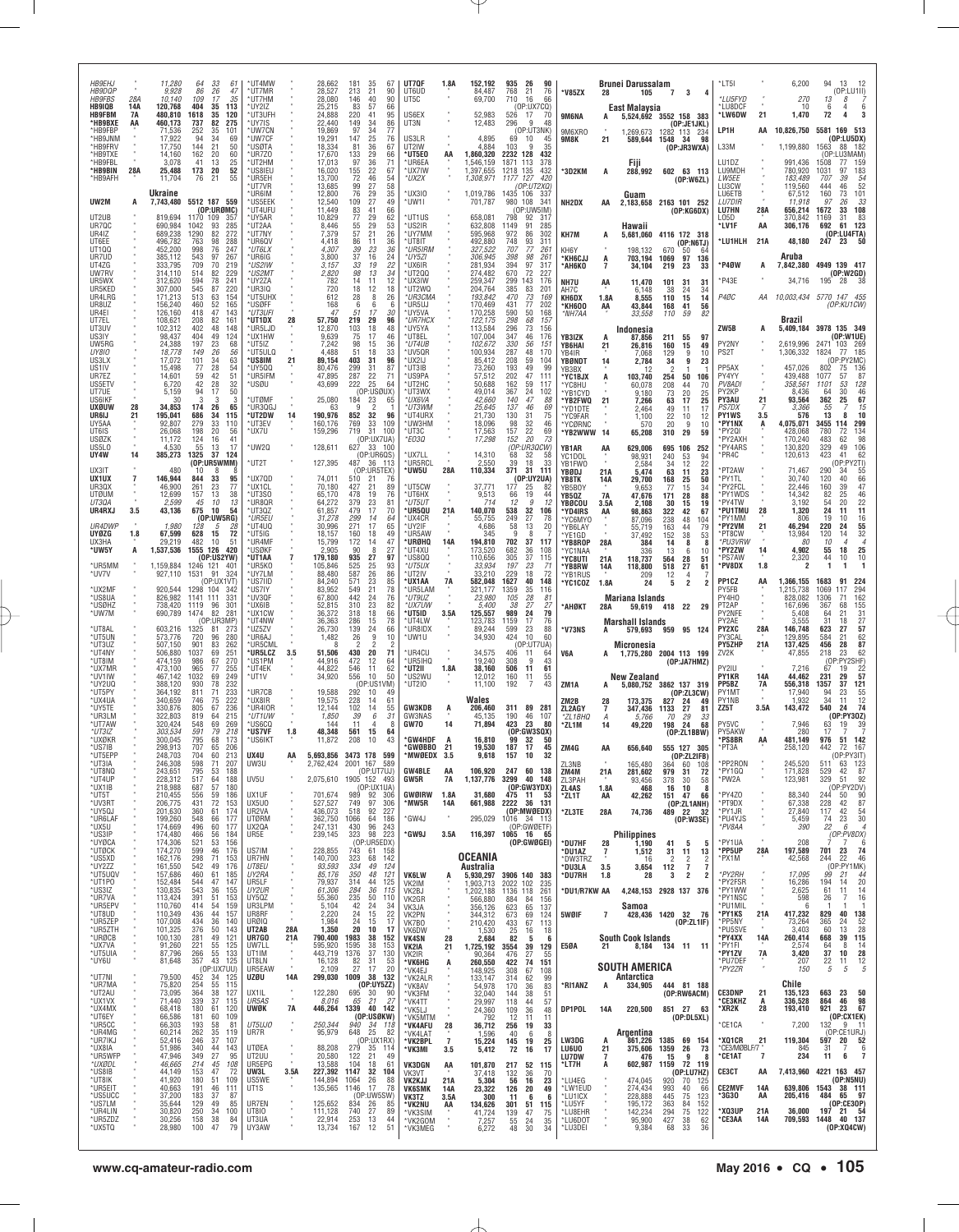| <b>HB9EHJ</b><br><b>HB9DQP</b><br><b>HB9FBS</b><br><b>HB9IQB</b><br>HB9FBM<br>*HB9BXE<br>*HB9FBP<br>*HB9JNN<br>*HB9FRV<br>*HB9TXE<br>*HB9FBL<br>*HB9BIN<br>*HB9AFH | 28A<br>14A<br>7A<br>AA<br>28A | 11,280<br>9.928<br>10,140<br>120,768<br>480,810<br>460,173<br>71,536<br>17,922<br>17,750<br>14,160<br>3.078<br>25,488<br>11,704<br>Ukraine | 64<br>86<br>109<br>404<br>35<br>1618<br>737<br>252<br>94<br>34<br>144<br>21<br>162<br>41<br>173<br>20<br>21<br>76      | 33<br>61<br>26<br>47<br>17<br>35<br>113<br>35<br>120<br>82<br>275<br>35<br>101<br>69<br>50<br>20<br>60<br>13<br>25<br>52<br>55              | *UT4MW<br>*UT7MR<br>*UT7HM<br>*UY2IZ<br>*UT3UFH<br>'UY7IS<br>*UW7CN<br>*UW7CF<br><b>USØTA</b><br>*UR7Z0<br>*UT2HM<br>*US8IEU<br>*UR5EH<br>*UT7VR<br>™UR6IM |                                                                 | 28,662<br>28,527<br>28.080<br>25,215<br>24.888<br>22,440<br>19,869<br>19,291<br>18,334<br>17,670<br>17,013<br>16,020<br>13,700<br>13,685<br>12,800 | 181<br>35<br>67<br>21<br>213<br>90<br>40<br>90<br>146<br>83<br>57<br>66<br>220<br>41<br>95<br>149<br>34<br>86<br>97<br>$\frac{34}{25}$<br>77<br>147<br>76<br>81<br>36<br>67<br>29<br>133<br>66<br>97<br>$\frac{36}{22}$<br>71<br>155<br>67<br>72<br>$\frac{46}{27}$<br>29<br>54<br>99<br>76<br>58<br>35 | UT7QF<br>UT6UD<br>UT5C<br>US6EX<br>UT3N<br>US3LR<br>UT2IW<br>UT5E0*<br>*UR6EA<br>*UX7IW<br>*UX2X<br>UX3IO              | 1.8A                                            | 152,192<br>84,487<br>69,700<br>52.983<br>12,483<br>4,895<br>4.884<br>1,860,320<br>1,546,159<br>1,397,655<br>1,308,971<br>1,019,786 | 935<br>26<br>768<br>21<br>710<br>16<br>(OP:UX7CQ)<br>526 17<br>296<br>9<br>(OP:UT3NK)<br>69<br>-10<br>103<br>9<br>2232<br>128<br>1871<br>113<br>1218 135<br>1177 127<br>(OP:UT2XQ)<br>1435<br>106 | 90<br>76<br>66<br>-70<br>48<br>35<br>432<br>378<br>432<br>420<br>337      | *V85ZX<br>9M6NA<br>9M6XRO<br>9M8K<br>*3D2KM                                                                | 21<br>А                                   | <b>Brunei Darussalam</b><br>105<br>East Malaysia<br>5,524,692 3552 158 383<br>1,269,673<br>589,644 1548 34<br>Fiji<br>288,992 602 63 113<br>Guam | 7 <sub>3</sub>                                                        | $\overline{4}$<br>(OP:JE1JKL)<br>1282 113 234<br>98<br>(OP:JR3WXA)<br>(OP:W6ZL)                                                    | *LT5I<br>*LU5FYD<br>'I U8DCF<br>*LW6DW<br>LP1H<br>L33M<br>LU1DZ<br>LU9MDH<br>LW5EE<br>LU3CW<br>LU6ETB        | 21<br>AA                                          | 6,200<br>270<br>10<br>1,470<br>10,826,750<br>1,199,880<br>991,436<br>780,920<br>183,489<br>119,560<br>67,512   | 13 12<br>94<br>(OP:LU1II)<br>13<br>8<br>6<br>4<br>6<br>72<br>4<br>5581 169 513<br>(OP:LU5DX)<br>1563 88 182<br>(OP:<br>U3MAM<br>1508<br>77<br>159<br>1031<br>97<br>183<br>$\frac{54}{52}$<br>707<br>39<br>444<br>46<br>73<br>101<br>160 |
|--------------------------------------------------------------------------------------------------------------------------------------------------------------------|-------------------------------|--------------------------------------------------------------------------------------------------------------------------------------------|------------------------------------------------------------------------------------------------------------------------|---------------------------------------------------------------------------------------------------------------------------------------------|------------------------------------------------------------------------------------------------------------------------------------------------------------|-----------------------------------------------------------------|----------------------------------------------------------------------------------------------------------------------------------------------------|---------------------------------------------------------------------------------------------------------------------------------------------------------------------------------------------------------------------------------------------------------------------------------------------------------|------------------------------------------------------------------------------------------------------------------------|-------------------------------------------------|------------------------------------------------------------------------------------------------------------------------------------|---------------------------------------------------------------------------------------------------------------------------------------------------------------------------------------------------|---------------------------------------------------------------------------|------------------------------------------------------------------------------------------------------------|-------------------------------------------|--------------------------------------------------------------------------------------------------------------------------------------------------|-----------------------------------------------------------------------|------------------------------------------------------------------------------------------------------------------------------------|--------------------------------------------------------------------------------------------------------------|---------------------------------------------------|----------------------------------------------------------------------------------------------------------------|-----------------------------------------------------------------------------------------------------------------------------------------------------------------------------------------------------------------------------------------|
| UW2M<br>UT2UB<br>UR7QC<br>UR4IZ<br>UT6EE<br>UT1QQ<br>UR7UD<br>UT4ZG<br>UW7RV<br>UR5WX                                                                              | A                             | 7,743,480<br>819,694<br>690,984<br>689,238<br>496,782<br>452,200<br>385,112<br>333,795<br>314,110<br>312.620                               | 5512 187 559<br>1170 109<br>1042<br>93<br>82<br>1290<br>763<br>98<br>998<br>543<br>97<br>709<br>514<br>594             | (OP:URØMC)<br>357<br>285<br>272<br>288<br>76<br>247<br>267<br>70<br>219<br>82<br>229<br>78<br>241                                           | *US5EEK<br>*UT4UFU<br>*UY5AR<br>*UT2AA<br>*UT7NY<br>'UR6QV<br>*UT6LX<br>*UR6IG<br>*US2IW<br>*US2MT<br>*UY2ZA                                               |                                                                 | 12,540<br>11,449<br>10,829<br>8,446<br>7,379<br>4,418<br>4.307<br>3,800<br>3,157<br>2,820<br>782                                                   | 27<br>49<br>109<br>$\frac{83}{77}$<br>41<br>66<br>29<br>62<br>55<br>29<br>53<br>57<br>21<br>26<br>86<br>11<br>36<br>$\frac{39}{37}$<br>23<br>36<br>16<br>24<br>33<br>19<br>22<br>98<br>13<br>34<br>14<br>11<br>12                                                                                       | *UW1I<br>UT1US<br>'US2IR<br>'UY7MM<br>'UT8IT<br>*UR5IRM<br>*UY5ZI<br>'UX6IR<br>UT2QQ'<br>'UX3IW                        |                                                 | 701,787<br>658,081<br>632,808<br>595,968<br>492,880<br>327,522<br>306,945<br>281,934<br>274,482<br>259,347                         | 980 108<br>(OP:UW5IM)<br>798<br>92<br>1149<br>91<br>86<br>972<br>93<br>748<br>707<br>77<br>398<br>98<br>394<br>97<br>670<br>72<br>299<br>143                                                      | 341<br>-317<br>285<br>302<br>311<br>261<br>261<br>317<br>227<br>176       | NH2DX<br>KH7M<br>KH6Y<br>*KH6CJJ<br>*АН6КО<br>NH7U                                                         | AA<br>А<br>A<br>$\overline{7}$<br>AA      | 2,183,658 2163 101 252<br>Hawaii<br>5,681,060<br>198,132<br>703,194<br>34,104<br>11,470                                                          | 670<br>1069<br>219<br>101                                             | (OP:KG6DX)<br>4116 172 318<br>(OP:NGTJ)<br>50<br>64<br>97<br>136<br>23<br>33<br>31<br>31                                           | <b>LU7DIR</b><br>LU7HN<br>LO5D<br>*LV1F<br>*LU1HLH<br>P4ØW<br>P43E                                           | 28A<br>AA<br>21A<br>А                             | 11.918<br>656,214<br>370,842<br>306,176<br>48,180<br>Aruba<br>34,716                                           | 33<br>97<br>26<br>108<br>1672<br>33<br>31<br>83<br>1169<br>61 123<br>692<br>(OP:LU4FTA)<br>247<br>23<br>7,842,380 4949 139 417<br>(OP: W2GD)<br>195 28 38                                                                               |
| UR5KED<br>UR4LRG<br>UR8UZ<br>UR4EI<br>UT7EL<br>UT3UV<br>US3IY<br>UW5RG<br>UY8IO<br>US3LX                                                                           |                               | 307,000<br>171,213<br>156,240<br>126,160<br>108,621<br>102,312<br>98,437<br>24,388<br>18,778<br>17,072                                     | 545<br>87<br>513<br>460<br>47<br>418<br>208<br>402<br>404<br>197<br>23<br>149<br>101<br>34<br>28                       | 220<br>63<br>154<br>52<br>165<br>143<br>82<br>161<br>48<br>148<br>49<br>124<br>68<br>26<br>56<br>63                                         | ®UR3IQ<br>*UT5UHX<br>*USØFF<br>*UT3UFI<br>*UT1DX<br>'UR5LJD<br>*UX1HW<br>*UT5IZ<br>*UT5ULQ<br>'US8IM                                                       | 28<br>21                                                        | 720<br>612<br>168<br>47<br>57,750<br>12,870<br>9,639<br>7,242<br>4,488<br>89,154                                                                   | 18<br>12<br>18<br>28<br>8<br>26<br>6<br>6<br>6<br>17<br>30<br>.51<br>29<br>219<br>96<br>18<br>103<br>48<br>75<br>17<br>46<br>98<br>15<br>36<br>51<br>18<br>33<br>403<br>31<br>96                                                                                                                        | 'UT2WQ<br>*UR3CMA<br>'UR5UJ<br>*UY5VA<br>*UR7HCX<br>UY5YA<br>UT8EL<br>*UT4UB<br>'UV5QR<br>UX2IJ                        |                                                 | 204,764<br>193,842<br>170,469<br>170,258<br>122,175<br>113,584<br>107,004<br>102,672<br>100,934<br>85,412                          | 385<br>83<br>470<br>73<br>431<br>77<br>590<br>50<br>298<br>68<br>296<br>73<br>347<br>46<br>330<br>56<br>287<br>48<br>59<br>208                                                                    | 201<br>169<br>202<br>168<br>157<br>156<br>176<br>151<br>170<br>104<br>99  | AH7C<br>KH6DX<br>*KH600<br>*NH7AA<br>YB3IZK<br>YB6HAI<br>YB4IR<br>YBØNDT                                   | 1.8A<br>AA<br>A<br>21<br>14               | 6,148<br>8,555<br>43,844<br>33,558<br>Indonesia<br>87,856<br>26,816<br>7,068<br>2,784                                                            | 38<br>110<br>168<br>110<br>211<br>160<br>129<br>34                    | 24<br>34<br>14<br>15<br>41<br>56<br>59<br>82<br>55<br>97<br>15<br>49<br>9<br>10<br>9<br>23                                         | P4ØC<br>ZW5B<br>PY2NY<br>PS2T<br>PP5AX                                                                       | AA<br>A                                           | Brazil<br>2,619,996<br>1,306,332                                                                               | 10,003,434 5770 147 455<br>(OP:KU1CW)<br>5,409,184 3978 135 349<br>(OP:W1UE)<br>2471 103 269<br>1824<br>185<br>-77<br>(OP:PY2MC)<br>802                                                                                                 |
| US1IV<br>UR7EZ<br>US5ETV<br>UT7UE<br>US6IKF<br>uxøuw<br>UR6IJ<br>UY5AA<br>UT6IS<br><b>USØZK</b><br>US5L0                                                           | 28<br>21                      | 15.498<br>14,601<br>6,720<br>5.159<br>30<br>34,853<br>195,041<br>92,807<br>26,068<br>11.172<br>4,530                                       | $\substack{77 \\ 59}$<br>42<br>94<br>3<br>174<br>686<br>279<br>198<br>20<br>124<br>55                                  | 54<br>42<br>51<br>28<br>32<br>17<br>50<br>3<br>3<br>26<br>65<br>34<br>115<br>33<br>110<br>56<br>16<br>-41<br>13<br>17                       | ™5QQ<br>*UR5IFM<br>'USØU<br>UTØMF<br>*UR3QGJ<br>*UT2DW<br>*UT3EV<br>*UX7U<br>*UW2Q                                                                         | 14                                                              | 80,476<br>47,895<br>43,699<br>25,080<br>63<br>190,976<br>160,176<br>159,296<br>128,611                                                             | 299<br>$\frac{31}{22}$<br>87<br>287<br>-71<br>25<br>222<br>64<br>(OP:USØUX)<br>184<br>23<br>-65<br>$\overline{2}$<br>9<br>852<br>32<br>96<br>769<br>$\begin{array}{c} 33 \\ 31 \end{array}$<br>109<br>719<br>100<br>(OP:UX7UA)<br>627 33 100                                                            | 'UT3IB<br>*US9PA<br>*UT2HC<br>'UT3WX<br>*UX6VA<br>*UT3WM<br>UT4URX<br>'UW3HM<br>*UT3C<br>*E03Q                         |                                                 | 73,260<br>57,512<br>50,688<br>49,014<br>42,660<br>25,645<br>21,730<br>18,096<br>17,563<br>17,298                                   | 193<br>49<br>202<br>47<br>59<br>162<br>367<br>24<br>140<br>47<br>137<br>46<br>130<br>31<br>$\frac{32}{22}$<br>98<br>157<br>20<br>152<br>(OP:UR3QCW)                                               | 111<br>117<br>102<br>88<br>69<br>75<br>46<br>69<br>73                     | YB3BX<br>'YC1BJX<br>*YC8HU<br>'YB1CYD<br>*YB2FWQ<br>*YD1DTE<br>*YC9FAR<br>YCØRNC<br>*YB2WWW<br>YB1AR       | Ą<br>21<br>14<br>AA                       | 103,740<br>60,078<br>9,180<br>7,266<br>2.464<br>1,100<br>570<br>65,208<br>629,006                                                                | 254<br>208<br>73<br>63<br>49<br>22<br>20<br>310<br>695 106            | 50<br>106<br>44<br>70<br>20<br>25<br>17<br>25<br>11<br>17<br>10<br>12<br>9<br>10<br>29<br>59<br>-252                               | PY4YY<br>PV8ADI<br>PY2KP<br>PY3AU<br>PS7DX<br><b>PY1WS</b><br>'PY1NX<br>PY2QI<br>PY2AXH<br>PY4ARS            | 21<br>3.5<br>A                                    | 457,026<br>439,488<br>358,561<br>8,436<br>93,564<br>3.366<br>576<br>4,075,071<br>428,068<br>170,240<br>130,820 | 136<br>75<br>1077<br>57<br>87<br>128<br>1101<br>53<br>64<br>30<br>46<br>67<br>362<br>25<br>55<br>15<br>13<br>8<br>10<br>299<br>3455<br>114<br>134<br>780<br>72<br>98<br>483<br>62<br>329<br>106<br>49                                   |
| UY4W<br>UX3IT<br>UX1UX<br>UR3QX<br><b>UTØUM</b><br>UT3QA<br>UR4RXJ<br>UR4DWP<br><b>UYØZG</b>                                                                       | 14<br>7<br>3.5<br>1.8         | 385,273<br>480<br>146,944<br>46,900<br>12,699<br>2,599<br>43,136<br>1,980<br>67,599                                                        | 1325<br>37<br>(OP:UR5WMM)<br>10<br>844<br>261<br>157<br>45<br>675<br>128<br>628                                        | 124<br>8<br>33<br>95<br>23<br>77<br>13<br>38<br>10<br>-13<br>10<br>54<br>(OP:UW5RG)<br>5<br>15<br>72                                        | *UT2T<br>*UX7QD<br>*UX1CL<br>*UT3SO<br>*UR8QR<br>*UT3QZ<br>*UR5EU<br>*UT4UQ<br>*UT5IG                                                                      |                                                                 | 127,395<br>74,011<br>70,180<br>65,170<br>64,272<br>61,857<br>31.278<br>30,996<br>18,157                                                            | (0P:UR6QS)<br>487<br>36<br>113<br>(OP:UR5TEX)<br>510<br>76<br>21<br>$^{21}_{19}$<br>427<br>89<br>478<br>76<br>379<br>23<br>8 <sup>1</sup><br>17<br>479<br>70<br>299<br>14<br>64<br>271<br>17<br>65<br>160<br>18<br>49                                                                                   | UX7LL<br>UR5RCL<br>'UW5U<br>UT5CW<br>*UT6HX<br>*UT5UT<br>'UR5QU<br>*UX4CR<br>'UY2IF<br><b>UR5AW</b>                    | 28A<br>21A                                      | 14,310<br>2,550<br>110,334<br>37,771<br>9,513<br>714<br>140,070<br>55,755<br>4,686<br>345                                          | 68<br>32<br>39<br>18<br>371<br>31<br>(OP:UY2UA)<br>177<br>25<br>66<br>19<br>12<br>9<br>538<br>32<br>249<br>27<br>58<br>13<br>9<br>8                                                               | 58<br>33<br>111<br>44<br>12<br>106<br>78<br>20                            | YC1DOL<br>YB1FW0<br>YBØDJ<br>YB8TK<br>YB5BO\<br>YB5QZ<br>YBØCOU<br>*YD4IRS<br>*YC6MYO<br>*YB6LAY<br>*YE1GD | 21A<br>14A<br>7A<br>3.5A<br>AA            | 98,931<br>2,584<br>5,474<br>29,700<br>9,653<br>47,676<br>2,108<br>98,863<br>87,096<br>55.719<br>37,492                                           | 240<br>34<br>63<br>168<br>77<br>171<br>30<br>322<br>238<br>163<br>152 | 53<br>94<br>12<br>22<br>23<br>11<br>25<br>50<br>15<br>34<br>28<br>88<br>15<br>19<br>42<br>67<br>48<br>104<br>44<br>79<br>38<br>53  | PR4C<br>PT2AW<br>PY1TL<br>PY2FCL<br>*PY1WDS<br>PY4TW<br>'PU1TMU<br>PY1MM<br>'PY2VM<br>PT8CW                  | 28<br>21                                          | 120,613<br>71,467<br>30,740<br>22,446<br>14,342<br>3,192<br>1,320<br>806<br>46,294<br>13,984                   | 62<br>423<br>41<br>(OP:PY2TI)<br>290<br>55<br>34<br>120<br>66<br>40<br>47<br>160<br>39<br>82<br>25<br>46<br>$\frac{22}{11}$<br>54<br>20<br>24<br>11<br>16<br>19<br>10<br>220<br>24<br>55<br>32<br>120<br>14                             |
| UX3HA<br>*UW5Y<br>*UR5MM<br>*uv7v<br>*UX2MF<br>*US8UA<br>*USØHZ<br>*UW7M<br>*UT8AL                                                                                 | А                             | 29,219<br>1,537,536<br>1,159,884<br>927,110<br>920,544<br>826,982<br>738,420<br>690,789<br>603,216                                         | 482<br>1555 126<br>1246 121 401<br>1531<br>91<br>1298 104<br>1141 111<br>1119<br>96<br>1474<br>1325<br>81              | 10<br>-51<br>420<br>(OP:US2YW)<br>324<br>(OP:UX1VT<br>-342<br>331<br>301<br>82<br>281<br>(OP:UR3MP)<br>273                                  | *UR4MF<br>*USØKF<br>*UT1AA<br>™UR5KO<br>*UY7LM<br>*US7IID<br>*US7IY<br>*UV3QF<br>*UX6IB<br>*UX1CW<br><b>UT4NW</b><br>*UZ5ZV                                | 7                                                               | 15,799<br>2.905<br>179,180<br>105,846<br>88,480<br>84.240<br>83,952<br>67,800<br>52,815<br>36,372<br>36,363<br>26,730                              | 172<br>14<br>47<br>90<br>8<br>27<br>935<br>27<br>97<br>525<br>$\substack{25 \\ 26}$<br>93<br>587<br>86<br>571<br>$^{23}_{21}$<br>85<br>549<br>78<br>442<br>24<br>76<br>$^{23}_{18}$<br>310<br>82<br>318<br>66<br>78<br>286<br>15<br>139<br>24<br>66                                                     | *URØHQ<br>*UT4XU<br>US800<br>*UT5UX<br>'UT2IV<br>'UX1AA<br>UR5LAM<br>*UT9UZ<br>*IJX7IJW<br>®UT5ID<br>*UT4LW<br>'UR8IDX | 14A<br>7A<br>3.5A                               | 194,810<br>173,520<br>110,656<br>33,934<br>33,210<br>582,048<br>321,177<br>23,980<br>5,400<br>125,557<br>123,783<br>89,244         | 702<br>37<br>682<br>36<br>305<br>37<br>197<br>23<br>229<br>18<br>1627<br>40<br>1359<br>35<br>105<br>28<br>27<br>.38<br>24<br>989<br>17<br>1159<br>599<br>23                                       | 117<br>108<br>115<br>71<br>72<br>148<br>116<br>81<br>27<br>79<br>76<br>88 | <b>YB8ROP</b><br>YC1NA/<br>*YC8UTI<br>*YB8RW<br>'YB1RUS<br>'YC1COZ<br>*АНØКТ<br>*V73NS                     | 28A<br>21A<br>14A<br>1.8A<br>28A<br>A     | 384<br>336<br>118,737<br>118,800<br>209<br>24<br>Mariana Islands<br>59,619 418 22 29<br><b>Marshall Islands</b><br>579,693                       | 14<br>13<br>564<br>518<br>12<br>5                                     | 8<br>-8<br>6<br>10<br>28<br>51<br>27<br>61<br>4<br>2<br>-2<br>959 95 124                                                           | *PU3VRW<br>*PY2ZW<br>'PS7AW<br>*PV8DX<br>PP1CZ<br>PY5FB<br>PY4H0<br>PT2AP<br>PY2NFE<br>PY2AE<br><b>PY2XC</b> | $\frac{14}{1}$<br>1.8<br>AA<br>28A                | 4,902<br>2,320<br>1,366,155<br>,215,738<br>828,082<br>167,696<br>5,408<br>3.555<br>146,748                     | 10<br>55<br>18<br>25<br>10<br>44<br>10<br>1<br>1<br>1683<br>91<br>224<br>294<br>1069<br>117<br>162<br>1306<br>71<br>155<br>367<br>68<br>64<br>21<br>31<br>27<br>31<br>18<br>57<br>623<br>27                                             |
| <b>UT5UN</b><br>*UT3UZ<br>*UT4NY<br>*UT8IM<br>*UX7MR<br>*UV1IW<br>*UY2UQ<br>™UT5PY<br>*UX4UA<br>*UY5TE<br>™UR3LM                                                   |                               | 573,776<br>507,150<br>506,880<br>474,159<br>473,100<br>467,142<br>388,120<br>364,192<br>340,659<br>330,876<br>322,803                      | 720<br>96<br>901<br>1037<br>986<br>67<br>965<br>77<br>1032<br>930<br>71<br>811<br>746<br>75<br>805<br>-67<br>819<br>64 | 280<br>83<br>262<br>69<br>251<br>270<br>255<br>249<br>69<br>232<br>78<br>233<br>222<br>236<br>215                                           | *UR6AJ<br>™UR5CML<br>UR5LCZ*<br>™US1PM<br>*UT4EK<br>*UT1V<br>*UR7CB<br>*UX8IR<br>™UR4IOR<br>*UT1UW                                                         | 3.5                                                             | 1,482<br>51,506<br>44,916<br>44,822<br>34,920<br>19,588<br>19,575<br>12,144<br>1,850                                                               | 26<br>9<br>10<br>$\overline{\phantom{a}}$<br>430<br>20<br>71<br>472<br>$\frac{12}{11}$<br>64<br>62<br>546<br>556<br>10<br>50<br>(OP:US1VM)<br>292<br>10<br>49<br>228<br>14<br>61<br>14<br>55<br>102<br>39<br>31<br>6                                                                                    | UW1U*<br>'UR4CU<br>*UR5IHQ<br>*UT2II<br>*US2WU<br>UT2IO*<br><b>GW3KDB</b><br>GW3NAS                                    | 1.8A<br>A                                       | 34,930<br>34,575<br>19,240<br>38,160<br>12,012<br>11,100<br>Wales<br>206,460<br>45,135                                             | 424<br>10<br>(OP:UT7UA)<br>406<br>-11<br>308<br>9<br>506<br>11<br>160<br>11<br>192<br>7<br>311<br>89<br>46<br>190                                                                                 | 60<br>64<br>43<br>61<br>55<br>43<br>281<br>107                            | V6A<br>ZM <sub>1</sub> A<br>ZM2B<br>ZL2AGY<br>*ZL1BHQ                                                      | 28<br>7<br>A                              | <b>Micronesia</b><br>1,775,280 2004 113 199<br>New Zealand<br>5,080,752 3862 137 319<br>173,375<br>347,436<br>5,766                              | 827<br>1133<br>70                                                     | (OP:JA7HMZ)<br>(OP:ZL3CW)<br>-24<br>49<br>27<br>81<br>29<br>33                                                                     | PY3CAI<br><b>PY5ZHP</b><br>ZV2K<br>PY2IU<br><b>PY1KR</b><br>PP5BZ<br>PY1MT<br>PY1NB<br>ZZ5T                  | 21A<br>14A<br>7A<br>3.5A                          | 129.895<br>137,425<br>47,855<br>7.216<br>44,462<br>556,318<br>17,940<br>1,932<br>143,472                       | 62<br>584<br>21<br>87<br>456<br>28<br>62<br>218<br>23<br>:PY2SHF)<br>(OF<br>22<br>67<br>19<br>57<br>231<br>29<br>1357<br>37<br>121<br>-94<br>23<br>55<br>12<br>34<br>11<br>74<br>540<br>24<br>(0P:PY30Z)                                |
| *UT7AW<br>*UT3IZ<br>*UXØKR<br>*US7IB<br><b>ITSFPP</b><br>*UT3IA<br>*UT8NQ<br>*UT4UP<br>*UX1IB<br>*UT5T<br>*UV3RT                                                   |                               | 320.424<br>303,534<br>300.045<br>298,913<br>248,703<br>246,308<br>243,651<br>228,312<br>218,988<br>210,455<br>206,775                      | 548<br>591<br>795<br>707<br>704<br>598<br>71<br>795<br>517<br>64<br>687<br>57<br>556<br>431                            | 69<br>269<br>79<br>218<br>173<br>68<br>65<br>206<br>60<br>213<br>207<br>53<br>188<br>188<br>180<br>59<br>186<br>72<br>153                   | ™US6CQ<br>*US7VF<br>*US6IKT<br>UX4U<br>UW3U<br>UV5U<br>UX1UF<br>UX5U0                                                                                      | 1.8<br>AA                                                       | 144<br>48,348<br>11,872<br>5,693,856<br>2,075,610<br>701,674<br>527,527                                                                            | 11<br>8<br>561<br>15<br>64<br>208<br>10<br>43<br>3473 178<br>599<br>2,762,424 2001 167<br>589<br>(0P:UT7UJ)<br>1905 152 493<br>(OP:UX1UA)<br>989<br>92<br>306<br>749<br>97<br>306                                                                                                                       | GW70<br>*GW4HDF<br>°GWØBBO<br>MWØEDX<br><b>GW4BLE</b><br>GW5R<br><b>GWØIRW</b><br>*MW5R                                | 14<br>A<br>21<br>3.5<br>AA<br>7A<br>1.8A<br>14A | 71,894<br>16,810<br>19,530<br>9,618<br>106,920<br>1,137,776<br>31,680<br>661,988                                                   | 423<br>23<br>(0P:GW3SQX)<br>99<br>32<br>187<br>17<br>157<br>10<br>247 60 138<br>3299<br>40<br>(OP:GW3YDX)<br>475 11<br>2222 36 131                                                                | 80<br>-50<br>45<br>32<br>148<br>- 53                                      | *ZL1M<br>ZM4G<br>71 3NB<br>ZM4M<br>ZL3PAH<br>ZL4AS<br>*ZL1T                                                | 14<br>AA<br>21A<br>1.8A<br>AA             | 49,220<br>656,640<br>165,480<br>281,602<br>93,456<br>468<br>42,262                                                                               | 198<br>364<br>979<br>378<br>16<br>151                                 | 24<br>68<br>(0P:ZL1BBW)<br>555 127 305<br>(OP:ZL2IFB)<br>60<br>108<br>31<br>72<br>30<br>58<br>10<br>- 8<br>47<br>66<br>(OP:ZL1ANH) | PY5VC<br>PY5AKW<br>*PS8BR<br>*PT3A<br>PP2RON<br>PY1GQ<br>PW2A<br>PY4Z0<br>PT9DX                              | AA                                                | 7,946<br>280<br>481.149<br>258.120<br>245,520<br>171,828<br>123,981<br>88,340<br>67,338                        | 63<br>19<br>39<br>17<br>976<br>51 142<br>442<br>167<br>72<br>(OP:PY3IT)<br>511<br>63 123<br>$rac{87}{92}$<br>529<br>42<br>329<br>51<br>(OP:PY2DV)<br>90<br>244<br>50<br>87<br>228<br>42                                                 |
| *UY5QJ<br>*UR6LAF<br>*UX5U<br>*US3IP<br>*UYØCA<br>*UTØCK<br>*US5XD<br>*UY2ZZ<br>*UT5UQV<br>*UT1P0<br>*US3IZ                                                        |                               | 201,630<br>199,260<br>174,669<br>174,480<br>174,306<br>174,270<br>162,176<br>161,550<br>157,686<br>152,484                                 | 360<br>548<br>496<br>466<br>521<br>599<br>298<br>542<br>460<br>544<br>543                                              | 61<br>174<br>66<br>177<br>60<br>177<br>56<br>184<br>53<br>156<br>46<br>176<br>71<br>153<br>49<br>176<br>61<br>185<br>47<br>147<br>36<br>155 | UR2VA<br><b>UTØRM</b><br>UX2QA<br>UR5E<br>US7IM<br>UR7HN<br>UT8EU<br>UY2RA<br>UR5LF<br>UY2UR                                                               |                                                                 | 436,073<br>362,750<br>247,131<br>239,145<br>228,855<br>140,700<br>93,593<br>85,176<br>79,937<br>61,306                                             | 92<br>227<br>518<br>186<br>1066<br>64<br>96<br>243<br>430<br>323<br>98<br>223<br>(OP:UR5EDX)<br>743<br>61<br>158<br>323<br>68<br>142<br>334<br>49<br>124<br>350<br>48<br>121<br>314<br>44<br>125<br>284<br>36<br>115                                                                                    | GW4J<br>'GW9J<br><b>VK6LW</b><br>VK2IM                                                                                 | 3.5A<br>Ŗ                                       | 295,029<br>116,397<br>OCEANIA<br>Australia<br>5,930,297<br>1,903,713                                                               | (OP:MWØEDX)<br>1016 34 113<br>(OP:GWØETF)<br>1065 16 65<br>(OP:GWØGEI)<br>3906 140 383<br>2022 102                                                                                                | 235                                                                       | *ZL3TE<br>*DU7HF<br>*DU1AZ<br>*DW3TRZ<br>*DU3LA<br>*DU7RH                                                  | 28A<br>28<br>$\overline{1}$<br>3.5<br>1.8 | 74,736<br><b>Philippines</b><br>1,190<br>1,512<br>16<br>3,654<br>28<br>4,248,153 2928 137 376                                                    | 489 22<br>41<br>31<br>$\overline{2}$<br>112<br>3                      | 32<br>(0P:W3SE)<br>5<br>5<br>11<br>13<br>$\overline{c}$<br>$\overline{2}$<br>$\overline{7}$<br>$\overline{7}$<br>2<br>-2           | PY1JR<br>*PU4YJS<br>*PV8AA<br>PY1IIA<br>*PP5UP<br>*PX1M<br>*PY2RH<br>PY2FSR<br>'PY1WW                        | 28A                                               | 27,840<br>5,459<br>390<br>208<br>197,589<br>42,568<br>17,095<br>16,286<br>2,625                                | 54<br>117<br>42<br>23<br>30<br>74<br>22<br>6<br>$\overline{4}$<br>(OP:PV8DX)<br>-6<br>701 23<br>74<br>46<br>244<br>22<br>(OP:PY1MK)<br>99<br>$\frac{44}{20}$<br>21<br>194<br>14<br>14<br>61<br>11                                       |
| *UR7VA<br>*UR5EPV<br>*UT8UD<br>*UR5ZEP<br>*UR5ZTH<br>*URØCB<br>*UX7VA<br>*UT5UIA<br>*UY6U                                                                          |                               | 130,835<br>113,424<br>110,760<br>110,349<br>107,008<br>101,325<br>100,130<br>91,260<br>87,796<br>81,648                                    | 391<br>51<br>414<br>436<br>434<br>376<br>281<br>221<br>266<br>357                                                      | 153<br>54<br>159<br>44<br>157<br>36<br>140<br>50<br>143<br>121<br>49<br>55<br>125<br>55<br>133<br>43<br>125<br>(OP:UX7UU)                   | UY50Z<br>UR3LPM<br>UR8RF<br><b>URØIQ</b><br>UT2AB<br><b>UR7GO</b><br>UW7LL<br>UT1IM<br>UT8LN<br>UR5EAW                                                     | 28A<br>21A<br>$\cdot$<br>٠                                      | 55,360<br>5,104<br>2,220<br>1,984<br>1,350<br>790,400<br>595,920<br>443,719<br>16,128<br>2,109                                                     | 235<br>42<br>$\frac{50}{24}$<br>110<br>34<br>24<br>15<br>22<br>24<br>15<br>17<br>20<br>10<br>-17<br>1983<br>38<br>152<br>1595<br>38<br>153<br>37<br>1376<br>130<br>31<br>82<br>53<br>27<br>17<br>20                                                                                                     | VK2BJ<br>VK2GR<br>VK3JA<br>VK2PN<br>VK7B0<br>VK6DW<br><b>VK4SN</b><br>VK2IA<br>VK2IR<br>*VK6HG<br>*VK4EJ               | 28<br>21<br>Ą                                   | 1,202,188<br>566,880<br>356,126<br>344,312<br>210,420<br>1,530<br>2,684<br>1,725,192<br>90,364<br>260,550<br>148,925               | 1136 118<br>84<br>884<br>623<br>65<br>673<br>69<br>433<br>67<br>25<br>16<br>82<br>5<br>3554<br>39<br>27<br>476<br>422<br>74<br>308<br>67                                                          | 261<br>156<br>137<br>124<br>113<br>18<br>6<br>129<br>55<br>151<br>108     | *DU1/R7KW AA<br>5WØIF<br><b>E50A</b>                                                                       | 7<br>21                                   | Samoa<br>428,436<br><b>South Cook Islands</b><br>8,184<br>SOUTH AMERICA                                                                          | 134                                                                   | 1420 32 76<br>(OP:ZL1IF)<br>11 11                                                                                                  | *PY1NSC<br>*PU1MIL<br>*PY1KS<br>PP5NY*<br>*PU5SVE<br>*PY4XX<br>*PY1FI<br>*PY1ZV<br>*PU7DEF<br>*PY2ZR         | 21A<br>14A<br>$7A$                                | 598<br>417,232<br>73,264<br>3,403<br>260,414<br>2,574<br>3,420<br>207<br>150                                   | 16<br>26<br>829<br>40 138<br>52<br>365<br>24<br>28<br>60<br>13<br>668<br>39<br>115<br>8<br>14<br>64<br>37<br>10<br>$\begin{array}{c}\n 28 \\  12 \\  5\n \end{array}$<br>22<br>11<br>5<br>5                                             |
| *UT7NI<br>*UR7MA<br>*UT2AU<br>*UX1VX<br>*UX4MX<br>*UT6EY<br>*UR5CC<br>*UR4MG<br>*UR7IKJ<br>*UX8IA<br>*UR5WFP                                                       |                               | 79,500<br>75,820<br>73,095<br>71,440<br>68,418<br>66,586<br>66,303<br>60,214<br>52,416<br>51,986<br>47,946                                 | 452<br>254<br>364<br>339<br>180<br>181<br>193<br>262<br>246<br>37<br>340<br>349<br>27                                  | 34 125<br>55<br>115<br>38<br>127<br>37<br>115<br>61<br>120<br>60<br>109<br>81<br>58<br>35<br>119<br>107<br>44<br>143<br>95                  | <b>UZØU</b><br>UX1IL<br>UR5AS<br><b>UWØK</b><br>UT5UJ0<br>UR7R<br><b>UTØEA</b><br>UT2UU                                                                    | 14A<br>٠<br>$\boldsymbol{\pi}$<br>7A<br>$\bar{a}$<br>$\epsilon$ | 299,030<br>122,280<br>8.016<br>446,264<br>250,344<br>95,979<br>88,208<br>20,580                                                                    | 1009<br>38<br>132<br>(0P:UY5ZZ)<br>695<br>- 30<br>-90<br>65<br>-21<br>27<br>1339<br>40 142<br>(OP:USØKW)<br>940<br>34 118<br>648<br>25<br>- 82<br>(OP:UX1RX)<br>279<br>35<br>114<br>122<br>21<br>49                                                                                                     | *VK2ALR<br>*VK8AV<br>*VK3FM<br>*VK4TT<br>*VK5LJ<br>'VK5MTM<br>*VK4AFU<br>*VK4LAT<br>*VK2BPL<br>*VK3MI                  | 28<br>$\overline{7}$<br>3.5                     | 133,147<br>54,978<br>32,040<br>29,997<br>24,360<br>792<br>36,712<br>1,596<br>15,224<br>5,412                                       | 314<br>62<br>170<br>36<br>144<br>38<br>118<br>44<br>109<br>36<br>12<br>11<br>256<br>19<br>40<br>6<br>19<br>145<br>72<br>16                                                                        | 99<br>83<br>51<br>57<br>48<br>11<br>33<br>8<br>25<br>17                   | *RI1ANZ<br>DP1POL<br>LW3DG<br>LU6U0<br><b>LU7DW</b>                                                        | А<br>14A<br>A<br>21<br>$\overline{7}$     | Antarctica<br>334,905<br>220,500<br>Argentina<br>861,226<br>375,606<br>476                                                                       | 1385<br>1359<br>15                                                    | 444 81 188<br>(OP:RW6ACM)<br>851 27 63<br>(OP:DL5XL)<br>69 154<br>26<br>73<br>9<br>- 8                                             | <b>CE3DNP</b><br>°CE3KHZ<br>*XR2K<br>*CE1CA<br>'XQ1CR<br>*CE3/MØBLF/7 "<br>*CE1AT                            | 21<br>A<br>28<br>$\alpha$<br>21<br>$\overline{7}$ | Chile<br>135,123<br>336,528<br>193,410<br>7,200<br>119,304<br>845<br>234                                       | 663<br>- 23<br>50<br>98<br>864<br>46<br>67<br>921<br>23<br>(OP:CX1EK)<br>-11<br>132<br>9<br>(OP:CE1URJ)<br>597 20<br>52<br>31<br>7<br>-6<br>11<br>6                                                                                     |
| *UXØDL<br>*US8IB<br>*UT8IK<br>*UR5EIT<br>*US5UCC<br>*US7LM<br>*UR4LIN<br>*UR5ZDZ<br>*UX5TQ                                                                         |                               | 46,665<br>44,149<br>41,920<br>40,663<br>37,200<br>35,644<br>30,820<br>30,256<br>28,980                                                     | 214<br>153<br>47<br>180<br>191<br>183<br>-37<br>129<br>250<br>158<br>38<br>100<br>47                                   | 45<br>108<br>72<br>51<br>109<br>46<br>111<br>87<br>49<br>85<br>34<br>100<br>84<br>79                                                        | UR5EPG<br>UW3L<br>US5WE<br>UT1S<br>UR7EN<br><b>UT8IO</b><br>UT3UA<br>UY3AW                                                                                 | 3.5A<br>٠<br>٠                                                  | 13,588<br>227,392<br>144,894<br>135,565<br>125,652<br>111,128<br>22,914<br>13,734                                                                  | 104<br>18<br>61<br>1147<br>32<br>104<br>1064<br>26<br>88<br>1146<br>17<br>78<br>(0P:UW5SW)<br>834<br>26<br>-85<br>740<br>27<br>89<br>253<br>13<br>44<br>167<br>12<br>51                                                                                                                                 | <b>VK3DGN</b><br>VK3VT<br>VK2KJJ<br><b>VK6SMK</b><br>VK3TZ<br>*VK2NU<br>*VK3SIM<br>*VK2GOM<br>*VK3MEG                  | AA<br>21A<br>14A<br>3.5A<br>AA<br>$\epsilon$    | 101,870<br>37,418<br>5,304<br>23,322<br>300<br>134,626<br>41,724<br>7,257<br>6,272                                                 | 217<br>52<br>132<br>36<br>56<br>16<br>126<br>20<br>11<br>6<br>301<br>51<br>139<br>47<br>55<br>24<br>30<br>48                                                                                      | 115<br>70<br>23<br>49<br>6<br>115<br>75<br>35<br>34                       | *LT7H<br>*LU4EG<br>*LW1EUD<br>*LU1ICX<br>*LU5YF<br>*LU8EHR<br>*LU6DOT<br>*LU3DEI                           | A                                         | 602,987<br>474,045<br>274,434<br>228,888<br>195,172<br>142,234<br>95,900<br>9,384                                                                | 1159<br>920<br>993<br>445<br>363<br>294<br>427<br>68                  | 72 119<br>(OP:LU7HZ)<br>70<br>125<br>40<br>66<br>75<br>123<br>152<br>84<br>75<br>122<br>62<br>38<br>33<br>36                       | <b>CE3CT</b><br><b>CE2MVF</b><br>*3G30<br>'XQ3UP<br><b>'CE3AA</b>                                            | AA<br>14A<br>AA<br>21A<br>14A                     | 7,413,960<br>639,806<br>205,416<br>36,000<br>709,593                                                           | 4221 163 457<br>(OP:NSNU)<br>1543<br>38 111<br>484 65 97<br>(0P:CE3OP)<br>197 21 54<br>1448 40 137<br>(0P:XQ4CW)                                                                                                                        |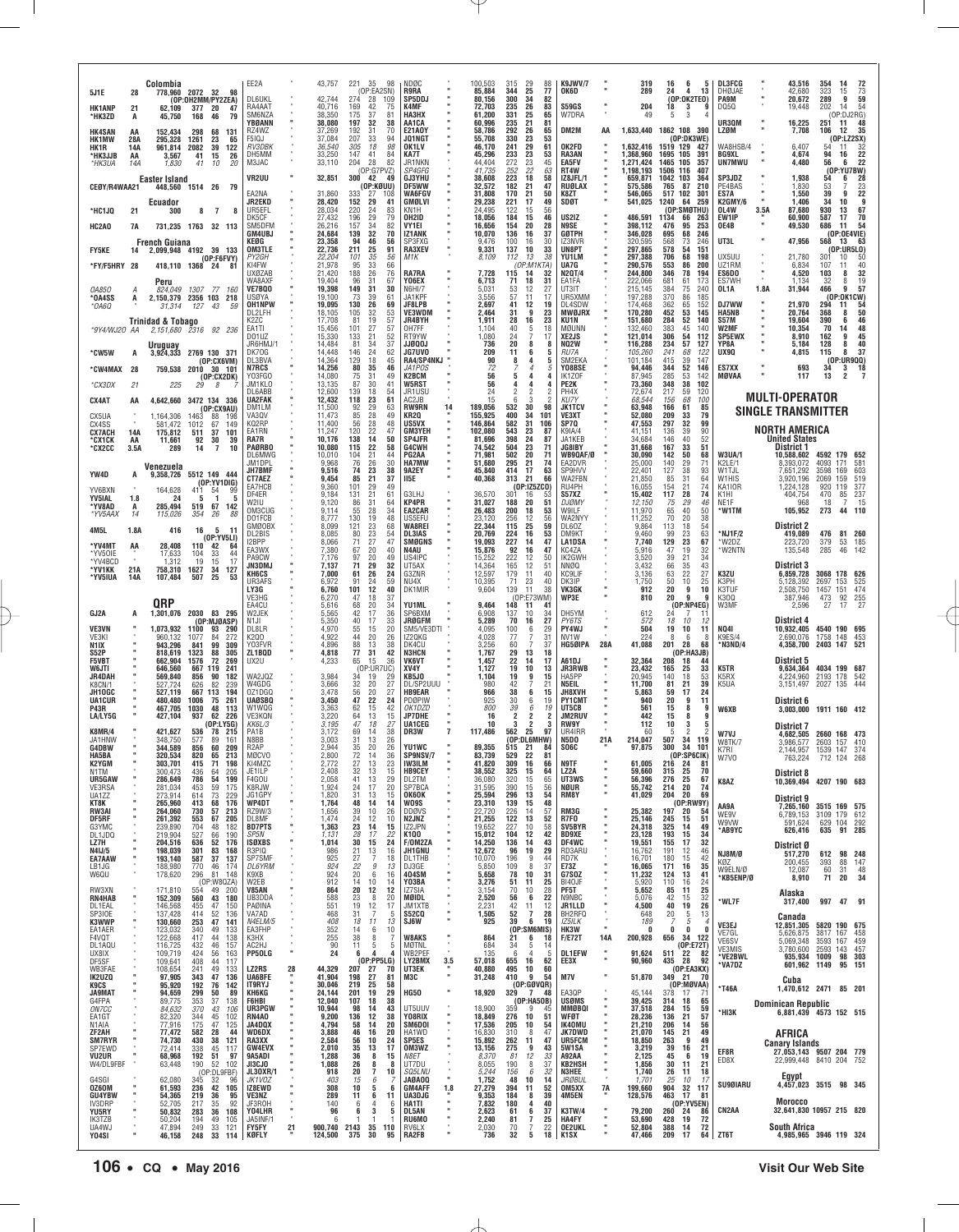| 5J1E                                    | 28               | Colombia<br>778.960                            | 2072 32                    | 98<br>(OP:OH2MM/PY2ZEA)                    | EE2A<br><b>DL6UKL</b>                  |         | 43,757<br>42,744           | 221<br>35<br>(OP:EA2SN)<br>274<br>28                                   | 98<br>109                 | NDØC<br>R9RA<br>SP5DDJ                   |        | 100,503<br>85,884<br>80,156   | 315<br>29<br>344<br>25<br>300<br>34                           | 88<br>77<br>82            | K9JWV/7<br>OK6D                              |     | 319<br>289                          | 16<br>6<br>24<br>4<br>(OP:OK2TEO)         | 5<br>13                  | <b>DL3FCG</b><br>DHØJAE<br><b>PA9M</b> |      | 43,516<br>42,680<br>20,672                                                  | 354<br>323<br>289                    | -14<br>15<br>9            | 72<br>$73 \overline{\smash{\big)}\,59}$ |
|-----------------------------------------|------------------|------------------------------------------------|----------------------------|--------------------------------------------|----------------------------------------|---------|----------------------------|------------------------------------------------------------------------|---------------------------|------------------------------------------|--------|-------------------------------|---------------------------------------------------------------|---------------------------|----------------------------------------------|-----|-------------------------------------|-------------------------------------------|--------------------------|----------------------------------------|------|-----------------------------------------------------------------------------|--------------------------------------|---------------------------|-----------------------------------------|
| <b>HK1ANP</b><br>*HK3ZD                 | 21<br>А          | 62,109<br>45,750                               | 377<br>168                 | -20<br>47<br>46<br>79                      | RA4AAT<br>SM6NZA<br>YBØANN             |         | 40,716<br>38,350<br>38,080 | 42<br>169<br>175<br>37<br>197<br>32                                    | 75<br>81<br>38            | <b>K4MF</b><br>НАЗНХ<br>AA1CA            |        | 72,703<br>61,200<br>60,996    | 26<br>235<br>331<br>25<br>235<br>21                           | 83<br>65<br>81            | <b>S59GS</b><br>W7DRA                        |     | 204<br>49                           | 18<br>3<br>3<br>5                         |                          | DQ5Q<br>UR3QM                          |      | 19,448<br>16,225                                                            | 202<br>251                           | 14<br>(OP:DJ2RG)<br>11    | 54<br>48                                |
| <b>HK4SAN</b><br><b>HK1MW</b>           | AA<br>28A        | 152,434<br>295,328                             | 298<br>1261                | 68<br>131<br>23<br>65                      | RZ4WZ<br>F5IQJ<br>RV3DBK               |         | 37,269<br>37,084           | 192<br>31<br>207<br>33                                                 | 70<br>94<br>98            | <b>E21A0Y</b><br>JQ1NGT<br>OK1LV         |        | 58,786<br>55,708              | 292<br>26<br>330<br>23<br>241<br>29                           | 65<br>53<br>61            | DM2M<br>OK2FD                                | AA  | 1,633,440                           | 1862 108 390                              | (OP:DK3WE)<br>427        | LZØM<br>WA8HSB/4                       |      | 7,708<br>6.407                                                              | 106<br>54                            | 12<br>(OP:LZ2SX)<br>11    | 35                                      |
| HK1R<br>*HK3JJB<br>*HK3UA               | 14A<br>AA<br>14A | 961,814<br>3,567<br>1,830                      | 2082<br>41<br>41           | 39<br>122<br>15<br>26<br>10<br>20          | DH5MM<br>M3JAC                         |         | 36,540<br>33,250<br>33,110 | 305<br>18<br>147<br>41<br>204<br>28                                    | 84<br>82                  | KA7T<br>JR1NKN                           |        | 46,170<br>45,296<br>44.404    | 233<br>23<br>272<br>23                                        | 53<br>45                  | RA3AN<br><b>EA5FV</b>                        |     | 1,632,416<br>1,368,960<br>1.271.424 | 1519 129<br>1695 105<br>1465 105          | 391<br>357               | BG9XL<br>UN7MWU                        |      | 4,674<br>4,480                                                              | 94<br>56                             | 16<br>6                   | $\frac{32}{22}$<br>22                   |
| CEØY/R4WAA21                            |                  | Easter Island<br>448,560 1514 26               |                            | - 79                                       | <b>VR2UU</b>                           |         | 32,851                     | (OP:G7PVZ)<br>300<br>42<br>(OP:KØUU)                                   | 49                        | SP4GFG<br><b>GJ3YHU</b><br>DF5WW         |        | 41,735<br>38.608<br>32,572    | 22<br>252<br>223<br>18<br>182<br>21                           | 63<br>58<br>47            | RT4W<br>IZ8JFL/1<br><b>RUØLAX</b>            |     | 1,198,193<br>659,871<br>575,586     | 1506 116<br>1042 103<br>765<br>87         | 407<br>364<br>210        | SP3JDZ<br>PE4BAS                       |      | 1,938<br>1,830                                                              | 54<br>$\frac{53}{39}$                | (OP:YU7BW)<br>6           | 28                                      |
| *HC1JQ                                  | 21               | Ecuador<br>300                                 | 8                          | $\overline{7}$                             | EA2NA<br>JR2EKD<br>UR5EFL              |         | 31,860<br>28,420<br>28,034 | 333<br>27<br>152<br>29<br>220<br>24                                    | 108<br>41<br>83           | WA6FGV<br>GMØLVI<br>KN1H                 |        | 31,808<br>29,238<br>24,495    | 21<br>170<br>221<br>17<br>122<br>15                           | 50<br>49<br>56            | K8ZT<br>SDØT                                 |     | 546,065<br>541,025                  | 517<br>102<br>1240<br>64<br>(OP:SMØTHU)   | 301<br>259               | ES7A<br>K2GMY/6<br>OL4W                | 3.5A | 1,550<br>1,406<br>87,680                                                    | 34<br>930                            | 9<br>10<br>13             | $\frac{23}{22}$<br>67                   |
| HC2A0                                   | 7A               |                                                |                            | 731,235 1763 32 113                        | DK5CF<br>SM5DFM                        |         | 27,432<br>26,216           | 29<br>196<br>34<br>157<br>32                                           | 79<br>82                  | OH2ID<br>VY1EI                           |        | 18,056<br>16,656<br>10,070    | 184<br>15<br>154<br>20                                        | 46<br>28                  | US2IZ<br>N9SE                                |     | 486,591<br>398,112                  | 1134<br>66<br>476<br>95                   | -263<br>253<br>246       | EW1IP<br>OE4B                          |      | 60,900<br>49,530                                                            | 587<br>686                           | 17<br>11<br>(0P:0E4VIE)   | 70<br>54                                |
| <b>FY5KE</b>                            | 14               | <b>French Guiana</b><br>2,099,948 4192         |                            | 39 133                                     | <b>GM4UBJ</b><br>KEØG<br><b>OM3TLE</b> |         | 24,684<br>23,358<br>22,736 | 139<br>94<br>46<br>25<br>211                                           | 70<br>56<br>91            | IZ1ANK<br>SP3FXG<br>RA3XEV               |        | 9,476<br>9,331                | 136<br>16<br>100<br>16<br>137<br>10                           | 37<br>30<br>33            | GØTPH<br>IZ3NVR<br>UN8PT                     |     | 346,028<br>320,595<br>297,865       | 695<br>68<br>568<br>73<br>578<br>54       | 246<br>151               | UT3L                                   |      | 47,956                                                                      | 568                                  | 13<br>(0P:UR5L0)          | 63                                      |
| *FY/F5HRY 28                            |                  | 418,110 1368 24                                |                            | (OP:FGFVY)<br>81                           | PY2GH<br>KI4FW<br>UXØZAB               |         | 22,204<br>21,978<br>21,420 | 101<br>35<br>95<br>33<br>26<br>188                                     | 56<br>66<br>76            | M1K<br>RA7RA                             |        | 8,109<br>7,728                | 112<br>13<br>(OP:M1KTA)<br>115<br>14                          | 38<br>32                  | YU1LM<br>UA7G<br><b>N2QT/4</b>               |     | 297,388<br>290,576<br>244,800       | 706<br>68<br>553<br>86<br>346<br>78       | 198<br>200<br>194        | UX5UU<br>UZ1RM<br>ES6D <sub>0</sub>    |      | 21,780<br>6,834<br>4,520                                                    | 301<br>107<br>103                    | 10<br>11<br>8             | 50<br>40<br>32                          |
| 0A850<br>*OA4SS                         | А<br>А           | Peru<br>824.049 1307<br>2,150,379 2356 103 218 |                            | 77 160                                     | WA8AXF<br><b>VE7BQ0</b><br>USØYA       |         | 19.404<br>19,398<br>19,100 | 96<br>31<br>149<br>31<br>73<br>39                                      | 67<br>30<br>61            | Y06EX<br><b>N6HI/7</b><br>JA1KPF         |        | 6,713<br>5,031<br>3.556       | 71<br>18<br>53<br>12<br>57<br>11                              | 31<br>27<br>17            | FA1FA<br>UT3IT<br>UR5XMM                     |     | 222,066<br>215,145<br>197,288       | 681<br>61<br>384<br>75<br>370<br>86       | 173<br>240<br>185        | ES7WH<br>OL1A                          | 1.8A | 1.134<br>31,944                                                             | 32<br>466                            | 8<br>9<br>(OP:OK1CW)      | 19<br>57                                |
| *ОА6О                                   |                  | 31,314<br><b>Trinidad &amp; Tobago</b>         | 127                        | 43<br>.59                                  | <b>OH1NPW</b><br>DL2LFH<br>K2ZC        |         | 19,095<br>18,105<br>17,708 | 130<br>26<br>32<br>105<br>19<br>81                                     | 69<br>53<br>57            | <b>JF8LPB</b><br><b>VE3WDM</b><br>JR4BYH |        | 2,697<br>2,464<br>1,911       | 41<br>12<br>9<br>31<br>28<br>16                               | 19<br>23<br>23            | DL4SDW<br><b>MWØJRX</b><br>KU1N              |     | 174,468<br>170,280<br>151,680       | 362<br>65<br>452<br>53<br>284<br>52       | 152<br>145<br>140        | DJ7WW<br><b>HA5NB</b><br>S57M          |      | 21,970<br>20,764<br>19,604                                                  | 294<br>368<br>390                    | 11<br>8<br>6              | 54<br>50<br>46                          |
| *9Y4/WJ20 AA                            |                  | 2,151,680 2316 92 236                          |                            |                                            | EA1TI<br>D01UZ<br>JR6HMJ/              |         | 15,456<br>15,330<br>14,484 | 27<br>101<br>21<br>133<br>34<br>81                                     | 57<br>52<br>37            | OH7FF<br>RT9YW<br><b>JJØQ0J</b>          |        | 1,104<br>1.080<br>736         | 40<br>5<br>24<br>20                                           | 18<br>17<br>8             | MØUNN<br><b>XE2JS</b><br><b>NQ2W</b>         |     | 132,460<br>121,014<br>116,288       | 383<br>45<br>306<br>54<br>234<br>57       | 140<br>112<br>127        | W2MF<br><b>SP5EWX</b><br>YP8A          |      | 10,354<br>8,910<br>5,184                                                    | 70<br>162<br>128                     | 14<br>9<br>8              | 48<br>45<br>40                          |
| *CW5W                                   | A                | Uruquay<br>3,924,333 2769 130 371              |                            | (OP:CX6VM)                                 | DK70G<br>DL3BVA                        |         | 14,448<br>14,364           | 146<br>24<br>129<br>18                                                 | 62<br>45                  | JG7UV0<br>RA4/SP4NKJ                     |        | 209<br>90                     | 11<br>6<br>8<br>4                                             | 5<br>5                    | RU7A<br>SM2EKA                               |     | 105,260<br>101,184                  | 241<br>68<br>415<br>39                    | 122<br>147               | UX9Q                                   |      | 4,815                                                                       | 115                                  | 8<br>(0P:UR9QQ)           | 37                                      |
| °CW4MAX 28<br>*CX3DX                    | 21               | 759,538<br>225                                 | 2010<br>29                 | 30 101<br>(OP: CX2DK)<br>8                 | <b>N7RCS</b><br>Y03FGO<br>JM1KLO       |         | 14,256<br>14,080<br>13,135 | 80<br>35<br>75<br>31<br>87<br>30                                       | 46<br>49<br>41            | JA1POS.<br>K2BCM<br><b>W5RST</b>         |        | 72<br>56<br>56                | 5<br>4                                                        | 5                         | Y08BSE<br>IK1ZOF<br>PE2K                     |     | 94,446<br>87,945<br>73,360          | 52<br>344<br>285<br>53<br>348<br>38       | 146<br>142<br>102        | ES7XX<br>MØVAA                         |      | 693<br>117                                                                  | 34<br>13                             | $\frac{3}{2}$             | $\begin{array}{c} 18 \\ 7 \end{array}$  |
| CX4AT                                   | AA               | 4,642,660                                      |                            | 3472 134 336<br>(OP:CX9AU)                 | DL6ABB<br><b>UA2FAK</b><br>DM1LM       |         | 12,600<br>12,432<br>11,500 | 18<br>139<br>118<br>23<br>92<br>29                                     | 54<br>61<br>63            | JR1USU<br>AC2JB<br><b>RW9RN</b>          | 14     | 24<br>15<br>189,056           | 3<br>ĥ<br>532<br>30                                           | 98                        | PH4X<br><b>KU7Y</b><br><b>JK1TCV</b>         |     | 72,674<br>68.544<br>63,948          | 217<br>59<br>156<br>68<br>166<br>61       | 120<br>100<br>85         |                                        |      | <b>MULTI-OPERATOR</b><br><b>SINGLE TRANSMITTER</b>                          |                                      |                           |                                         |
| CX5UA<br>CX4SS<br><b>CX7ACH</b>         | 14A              | 1,164,306<br>581.472<br>175,812                | 1463<br>$\frac{1012}{511}$ | 88<br>198<br>149<br>$\frac{67}{37}$<br>101 | VA30V<br>KQ2RP<br>EA1RN                |         | 11,473<br>11,400<br>11,247 | 85<br>28<br>28<br>22<br>56<br>120                                      | 49<br>48<br>47            | KR20<br>US5VX<br>GM3YEH                  |        | 155,925<br>146,864<br>102,080 | 400<br>34<br>101<br>582<br>31<br>106<br>543<br>23             | 87                        | VE3XT<br>SP7Q<br>K9IA/4                      |     | 52.080<br>47,553<br>41,151          | 209<br>33<br>297<br>32<br>136<br>39       | 79<br>99<br>90           |                                        |      | NORTH AMERICA                                                               |                                      |                           |                                         |
| *CX1CK<br>*CX2CC                        | AA<br>3.5A       | 11,661<br>289                                  | 92<br>14                   | 30<br>39<br>$\overline{1}$<br>10           | RA7R<br><b>PAØRBO</b><br>DL6MWG        |         | 10,176<br>10,080<br>10,010 | 138<br>14<br>115<br>22<br>21<br>104                                    | 50<br>58<br>44            | SP4JFR<br>G4CWH<br>PG2AA                 |        | 81,696<br>74,542<br>71,981    | 398<br>-24<br>504<br>23<br>20<br>502                          | 87<br>71<br>71            | JA1KEB<br>JG8IBY<br>WB9QAF/Ø                 |     | 34.684<br>31,668<br>30,090          | 146<br>40<br>167<br>33<br>50<br>142       | 52<br>51<br>68           | <b>W3UA/1</b>                          |      | <b>United States</b><br>District 1<br>10,588,602                            | 4592 179 652                         |                           |                                         |
| YW4D                                    | A                | Venezuela<br>9,358,726                         |                            | 5512 149 444                               | JM1DPI<br>JH7BMF<br>CT7AEZ             |         | 9,968<br>9,516<br>9,454    | 76<br>26<br>74<br>23<br>85<br>21                                       | 30<br>38<br>37            | <b>HA7MW</b><br>9A2EY<br>II5E            |        | 51,680<br>45,840<br>40,368    | 295<br>21<br>414<br>17<br>313<br>21                           | 74<br>63<br>66            | EA2DVR<br>SP9HVV<br>WA2FBN                   |     | 25,000<br>22,401<br>21,850          | 140<br>29<br>127<br>38<br>85<br>31        | 71<br>93<br>64           | K2LE/1<br>W1TJL<br>W1HIS               |      | 8,393,072<br>7,651,292<br>3,920,196                                         | 4093<br>3598<br>2069                 | 171<br>169<br>159         | 581<br>603<br>519                       |
| YV6BXN<br><b>YV5IAL</b>                 | 1.8              | 164,628<br>24                                  | 411<br>5                   | (OP:YV1DIG)<br>54<br>99<br>5<br>-1         | EA7HCE<br>DF4ER                        |         | 9,360<br>9,184             | 29<br>101<br>131<br>21                                                 | 49<br>61                  | G3LHJ                                    |        | 36,570                        | (OP:1Z52<br>(CO)<br>301<br>16                                 |                           | RU4PH<br>S57XZ                               |     | 16,055<br>15,402                    | 21<br>154<br>117<br>28                    | 74<br>74                 | KA1IOR<br>K1HI                         |      | 1,224,128<br>404,754                                                        | 920 119<br>470                       | 85<br>$\overline{7}$      | 377<br>237                              |
| *YV8AD<br>*YV5AAX                       | А<br>14          | 285,494<br>115,026                             | 519<br>354                 | 67<br>142<br>88<br>26                      | W2IU<br>OM3CUG<br>DO1FCB               |         | 9.120<br>9,114<br>8.777    | 31<br>86<br>28<br>55<br>130<br>19                                      | 64<br>34<br>48            | KP4PR<br>EA2CAR<br>US5FFU                |        | 31.027<br>26,483<br>23.120    | 188<br>20<br>200<br>18<br>256<br>12                           | 51<br>53<br>56            | <b>DJØMY</b><br>W9ILF<br>WA2NYY              |     | 12,150<br>11,970<br>11.252          | 29<br>75<br>40<br>65<br>70<br>20          | 46<br>50<br>38           | NE1F<br>*W1TM                          |      | 968<br>105,952                                                              | 18<br>273                            | 44                        | 15<br>110                               |
| 4M5L<br>*YV4MT                          | 1.8A<br>AA       | 416<br>28.408                                  | 16<br>110                  | 5<br>11<br>(0P:YV5LI)<br>42<br>64          | GMØOBX<br>DI 2BIS<br>I2BPP             |         | 8,099<br>8,085<br>8,066    | 121<br>23<br>$\begin{array}{c} 23 \\ 27 \\ 20 \end{array}$<br>80<br>71 | 68<br>54<br>47            | WA8REI<br><b>DL3IAS</b><br>SMØGNS        |        | 22,344<br>20.769<br>19,093    | 115<br>25<br>224<br>16<br>227<br>14                           | 59<br>53<br>47            | DL60Z<br>DM9KT<br><b>LA1DSA</b>              |     | 9,864<br>9.460<br>7,740             | 113<br>18<br>99<br>$\frac{23}{23}$<br>129 | 54<br>63<br>67           | NJ1F/2<br>*W2DZ                        |      | <b>District 2</b><br>419,089<br>223,720                                     | 476<br>379                           | 81<br>53                  | 260<br>185                              |
| *YV50IE<br>*YV4BCD                      | 21A              | 17,633<br>1,312                                | 104<br>19                  | 33<br>44<br>15<br>17                       | EA3WX<br>PA9CW<br>JN3DMJ               |         | 7,380<br>7,176<br>7,137    | 67<br>97<br>20<br>71<br>29                                             | 40<br>49<br>32            | N4AU<br>US4IPC<br>UT5AX                  |        | 15,876<br>15,252<br>14,364    | 92<br>16<br>222<br>12<br>12<br>165                            | 47<br>50<br>51            | KC4ZA<br>IK2GWH<br>NNØQ                      |     | 5,916<br>3,520<br>3,432             | 47<br>19<br>21<br>39<br>35<br>66          | 32<br>34<br>43           | *W2NTN                                 |      | 135,548<br>District 3                                                       | 285                                  | 46                        | 142                                     |
| *YV1KK<br>*YV5IUA                       | 14A              | 758,310<br>107.484                             | 1627<br>507                | 34<br>127<br>25<br>53                      | KH6CS<br>UR3AFS<br>LY3G                |         | 7,000<br>6,972<br>6,760    | 26<br>61<br>91<br>24<br>12<br>101                                      | 24<br>59<br>40            | G3ZNR<br>NU4X<br>DK1MIR                  |        | 12,597<br>10,395<br>9,604     | 179<br>11<br>23<br>71<br>139<br>11                            | 40<br>40<br>38            | <b>KC<sub>9</sub>LIF</b><br>DK3IP<br>VK3GK   |     | 3,136<br>1,750<br>912               | 22<br>63<br>10<br>50<br>9<br>20           | 27<br>25<br>10           | K3ZU<br>K3PH<br>K3TUF                  |      | 6,859,728<br>5,128,392<br>2,508,750                                         | 3068 178 626<br>2697<br>1457 151     | 153                       | 525<br>474                              |
| GJ2A                                    | A                | <b>ORP</b><br>1,301,076                        | 2030                       | 83 295                                     | VE3HG<br>FA4CU<br>W2JEK                |         | 6,270<br>5,616<br>5,565    | 47<br>18<br>20<br>68<br>42<br>17                                       | 37<br>34<br>36            | YU1ML<br>SP6BXM                          |        | 9,464<br>6,908                | (OP:E73WM)<br>148<br>11<br>41<br>137<br>10                    | 34                        | WP3E<br>DH5YM                                |     | 810<br>612                          | 20<br>9<br>24                             | ï<br>(OP:NP4EG)          | K300<br>W3MF                           |      | 387,946<br>2,596                                                            | 473<br>27                            | 92<br>17                  | $\frac{255}{27}$                        |
| <b>VE3VN</b><br>VF3KI                   |                  | 1,073,932<br>960.132                           | 1100<br>1077               | (OP:MJØASP)<br>93<br>290<br>84<br>272      | N <sub>1</sub> JI<br>DL8LR<br>K200     |         | 5.350<br>4,970<br>4,922    | 40<br>17<br>55<br>15<br>44<br>20                                       | 33<br>20<br>26            | <b>JRØGFM</b><br>SM5/VE3DTI<br>IZ20KG    |        | 5.289<br>4,095<br>4.028       | 70<br>16<br>100<br>6<br>77                                    | 27<br>29                  | PY6TS<br>PY4WJ<br>NV <sub>1</sub> W          |     | 572<br>504<br>224                   | 10<br>18<br>19<br>10<br>8<br>-6           | 12<br>11                 | <b>NQ41</b><br>K9ES/4                  |      | District 4<br>10,932,405<br>2,690,076                                       | 4540 190 695<br>1758 148             |                           | 453                                     |
| N <sub>1</sub> IX<br><b>S52P</b>        |                  | 943,296<br>818.619                             | 841<br>1323                | 99<br>309<br>88<br>305                     | Y03FVR<br>ZL1BQD                       |         | 4,896<br>4,818             | 88<br>13<br>77<br>31                                                   | 38<br>42                  | DK4CU<br><b>N3HCN</b>                    |        | 3,256<br>1,767                | 60<br>29<br>13                                                | 31<br>37<br>18            | HG5ØIPA                                      | 28A | 41,088                              | 201<br>28                                 | 68<br>(OP:HA3JB)         | *N3ND/4                                |      | 4,358,700                                                                   | 2403 147                             | 521                       |                                         |
| <b>F5VBT</b><br>W6JTI<br>JR4DAH         |                  | 662,904<br>646.560<br>569,840                  | 1576<br>667 119<br>856     | 72<br>269<br>241<br>90<br>182              | UX2U<br>WA2JQZ                         |         | 4,233<br>3,984             | 65<br>15<br>(OP:UR7UC)<br>19<br>34                                     | 36<br>29                  | VK6VT<br>XV4Y<br>KB5JO                   |        | 1,457<br>1,127<br>1,104       | 22<br>14<br>19<br>10<br>19<br>9                               | 17<br>13<br>15            | A61DJ<br><b>JR3RWB</b><br>HA5PP              |     | 32,364<br>23,432<br>20,945          | 208<br>18<br>25<br>165<br>140<br>18       | 44<br>33<br>53           | K5TR<br>K5RX                           |      | District 5<br>9,634,364<br>4,224,960                                        | 4034 199 687<br>2193 178             | 542                       |                                         |
| K8CN/1<br>JH10GC<br><b>UA1CUR</b>       |                  | 527.724<br>527,119<br>480,480                  | 626<br>667 113<br>1006     | 82<br>239<br>194<br>261<br>75              | W4GDG<br>0Z1DG0<br>UAØSBQ              |         | 3,666<br>3,478<br>3,450    | 32<br>20<br>20<br>56<br>47<br>22                                       | 27<br>27<br>24            | DL/SP2UUU<br><b>HB9EAR</b><br>PDØPIW     |        | 980<br>966<br>925             | 42<br>38<br>6<br>30<br>6                                      | 21<br>15<br>19            | N5EIL<br>JH8XVH<br><b>PY1CMT</b>             |     | 11,700<br>5,863<br>940              | 81<br>21<br>17<br>59<br>20<br>9           | 39<br>24<br>11           | K5UA                                   |      | 3,151,497<br>District 6                                                     | 2027 135                             | 444                       |                                         |
| P43R<br>LA/LY5G                         |                  | 467,705<br>427,104                             | 1030<br>937                | 48<br>113<br>62<br>226<br>(OP:LY5G)        | W1WQG<br>VE3KQN<br>KK6L/3              |         | 3,363<br>3,220<br>3,195    | 62<br>15<br>13<br>64<br>18<br>47                                       | 42<br>15<br>27            | OK1DZD<br><b>JP7DHE</b><br>UA1CEG        |        | 800<br>16<br>10               | 39<br>6<br>$\overline{2}$<br>$\overline{2}$<br>$\overline{2}$ | 19<br>$\overline{2}$<br>3 | UT5CB<br><b>JM2RUV</b><br><b>RW9Y</b>        |     | 561<br>442<br>112                   | 8<br>15<br>8<br>15<br>10<br>3             | q<br>9<br>5              | W6XB                                   |      | 3,003,000<br>District 7                                                     | 1911 160 412                         |                           |                                         |
| <b>K8MR/4</b><br>JA1HNW<br><b>G4DBW</b> |                  | 421,627<br>348,750<br>344,589                  | 536<br>577<br>856          | 78<br>215<br>89<br>161<br>60<br>209        | PA1B<br>N8BB<br>R <sub>2</sub> AP      |         | 3,172<br>3,003<br>2,944    | 69<br>14<br>31<br>13<br>35<br>20                                       | 38<br>26<br>26            | DR3W<br>YU1WC                            |        | 117,486<br>89,355             | 562<br>25<br>(OP:DL6MHW)<br>515<br>21                         | 97<br>84                  | UR4IRR<br><b>N5DO</b><br><b>SO6C</b>         | 21A | -60<br>214.047<br>97,875            | 2<br>-5<br>507<br>34<br>300<br>34         | 119<br>101               | W7VJ<br><b>W8TK/7</b>                  |      | 4,682,505<br>3,986,577                                                      | 2660 168<br>2603                     | 473<br>157                | 410                                     |
| HA5BA<br>K2YGM<br>N1TM                  |                  | 320,534<br>303,701<br>300,473                  | 820<br>415<br>436          | 65<br>213<br>71<br>198<br>205              | <b>MØCVO</b><br>KI4MZC<br>JE1ILP       |         | 2,800<br>2,772<br>2,408    | 72<br>14<br>27<br>13<br>32<br>13                                       | 36<br>23                  | SP9NSV/7<br>IW3ILM<br><b>HB9CEY</b>      |        | 83,739<br>41,820<br>38,552    | 529<br>22<br>309<br>16                                        | 81<br>66<br>64            | N9TF<br>LZ <sub>2</sub> A                    |     | 61,005<br>59,660                    | (OP:SP6CIK)<br>216 24<br>315              | -81<br>70                | K7RI.<br>W7V0                          |      | 2.144.957<br>763,224                                                        | 1539<br>712 124 268                  | 147                       | 374                                     |
| UR5GAW<br>VE3RSA                        |                  | 286,649<br>281,034                             | 786<br>453                 | $\frac{64}{54}$<br>199<br>59<br>175        | F4GOU<br>K8RJW                         |         | 2,058<br>1,924             | 41<br>$^{13}_{17}$<br>24                                               | $\frac{15}{29}$           | DL2TM<br>SP7BCA                          |        | 36,080<br>31,595              | 325<br>15<br>320<br>$\frac{15}{15}$<br>390                    | 65<br>56                  | UT3WS<br>NØUR                                | ×   | 56,396<br>55,742                    | 25<br>25<br>276<br>214<br>20              | 67<br>74                 | K8AZ                                   |      | District 8<br>10,369,494 4207 190 683                                       |                                      |                           |                                         |
| UA1ZZ<br>KT8K<br>RW3AI                  |                  | 273,914<br><b>265,960<br/>264,060</b>          | 614<br>413<br>730          | 73<br>229<br>68<br>57<br>176<br>213        | JG1GPY<br>WP4DT<br>RZ9W/3              |         | 1,820<br>1,764<br>1,656    | 31<br>13<br>48<br>14<br>10<br>39                                       | 15<br>14<br>26            | <b>OK6OK</b><br><b>W09S</b><br>DDØVS     |        | 25,594<br>23,310<br>22,720    | 296<br>13<br>139<br>15<br>226<br>14                           | 54<br>48<br>57            | RM8Y<br>RM3G                                 |     | 41,029<br>25,382                    | 204<br>20<br>197<br>20                    | 69<br>(0P:RW9Y)<br>54    | AA9A<br>WE9V                           |      | District 9<br>7,265,160<br>6,789,153                                        | 3515 169 575<br>3109 179 612         |                           |                                         |
| DF5RF<br>G3YMC<br>DL1JDQ                |                  | 261,392<br>239,890<br>219,904                  | 553<br>704<br>527          | 67<br>205<br>48<br>182<br>66<br>190        | DL8MF<br><b>BD7PTS</b><br>SP5N         |         | 1,474<br>1,363<br>1,131    | 24<br>12<br>23<br>14<br>28<br>17                                       | 10<br>15<br>22            | N2JNZ<br>IZ2JPN<br>K1Q0                  |        | 21,255<br>19,652<br>15,012    | 122<br>13<br>227<br>10<br>104<br>12                           | 52<br>58<br>42            | R7F0<br>SV5BYR<br><b>BD9XE</b>               |     | 25,146<br>24,318<br>23,128          | 245<br>15<br>325<br>14<br>193<br>15       | 51<br>49<br>34           | W9VW<br>*AB9YC                         |      | 591,624<br>626,416                                                          |                                      | 629 104 292<br>635 91 285 |                                         |
| LZ7H<br>N4IJ/5<br>EA7AAW                |                  | 204,516<br>198,039<br>193,140                  | 636<br>301<br>587          | 52<br>176<br>83<br>168<br>37<br>137        | <b>ISØXBS</b><br>R3PIQ<br>SP7SMF       |         | 1,014<br>986<br>925        | 30<br>15<br>21<br>13<br>$\overline{7}$<br>$\frac{27}{22}$              | 24<br>16<br>18            | F/OM2ZA<br>JH1GNU<br>DL1THB              |        | 14,250<br>12,672<br>10,070    | 136<br>14<br>96<br>19<br>9<br>196                             | 43<br>29<br>44            | DF4WC<br>RD3ARU<br>RD7K                      |     | 19,551<br>16,762<br>16,701          | 155<br>17<br>191<br>12<br>180<br>15       | 32<br>46<br>42           | NJ8M/Ø<br>KØZ                          |      | District Ø<br>517,270<br>200,455                                            | 393                                  | 612 98 248<br>88          | 147                                     |
| LB1JG<br>W6QU                           |                  | 188,980<br>178,620                             | 770<br>296                 | 46<br>174<br>81 148<br>(OP:W8QZA)          | DL6YRM<br>K9XB<br>W2EB                 |         | 924<br>924<br>912          | 9<br>20<br>6<br>14<br>10                                               | 13<br>16<br>14            | DJ3GE<br>404SM<br>Y03BA                  |        | 5,850<br>5,658<br>3,276       | 109<br>8<br>78<br>10<br>51<br>11                              | 37<br>31<br>25            | E73Z<br>G7SOZ<br>BI40JF                      |     | 16,065<br>11,232<br>5,920           | 171<br>16<br>124<br>13<br>110<br>16       | 35<br>41<br>24           | W9ELN/Ø<br>*KB5ENP/Ø                   |      | 12,087<br>8,910                                                             | 60<br>71                             | $\frac{31}{20}$           | $\frac{48}{34}$                         |
| RW3XN<br>RN4HAB<br>DL1EAL               |                  | 171,810<br>152,309<br>146,568                  | 554<br>560<br>455          | 49<br>200<br>43<br>180<br>47<br>150        | <b>V85AN</b><br>UB3DDA<br>PAØINA       |         | 864<br>588<br>551          | 20<br>12<br>8<br>$^{23}_{19}$<br>12                                    | 12<br>20<br>17            | 177SIA<br>MØIDL<br>JM1XTB                |        | 3,154<br>2,520<br>2,231       | 70<br>10<br>56<br>6<br>42<br>11                               | 28<br>22<br>12            | PF5T<br>N9NBC<br>JR1LLD                      |     | 5,652<br>5,076<br>4,500             | 85<br>11<br>42<br>15<br>19<br>40          | 25<br>$\frac{32}{26}$    | *WL7F                                  |      | Alaska<br>317,400                                                           | 997                                  | 47<br>91                  |                                         |
| SP3IOE<br>K3WWP                         |                  | 137,428<br>130,660                             | 414<br>$\frac{253}{340}$   | 52<br>136<br>47<br>$\frac{141}{133}$<br>49 | VA7AD<br>N4ELM/5                       |         | 468<br>408<br>352          | 31<br>7<br>18<br>11                                                    | -5<br>13                  | <b>S52CQ</b><br><b>SJ6W</b>              | ×      | 1,505<br>925                  | 52<br>$\overline{7}$<br>39<br>6                               | 28<br>19                  | BH2RFQ<br>IZ5ILK                             |     | 648<br>189<br>n                     | 20<br>5<br>5<br>$\mathbf{u}$<br>0         | 13<br>n                  | <b>VE3EJ</b>                           |      | Canada<br>12,851,305                                                        | 5820 190                             | 675                       |                                         |
| EA1AER<br>F4VQT<br>DL1AQU               |                  | 123,032<br>122,668<br>116,725                  | 417<br>432                 | 44<br>138<br>46<br>157                     | EA3FHP<br>K3HX<br>AC2HJ                |         | 255<br>90                  | 6<br>14<br>38<br>8<br>5<br>11                                          | 10<br>$\overline{7}$<br>5 | W8AKS<br>MØTNL                           |        | 864<br>684                    | (OP:SM6MIS)<br>21<br>6<br>5<br>34                             | 18<br>14                  | HK3W<br><b>F/E72T</b>                        | 14A | 200,928                             | 656                                       | 34 122<br>(0P:E72T)      | VE7GL<br>VE6SV<br>VE3MIS               |      | 5,626,875<br>5,069,348<br>3,780,600                                         | 3817 167<br>3593 167 459<br>2593 143 |                           | 458<br>457                              |
| UX8IX<br>DF5SF<br>WB3FAE                |                  | 109,719<br>109,641<br>108,654                  | 424<br>408<br>241          | 56<br>163<br>44<br>117<br>49<br>133        | PP50LG<br><b>LZ2RS</b>                 | 28      | 24<br>44,329               | 6<br>4<br>(OP:PP5LG)<br>207<br>27                                      | 4<br>70                   | WB2PEF<br>LY2BMX<br>UT3EK                | 3.5    | 135<br>57,018<br>40,880       | 6<br>4<br>16<br>655<br>495<br>10                              | 5<br>62<br>60             | <b>DL1EFW</b><br>EE3X                        |     | 91,624<br>90,960                    | 511<br>22<br>28<br>435                    | 82<br>92<br>(OP:EA3KX)   | *VE2BWL<br>*VA7DZ                      |      | 935,934 1009<br>601,962 1149                                                |                                      | 98<br>95                  | 303<br>151                              |
| IK2UZQ<br>K9CS<br><b>JA9MAT</b>         |                  | 97,905<br>95,920<br>94,659                     | 343<br>192<br>299          | 47<br>136<br>76<br>142<br>50<br>89         | <b>UA6BFE</b><br>IT9RYJ<br>KH6KG       |         | 41.904<br>30,046<br>24,144 | 198<br>27<br>219<br>25<br>201<br>19                                    | 81<br>58<br>29            | МЗС<br><b>HG50</b>                       | ×<br>× | 31,248<br>18,920              | 410<br>9<br>(OP:GOVQR)<br>329<br>$\overline{7}$               | 54<br>48                  | M7V<br>EA3QP                                 |     | 51,870<br>45.144                    | 349 21 70<br>(OP:MØVAA)<br>378<br>17      | -71                      | *T46A                                  |      | Cuba<br>1,470,612 2471 85 201                                               |                                      |                           |                                         |
| G4FPA<br>ON7CC<br>EA1GT                 |                  | 89,775<br>84,632<br>82,320                     | 353<br>370<br>344          | 37<br>138<br>43<br>106<br>45<br>102        | F6HBI<br>UR3PGW<br>RN4AO               |         | 12,040<br>10,944<br>9,200  | 107<br>18<br>98<br>14<br>136<br>12                                     | 38<br>43<br>38            | UT5UUV<br>Y08RIX                         |        | 18,900<br>18,849              | (OP:HA5OB)<br>359<br>-9<br>276<br>10                          | 45<br>51                  | <b>USØMS</b><br><b>MMØBQI</b><br><b>WFØT</b> |     | 39,425<br>37,518<br>28,236          | 314 18<br>284<br>15<br>136<br>21          | 65<br>59<br>57           | *нізк                                  |      | <b>Dominican Republic</b><br>6,881,439 4573 152 515                         |                                      |                           |                                         |
| N <sub>1</sub> AIA<br>ZF2AH             |                  | 77,916<br>77,472                               | 175<br>582                 | 47<br>125<br>28<br>44                      | JA4DQX<br><b>WD6DX</b><br>RA3XX        |         | 4,794<br>3,888<br>2,584    | 58<br>14<br>46<br>16<br>56<br>10                                       | 20<br>20<br>24            | SM6D01<br>HA1WD<br>SP5ES                 |        | 17,536<br>16,830<br>15,892    | 205<br>10<br>310<br>8<br>262<br>11                            | 54<br>47<br>47            | IK40MU<br><b>JK7DWD</b><br>UR5FCM            |     | 21,210<br>21,070                    | 206<br>14<br>145<br>21<br>263<br>9        | 56<br>49<br>49           |                                        |      | AFRICA                                                                      |                                      |                           |                                         |
| <b>SM7RYR</b><br>SP7EWD<br><b>VU2UR</b> |                  | 74,730<br>72,414<br>68,968                     | 430<br>338<br>192          | $\frac{38}{45}$<br>121<br>117<br>51<br>97  | <b>GW4EVX</b><br>9A5ADI                |         | 2,010<br>1,288             | 35<br>13<br>36<br>8                                                    | 17<br>15                  | OM3WZ<br>N8ET                            |        | 13,156<br>8,370               | 275<br>-9<br>12<br>81                                         | 43<br>33                  | 5W1SA<br>A92AA                               |     | 18,850<br>3,219<br>2,125            | 39<br>16<br>45<br>6                       | 21<br>19                 | EF8R<br>ED8X                           |      | <b>Canary Islands</b><br>27,053,143 9507 204 779<br>22,999,448 8410 204 752 |                                      |                           |                                         |
| W4/DL9FBF<br>G4SGI                      |                  | 63,448<br>62,080                               | 190<br>345                 | 52<br>102<br>(OP:DL9FBF)<br>32<br>96       | JI3CJO<br><b>JL30XR/1</b><br>.IK1VO7   |         | 1,088<br>918<br>403        | 26<br>8<br>20<br>$\overline{7}$<br>15<br>6                             | -8<br>10                  | UT7DU<br><i>SQ5LNU</i><br><b>JAØAOQ</b>  |        | 8,055<br>5,244<br>1,752       | 190<br>8<br>6<br>156<br>10<br>48                              | 37<br>32<br>14            | KB2HSH<br>N3HEE<br>JRØBUI                    |     | 1,856<br>1,740<br>1.701             | 30<br>11<br>26<br>11<br>10<br>25          | 21<br>18<br>-17          | <b>SU9ØIARU</b>                        |      | Egypt<br>4,457,023 3515 98 345                                              |                                      |                           |                                         |
| 0Z60M<br><b>GU4YBW</b><br>IV3DRP        |                  | 61,593<br>54,365<br>52,705                     | 236<br>219<br>217          | 42<br>105<br>95<br>36<br>92<br>35          | IZ8EWD<br>VE3NZ<br>JF3ROH              |         | 308<br>289<br>140          | 10<br>5<br>11<br>6<br>6<br>4                                           | 6<br>11<br>6              | <b>GM4AFF</b><br>UA3DJG<br><b>HA1TI</b>  | 1.8    | 27,279<br>9,353<br>7,832      | 394<br>11<br>184<br>8<br>180<br>4                             | 52<br>39<br>40            | OM5XX<br>4M5EN                               | 7A  | 199,660<br>128,576                  | 904<br>32<br>463<br>17                    | 117<br>-81<br>(0P:YV5EN) |                                        |      | Morocco                                                                     |                                      |                           |                                         |
| YU5RY<br>IK3TZB<br>UA4WJ                |                  | 50,832<br>50,204<br>47,894                     | 283<br>194<br>249          | 36<br>108<br>49<br>105<br>33<br>121        | Y04LHR<br>JA5INF/1<br><b>FY5FY</b>     | $^{21}$ | 96<br>6<br>900,740 2143    | 3<br>6<br>35                                                           | 5<br>110                  | <b>DL5AN</b><br>RU6MO<br>RV6LX           |        | 2,623<br>2,240<br>2,030       | 61<br>6<br>81<br>7<br>70<br>7                                 | 37<br>25<br>22            | <b>K3TW/4</b><br>HA4FY<br><b>OE2UKL</b>      |     | 79,200<br>53,690<br>52,804          | 260 24<br>428<br>19<br>388<br>14          | 86<br>72<br>72           | CN2AA                                  |      | 32,641,830 10957 215 820<br>South Africa                                    |                                      |                           |                                         |
| Y04SI                                   |                  | 46,158                                         | 248                        | 33 114                                     | KØFLY                                  |         | 124,500                    | 375<br>30                                                              | 95                        | <b>RA2FB</b>                             |        | 736                           | 32<br>5                                                       | 18                        | K1SX                                         |     | 47,466                              | 209<br>17                                 | 64                       | ZT6T                                   |      | 4,985,965 3946 119 324                                                      |                                      |                           |                                         |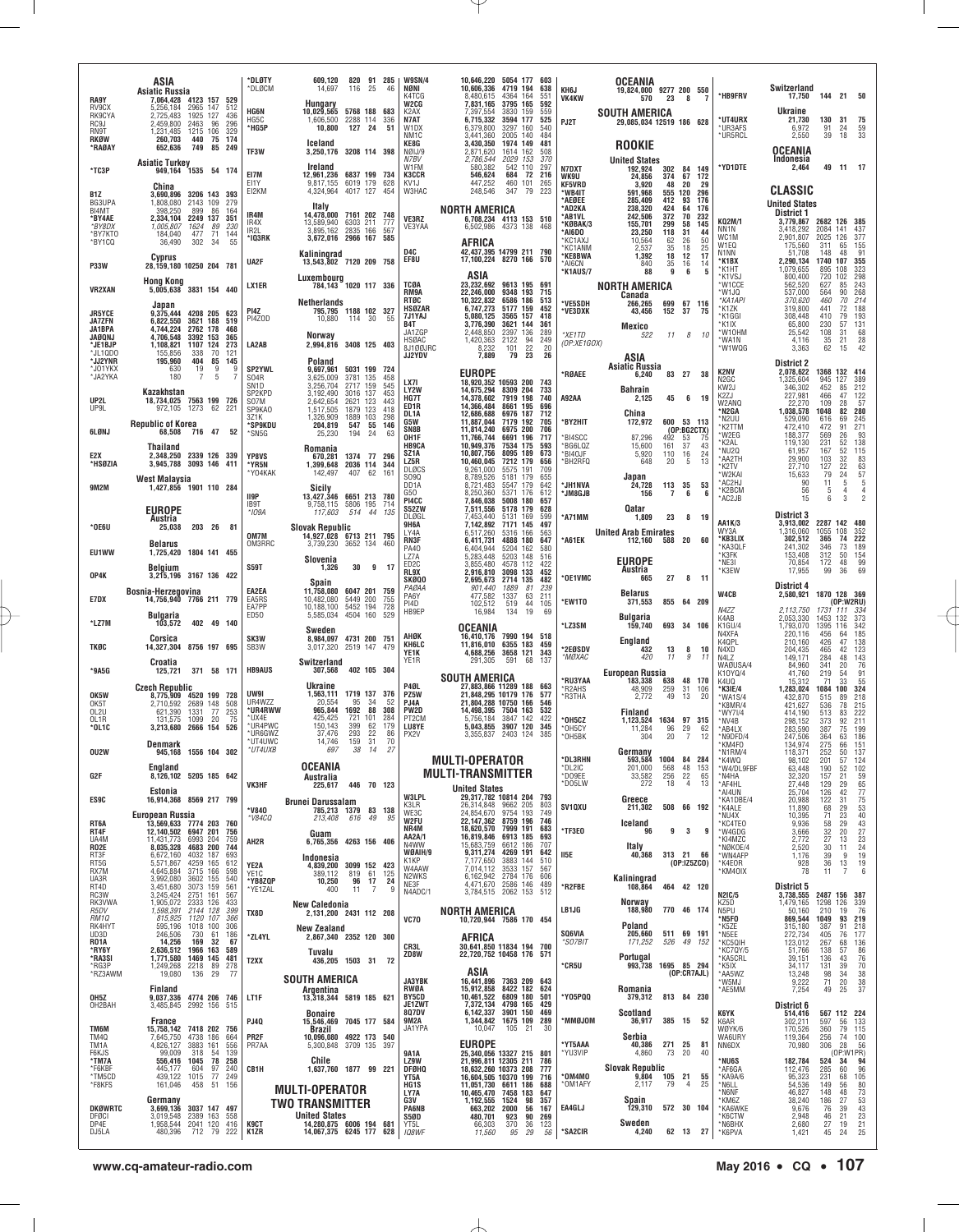|                                                     | ASIA<br><b>Asiatic Russia</b>                                                                                                | *DLØTY<br>*DLØCM                            | 609,120<br>14,697                                                  | 116                                          | 820 91 285<br>25<br>46                         | <b>W9SN/4</b><br>NØNI                                 | 10,646,220 5054 177 603<br>10,606,336 4719 194<br>8.480.615                        |                                                  | 638                      | KH6J                                        | OCEANIA<br>19,824,000 9277 200 550                      |                                               |                                   | *HB9FRV                                                 | Switzerland<br>17,750  144  21  50          |                                      |                                                                             |                                                           |
|-----------------------------------------------------|------------------------------------------------------------------------------------------------------------------------------|---------------------------------------------|--------------------------------------------------------------------|----------------------------------------------|------------------------------------------------|-------------------------------------------------------|------------------------------------------------------------------------------------|--------------------------------------------------|--------------------------|---------------------------------------------|---------------------------------------------------------|-----------------------------------------------|-----------------------------------|---------------------------------------------------------|---------------------------------------------|--------------------------------------|-----------------------------------------------------------------------------|-----------------------------------------------------------|
| <b>RA9Y</b><br>RV9CX<br>RK9CYA<br>RC9J              | 7,064,428 4123 157<br>529<br>5,256,184<br>2965 147<br>512<br>2.725.483<br>1925 127<br>436<br>2,459,800<br>2463<br>96<br>296  | <b>HG6N</b><br>HG5C                         | Hungary<br>10,029,565<br>1,606,500                                 | 5768 188 683<br>2288 114                     | 336                                            | K4TCG<br>W2CG<br>K2AX<br>N7AT                         | 7,831,165<br>7,397,554<br>6,715,332                                                | 4364 164<br>3795 165<br>3830 159<br>3594 177     | 551<br>592<br>559<br>525 | <b>VK4KW</b><br>PJ2T                        | 570<br><b>SOUTH AMERICA</b><br>29,085,034 12519 186 628 | 23<br>- 8                                     | $\overline{7}$                    | *UT4URX                                                 | Ukraine<br>21,730                           | 130                                  | 31                                                                          | 75                                                        |
| RN9T<br>RKØW<br>*RAØAY                              | 1215 106<br>$\frac{329}{174}$<br>1,231,485<br>440<br>75<br>260,703<br>749<br>652,636<br>85<br>249                            | *HG5P<br>TF3W                               | 10,800<br>Iceland<br>3,250,176 3208 114 398                        | 127 24                                       | 51                                             | W1DX<br>NM <sub>1</sub> C<br>KE8G<br>NØIJ/9           | 6,379,800<br>3,441,360<br>3,430,350<br>2,871,620                                   | 3297 160<br>2005 140<br>1974 149<br>1614 162     | 540<br>484<br>481<br>508 |                                             | <b>ROOKIE</b>                                           |                                               |                                   | *UR3AFS<br>*UR5RCL                                      | 6,972<br>2,550<br><b>OCEANIA</b>            | 91<br>39                             | 24<br>18                                                                    | 59<br>33                                                  |
| *TC3P                                               | <b>Asiatic Turkey</b><br>949, 164 1535 54 174                                                                                | EI7M                                        | Ireland<br>12,961,236 6837 199 734                                 |                                              |                                                | N7BV<br>W1FM<br><b>K3CCR</b>                          | 2,786,544<br>580,382<br>546,624                                                    | 2029 153<br>542 110<br>684<br>72                 | 370<br>297<br>216        | N7DXT<br><b>WK9U</b>                        | <b>United States</b><br>192,924<br>24,856               | 302 84<br>374<br>67                           | 149<br>172                        | *YD1DTE                                                 | <b>Indonesia</b><br>2,464                   |                                      | 49 11 17                                                                    |                                                           |
| B1Z<br>BG3UPA                                       | China<br>3,690,896<br>3206 143 393<br>279<br>1,808,080<br>2143 109                                                           | EI1Y<br>EI2KM                               | 9,817,155 6019 179 628<br>4,324,964 4017 127 454<br>Italy          |                                              |                                                | KV1J<br>W3HAC                                         | 447,252<br>248,546                                                                 | 460 101<br>347 79                                | 265<br>223               | <b>KF5VRD</b><br>*WB4IT<br>*AEØEE<br>*AD2KA | 3,920<br>591,968<br>285,409<br>238,320                  | 20<br>48<br>555 120<br>412<br>93<br>424<br>64 | 29<br>296<br>176<br>176           |                                                         | CLASSIC<br><b>United States</b>             |                                      |                                                                             |                                                           |
| BI4MT<br>*BY4AE<br>*BY8DX<br>*BY7KT0                | 398,250<br>899<br>86<br>164<br>2.334,104<br>2249 137<br>351<br>1,005,807<br>1624<br>89<br>230<br>184.040<br>477<br>71<br>144 | IR4M<br>IR4X<br>IR2L                        | 14,478,000 7161 202 748<br>13.589.940<br>3,895,162                 | 6303 211<br>2835 166                         | 777<br>567                                     | VE3RZ<br>VE3YAA                                       | NORTH AMERICA                                                                      | 6,708,234 4113 153 510<br>6,502,986 4373 138     | 468                      | *AB1VL<br>*KØBAK/3<br>*AI6DO                | 242,506<br>155,701<br>23,250                            | 372<br>70<br>58<br>299<br>118<br>31           | 232<br>145<br>44                  | KQ2M/1<br>NN1N                                          | District 1<br>3,779,867<br>3,418,292        | 2682 126 385<br>2084 141             |                                                                             | 437                                                       |
| *BY1CQ                                              | 55<br>36,490<br>302<br>-34<br>Cyprus                                                                                         | *IQ3RK<br>UA2F                              | 3,672,016 2966 167<br>Kaliningrad<br>13,543,802 7120 209 758       |                                              | 585                                            | D4C<br>EF8U                                           | AFRICA<br>42,437,395 14799 211 790<br>17,100,224 8270 166 570                      |                                                  |                          | *KC1AXJ<br>*KC1ANM<br>*KE8BWA<br>*AI6CN     | 10,564<br>2,537<br>1,392<br>840                         | 62<br>26<br>35<br>18<br>18<br>12<br>35<br>16  | 50<br>25<br>17<br>14              | WC1M<br>W1EQ<br>N1NN<br>*K1BX                           | 2,901,807<br>175,560<br>51,708<br>2,290,134 | 2025 126<br>311<br>148<br>1740 107   | 65<br>48                                                                    | 377<br>155<br>91<br>355                                   |
| <b>P33W</b><br><b>VR2XAN</b>                        | 28,159,180 10250 204 781<br><b>Hong Kong</b><br>5,005,638 3831 154 440                                                       | LX1ER                                       | Luxembourg                                                         | 784,143 1020 117 336                         |                                                | <b>TCØA</b>                                           | ASIA<br>23.232.692 9613 195 691                                                    |                                                  |                          | *K1AUS/7                                    | 88<br>NORTH AMERICA                                     | 9                                             | 6<br>5                            | *K1HT<br>*K1VSJ<br>*W1CCE                               | 1,079,655<br>800,400<br>562,520             | 895 108<br>720<br>627                | 102<br>85                                                                   | 323<br>298<br>243<br>268                                  |
| <b>JR5YCE</b>                                       | Japan<br>9,375,444<br>4208 205<br>623                                                                                        | PI4Z<br>PI4ZOD                              | <b>Netherlands</b>                                                 | 795,795 1188 102 327<br>10,880 114 30        | 55                                             | RM9A<br><b>RTØC</b><br><b>HSØZAR</b><br>7J1YAJ        | 22,246,000<br>10,322,832<br>6,747,273<br>5.080.125                                 | 9348 193 715<br>6586 186<br>5177 159<br>3565 157 | 513<br>452<br>418        | *VE5SDH<br>*VE3DXK                          | Canada<br>266,265<br>43,456                             | 699 67 116<br>152<br>37                       | 75                                | *W1JQ<br>*KA1API<br>*K1ZK<br>*K1GGI                     | 537,000<br>370,620<br>319,800<br>308,448    | 564<br>460<br>441<br>410             | 90<br>70<br>72<br>79                                                        | 214<br>188<br>193                                         |
| <b>JA7ZFN</b><br>JA1BPA<br><b>JAØQNJ</b><br>*JE1BJP | 6,822,550<br>3621 188<br>519<br>4,744,224<br>2762 178<br>468<br>4,706,548<br>3392 153<br>365<br>1,108,821<br>1107 124<br>273 | LA2AB                                       | Norway<br>2,994,816 3408 125 403                                   |                                              |                                                | B4T<br>JA17GP<br>HSØAC                                | 3,776,390<br>2,448,850<br>1,420,363                                                | 3621 144<br>136<br>94<br>2397<br>2122            | 361<br>289<br>249        | *XE1TD<br>(OP:XE1GOX)                       | Mexico<br>522                                           | 11                                            | 8<br>10                           | *K1IX<br>*W10HM<br>*WA1N                                | 65,800<br>25,542<br>4,116                   | 230<br>108<br>35                     | 57<br>$\begin{array}{c} 31 \\ 21 \end{array}$                               | 131<br>$\frac{68}{28}$                                    |
| *JL1QD0<br>*JJ2YNR<br>*JO1YKX                       | 338<br>70<br>155.856<br>121<br>195,960<br>404<br>85<br>145<br>19<br>9<br>9<br>630                                            | <b>SP2YWL</b>                               | Poland<br>9,697,961                                                | 5031 199 724                                 |                                                | 8J1ØØJRC<br><b>JJ2YDV</b>                             | 8,232<br>7,889<br><b>EUROPE</b>                                                    | 101<br>22<br>79<br>23                            | 20<br>26                 | *RØAEE                                      | ASIA<br><b>Asiatic Russia</b><br>6,240                  |                                               | 83 27 38                          | *W1WQG<br><b>K2NV</b>                                   | 3,363<br><b>District 2</b><br>2,078,622     | 62<br>1368 132 414                   | 15                                                                          | 42                                                        |
| *JA2YKA<br>UP2L                                     | 5<br>180<br>7<br>7<br>Kazakhstan<br>18,734,025 7563 199 726                                                                  | S04R<br>SN <sub>1</sub> D<br>SP2KPD<br>S07M | 3.625.009<br>3,256,704<br>3,192,490<br>2,642,654                   | 3781 135<br>2717 159<br>3016 137<br>2621 123 | 458<br>545<br>453<br>443                       | LX7I<br>LY2W<br>HG7T                                  | 18,920,352 10593 200<br>14,675,294<br>14,378,602                                   | 8309 204<br>7919 198                             | 743<br>733<br>740        | <b>A92AA</b>                                | <b>Bahrain</b><br>2,125                                 | 45                                            | 6 19                              | N2GC<br>KW <sub>2</sub> J<br>K <sub>2</sub> ZJ<br>W2ANQ | 1,325,604<br>346,302<br>227,981<br>22,270   | 945 127<br>452<br>466<br>109         | 85<br>47<br>28                                                              | 389<br>212<br>$^{122}_{57}$                               |
| UP9L                                                | 972,105 1273 62<br>221<br><b>Republic of Korea</b>                                                                           | SP9KA0<br>3Z1K<br><b>*SP9KDU</b>            | 1,517,505<br>1,326,909<br>204,819                                  | 1879 123<br>1889 103<br>547 55               | 418<br>298<br>146                              | ED1R<br>DL1A<br>G5W<br>SN8B                           | 14,366,484<br>12,686,688<br>11,887,044<br>11,814,240                               | 8661 195<br>6976 187<br>7179 192<br>6975 200     | 696<br>712<br>705<br>706 | *BY2HIT                                     | China<br>172,972                                        | 600 53 113                                    | (OP:BG2CTX)                       | *N2GA<br>*N2UU<br>*K2TTM                                | 1,038,578<br>529,090<br>472,410             | 1048<br>616<br>472                   | 82 280<br>69<br>91                                                          | 245<br>271                                                |
| 6LØNJ<br>E2X                                        | 716 47<br>68,508<br>52<br><b>Thailand</b><br>2.348.250 2339 126 339                                                          | *SN5G<br>YP8VS                              | 25,230<br>Romania<br>670,281                                       | 194<br>1374 77                               | 24<br>63<br>296                                | OH1F<br><b>HB9CA</b><br>SZ1A                          | 11,766,744<br>10,949,376<br>10,807,756                                             | 6691 196<br>7534 175<br>8095 189                 | 717<br>593<br>673        | 'BI4SCC<br>*BG6LQZ<br>*BI4OJF               | 87,296<br>15,600<br>5,920                               | 492<br>53<br>161<br>37<br>110<br>16           | -75<br>43<br>24                   | *W2EG<br>*K2AL<br>*NU2Q                                 | 188,377<br>119,130<br>61,957<br>29,900      | 569<br>231<br>167<br>103             | 26<br>52<br>$\frac{52}{32}$                                                 | $\frac{93}{138}$                                          |
| *HSØZIA<br><b>9M2M</b>                              | 3,945,788 3093 146 411<br><b>West Malaysia</b>                                                                               | *YR5N<br>*Y04KAK                            | 1.399.648 2036 114<br>142,497                                      | 407 62                                       | 344<br>161                                     | LZ5R<br><b>DLØCS</b><br>S090<br>DD <sub>1</sub> A     | 10,460,045<br>9,261,000<br>8,789,526<br>8,721,483                                  | 7212 179<br>5575 191<br>5181 179<br>5547 179     | 656<br>709<br>655<br>642 | *BH2RFQ<br><b>AVAIHL*</b>                   | 648<br>Japan<br>24,728                                  | 20<br>113 35                                  | 5<br>13<br>53                     | *AA2TH<br>*K2TV<br>*W2KAI<br>*AC2HJ                     | 27,710<br>15,633<br>90                      | 127<br>79<br>11                      | 22<br>24<br>5                                                               | $\begin{array}{r} 115 \\ 83 \\ 63 \\ 57 \end{array}$<br>5 |
|                                                     | 1,427,856 1901 110 284<br><b>EUROPE</b>                                                                                      | II9P<br>IB9T<br>*IO9A                       | Sicily<br>13,427,346<br>9,758,115<br>117,603                       | <b>6651 213</b><br>5806 195<br>514 44        | 780<br>714<br>135                              | G50<br>PI4CC<br>S52ZW                                 | 8,250,360<br>7,846,038<br>7,511,556                                                | 5371 176<br>5008 180<br>5178 179                 | 612<br>657<br>628        | *JM8GJB                                     | 156<br>Qatar                                            | 7                                             | 6<br>6                            | *K2BCM<br>*AC2JB                                        | 56<br>15<br>District 3                      | 5<br>6                               | $\overline{4}$<br>3                                                         |                                                           |
| $*$ 0E6U                                            | Austria<br>203 26 81<br>25,038                                                                                               | OM7M                                        | <b>Slovak Republic</b><br>14,927,028 6713 211 795                  |                                              |                                                | DLØGL<br>9H6A<br>LY4A<br><b>RN3F</b>                  | 7,453,440<br>7,142,892<br>6,517,260<br>6,411,731                                   | 5131 169<br>7171 145<br>5316 166<br>4888 180     | 599<br>497<br>563<br>647 | *A71MM<br>*A61EK                            | 1,809<br><b>United Arab Emirates</b><br>112,160         | 23<br>588<br>20                               | 8 19<br>60                        | AA1K/3<br>WY3A<br>*KB3LIX                               | 3,913,002<br>1,316,060<br>302,512           | 2287 142<br>1055 108<br>365          | 74                                                                          | 480<br>352<br>222                                         |
| EU1WW                                               | <b>Belarus</b><br>1,725,420 1804 141 455<br>Belgium                                                                          | OM3RRC<br><b>S59T</b>                       | 3,739,230<br>Slovenia<br>1,326                                     | 3652 134<br>$30 \quad 9$                     | 460<br>17                                      | PA40<br>LZ7A<br>ED <sub>2</sub> C                     | 6,404,944<br>5,283,448<br>3,855,480                                                | 5204 162<br>5203 148<br>4578 112                 | 580<br>516<br>422        |                                             | <b>EUROPE</b><br>Austria                                |                                               |                                   | *KA3QLF<br>*K3FK<br>*NE3I<br>*K3EW                      | 241,302<br>153,408<br>70,854                | 346<br>312<br>172<br>99              | 73<br>50<br>48<br>36                                                        | 189<br>154<br>$\begin{array}{c} 99 \\ 69 \end{array}$     |
| 0P4K                                                | 3,215,196 3167 136 422<br>Bosnia-Herzegovina                                                                                 | EA2EA                                       | Spain<br>11,758,080                                                | 6047 201 759                                 |                                                | RL9X<br>SKØQO<br>PAØAA<br>PA6Y                        | 2,916,810<br>2,695,673<br>901.440<br>477,582                                       | 3098 133<br>2714 135<br>81<br>1889<br>1337<br>63 | 452<br>482<br>239<br>211 | *OE1VMC                                     | 665<br><b>Belarus</b>                                   | 27                                            | 8<br>11                           | W4CB                                                    | 17,955<br>District 4<br>2,580,921           | 1870 128 369                         |                                                                             |                                                           |
| E7DX<br>*LZ7M                                       | 14,756,940 7766 211 779<br>Bulgaria<br>103,572<br>402 49 140                                                                 | EA5RS<br>EA7PP<br>ED50                      | 10,482,080<br>10,188,100<br>5,585,034 4504 160                     | 5449 200<br>5452 194                         | 755<br>728<br>529                              | PI4D<br>HB9EP                                         | 102.512<br>16,984                                                                  | 519<br>44<br>19<br>134                           | 105<br>69                | *EW1TO<br>*LZ3SM                            | 371,553<br>Bulgaria<br>159,740                          | 855 64 209<br>693 34 106                      |                                   | N4ZZ<br>K4AB<br>K1GU/4                                  | 2,113,750<br>2,053,330<br>1,793,070         | 1731 111 334<br>1453 132<br>1395 116 | (0P:W2RU)                                                                   | 373<br>342                                                |
| <b>TKØC</b>                                         | Corsica<br>14,327,304 8756 197 695                                                                                           | SK3W<br>SB3W                                | Sweden<br>8,984,097 4731 200 751<br>3,017,320 2519 147             |                                              | 479                                            | AHØK<br>KH6LC<br>YE1K                                 | <b>OCEANIA</b><br>16,410,176<br>11,816,010 6355 183                                | 7990 194 518<br>4,688,256 3658 121               | 459<br>343               | *2EØSDV                                     | England<br>432<br>420                                   | $\begin{array}{c} 13 \\ 11 \end{array}$       | $\frac{8}{9}$<br>10               | N4XFA<br>K4QPL<br>N4XD                                  | 220,116<br>210,160<br>204,435               | 456<br>426<br>465                    | 64<br>47<br>42                                                              | 185<br>$\frac{138}{123}$<br>143                           |
| *9A5G                                               | Croatia<br>371 58 171<br>125,721                                                                                             | <b>HB9AUS</b>                               | Switzerland<br>307,568                                             |                                              | 402 105 304                                    | YE1R                                                  | 291,305<br><b>SOUTH AMERICA</b>                                                    | 591<br>68                                        | 137                      | *MØXAC<br>*RU3YAA                           | European Russia<br>183,338                              | 638                                           | 11<br>48 170                      | N4LZ<br>WAØUSA/4<br>K10YQ/4<br>K4UQ                     | 149,171<br>84,960<br>41,760<br>15.312       | 284<br>341<br>219<br>71              | 48<br>20<br>54<br>33                                                        | $\frac{76}{91}$<br>55                                     |
| OK5W<br>OK5T                                        | <b>Czech Republic</b><br>8,775,909 4520 199 728<br>2,710,592<br>2689 148<br>508                                              | UW9I<br>UR4WZZ                              | Ukraine<br>1,563,111<br>20,554                                     | 1719 137 376<br>95                           | 52<br>-34                                      | P4ØL<br>PZ5W<br>PJ4A                                  | 27,883,866 11289 188<br>21,848,295 10179 176<br>21,804,288 10750 166               |                                                  | 663<br>577<br>546        | *R2AHS<br>*R3THA                            | 48,909<br>2,772                                         | 259<br>31<br>49<br>13                         | 106<br>20                         | *K3IE/4<br>*WA1S/4<br>*K8MR/4                           | 1,283,024<br>432,870<br>421,627             | 1084 100<br>515<br>536               | $\frac{89}{78}$                                                             | 324<br>$\frac{218}{215}$                                  |
| OL <sub>2</sub> U<br>OL1R<br>*0L1C                  | 621,390<br>1331<br>77<br>253<br>1099<br>20<br>75<br>131,575<br>526<br>3,213,680<br>2666 154                                  | *UR4RWW<br>*UX4E<br>*UR4PWC<br>*UR6GWZ      | 965,844<br>425.425<br>150,143<br>37,476                            | 1692<br>721<br>101<br>399<br>293             | 88<br>308<br>284<br>62<br>179                  | PW2D<br>PT <sub>2</sub> CM<br>LU8YE<br>PX2V           | 14,498,395 7504 163<br>5,756,184<br>5,043,855<br>3,355,837                         | 3847 142<br>3907 120<br>2403 124                 | 532<br>422<br>345<br>385 | *OH5CZ<br>*OH5CY<br>*OH5BK                  | Finland<br>1,123,524<br>11,284<br>304                   | 1634 97<br>96<br>29<br>20                     | 315<br>62<br>$\overline{7}$<br>12 | *WY7I/4<br>*NV4B<br>*AB4LX<br>*N9DFD/4                  | 414,190<br>298,152<br>283,590               | 513<br>373<br>387<br>364             | 83<br>92<br>75                                                              | 222<br>211<br>199<br>186                                  |
| OU2W                                                | Denmark<br>1556 104 302<br>945.168                                                                                           | *UT4UWC<br>*UT4UXB                          | 14,746<br>697                                                      | 159<br>38                                    | $\frac{22}{31}$<br>$\frac{86}{70}$<br>14<br>27 |                                                       | <b>MULTI-OPERATOR</b>                                                              |                                                  |                          | *DL3RHN                                     | Germany<br>593,584                                      | 1004<br>84                                    | 284                               | *KM4FO<br>N1RM/4<br>*K4WQ                               | 247,506<br>134,974<br>118,371<br>98,102     | 275<br>252<br>201                    | 63<br>66<br>50<br>57                                                        | 151<br>137                                                |
| G2F                                                 | England<br>8,126,102 5205 185 642<br>Estonia                                                                                 | VK3HF                                       | <b>OCEANIA</b><br>Australia<br>225,617                             |                                              | 446 70 123                                     |                                                       | <b>MULTI-TRANSMITTER</b><br><b>United States</b>                                   |                                                  |                          | *DL2IC<br>*D09EE<br>*D05LW                  | 201,000<br>33,582<br>272                                | 568<br>256<br>$^{48}_{22}$<br>18              | 153<br>65<br>4<br>13              | *W4/DL9FBF<br>*N4HA<br>*AF4HL<br>*AI4UN                 | 63,448<br>32,320<br>27,448<br>25,704        | 190<br>157<br>129<br>126             | 52<br>21<br>$\frac{29}{42}$                                                 | $\frac{124}{102}$<br>$\frac{59}{65}$<br>$\frac{65}{77}$   |
| ES9C                                                | 16,914,368 8569 217 799<br>European Russia                                                                                   | *V840<br>*V84CQ                             | <b>Brunei Darussalam</b>                                           | 785,213 1379 83 138<br>213,408 616 49        | 95                                             | W3LPL<br>K3LR<br>WE3C                                 | 29.317.782 10814 204<br>26,314,848 9662 205<br>24,854,670 9754 193                 |                                                  | 793<br>803<br>749        | SV1QXU                                      | Greece<br>211,302                                       | 508 66 192                                    |                                   | *KA1DBE/4<br>*K4ALE<br>*NU4X                            | 20,988<br>11,890<br>10,395                  | 122<br>68<br>$^{71}_{58}$            | 31<br>29<br>$\frac{23}{29}$                                                 |                                                           |
| RT6A<br>RT4F<br>UA4M<br><b>R02E</b>                 | 13,569,633 7774 203 760<br>12,140,502 6947 201<br>756<br>11,431,773<br>6993 204<br>759<br>8,035,328<br>4683 200<br>744       | AH2R                                        | Guam<br>6,765,356 4263 156 406                                     |                                              |                                                | W2FU<br>NR4M<br>AA2A/1<br>N4WW                        | 22, 147, 362 8759 196<br>18,620,570 7999 191<br>16,819,846 6913 185<br>15,683,759  | 6612 186                                         | 746<br>683<br>693<br>707 | *TF3E0                                      | Iceland<br>96<br>Italy                                  | 9                                             | 3<br>9                            | *KC4TEO<br>*W4GDG<br>*KI4MZC<br>NØKOE/4                 | 9,936<br>3,666<br>2,772<br>2,520            | 32<br>27<br>30                       | 20<br>13<br>11                                                              | 75<br>53<br>40<br>43<br>27<br>23<br>24<br>19              |
| RT3F<br>RT5G<br>RX7M                                | 4032 187<br>6,672,160<br>693<br>5,571,867<br>4259 165<br>612<br>4,645,884<br>3715 166<br>598                                 | YE2A<br>YE1C                                | Indonesia<br>4.839.200<br>389,112                                  | 3099 152<br>819 61                           | 423<br>125                                     | WØAIH/9<br>K1KP<br>W4AAW                              | 9,311,274 4269 191<br>7,177,650<br>7,014,112                                       | 3883 144<br>3533 157                             | 642<br>510<br>567<br>606 | II5E                                        | 40,368                                                  | 313 21 66                                     | (OP:IZ5ZCO)                       | *WN4AFP<br>*K4EOR<br>*KM40IX                            | 1,176<br>928<br>78                          | 39<br>36<br>11                       | 9<br>$\begin{array}{c} 13 \\ 7 \end{array}$                                 | 19<br>6                                                   |
| UA3R<br>RT4D<br>RC3W<br>RK3VWA                      | 3,992,080<br>3602 155<br>540<br>3073 159<br>3,451,680<br>561<br>3,245,424<br>2751 161<br>567<br>1,905,072<br>2333 126<br>433 | *YB8ZQP<br>*YE1ZAL                          | 10,250<br>400<br>New Caledonia                                     | 96<br>11                                     | 17<br>24<br>-7<br>9                            | N2WKS<br>NE3F<br>N4ADC/1                              | 6,162,942<br>4,471,670 2586 146<br>3,784,515 2062 153                              | 2784 176                                         | 489<br>512               | *R2FBE                                      | Kaliningrad<br>108,864<br>Norway                        | 464 42 120                                    |                                   | <b>N2IC/5</b><br>K75D                                   | District 5<br>3,738,555<br>1,479,165        | 2487 156 387<br>1298 126             |                                                                             |                                                           |
| R5DV<br>RM10<br>RK4HYT                              | 2144 128<br>1,598,391<br>399<br>815,925 1120 107<br>595,196 1018 100<br>366<br>306                                           | TX8D                                        | 2,131,200 2431 112 208<br>New Zealand                              |                                              |                                                | VC70                                                  | NORTH AMERICA<br>10,720,944 7586 170 454                                           |                                                  |                          | LB1JG                                       | 188,980<br>Poland                                       | 770 46 174                                    |                                   | N5PU<br>*N5FO<br>*K5ZE                                  | 50,160<br>869,544<br>315,180                | 210<br>1049<br>387                   | 19<br>93<br>91                                                              | $\frac{339}{76}$<br>$\frac{219}{218}$                     |
| UD3D<br><b>RO1A</b><br>*RY6Y<br>*RA3SI              | 246,506<br>730<br>61<br>186<br>169<br>14,256<br>32<br>67<br>2,636,512<br>1966 163<br>589<br>1,771,580<br>1469 145<br>481     | *ZL4YL                                      | 2.867.340 2352 120 300<br>Tuvalu                                   |                                              |                                                | CR3L<br>ZD8W                                          | AFRICA<br>30,641,850 11834 194 700<br>22,720,752 10458 176 571                     |                                                  |                          | SQ6VIA<br>"SO7BIT                           | 205,660<br>171,252<br>Portugal                          | 511 69 191<br>526                             | 49 152                            | *N5EE<br>*KC5QIH<br>*KC7QY/5<br>*KA5CRL                 | 272,734<br>123,012<br>51,766<br>39,151      | 405<br>267<br>138<br>136             | $^{76}_{68}$<br>57<br>43                                                    | 177<br>136<br>86<br>76<br>70                              |
| *RG3P<br>*RZ3AWM                                    | 1,249,268<br>2218<br>89<br>278<br>29<br>19,080<br>136<br>-77                                                                 | T <sub>2</sub> XX                           | SOUTH AMERICA                                                      | 436,205 1503 31                              | 72                                             | <b>JA3YBK</b>                                         | ASIA<br>16,441,896 7363 209 643                                                    |                                                  |                          | *CR5U                                       | 993,738                                                 | 1695 85 294                                   | (OP:CR7AJL)                       | *K5IX<br>*AA5WZ<br>*W5MJ                                | 34,117<br>13,248<br>9,222                   | 131<br>98<br>71                      | 39<br>34<br>20                                                              | 38<br>$\frac{38}{37}$                                     |
| OH <sub>5</sub> Z<br>OH2BAH                         | Finland<br>9,037,336 4774 206 746<br>3,485,845 2992 156<br>515                                                               | LT1F                                        | Argentina<br>13,318,344 5819 185 621<br><b>Bonaire</b>             |                                              |                                                | RWØA<br><b>BY5CD</b><br><b>JE1ZWT</b><br><b>807DV</b> | 15,912,858<br>10,461,522 6809 180<br>7,372,134 4798 165                            | 8422 182<br>6,142,337 3901 150                   | 624<br>501<br>429<br>469 | *Y05PQQ                                     | Romania<br>379,312<br><b>Scotland</b>                   | 813 84 230                                    |                                   | *AE5MM<br>K6YK                                          | 7,254<br>District 6<br>514,416              | 49                                   | 25<br>567 112 224                                                           |                                                           |
| TM6M<br>TM40                                        | France<br>15,758,142 7418 202 756<br>7,645,750<br>4738 186<br>664                                                            | <b>PJ40</b><br>PR <sub>2</sub> F            | 15,546,469 7045 177 584<br>Brazil<br>10,096,080 4922 173 540       |                                              |                                                | 9M2A<br>JA1YPA                                        | 1,344,842 1675 109<br>10,047 105 21                                                |                                                  | 289<br>30                | MOL@MM*                                     | 36,917<br>Serbia                                        | 385 15                                        | 52                                | K6AR<br>WØYK/6<br>WA6URY                                | 302,211<br>170,526<br>119,364               | 597<br>360<br>256                    | 56<br>79<br>$\begin{array}{r}\n 74 \quad 100 \\  28 \quad 56\n \end{array}$ | 133<br>115                                                |
| TM1A<br>F6KJS<br>*TM7A<br>*F6KBF                    | 4,826,127<br>3883 161<br>556<br>99,009<br>139<br>318<br>54<br>78<br>258<br>556,416 1045<br>604<br>97<br>240<br>445,177       | PR7AA<br>CB1H                               | 5,300,848 3709 135<br>Chile<br>1,637,760 1877 99 221               |                                              | 397                                            | <b>9A1A</b><br>LZ9W<br><b>DFØHQ</b>                   | EUROPE<br>25,340,056 13327 215 801<br>21,996,811 12305 211<br>18,632,260 10373 208 |                                                  | 786<br>777               | *YT5AAA<br>*YU3VIP                          | 40,386<br>4,860<br><b>Slovak Republic</b>               | 271 25<br>73<br>-20                           | 81<br>40                          | NN6DX<br>NU6S*<br>*AF6GA                                | 70,980<br>182,784<br>112,476                | 306<br>524<br>285                    | $(0P:W1PR)$<br>$1 \t34 \t94$<br>$5 \t60 \t96$                               |                                                           |
| *TM5CD<br>*F8KFS                                    | 249<br>439,122<br>1015<br>77<br>161,046<br>458<br>51<br>156                                                                  |                                             | <b>MULTI-OPERATOR</b>                                              |                                              |                                                | YT5A<br>HG1S<br>LY7A                                  | 16,604,505 10370 199<br>11,051,730 6611 186<br>10,465,470 7458 183                 |                                                  | 716<br>688<br>647        | *OM4MO<br>*OM1AFY                           | 9,804<br>2,117                                          | 105 21<br>79                                  | 55<br>25<br>4                     | *KA9A/6<br>*N6LL<br>*N6NF                               | 95,323<br>54,536<br>46,827                  | 231<br>149<br>148                    | 68<br>56<br>48                                                              |                                                           |
| <b>DKØWRTC</b><br><b>DFØCI</b><br>DP4E              | Germany<br>3,699,136<br>3037 147 497<br>3,019,548<br>2389 163<br>558<br>1,958,544 2041 120<br>416                            | <b>K9CT</b>                                 | TWO TRANSMITTER<br><b>United States</b><br>14,280,875 6006 194 681 |                                              |                                                | G3V<br><b>PA6NB</b><br><b>S50D</b><br>YT5L            | 1,192,555<br>663,202 2000<br>480,701<br>66,303                                     | 1524<br>98<br>56<br>923<br>90<br>370<br>36       | 357<br>167<br>269<br>123 | EA4GLJ                                      | Spain<br>129,310<br>Sweden                              | 572 30 104                                    |                                   | *KM6Z<br>*KA6WKE<br>*K6CTW<br>*N6BHX                    | 38,240<br>9,676<br>2,948<br>2,680           | 186<br>76<br>46<br>27                | 27<br>39<br>21<br>19                                                        | 105<br>80<br>73<br>53<br>43<br>23<br>21<br>25             |
| DJ5LA                                               | 480,396<br>712 79<br>222                                                                                                     | K1ZR                                        | 14,067,375 6245 177                                                |                                              | 628                                            | <b>IQ8WF</b>                                          | 11,560                                                                             | 95<br>29                                         | 56                       | *SA2CIR                                     | 4,240                                                   |                                               | 62 13 27                          | *K6PVA                                                  | 1,421                                       | 45                                   | 24                                                                          |                                                           |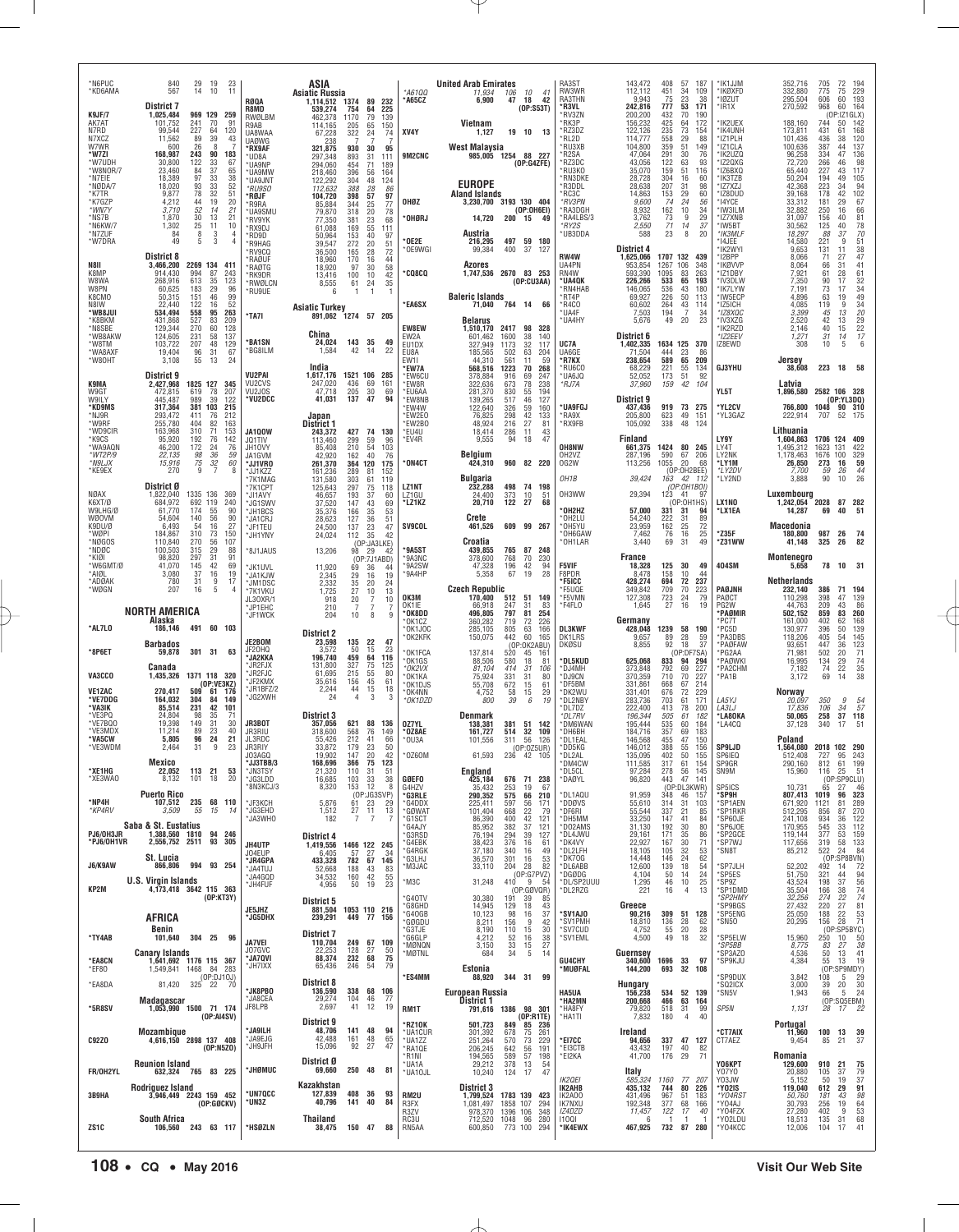| *N6PUC<br>*KD6AMA            | 840<br>29<br>19<br>567<br>14<br>10                                          | 23<br>11                                                            | ASIA<br><b>Asiatic Russia</b>                                             | *A61QQ                                        | <b>United Arab Emirates</b><br>11,934<br>106<br>10<br>41                                                                   | RA3ST<br>RW3WR                             | 143,472<br>112.112                   | 408<br>57<br>187<br>451<br>34<br>109                               | 'IK1JJM<br>'IKØXFD                      | 352,716<br>332.880                   | 705<br>72<br>194<br>75<br>229<br>775                                                  |
|------------------------------|-----------------------------------------------------------------------------|---------------------------------------------------------------------|---------------------------------------------------------------------------|-----------------------------------------------|----------------------------------------------------------------------------------------------------------------------------|--------------------------------------------|--------------------------------------|--------------------------------------------------------------------|-----------------------------------------|--------------------------------------|---------------------------------------------------------------------------------------|
| K9JF/7                       | <b>District 7</b><br>1,025,484<br>969 129                                   | RØQA<br>R8MD<br>259<br>RWØLBM                                       | 1.114.512 1374 89<br>539,274<br>754<br>$\frac{64}{79}$<br>462,378<br>1170 | *A65CZ<br>232<br>225<br>139                   | 6,900<br>42<br>47<br>18<br>(0P:SS3T)                                                                                       | RA3THN<br>*R3VL<br>*RV3ZN                  | 9,943<br>242,816<br>200,200          | 23<br>75<br>38<br>53<br>777<br>171<br>432<br>70<br>190             | *IØZUT<br>'IR1X                         | 295,504<br>270,592                   | 193<br>60<br>606<br>968<br>60<br>164<br>(OP:IZ1GLX)                                   |
| AK7AT<br>N7RD<br>N7XCZ       | 101,752<br>241<br>70<br>227<br>99,544<br>64<br>11,562<br>89<br>39           | 91<br>R9AB<br>120<br>UA8WAA<br>43                                   | 65<br>114.165<br>205<br>322<br>67,228<br>24                               | 150<br>XV4Y<br>74                             | Vietnam<br>19 10 13<br>1,127                                                                                               | *RK3P<br>*RZ3DZ<br>RL2D                    | 156,232<br>122,126<br>114,777        | 425<br>64<br>172<br>235<br>558<br>$^{73}_{29}$<br>154<br>88        | IK2UEX<br>'IK4UNH<br>'IZ1PLH            | 188,160<br>173,811<br>101,436        | 744<br>50<br>$\frac{142}{168}$<br>431<br>61<br>436<br>38                              |
| W7WR<br>*W7ZI                | 600<br>26<br>8<br>168,987<br>243<br>90                                      | <b>UAØWG</b><br>*RX9AF<br>183<br>*UD8A                              | 238<br>321,875<br>930<br>30<br>893<br>297,348<br>31                       | 95<br>9M2CNC<br>111                           | West Malaysia<br>985,005 1254 88 227                                                                                       | *RU3XB<br>*R2SA                            | 104,800<br>47,064                    | 51<br>359<br>149<br>291<br>30<br>76                                | *IZ1CLA<br>'IK2UZQ                      | 100,636<br>96,258                    | 137<br>387<br>44<br>334<br>47<br>136<br>98                                            |
| *W7UDH<br>*W8NOR/7<br>*N7EIE | 122<br>30,800<br>33<br>37<br>23,460<br>84<br>18,389<br>97<br>33             | 67<br>*UA9NP<br>65<br>*UA9MW<br>38                                  | 294,060<br>454<br>71<br>218,460<br>396<br>56<br>122,292<br>304<br>48      | 189<br>164                                    | (OP:G4ZFE)                                                                                                                 | *RZ3DC<br>*RU3KO<br>*RN3DKE                | 43,056<br>35,070<br>28,728           | 122<br>63<br>93<br>159<br>51<br>116<br>304<br>16<br>-60            | *IZ2QXG<br>*IZ6BXQ<br>*IK3TZB           | 72,720<br>65,440<br>50,204           | 266<br>46<br>227<br>43<br>117<br>49<br>194<br>105                                     |
| *NØDA/7<br>*K7TR             | 18,020<br>93<br>33<br>78<br>32<br>9,877                                     | *UA9JNT<br>52<br>*RU9SO<br>51<br>*RØJF                              | 112,632<br>388<br>28<br>398<br>57<br>104,720                              | 124<br>86<br>97                               | <b>EUROPE</b><br><b>Aland Islands</b>                                                                                      | *R3DDL<br>*RC3C                            | 28,638<br>14,863                     | 207<br>31<br>98<br>153<br>29<br>60                                 | *IZ7XZJ<br>*IZ8DUD                      | 42,368<br>39,168                     | 223<br>34<br>$\frac{94}{102}$<br>178<br>42                                            |
| *K7GZP<br>*WN7Y<br>*NS7B     | 4,212<br>44<br>19<br>3,710<br>52<br>14<br>13<br>1,870<br>30                 | 20<br>*R9RA<br>21<br>*UA9SMU<br>21<br>*RV9YK                        | 25<br>85,884<br>344<br>79,870<br>318<br>20<br>77,350<br>381<br>23         | OHØZ<br>77<br>78<br>*OHØRJ<br>68              | 3,230,700 3193 130 404<br>(OP:OH6EI)<br>14,720<br>200<br>15<br>-49                                                         | *RV3PN<br><b>RA3DGH</b><br>*RA4LBS/3       | 9,600<br>8.932<br>3,762              | 74<br>24<br>56<br>162<br>10<br>34<br>73<br>9<br>29                 | *14YCE<br>'IW3ILM<br>*IZ7XNB            | 33,312<br>32.882<br>31,097           | 181<br>29<br>67<br>$66$<br>$81$<br>250<br>16<br>156<br>40                             |
| *N6KW/7<br>*N7ZUF<br>*W7DRA  | 25<br>11<br>1,302<br>8<br>84<br>3<br>5<br>3<br>49                           | 10<br>*RX9DJ<br>$\overline{4}$<br>*RD9D<br>$\overline{4}$<br>*R9HAG | 61,088<br>55<br>169<br>153<br>40<br>50,964<br>272<br>20<br>39.547         | 111<br>97<br>OE2E<br>51                       | Austria<br>216,295<br>497 59 180                                                                                           | *RY2S<br>*UB3DDA                           | 2,550<br>588                         | 71<br>37<br>14<br>8<br>20<br>23                                    | *IW5BT<br>*IK3MLF<br>'14JEE             | 30,562<br>18,297<br>14,580           | 125<br>40<br>78<br>70<br>51<br>38<br>47<br>88<br>37<br>221<br>9                       |
| N8II                         | <b>District 8</b><br>3,466,200<br>2269 134                                  | *RV9CQ<br><b>RAØUF</b><br>411                                       | 36,500<br>28<br>165<br>18,960<br>170<br>16                                | *OE9WGI<br>72<br>44                           | 99,384<br>400<br>37<br>- 127<br>Azores                                                                                     | RW4W<br>UA4PN                              | District 4<br>1,625,066<br>953,854   | 1707 132<br>439<br>1267<br>106<br>348                              | 'IK2WYI<br>*I2BPP<br>'IKØVVP            | 9,653<br>8,066<br>8,064              | $\frac{131}{71}$<br>11<br>27<br>31<br>41<br>66                                        |
| K8MP<br>W8WA                 | 914,430<br>994<br>87<br>35<br>613<br>268,916                                | *RAØTG<br>243<br>*RK9DR<br>123<br>*RWØLCN                           | 30<br>18,920<br>97<br>13,416<br>100<br>10<br>24<br>8,555<br>61            | 58<br><b>*CQ8CQ</b><br>42<br>35               | 1,747,536<br>2670 83 253<br>(OP:CU3AA)                                                                                     | RN4W<br>*UA4QK                             | 593,390<br>226,266                   | 1095<br>83<br>263<br>533<br>65<br>193                              | *IZ1DBY<br>'IV3DLW                      | 7,921<br>7,350                       | 61<br>28<br>90<br>17                                                                  |
| W8PN<br>K8CMO<br>N8IW        | 183<br>29<br>60,625<br>46<br>151<br>50,315<br>22,440<br>122<br>16           | 96<br>*RU9UE<br>99<br>52                                            | 6<br>$\overline{1}$<br>$\mathbf{1}$<br><b>Asiatic Turkey</b>              | *EA6SX                                        | <b>Baleric Islands</b><br>71,040 764 14<br>66                                                                              | RN4HAB<br>*RT4P<br>*R4C0                   | 146,065<br>69,927<br>60,602          | 536<br>43<br>180<br>226<br>50<br>113<br>264<br>$43 \over 7$<br>114 | 'IK7LYW<br>'IW5ECP<br>*IZ5ICH           | 7,191<br>4,896<br>4,085              | 73<br>17<br>63<br>19<br>119<br>9                                                      |
| *WB8JUI<br>*K8BKM<br>*N8SBE  | 534,494<br>558<br>95<br>431,868<br>527<br>83<br>129,344<br>270<br>60        | 263<br>*TA7I<br>209<br>128                                          | 891,062 1274 57 205                                                       | EW8EW                                         | <b>Belarus</b><br>1,510,170<br>2417<br>98<br>328                                                                           | 'UA4F<br>*UA4HY                            | 7,503<br>5,676                       | 194<br>34<br>20<br>23<br>49                                        | *IZ8XQC<br>*IV3XZG<br>'IK2RZD           | 3.399<br>2,520<br>2.146              | 61<br>32<br>34<br>34<br>32<br>29<br>22<br>77<br>13<br>45<br>42<br>13<br>15            |
| *WB8AKW<br>*W8TM<br>*WA8AXF  | 124,605<br>231<br>58<br>207<br>103,722<br>48<br>19,404<br>31                | 137<br><b>BA1SN</b><br>129<br>*BG8ILM                               | China<br>143 35<br>24,024<br>1,584<br>42<br>-14                           | EW2A<br>49<br>EU1DX<br>22<br>EU8A             | 601,462<br>1600<br>38<br>140<br>327.949<br>1173<br>32<br>117<br>185,565<br>502<br>63<br>204                                | UC7A<br>UA6GE                              | District 6<br>1,402,335<br>71,504    | 1634 125 370<br>444<br>86                                          | *IZ2EEV<br>IZ8EWD                       | 1,271<br>308                         | $\begin{array}{c} 40 \\ 31 \end{array}$<br>14<br>6<br>10<br>5                         |
| *W80HT                       | 96<br>55<br>3,108<br>13                                                     | 67<br>24                                                            | India                                                                     | EW11<br>*EW7A                                 | 44.310<br>561<br>11<br>59<br>568,516<br>1223<br>70<br>268                                                                  | *R7KX<br>*RU6CO                            | 238.654<br>68,229                    | 23<br>65<br>589<br>209<br>221<br>$\frac{55}{51}$<br>134            | <b>GJ3YHU</b>                           | Jersey<br>38,608                     | 223<br>58<br>18                                                                       |
| K9MA<br>W9GT                 | District 9<br>2,427,968<br>1825 127<br>472,815<br>619<br>78                 | VU2PAI<br>VU2CVS<br>345<br>207<br>VU2J0S                            | 1,617,176<br>1521 106<br>247,020<br>436<br>69<br>205<br>30<br>47,718      | 285<br>*EW6CU<br>161<br>*EW8R<br>69<br>*EU6AA | 378,884<br>916<br>69<br>247<br>322,636<br>673<br>78<br>238<br>281,370<br>194                                               | *UA6JQ<br>*RJ7A                            | 52,052<br>37,960                     | 173<br>92<br>42<br>104<br>159                                      | YL5T                                    | Latvia<br>1,896,580                  | 2582 106 328                                                                          |
| W9ILY<br>*KD9MS<br>*NJ9R     | 989<br>39<br>445,487<br>317,364<br>381 103<br>293,472<br>411<br>76          | *VU2DCC<br>122<br>215<br>212                                        | 137<br>41,031<br>47<br>Japan                                              | 94<br>*EW8NB<br>*EW4W<br>*EW2E0               | 830<br>517<br>$\frac{55}{46}$<br>127<br>139,265<br>122,640<br>326<br>59<br>160<br>76,825<br>298<br>42<br>133               | *UA9FGJ<br>*RA9X                           | District 9<br>437,436<br>205,800     | 73 275<br>919<br>623<br>49<br>151                                  | *YL2CV<br>*YL3GAZ                       | 766,800<br>222,914                   | (0P:YL3DQ)<br>1048<br>90 310<br>52 175<br>707                                         |
| *W9RF<br>*WD9CIR             | 255,780<br>404<br>82<br>310<br>71<br>163,968                                | 163<br>153<br><b>JA100W</b>                                         | District 1<br>427<br>243,372<br>74                                        | EW2B0<br>*EU4U<br>130                         | 48,924<br>216<br>27<br>81<br>286<br>43<br>18,414<br>11                                                                     | *RX9FB                                     | 105,092                              | 338<br>48<br>124                                                   |                                         | Lithuania                            |                                                                                       |
| *K9CS<br>*WA9AQN<br>*WT2P/9  | 95,920<br>192<br>76<br>46,200<br>172<br>24<br>36<br>22,135<br>98            | 142<br>JQ1TIV<br>76<br>JH10VY<br>59<br>JA1GVM                       | 113,460<br>299<br>59<br>54<br>85,408<br>210<br>42,920<br>162<br>40        | 96<br>*EV4R<br>103<br>76                      | 9,555<br>47<br>94<br>18<br>Belgium                                                                                         | OH8NW<br>OH <sub>2</sub> V <sub>Z</sub>    | Finland<br>661,375<br>287,196        | 1424<br>80<br>245<br>590<br>67<br>206                              | LY9Y<br>LY4T<br>LY2NK                   | 1,604,863<br>1,495,312<br>1,178,463  | 1706 124<br>409<br>1623<br>131<br>422<br>329<br>1676<br>100                           |
| *N9LJX<br>*KE9EX             | 75<br>$32\,$<br>15,916<br>9<br>270<br>7                                     | 60<br>*JJ1VR0<br>8<br>*JJ1KZZ<br>*7K1MAG                            | 364<br>120<br>261,370<br>289<br>161,236<br>81<br>303<br>131,580<br>61     | *ON4CT<br>175<br>152<br>119                   | 424,310<br>960 82 220<br><b>Bulgaria</b>                                                                                   | OG2W<br>OH <sub>1</sub> B                  | 113,256<br>39,424                    | 1055<br>20<br>68<br>(OP:OH2BEE)<br>163 42 112                      | *LY1M<br>*LY2DV<br>*LY2ND               | 26,850<br>7,700<br>3.888             | $\frac{59}{44}$<br>273<br>16<br>59<br>26<br>90<br>10                                  |
| NØAX<br>K6XT/Ø               | District Ø<br>1335 136<br>1,822,040<br>692 119<br>684,972                   | *7K1CPT<br>369<br>*JI1AVY<br>240<br>*JG1SWV                         | 125,643<br>297<br>75<br>37<br>46,657<br>193<br>37,520<br>147<br>43        | LZ1NT<br>118<br>LZ1GU<br>60<br>69<br>*LZ1KZ   | 498<br>232,288<br>74 198<br>24,400<br>373<br>10<br>-51<br>20,710<br>122<br>27<br>68                                        | OH3WW                                      | 29,394                               | (OP:OH1BOI)<br>123<br>41<br>9<br>(OP:0H1HS)                        | LX1NO                                   | Luxembourg<br>1,242,054              | 2028<br>87 282                                                                        |
| W9LHG/Ø<br><b>WØOVM</b>      | 174<br>55<br>61,770<br>56<br>140<br>54,604                                  | 90<br>*JH1BCS<br>90<br>*JA1CRJ                                      | 35,376<br>166<br>35<br>28,623<br>127<br>36                                | 53<br>51                                      | Crete                                                                                                                      | 'OH2HZ<br>*OH2LU                           | 57,000<br>54,240                     | 331<br>31<br>94<br>31<br>89<br>222                                 | 'LX1EA                                  | 14,287                               | 51<br>69<br>40                                                                        |
| K9DU/Ø<br>*WØPI<br>*NØGOS    | 54<br>16<br>6,493<br>310<br>73<br>184,867<br>110,840<br>270<br>56           | 27<br>*JF1TEU<br>150<br>*JH1YNY<br>107                              | 137<br>23<br>24,500<br>24,024<br>112<br>35<br>(OP:JA3LKE)                 | <b>SV9COL</b><br>47<br>42                     | 461,526<br>609 99 267<br>Croatia                                                                                           | *OH5YU<br>*OH6GAW<br>OH1LAR                | 23,959<br>7,462<br>3,440             | 162<br>25<br>72<br>25<br>76<br>16<br>69<br>31<br>49                | *Z35F<br>*Z31WW                         | Macedonia<br>180,800<br>41,148       | 987<br>26<br>74<br>325<br>26<br>82                                                    |
| *NDØC<br>*KIØI<br>*W6GMT/Ø   | 315<br>29<br>100,503<br>98,820<br>297<br>31<br>41.070<br>145<br>42          | 88<br>*8J1JAUS<br>91<br>69<br>*JK1UVL                               | 13,206<br>98<br>29<br>(OP:7J1ABD)<br>11,920<br>69<br>36                   | *9A5ST<br>42<br>'9A3NC<br>'9A2SW<br>44        | 765<br>439,855<br>87 248<br>768<br>378,600<br>70<br>230<br>42<br>94<br>196<br>47,328                                       | <b>F5VIF</b>                               | France<br>18,328                     | 125<br>30<br>49                                                    | 404SM                                   | Montenegro<br>5,658                  | 78<br>10 31                                                                           |
| *AIØL<br>*ADØAK<br>*WØGN     | 3,080<br>37<br>16<br>$\boldsymbol{9}$<br>780<br>31<br>207<br>16<br>5        | 19<br>*JA1KJW<br>17<br>*JM1DSC                                      | 2,345<br>16<br>29<br>2,332<br>35<br>20                                    | '9A4HP<br>19<br>24                            | 28<br>5,358<br>67<br>19<br><b>Czech Republic</b>                                                                           | F8PDR<br>*F5ICC<br>*F5UQE                  | 8,478<br>428,274<br>349,842          | 158<br>10<br>44<br>72<br>694<br>237<br>709<br>70<br>223            | PAØJNH                                  | <b>Netherlands</b><br>232,140        | 386<br>71<br>194                                                                      |
|                              |                                                                             | *7K1VKU<br>JL30XR/1                                                 | 27<br>$10$<br>1,725<br>918<br>20<br>7                                     | 13<br>OK3M<br>10                              | 170,400<br>512<br>51 149                                                                                                   | *F5VMN                                     | 127,308                              | 79<br>723<br>24                                                    | PAØCT                                   | 110.298                              | 139<br>398<br>47                                                                      |
|                              |                                                                             | *JP1EHC                                                             | 7<br>210<br>7                                                             | OK1IE<br>7                                    | 66,918<br>247<br>31<br>83                                                                                                  | *F4FLO                                     | 1,645                                | 27<br>16<br>19                                                     | PG2W                                    | 44,763                               | 209<br>43                                                                             |
| *AL7LO                       | NORTH AMERICA<br>Alaska<br>186,146<br>491 60 103                            | *JF1WCK                                                             | 204<br>10<br>8                                                            | *OK8DD<br>q<br>*OK1CZ<br>*OK1JOC              | 797<br>496,805<br>81<br>254<br>360,282<br>719<br>72<br>226<br>166                                                          | <b>DL3KWF</b>                              | Germany<br>428,048                   | 1239<br>58<br>190                                                  | *PAØMIR<br>'PC7T<br>PC5D*               | 502,152<br>161,000<br>130,977        | $\frac{86}{260}$<br>859<br>83<br>168<br>402<br>62<br>139<br>396<br>50                 |
| *8P6ET                       | <b>Barbados</b><br>59,878<br>301 31 63                                      | JE2BOM<br>JF20HQ                                                    | <b>District 2</b><br>23,598<br>135<br>22<br>50<br>15<br>3,572             | OK2KFK<br>23<br>OK1FCA                        | 285,105<br>150,075<br>805<br>442<br>$\substack{63 \\ 60}$<br>165<br>(OP:OK2ABU)<br>137,814<br>520<br>45<br>161             | DK1LRS<br><b>DKØSU</b>                     | 9,657<br>8,855                       | 28<br>89<br>59<br>92<br>18<br>37<br>(OP:DF7SA)                     | *PA3DBS<br>*PAØFAW<br>PG2AA             | 118,206<br>93,651<br>71,981          | 145<br>405<br>54<br>447<br>36<br>502<br>20                                            |
| VA3CCO                       | Canada<br>1371 118 320<br>1,435,326                                         | *JA2KKA<br>'JR2FJX<br>*JR2FJC                                       | 459<br>64<br>196,740<br>131,800<br>327<br>75<br>215<br>61,695<br>55       | 116<br>*OK1GS<br>125<br>*OK2VX<br>80          | 88,506<br>580<br>81<br>18<br>414<br>81,104<br>-31<br>106                                                                   | <b>DL5KUD</b><br>*DJ4MH<br>*DJ9CN          | 625,068<br>373,848<br>370,359        | 833<br>94<br>294<br>792<br>69<br>227<br>710<br>70<br>227           | *PAØWKI<br>PA2CHM<br>'PA1B              | 16,995<br>7,182<br>3,172             | $\frac{123}{71}$<br>$\frac{29}{22}$<br>134<br>74<br>69<br>14                          |
| <b>VE1ZAC</b>                | (OP:VE3KZ)<br>270,417<br>509<br>61                                          | *JF2KMX<br>"JR1BFZ/2<br>176<br>*JG2XWH                              | 35,616<br>156<br>45<br>2,244<br>44<br>15<br>$\overline{4}$<br>3<br>24     | *OK1KA<br>61<br>*OK1DJS<br>18<br>*OK4NN<br>3  | 331<br>75,924<br>31<br>80<br>55,708<br>672<br>$^{61}_{29}$<br>15<br>4,752<br>58<br>15                                      | *DF5BM<br>*DK2WU                           | 331,861<br>331,401                   | 668<br>67<br>214<br>72<br>676<br>229                               |                                         | Norway                               | $\frac{74}{35}$                                                                       |
| *VE7DDG<br>*VA3IK<br>*VE3PQ  | 164,032<br>304<br>84<br>85,514<br>231<br>42<br>24,804<br>98                 | 149<br>101<br>71                                                    | <b>District 3</b>                                                         | *OK1DZD                                       | 6<br>800<br>39<br>19<br><b>Denmark</b>                                                                                     | *DL2NBY<br>*DL7DZ<br>*DL7RV                | 283,736<br>222,400<br>196,344        | 703<br>61<br>171<br>413<br>78<br>200<br>505<br>61<br>182           | LA5YJ<br><i>LA3LJ</i><br>'LA80KA        | 20,097<br>17,836<br>50.065           | 350<br>9<br>$\frac{54}{57}$<br>34<br>106<br>37<br>118<br>258                          |
| *VE7BQ0<br>*VE3MDX<br>*VA5CW | $\frac{35}{31}$<br>19,398<br>149<br>11,214<br>89<br>23<br>5,805<br>96<br>24 | 30<br>JR3BOT<br>40<br>JR3RIU<br>21<br>JL3RDC                        | 88<br>357,056<br>621<br>568<br>76<br>318,600<br>212<br>55,426<br>41       | 136<br>0Z7YL<br>149<br>*OZ8AE<br>66<br>*OU3A  | 381<br>138,381<br>51 142<br>161.727<br>514<br>32<br>109<br>101,556<br>311<br>56<br>126                                     | *DM6WAN<br>*DH6BH<br>*DL1EAL               | 195,444<br>184,716<br>146,568        | $\frac{535}{357}$<br>60<br>184<br>69<br>183<br>47<br>455<br>150    | LA4CQ*                                  | 37,128<br>Poland                     | 340<br>17<br>51                                                                       |
| *VE3WDM                      | 2,464<br>31<br>9<br>Mexico                                                  | 23<br>JR3RIY<br>103460                                              | 33,872<br>23<br>179<br>147<br>20<br>19,902<br>366                         | 50<br>42<br>*0Z60M                            | (0P:0Z5UR)<br>61,593                                                                                                       | *DD5KG<br>DL2AL                            | 146,012<br>135,095                   | 388<br>55<br>156<br>402<br>155<br>50                               | <b>SP9LJD</b><br>SP6IEQ                 | 1,564,080                            | 2018 102 290                                                                          |
| *XE1HG<br>*XE3WAO            | 22,052<br>113 21<br>8,132<br>101<br>18                                      | *JJ3TBB/3<br>*JN3TSY<br>53<br>*JG3LDD<br>20                         | 168,696<br>75 123<br>21,320<br>110<br>31<br>16,685<br>103<br>33           | 51<br>38<br><b>GØEFO</b>                      | England<br>425,184<br>676<br>71 238                                                                                        | <b>DM4CW</b><br>*DL5CL<br>*DAØYL           | 111,585<br>97,284<br>96,820          | 61<br>317<br>154<br>278<br>145<br>56<br>443<br>47<br>141           | SP9GR<br>SN9M                           | 290,160<br>15,960                    | 61 199<br>812<br>116<br>51<br>25                                                      |
| *NP4H                        | <b>Puerto Rico</b><br>107,512<br>235 68 110                                 | *8N3KCJ/3<br>*JF3KCH                                                | 12<br>8,320<br>153<br>(OP:JG3SVP)<br>5,876<br>61<br>23                    | 8<br>G4HZV<br>*G3RLE<br>29<br>*G4DDX          | 35,432<br>253<br>19<br>67<br>290,352<br>575<br>210<br>66<br>225,411<br>597<br>56<br>171                                    | *DL1AQU<br>*DDØVS                          | 91,959<br>55,610                     | (OP:DL3KWR)<br>348<br>46<br>157<br>314<br>31<br>103                | SP5ICS<br>*SP9H<br>'SP1AEN              | 10,731<br>807,413<br>671,920         | (OP:SP9CLU)<br>65 27 46<br>- 46<br>323<br>96<br>1019<br>81<br>1121                    |
| *KP4RV                       | 3,509<br>55<br>15<br>Saba & St. Eustatius                                   | *JG3EHD<br>-14<br>JA3WHO                                            | 1,512<br>$^{27}_{7}$<br>$\frac{11}{7}$<br>182                             | $\frac{13}{7}$<br>*GØWAT<br>*G1SCT<br>*G4AJY  | 22<br>101,404<br>668<br>79<br>42<br>86,390<br>400<br>121<br>382<br>85,952<br>37<br>121                                     | *DF6RI<br>*DH5MM<br>*D02AMS                | 55,544<br>33,250<br>31,130           | 337<br>21<br>85<br>41<br>147<br>84<br>192<br>30<br>80              | *SP1RKR<br>*SP60JE<br>*SP6JOE           | 512,295<br>241,108<br>170,955        | 289<br>270<br>87<br>856<br>122<br>934<br>36<br>112<br>545<br>33                       |
| PJ6/OH3JR<br>*PJ6/OH1VR      | 94<br>1,388,560 1810<br>2,556,752 2511 93                                   | 246<br>305<br>JH4UTP                                                | District 4<br>1,419,556<br>1466 122 245                                   | *G3RSD<br>*G4EBK<br>*G4RGK                    | 294<br>76,194<br>39<br>127<br>38,423<br>376<br>16<br>61<br>340<br>16<br>49                                                 | *DL4JWU<br>*DK4VY<br>*DL2LFH               | 29,161<br>22,927<br>18,105           | 171<br>35<br>86<br>167<br>30<br>71<br>32<br>105<br>53              | 'SP2GCE<br>*SP7WJ<br>*SN8T              | 119,144<br>117,656<br>85,212         | 159<br>377<br>53<br>$\frac{133}{84}$<br>319<br>$\frac{58}{24}$<br>522                 |
| J6/K9AW                      | St. Lucia<br>866,806<br>994<br>93 254                                       | J04EUP<br>'JR4GPA<br>*JA4TUJ                                        | 6,405<br>57<br>27<br>782<br>67<br>433,328<br>188<br>43<br>52,668          | 34<br>*G3LHJ<br>145<br>*M3JAC<br>83           | 37,180<br>53<br>36,570<br>301<br>16<br>33,110<br>204                                                                       | *DK70G<br>*DL6ABB                          | 14,448<br>12,600                     | 24<br>62<br>146<br>139<br>18<br>54                                 | 'SP7JLH                                 | 52,202                               | (OP:SP8BVN)<br>492<br>14<br>72                                                        |
| KP2M                         | <b>U.S. Virgin Islands</b><br>4,173,418 3642 115 363                        | *JA4GQD<br>*JH4FUF                                                  | 42<br>34,532<br>160<br>4,956<br>50<br>19                                  | 55<br>*M3C<br>23                              | 4 28 82<br>(OP:G7PVZ)<br>31,248<br>9<br>-54<br>410<br>(OP:GØVQR)                                                           | *DGØDG<br>*DL/SP2UUU<br>*DL2RZG            | 4,104<br>1,295<br>221                | 24<br>50<br>14<br>46<br>10<br>$^{25}_{13}$<br>4<br>16              | *SP5ES<br>*SP9Z<br>*SP1DMD              | 51,750<br>43,524<br>35,504           | 321<br>44<br>198<br>37<br>38<br>166                                                   |
|                              | (OP:KT3Y)                                                                   | JE5JHZ                                                              | District 5<br>881,504<br>1053 110 216                                     | G40TV<br>*G8GHD<br>*G4OGB                     | 30,380<br>191<br>39<br>85<br>129<br>43<br>14,945<br>18<br>10,123<br>98<br>37<br>16                                         | *SV1AJ0                                    | Greece<br>90,216                     | 309 51 128                                                         | 'SP2HMY<br>'SP9BGS<br>*SP5ENG           | 32,256<br>27,432<br>25,050           | 94<br>56<br>74<br>74<br>81<br>274<br>$\frac{22}{27}$<br>220<br>22<br>188              |
| *TY4AB                       | AFRICA<br>Benin<br>304 25 96<br>101,640                                     | *JG5DHX                                                             | 239,291<br>449 77 156<br><b>District 7</b>                                | *GØGDU<br>*G3TJE<br>*G6GLP                    | 42<br>156<br>9<br>8,211<br>8,190<br>110<br>15<br>30<br>4.212<br>52<br>16<br>38                                             | *SV1PMH<br>*SV7CUD<br>*SV1EML              | 18,810<br>4,752<br>4,500             | 136<br>28<br>62<br>55<br>20<br>28<br>49<br>32<br>18                | SN50<br>*SP5ELW                         | 20,295<br>15,960                     | $\frac{53}{71}$<br>28<br>156<br>(OP:SP5BYC)<br>250<br>10                              |
|                              | <b>Canary Islands</b>                                                       | <b>JA7VEI</b><br>J07GVC<br>*JA70VI                                  | 110,704<br>249 67 109<br>22,253<br>128<br>27<br>88,374<br>232<br>68       | *MØNQN<br>50<br>*MØTNL<br>75                  | 27<br>3,150<br>33<br>15<br>684<br>34<br>-5<br>14                                                                           |                                            | Guernsey                             |                                                                    | *SP5BB<br>SP3AZ0                        | 8,775<br>4,536                       | $\frac{50}{38}$<br>83<br>27<br>13<br>41<br>50                                         |
| *EA8CN<br>*EF80              | 1,641,692 1176 115 367<br>1,549,841 1468 84<br>(OP:DJ10J)                   | *JH7IXX<br>283                                                      | 65,436<br>246<br>54                                                       | 79<br>*ES4MM                                  | Estonia<br>88,920<br>344 31<br>99                                                                                          | GU4CHY<br><b>MUØFAL</b>                    | 340,600<br>144,200                   | 1696 33<br>97<br>693<br>32 108                                     | *SP9KJU<br>'SP9DUX                      | 4,384<br>3,842                       | 19<br>55<br>13<br>(OP:SP9MDY)<br>108<br>5                                             |
| *EA8DA                       | 325 22 70<br>81,420<br>Madagascar                                           | <b>'JK8PBO</b><br><b>JA8CEA</b>                                     | <b>District 8</b><br>136,590<br>338 68 106<br>29,274<br>104<br>46         | 77                                            | <b>European Russia</b><br>District 1                                                                                       | <b>HA5UA</b><br>*HA2MN                     | <b>Hungary</b><br>156,238<br>200,668 | 534<br>52 139<br>466<br>63 164                                     | 'SQ2ICX<br>*SN5V                        | 3,000<br>1,943                       | $\frac{29}{30}$<br>39<br>20<br>24<br>66<br>5<br>(OP:SQ5EBM)                           |
| *5R8SV                       | 1,053,990 1500 71 174<br>(OP:AI4SV)                                         | JF8LPB                                                              | 2,697<br>41<br>12<br>District 9                                           | 19<br>RM1T<br><b>RZ10K</b>                    | 791,616 1386 98 301<br>(OP:R1TE)<br>501,723<br>849<br>85 236                                                               | *HA8FY<br>*HA1TI                           | 79,820<br>7,832                      | 99<br>518<br>31<br>180<br>40<br>4                                  | SP5N                                    | 1,131<br>Portugal                    | 28<br>17<br>-22                                                                       |
| <b>C92Z0</b>                 | Mozambique<br>4,616,150 2898 137 408<br>(0P: N5Z0)                          | 'JA9ILH<br>*JA9EJG<br>*JH9JFH                                       | 48,706<br>141<br>48<br>42,488<br>48<br>161<br>92<br>27<br>15,096          | 94<br>*UA1CUR<br>65<br>*UA1ZZ<br>47<br>*RA1QE | 301,392<br>678<br>75<br>261<br>229<br>251,264<br>570<br>73<br>206,245<br>642<br>56<br>191                                  | *EI7CC<br>*EI3CTB                          | Ireland<br>94,656<br>43,432          | 337 47 127<br>197<br>40<br>82                                      | *CT7AIX<br>CT7AEZ                       | 11,960<br>9,454                      | 100<br>13<br>39<br>37<br>85<br>21                                                     |
|                              | Reunion Island                                                              | <b>JHØMUC</b>                                                       | District Ø<br>250 48<br>69,660                                            | *R1NI<br>*UA1A<br>81                          | 194,565<br>589<br>57<br>198<br>29,212<br>378<br>13<br>54<br>47                                                             | *EI2KA                                     | 41,700                               | 71<br>176<br>29                                                    | Y06KPT<br><b>Y07Y0</b>                  | Romania<br>129,600                   | 21<br>910                                                                             |
| FR/OH2YL                     | 632,324 765 83 225<br>Rodriguez Island                                      | *UN7QCC                                                             | Kazakhstan<br>36                                                          | *UA10JL<br>93                                 | 10,240<br>124<br>17<br><b>District 3</b>                                                                                   | <b>IK2QEI</b><br>IK2AHB                    | Italy<br>585,324<br>435,132          | 1160<br>77<br>207<br>744<br>80<br>226                              | Y03JW<br>*YO2IS                         | 20,880<br>5,152<br>119,040           | 75<br>79<br>37<br>91<br>37<br>105<br>19<br>50<br>612<br>29                            |
| 3B9HA                        | 3,946,449 2243 159 452<br>(0P:GGCKV)<br>South Africa                        | *UN3Z                                                               | 408<br>127,839<br>141<br>40<br>40,796<br>Thailand                         | RM2U<br>84<br>R3FX<br>R3ZV<br>RC3U            | 1,799,524<br>1783 139 423<br>1,081,497<br>1858<br>107<br>294<br>348<br>1396 106<br>978,370<br>712,520<br>1048<br>280<br>96 | IK2A00<br><b>IK7NXU</b><br>IZ4DZD<br>110QI | 431,496<br>192,348<br>11,457<br>-6   | 967<br>51<br>183<br>377<br>68<br>166<br>122<br>17<br>40            | *YO4RST<br>*Y04AJ<br>*Y04FZX<br>*Y02LDU | 50,760<br>30,793<br>27,280<br>18,513 | $\frac{98}{64}$<br>43<br>181<br>256<br>19<br>$\frac{53}{68}$<br>402<br>9<br>135<br>31 |

**108 • CQ • May 2016 Visit Our Web Site**